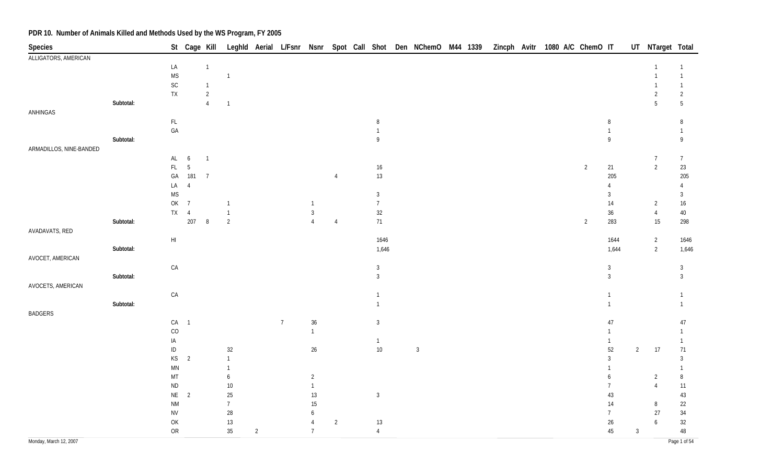| Species                 |           |                        | St Cage Kill   |                |                |                |                |                  |                |                | Leghld Aerial L/Fsnr Nsnr Spot Call Shot Den NChemO M44 1339 Zincph Avitr 1080 A/C ChemO IT |  |  |  |                |                |                | UT NTarget Total |                 |
|-------------------------|-----------|------------------------|----------------|----------------|----------------|----------------|----------------|------------------|----------------|----------------|---------------------------------------------------------------------------------------------|--|--|--|----------------|----------------|----------------|------------------|-----------------|
| ALLIGATORS, AMERICAN    |           |                        |                |                |                |                |                |                  |                |                |                                                                                             |  |  |  |                |                |                |                  |                 |
|                         |           | LA                     |                | $\overline{1}$ |                |                |                |                  |                |                |                                                                                             |  |  |  |                |                |                | $\overline{1}$   | $\mathbf{1}$    |
|                         |           | <b>MS</b>              |                |                | $\overline{1}$ |                |                |                  |                |                |                                                                                             |  |  |  |                |                |                | $\mathbf{1}$     | $\mathbf{1}$    |
|                         |           | $\mathsf{SC}$          |                | $\mathbf{1}$   |                |                |                |                  |                |                |                                                                                             |  |  |  |                |                |                |                  | $\mathbf{1}$    |
|                         |           | ${\sf TX}$             |                | $\overline{2}$ |                |                |                |                  |                |                |                                                                                             |  |  |  |                |                |                | $\overline{2}$   | $\overline{2}$  |
|                         | Subtotal: |                        |                | $\overline{4}$ | $\overline{1}$ |                |                |                  |                |                |                                                                                             |  |  |  |                |                |                | $\overline{5}$   | $5\phantom{.0}$ |
| ANHINGAS                |           |                        |                |                |                |                |                |                  |                |                |                                                                                             |  |  |  |                |                |                |                  |                 |
|                         |           | $\mathsf{FL}$          |                |                |                |                |                |                  |                | $\, 8$         |                                                                                             |  |  |  |                | 8              |                |                  | 8               |
|                         |           | GA                     |                |                |                |                |                |                  |                | $\overline{1}$ |                                                                                             |  |  |  |                | $\mathbf{1}$   |                |                  | $\mathbf{1}$    |
|                         | Subtotal: |                        |                |                |                |                |                |                  |                | $\mathsf{g}$   |                                                                                             |  |  |  |                | 9              |                |                  | 9               |
| ARMADILLOS, NINE-BANDED |           |                        |                |                |                |                |                |                  |                |                |                                                                                             |  |  |  |                |                |                |                  |                 |
|                         |           | AL                     | 6              | $\overline{1}$ |                |                |                |                  |                |                |                                                                                             |  |  |  |                |                |                | $\overline{7}$   | $\overline{7}$  |
|                         |           | FL.                    | $5\,$          |                |                |                |                |                  |                | $16\,$         |                                                                                             |  |  |  | $\overline{2}$ | 21             |                | $\overline{2}$   | 23              |
|                         |           | GА                     | 181            | $\overline{7}$ |                |                |                |                  | $\overline{4}$ | $13\,$         |                                                                                             |  |  |  |                | 205            |                |                  | 205             |
|                         |           | LA                     | $\overline{4}$ |                |                |                |                |                  |                |                |                                                                                             |  |  |  |                | $\overline{4}$ |                |                  | $\overline{4}$  |
|                         |           | <b>MS</b>              |                |                |                |                |                |                  |                | $\mathbf{3}$   |                                                                                             |  |  |  |                | $\mathbf{3}$   |                |                  | $\mathfrak{Z}$  |
|                         |           | OK                     | $\overline{7}$ |                |                |                |                | $\mathbf{1}$     |                | $\overline{7}$ |                                                                                             |  |  |  |                | 14             |                | $\overline{2}$   | $16\phantom{.}$ |
|                         |           | <b>TX</b>              | $\overline{4}$ |                | $\overline{1}$ |                |                | $\sqrt{3}$       |                | $32\,$         |                                                                                             |  |  |  |                | $36\,$         |                | $\overline{4}$   | 40              |
|                         | Subtotal: |                        | 207            | $\, 8$         | $\overline{2}$ |                |                | $\overline{4}$   | $\overline{4}$ | 71             |                                                                                             |  |  |  | $\overline{2}$ | 283            |                | 15               | 298             |
| AVADAVATS, RED          |           |                        |                |                |                |                |                |                  |                |                |                                                                                             |  |  |  |                |                |                |                  |                 |
|                         |           | $\mathsf{HI}$          |                |                |                |                |                |                  |                | 1646           |                                                                                             |  |  |  |                | 1644           |                | $\overline{2}$   | 1646            |
|                         | Subtotal: |                        |                |                |                |                |                |                  |                | 1,646          |                                                                                             |  |  |  |                | 1,644          |                | $\overline{2}$   | 1,646           |
| AVOCET, AMERICAN        |           |                        |                |                |                |                |                |                  |                |                |                                                                                             |  |  |  |                |                |                |                  |                 |
|                         |           | ${\sf CA}$             |                |                |                |                |                |                  |                | $\mathbf{3}$   |                                                                                             |  |  |  |                | $\sqrt{3}$     |                |                  | $\mathbf{3}$    |
|                         | Subtotal: |                        |                |                |                |                |                |                  |                | $\mathbf{3}$   |                                                                                             |  |  |  |                | $\overline{3}$ |                |                  | $\mathfrak{Z}$  |
| AVOCETS, AMERICAN       |           |                        |                |                |                |                |                |                  |                |                |                                                                                             |  |  |  |                |                |                |                  |                 |
|                         |           | ${\sf CA}$             |                |                |                |                |                |                  |                | $\overline{1}$ |                                                                                             |  |  |  |                | $\mathbf{1}$   |                |                  | $\mathbf{1}$    |
|                         | Subtotal: |                        |                |                |                |                |                |                  |                | $\mathbf{1}$   |                                                                                             |  |  |  |                | $\mathbf{1}$   |                |                  | $\mathbf{1}$    |
| <b>BADGERS</b>          |           |                        |                |                |                |                |                |                  |                |                |                                                                                             |  |  |  |                |                |                |                  |                 |
|                         |           | CA                     | $\overline{1}$ |                |                |                | $\overline{7}$ | $36\,$           |                | $\mathbf{3}$   |                                                                                             |  |  |  |                | 47             |                |                  | 47              |
|                         |           | CO                     |                |                |                |                |                | $\mathbf{1}$     |                |                |                                                                                             |  |  |  |                | 1              |                |                  | 1               |
|                         |           | IA                     |                |                |                |                |                |                  |                | $\overline{1}$ |                                                                                             |  |  |  |                | $\mathbf{1}$   |                |                  | $\mathbf{1}$    |
|                         |           | $\sf ID$               |                |                | $32\,$         |                |                | $26\,$           |                | $10\,$         | $\overline{3}$                                                                              |  |  |  |                | 52             | $\overline{2}$ | 17               | 71              |
|                         |           | KS                     | $\overline{2}$ |                | $\overline{1}$ |                |                |                  |                |                |                                                                                             |  |  |  |                | $\overline{3}$ |                |                  | $\mathbf{3}$    |
|                         |           | $\mathsf{M}\mathsf{N}$ |                |                | $\overline{1}$ |                |                |                  |                |                |                                                                                             |  |  |  |                | $\mathbf{1}$   |                |                  | $\mathbf{1}$    |
|                         |           | MT                     |                |                | 6              |                |                | $\overline{2}$   |                |                |                                                                                             |  |  |  |                | 6              |                | $\overline{2}$   | $\, 8$          |
|                         |           | $\sf ND$               |                |                | 10             |                |                | $\mathbf{1}$     |                |                |                                                                                             |  |  |  |                |                |                | $\overline{4}$   | 11              |
|                         |           | $\mathsf{NE}^-$        | $\overline{2}$ |                | $25\,$         |                |                | 13               |                | $\sqrt{3}$     |                                                                                             |  |  |  |                | 43             |                |                  | $43\,$          |
|                         |           | <b>NM</b>              |                |                | $\overline{7}$ |                |                | $15\,$           |                |                |                                                                                             |  |  |  |                | $14$           |                | $\, 8$           | 22              |
|                         |           | ${\sf NV}$             |                |                | 28             |                |                | $\boldsymbol{6}$ |                |                |                                                                                             |  |  |  |                | $\overline{7}$ |                | 27               | $34\,$          |
|                         |           | OK                     |                |                | $13$           |                |                | $\overline{4}$   | $\overline{2}$ | $13\,$         |                                                                                             |  |  |  |                | $26\,$         |                | $\boldsymbol{6}$ | 32              |
|                         |           | ${\sf OR}$             |                |                | $35\,$         | $\overline{2}$ |                | $7\overline{ }$  |                | $\overline{4}$ |                                                                                             |  |  |  |                | 45             | $\mathbf{3}$   |                  | 48              |
| Monday, March 12, 2007  |           |                        |                |                |                |                |                |                  |                |                |                                                                                             |  |  |  |                |                |                |                  | Page 1 of 54    |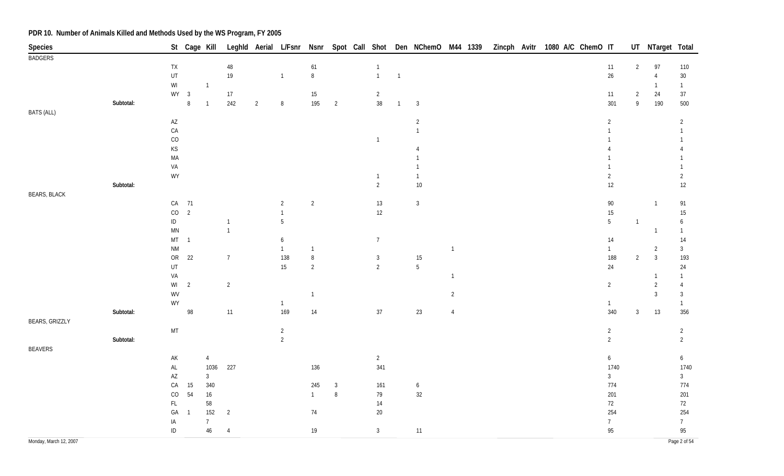| Species                |           |                                  | St Cage Kill   |                |                |                |                                  |                |                |                          |                |                  |                |  | Leghld Aerial L/Fsnr Nsnr Spot Call Shot Den NChemO M44 1339 Zincph Avitr 1080 A/C ChemO IT |                    |                                  | UT NTarget Total |                        |
|------------------------|-----------|----------------------------------|----------------|----------------|----------------|----------------|----------------------------------|----------------|----------------|--------------------------|----------------|------------------|----------------|--|---------------------------------------------------------------------------------------------|--------------------|----------------------------------|------------------|------------------------|
| <b>BADGERS</b>         |           |                                  |                |                |                |                |                                  |                |                |                          |                |                  |                |  |                                                                                             |                    |                                  |                  |                        |
|                        |           | <b>TX</b>                        |                |                | $48\,$         |                |                                  | 61             |                | $\overline{1}$           |                |                  |                |  |                                                                                             | 11                 | $\overline{2}$                   | 97               | 110                    |
|                        |           | UT                               |                |                | $19$           |                | $\overline{1}$                   | $\,8\,$        |                | $\overline{1}$           | $\overline{1}$ |                  |                |  |                                                                                             | $26\,$             |                                  | $\overline{4}$   | $30\,$                 |
|                        |           | $\mathsf{W}\mathsf{I}$<br>$WY$ 3 |                | $\overline{1}$ |                |                |                                  |                |                |                          |                |                  |                |  |                                                                                             |                    |                                  | $\overline{1}$   | $\mathbf{1}$           |
|                        | Subtotal: |                                  | $\, 8$         | $\overline{1}$ | 17<br>242      | $\overline{2}$ | $\, 8$                           | 15<br>195      | $\overline{2}$ | $\overline{2}$<br>$38\,$ | $\overline{1}$ | $\overline{3}$   |                |  |                                                                                             | 11<br>301          | $\overline{2}$<br>$\overline{9}$ | 24<br>190        | 37<br>500              |
| <b>BATS (ALL)</b>      |           |                                  |                |                |                |                |                                  |                |                |                          |                |                  |                |  |                                                                                             |                    |                                  |                  |                        |
|                        |           | $\mathsf{A}\mathsf{Z}$           |                |                |                |                |                                  |                |                |                          |                | $\overline{2}$   |                |  |                                                                                             | $\overline{2}$     |                                  |                  | $\overline{2}$         |
|                        |           | CA                               |                |                |                |                |                                  |                |                |                          |                | $\overline{1}$   |                |  |                                                                                             | $\mathbf{1}$       |                                  |                  | $\mathbf{1}$           |
|                        |           | CO                               |                |                |                |                |                                  |                |                | $\overline{1}$           |                |                  |                |  |                                                                                             |                    |                                  |                  |                        |
|                        |           | KS                               |                |                |                |                |                                  |                |                |                          |                | Δ                |                |  |                                                                                             |                    |                                  |                  |                        |
|                        |           | MA                               |                |                |                |                |                                  |                |                |                          |                |                  |                |  |                                                                                             |                    |                                  |                  |                        |
|                        |           | VA                               |                |                |                |                |                                  |                |                |                          |                |                  |                |  |                                                                                             |                    |                                  |                  | 1                      |
|                        |           | WY                               |                |                |                |                |                                  |                |                | $\overline{1}$           |                | $\overline{1}$   |                |  |                                                                                             | $\overline{2}$     |                                  |                  | $\overline{2}$         |
|                        | Subtotal: |                                  |                |                |                |                |                                  |                |                | $\overline{2}$           |                | $10\,$           |                |  |                                                                                             | 12                 |                                  |                  | 12                     |
| <b>BEARS, BLACK</b>    |           |                                  |                |                |                |                |                                  |                |                |                          |                |                  |                |  |                                                                                             |                    |                                  |                  |                        |
|                        |           | ${\sf CA}$                       | 71             |                |                |                | $\overline{2}$                   | $\overline{2}$ |                | 13                       |                | $\overline{3}$   |                |  |                                                                                             | $90\,$             |                                  | $\overline{1}$   | 91                     |
|                        |           | $\rm CO$                         | $\overline{2}$ |                |                |                | $\mathbf{1}$                     |                |                | 12                       |                |                  |                |  |                                                                                             | 15                 |                                  |                  | $15\,$                 |
|                        |           | $\sf ID$                         |                |                | $\overline{1}$ |                | $\sqrt{5}$                       |                |                |                          |                |                  |                |  |                                                                                             | 5                  | $\overline{1}$                   |                  | 6                      |
|                        |           | $\mathsf{MN}$                    |                |                | $\overline{1}$ |                |                                  |                |                |                          |                |                  |                |  |                                                                                             |                    |                                  | $\overline{1}$   | $\mathbf{1}$           |
|                        |           | MT<br>$\mathsf{N}\mathsf{M}$     | $\overline{1}$ |                |                |                | $\boldsymbol{6}$<br>$\mathbf{1}$ | $\mathbf{1}$   |                | $7\overline{ }$          |                |                  | $\overline{1}$ |  |                                                                                             | 14<br>$\mathbf{1}$ |                                  | $\overline{2}$   | $14$<br>$\mathfrak{Z}$ |
|                        |           | ${\sf OR}$                       | 22             |                | $\overline{7}$ |                | 138                              | $\, 8$         |                | $\mathbf{3}$             |                | $15\,$           |                |  |                                                                                             | 188                | $\overline{2}$                   | $\overline{3}$   | 193                    |
|                        |           | $\sf{UT}$                        |                |                |                |                | 15                               | $\overline{2}$ |                | $\overline{2}$           |                | $5\,$            |                |  |                                                                                             | 24                 |                                  |                  | 24                     |
|                        |           | VA                               |                |                |                |                |                                  |                |                |                          |                |                  | $\overline{1}$ |  |                                                                                             |                    |                                  | $\overline{1}$   | $\mathbf{1}$           |
|                        |           | WI                               | $\overline{2}$ |                | $\overline{2}$ |                |                                  |                |                |                          |                |                  |                |  |                                                                                             | $\overline{2}$     |                                  | $\overline{2}$   | $\overline{4}$         |
|                        |           | WV                               |                |                |                |                |                                  | $\mathbf{1}$   |                |                          |                |                  | $\overline{2}$ |  |                                                                                             |                    |                                  | $\mathbf{3}$     | $\mathfrak{Z}$         |
|                        |           | WY                               |                |                |                |                | $\overline{1}$                   |                |                |                          |                |                  |                |  |                                                                                             | $\mathbf{1}$       |                                  |                  | $\mathbf{1}$           |
|                        | Subtotal: |                                  | 98             |                | 11             |                | 169                              | 14             |                | $37\,$                   |                | 23               | $\overline{4}$ |  |                                                                                             | 340                | $\mathbf{3}$                     | 13               | 356                    |
| <b>BEARS, GRIZZLY</b>  |           |                                  |                |                |                |                |                                  |                |                |                          |                |                  |                |  |                                                                                             |                    |                                  |                  |                        |
|                        |           | $\mathsf{MT}$                    |                |                |                |                | $\overline{c}$                   |                |                |                          |                |                  |                |  |                                                                                             | $\overline{2}$     |                                  |                  | $\overline{2}$         |
|                        | Subtotal: |                                  |                |                |                |                | $\overline{2}$                   |                |                |                          |                |                  |                |  |                                                                                             | $\overline{2}$     |                                  |                  | $\overline{2}$         |
| BEAVERS                |           |                                  |                |                |                |                |                                  |                |                |                          |                |                  |                |  |                                                                                             |                    |                                  |                  |                        |
|                        |           | $\mathsf{AK}$                    |                | $\overline{4}$ |                |                |                                  |                |                | $\overline{2}$           |                |                  |                |  |                                                                                             | $6\phantom{a}$     |                                  |                  | 6 <sup>1</sup>         |
|                        |           | $\mathsf{AL}$                    |                | 1036           | 227            |                |                                  | 136            |                | 341                      |                |                  |                |  |                                                                                             | 1740               |                                  |                  | 1740                   |
|                        |           | $\mathsf{A}\mathsf{Z}$           |                | $\mathbf{3}$   |                |                |                                  |                |                |                          |                |                  |                |  |                                                                                             | $\mathbf{3}$       |                                  |                  | 3 <sup>1</sup>         |
|                        |           | CA                               | 15             | 340            |                |                |                                  | 245            | $\mathbf{3}$   | 161                      |                | $\boldsymbol{6}$ |                |  |                                                                                             | 774<br>201         |                                  |                  | 774                    |
|                        |           | CO<br>$\mathsf{FL}$              | 54             | $16\,$<br>58   |                |                |                                  | $\mathbf{1}$   | $\, 8$         | 79                       |                | 32               |                |  |                                                                                             | 72                 |                                  |                  | 201                    |
|                        |           | GA                               | $\overline{1}$ | 152            | $\overline{2}$ |                |                                  | 74             |                | 14<br>$20\,$             |                |                  |                |  |                                                                                             | 254                |                                  |                  | 72<br>254              |
|                        |           | IA                               |                | $\overline{7}$ |                |                |                                  |                |                |                          |                |                  |                |  |                                                                                             | 7 <sup>7</sup>     |                                  |                  | $7\overline{ }$        |
|                        |           | $\sf ID$                         |                | $46\,$         | $\overline{4}$ |                |                                  | $19$           |                | $\mathbf{3}$             |                | 11               |                |  |                                                                                             | 95                 |                                  |                  | 95                     |
| Monday, March 12, 2007 |           |                                  |                |                |                |                |                                  |                |                |                          |                |                  |                |  |                                                                                             |                    |                                  |                  | Page 2 of 54           |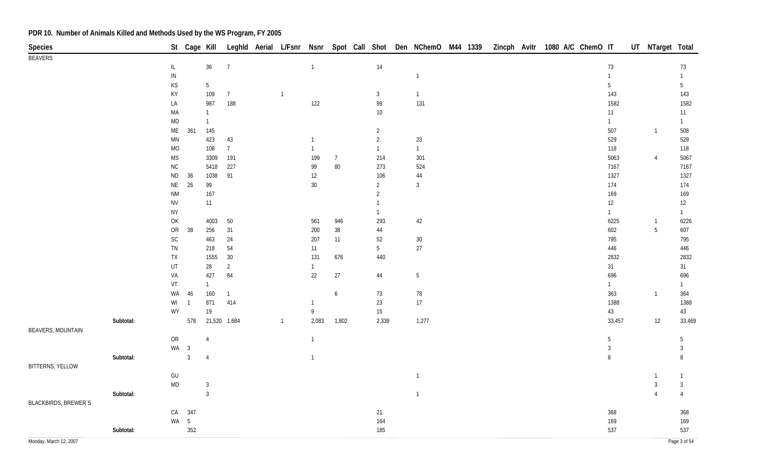| Species                     |           |                                                            | St Cage Kill   |                |                |              |                |                  |                | Leghld Aerial L/Fsnr Nsnr Spot Call Shot Den NChemO M44 1339 |  |  | Zincph Avitr 1080 A/C ChemO IT |  |                 | UT NTarget Total |                 |
|-----------------------------|-----------|------------------------------------------------------------|----------------|----------------|----------------|--------------|----------------|------------------|----------------|--------------------------------------------------------------|--|--|--------------------------------|--|-----------------|------------------|-----------------|
| <b>BEAVERS</b>              |           |                                                            |                |                |                |              |                |                  |                |                                                              |  |  |                                |  |                 |                  |                 |
|                             |           | $\mathsf{IL}$                                              |                | 36             | $\overline{7}$ |              | $\overline{1}$ |                  | 14             |                                                              |  |  |                                |  | $73\,$          |                  | 73              |
|                             |           | ${\sf IN}$                                                 |                |                |                |              |                |                  |                | $\overline{1}$                                               |  |  |                                |  | $\mathbf{1}$    |                  | $\mathbf{1}$    |
|                             |           | KS                                                         |                | $5\,$          |                |              |                |                  |                |                                                              |  |  |                                |  | $5\phantom{.0}$ |                  | $5\phantom{.0}$ |
|                             |           | KY                                                         |                | 109            | $\overline{7}$ | $\mathbf{1}$ |                |                  | $\mathbf{3}$   | $\overline{1}$                                               |  |  |                                |  | 143             |                  | 143             |
|                             |           | LA                                                         |                | 987            | 188            |              | 122            |                  | 99             | 131                                                          |  |  |                                |  | 1582            |                  | 1582            |
|                             |           | MA                                                         |                | $\overline{1}$ |                |              |                |                  | $10$           |                                                              |  |  |                                |  | 11              |                  | 11              |
|                             |           | $\sf MD$                                                   |                | $\mathbf{1}$   |                |              |                |                  |                |                                                              |  |  |                                |  | $\mathbf{1}$    |                  | $\mathbf{1}$    |
|                             |           | ME                                                         | 361            | 145            |                |              |                |                  | $\overline{2}$ |                                                              |  |  |                                |  | 507             | $\overline{1}$   | 508             |
|                             |           | $\mathsf{M}\mathsf{N}$                                     |                | 423            | 43             |              | $\mathbf{1}$   |                  | $\overline{2}$ | 23                                                           |  |  |                                |  | 529             |                  | 529             |
|                             |           | MO                                                         |                | 108            | $\overline{7}$ |              | $\overline{1}$ |                  | $\mathbf{1}$   | $\overline{1}$                                               |  |  |                                |  | 118             |                  | 118             |
|                             |           | $\mathsf{MS}\xspace$                                       |                | 3309           | 191            |              | 199            | $\overline{7}$   | 214            | 301                                                          |  |  |                                |  | 5063            | $\overline{4}$   | 5067            |
|                             |           | ${\sf NC}$                                                 |                | 5418           | 227            |              | 99             | $80\,$           | 273            | 524                                                          |  |  |                                |  | 7167            |                  | 7167            |
|                             |           | $\sf ND$                                                   | 36             | 1038           | 91             |              | 12             |                  | 106            | 44                                                           |  |  |                                |  | 1327            |                  | 1327            |
|                             |           | NE                                                         | 26             | 99             |                |              | $30\,$         |                  | $\overline{2}$ | $\mathbf{3}$                                                 |  |  |                                |  | 174             |                  | 174             |
|                             |           | $\mathsf{N}\mathsf{M}$                                     |                | 167            |                |              |                |                  | 2              |                                                              |  |  |                                |  | 169             |                  | 169             |
|                             |           | <b>NV</b>                                                  |                | 11             |                |              |                |                  | $\mathbf{1}$   |                                                              |  |  |                                |  | 12              |                  | 12              |
|                             |           | <b>NY</b>                                                  |                |                |                |              |                |                  |                |                                                              |  |  |                                |  | $\mathbf{1}$    |                  | $\mathbf{1}$    |
|                             |           | $\mathsf{OK}$                                              |                | 4003           | 50             |              | 561            | 946              | 293            | 42                                                           |  |  |                                |  | 6225            | $\overline{1}$   | 6226            |
|                             |           | ${\sf OR}$                                                 | 38             | 256            | 31             |              | 200            | $38\,$           | 44             |                                                              |  |  |                                |  | 602             | 5                | 607             |
|                             |           | SC                                                         |                | 463            | 24             |              | 207            | 11               | 52             | $30\,$                                                       |  |  |                                |  | 795             |                  | 795             |
|                             |           | TN                                                         |                | 218            | 54             |              | 11             |                  | 5              | $27\,$                                                       |  |  |                                |  | 446             |                  | 446             |
|                             |           | ${\sf TX}$                                                 |                | 1555           | 30             |              | 131            | 676              | 440            |                                                              |  |  |                                |  | 2832            |                  | 2832            |
|                             |           | UT                                                         |                | $28\,$         | $\overline{2}$ |              | $\mathbf{1}$   |                  |                |                                                              |  |  |                                |  | 31              |                  | 31              |
|                             |           | VA                                                         |                | 427            | 84             |              | 22             | 27               | 44             | $5\phantom{.0}$                                              |  |  |                                |  | 696             |                  | 696             |
|                             |           | VT                                                         |                | $\mathbf{1}$   |                |              |                |                  |                |                                                              |  |  |                                |  | $\mathbf{1}$    |                  | $\mathbf{1}$    |
|                             |           | WA                                                         | 46             | 160            | $\overline{1}$ |              |                | $\boldsymbol{6}$ | $73\,$         | 78                                                           |  |  |                                |  | 363             | $\overline{1}$   | 364             |
|                             |           | WI                                                         | $\overline{1}$ | 871            | 414            |              | $\mathbf{1}$   |                  | $23\,$         | 17                                                           |  |  |                                |  | 1388            |                  | 1388            |
|                             |           | WY                                                         |                | $19$           |                |              | 9              |                  | $15\,$         |                                                              |  |  |                                |  | $43\,$          |                  | 43              |
|                             | Subtotal: |                                                            | 578            | 21,520 1,684   |                | $\mathbf{1}$ | 2,083          | 1,802            | 2,339          | 1,277                                                        |  |  |                                |  | 33,457          | 12               | 33,469          |
| <b>BEAVERS, MOUNTAIN</b>    |           |                                                            |                |                |                |              |                |                  |                |                                                              |  |  |                                |  |                 |                  |                 |
|                             |           | ${\sf OR}$                                                 |                | $\overline{4}$ |                |              | $\mathbf{1}$   |                  |                |                                                              |  |  |                                |  | $\overline{5}$  |                  | $\overline{5}$  |
|                             |           |                                                            | WA 3           |                |                |              |                |                  |                |                                                              |  |  |                                |  | $\mathbf{3}$    |                  | $\mathbf{3}$    |
|                             | Subtotal: |                                                            | $\overline{3}$ | $\overline{4}$ |                |              | $\overline{1}$ |                  |                |                                                              |  |  |                                |  | 8               |                  | 8               |
| <b>BITTERNS, YELLOW</b>     |           |                                                            |                |                |                |              |                |                  |                |                                                              |  |  |                                |  |                 |                  |                 |
|                             |           | $\mathsf{GU}% _{\mathsf{C}}^{\mathsf{C}}(\mathcal{M}_{0})$ |                |                |                |              |                |                  |                | $\overline{1}$                                               |  |  |                                |  |                 |                  | $\mathbf{1}$    |
|                             |           | $\sf MD$                                                   |                | $\mathbf{3}$   |                |              |                |                  |                |                                                              |  |  |                                |  |                 | $\mathbf{3}$     | $\mathbf{3}$    |
|                             | Subtotal: |                                                            |                | $\overline{3}$ |                |              |                |                  |                | $\overline{1}$                                               |  |  |                                |  |                 | $\overline{A}$   | $\overline{4}$  |
| <b>BLACKBIRDS, BREWER'S</b> |           |                                                            |                |                |                |              |                |                  |                |                                                              |  |  |                                |  |                 |                  |                 |
|                             |           | CA                                                         | 347            |                |                |              |                |                  | 21             |                                                              |  |  |                                |  | 368             |                  | 368             |
|                             |           |                                                            | WA 5           |                |                |              |                |                  | 164            |                                                              |  |  |                                |  | 169             |                  | 169             |
|                             | Subtotal: |                                                            | 352            |                |                |              |                |                  | 185            |                                                              |  |  |                                |  | 537             |                  | 537             |
| Monday, March 12, 2007      |           |                                                            |                |                |                |              |                |                  |                |                                                              |  |  |                                |  |                 |                  | Page 3 of 54    |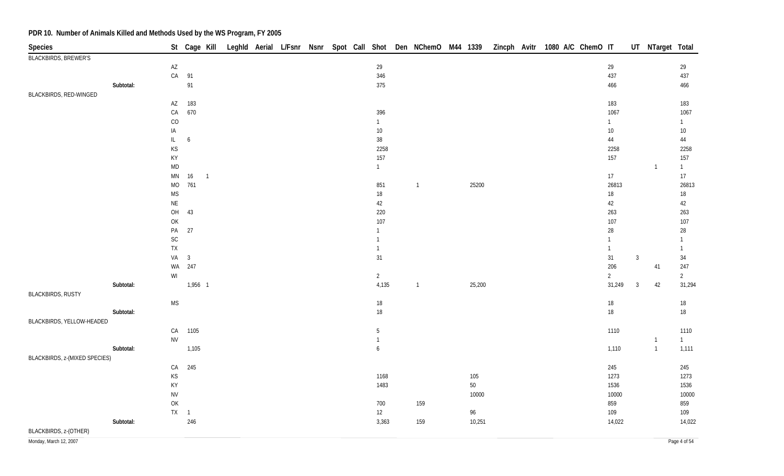| Species                       |           |                                                                                       | St Cage Kill |                |  |  |  |                                  |                |        |  | Leghld Aerial L/Fsnr Nsnr Spot Call Shot Den NChemO M44 1339 Zincph Avitr 1080 A/C ChemO IT |                |                | UT NTarget Total |                      |
|-------------------------------|-----------|---------------------------------------------------------------------------------------|--------------|----------------|--|--|--|----------------------------------|----------------|--------|--|---------------------------------------------------------------------------------------------|----------------|----------------|------------------|----------------------|
| <b>BLACKBIRDS, BREWER'S</b>   |           |                                                                                       |              |                |  |  |  |                                  |                |        |  |                                                                                             |                |                |                  |                      |
|                               |           | $\mathsf{A}\mathsf{Z}$                                                                |              |                |  |  |  | 29                               |                |        |  |                                                                                             | 29             |                |                  | 29                   |
|                               |           |                                                                                       | CA 91        |                |  |  |  | 346                              |                |        |  |                                                                                             | 437            |                |                  | 437                  |
|                               | Subtotal: |                                                                                       | 91           |                |  |  |  | 375                              |                |        |  |                                                                                             | 466            |                |                  | 466                  |
| BLACKBIRDS, RED-WINGED        |           |                                                                                       |              |                |  |  |  |                                  |                |        |  |                                                                                             |                |                |                  |                      |
|                               |           | $\mathsf{A}\mathsf{Z}$                                                                | 183          |                |  |  |  |                                  |                |        |  |                                                                                             | 183            |                |                  | 183                  |
|                               |           | ${\sf CA}$                                                                            | 670          |                |  |  |  | 396                              |                |        |  |                                                                                             | 1067           |                |                  | 1067                 |
|                               |           | CO                                                                                    |              |                |  |  |  | $\overline{1}$                   |                |        |  |                                                                                             | $\mathbf{1}$   |                |                  | $\mathbf{1}$         |
|                               |           | IA                                                                                    |              |                |  |  |  | 10<br>38                         |                |        |  |                                                                                             | $10\,$         |                |                  | $10$                 |
|                               |           | $\mathsf{IL}$<br>$\mathsf{KS}% _{\mathsf{K}}^{(k)}$                                   | 6            |                |  |  |  | 2258                             |                |        |  |                                                                                             | $44\,$<br>2258 |                |                  | $44\,$<br>2258       |
|                               |           | KY                                                                                    |              |                |  |  |  | 157                              |                |        |  |                                                                                             | 157            |                |                  | 157                  |
|                               |           | <b>MD</b>                                                                             |              |                |  |  |  | $\mathbf{1}$                     |                |        |  |                                                                                             |                |                | $\mathbf{1}$     | $\overline{1}$       |
|                               |           | $\mathsf{M}\mathsf{N}$                                                                | 16           | $\overline{1}$ |  |  |  |                                  |                |        |  |                                                                                             | 17             |                |                  | 17                   |
|                               |           | $MO$                                                                                  | 761          |                |  |  |  | 851                              | $\overline{1}$ | 25200  |  |                                                                                             | 26813          |                |                  | 26813                |
|                               |           | <b>MS</b>                                                                             |              |                |  |  |  | 18                               |                |        |  |                                                                                             | $18\,$         |                |                  | 18                   |
|                               |           | $\mathsf{NE}\xspace$                                                                  |              |                |  |  |  | 42                               |                |        |  |                                                                                             | 42             |                |                  | $42\,$               |
|                               |           | $\mathsf{OH}$                                                                         | 43           |                |  |  |  | 220                              |                |        |  |                                                                                             | 263            |                |                  | 263                  |
|                               |           | OK                                                                                    |              |                |  |  |  | 107                              |                |        |  |                                                                                             | 107            |                |                  | 107                  |
|                               |           | $\mathsf{PA}$                                                                         | 27           |                |  |  |  | $\overline{1}$                   |                |        |  |                                                                                             | 28             |                |                  | $28\,$               |
|                               |           | $\mathsf{SC}$                                                                         |              |                |  |  |  | $\mathbf{1}$                     |                |        |  |                                                                                             |                |                |                  | $\mathbf{1}$         |
|                               |           | ${\sf TX}$                                                                            |              |                |  |  |  | $\overline{1}$                   |                |        |  |                                                                                             | $\mathbf{1}$   |                |                  | $\overline{1}$       |
|                               |           |                                                                                       | $VA$ 3       |                |  |  |  | 31                               |                |        |  |                                                                                             | 31             | $\mathbf{3}$   |                  | 34                   |
|                               |           |                                                                                       | WA 247       |                |  |  |  |                                  |                |        |  |                                                                                             | 206            |                | 41               | 247                  |
|                               |           | WI                                                                                    |              |                |  |  |  | $\overline{2}$                   |                |        |  |                                                                                             | $\overline{2}$ |                |                  | $2\overline{ }$      |
|                               | Subtotal: |                                                                                       | 1,956 1      |                |  |  |  | 4,135                            | $\overline{1}$ | 25,200 |  |                                                                                             | 31,249         | $\overline{3}$ | 42               | 31,294               |
| <b>BLACKBIRDS, RUSTY</b>      |           |                                                                                       |              |                |  |  |  |                                  |                |        |  |                                                                                             |                |                |                  |                      |
|                               |           | <b>MS</b>                                                                             |              |                |  |  |  | 18                               |                |        |  |                                                                                             | $18\,$         |                |                  | 18                   |
|                               | Subtotal: |                                                                                       |              |                |  |  |  | 18                               |                |        |  |                                                                                             | 18             |                |                  | 18                   |
| BLACKBIRDS, YELLOW-HEADED     |           |                                                                                       | CA 1105      |                |  |  |  |                                  |                |        |  |                                                                                             |                |                |                  |                      |
|                               |           | <b>NV</b>                                                                             |              |                |  |  |  | $\overline{5}$<br>$\overline{1}$ |                |        |  |                                                                                             | 1110           |                | $\mathbf{1}$     | 1110<br>$\mathbf{1}$ |
|                               | Subtotal: |                                                                                       | 1,105        |                |  |  |  | $\boldsymbol{6}$                 |                |        |  |                                                                                             | 1,110          |                | $\mathbf{1}$     | 1,111                |
| BLACKBIRDS, z-(MIXED SPECIES) |           |                                                                                       |              |                |  |  |  |                                  |                |        |  |                                                                                             |                |                |                  |                      |
|                               |           |                                                                                       | CA 245       |                |  |  |  |                                  |                |        |  |                                                                                             | 245            |                |                  | 245                  |
|                               |           | KS                                                                                    |              |                |  |  |  | 1168                             |                | 105    |  |                                                                                             | 1273           |                |                  | 1273                 |
|                               |           | KY                                                                                    |              |                |  |  |  | 1483                             |                | $50\,$ |  |                                                                                             | 1536           |                |                  | 1536                 |
|                               |           | <b>NV</b>                                                                             |              |                |  |  |  |                                  |                | 10000  |  |                                                                                             | 10000          |                |                  | 10000                |
|                               |           | $\mathsf{OK}% \left( \mathcal{M}\right) \equiv\mathsf{OK}(\mathcal{M}_{\mathrm{CL}})$ |              |                |  |  |  | 700                              | 159            |        |  |                                                                                             | 859            |                |                  | 859                  |
|                               |           | $TX \quad 1$                                                                          |              |                |  |  |  | $12 \overline{ }$                |                | 96     |  |                                                                                             | 109            |                |                  | 109                  |
|                               | Subtotal: |                                                                                       | 246          |                |  |  |  | 3,363                            | 159            | 10,251 |  |                                                                                             | 14,022         |                |                  | 14,022               |
| BLACKBIRDS, z-(OTHER)         |           |                                                                                       |              |                |  |  |  |                                  |                |        |  |                                                                                             |                |                |                  |                      |

Monday, March 12, 2007 Page 4 of 54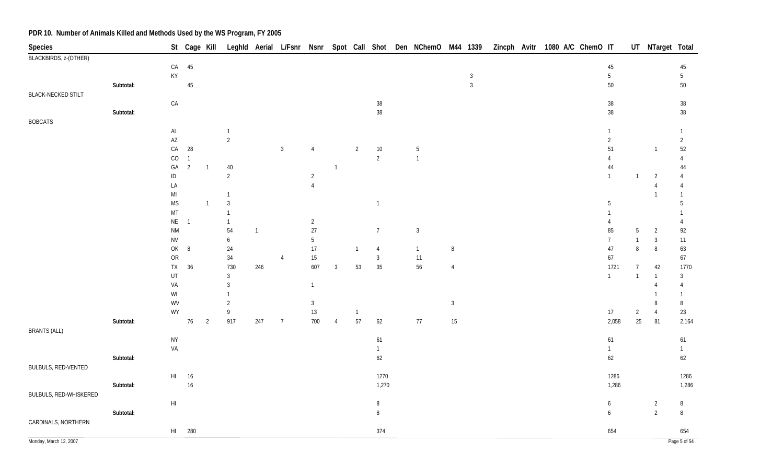| Species                   |           |                                          |                                  |                |                      |                |                |                |                |                |                |                |                |              |  | St Cage Kill Leghld Aerial L/Fsnr Nsnr Spot Call Shot Den NChemO M44 1339 Zincph Avitr 1080 A/C ChemO IT |                |                | UT NTarget Total |                |
|---------------------------|-----------|------------------------------------------|----------------------------------|----------------|----------------------|----------------|----------------|----------------|----------------|----------------|----------------|----------------|----------------|--------------|--|----------------------------------------------------------------------------------------------------------|----------------|----------------|------------------|----------------|
| BLACKBIRDS, z-(OTHER)     |           |                                          |                                  |                |                      |                |                |                |                |                |                |                |                |              |  |                                                                                                          |                |                |                  |                |
|                           |           |                                          | $CA$ 45                          |                |                      |                |                |                |                |                |                |                |                |              |  |                                                                                                          | 45             |                |                  | 45             |
|                           |           | $\mathsf{KY}$                            |                                  |                |                      |                |                |                |                |                |                |                |                | $\mathbf{3}$ |  |                                                                                                          | $5\,$          |                |                  | 5              |
|                           | Subtotal: |                                          | 45                               |                |                      |                |                |                |                |                |                |                |                | $\mathbf{3}$ |  |                                                                                                          | 50             |                |                  | $50\,$         |
| <b>BLACK-NECKED STILT</b> |           |                                          |                                  |                |                      |                |                |                |                |                |                |                |                |              |  |                                                                                                          |                |                |                  |                |
|                           |           | CA                                       |                                  |                |                      |                |                |                |                |                | $38\,$         |                |                |              |  |                                                                                                          | $38\,$         |                |                  | $38\,$         |
|                           | Subtotal: |                                          |                                  |                |                      |                |                |                |                |                | $38\,$         |                |                |              |  |                                                                                                          | $38\,$         |                |                  | $38\,$         |
| <b>BOBCATS</b>            |           |                                          |                                  |                |                      |                |                |                |                |                |                |                |                |              |  |                                                                                                          |                |                |                  |                |
|                           |           | $\mathsf{AL}$                            |                                  |                | $\overline{1}$       |                |                |                |                |                |                |                |                |              |  |                                                                                                          | $\mathbf{1}$   |                |                  | $\mathbf{1}$   |
|                           |           | $\mathsf{A}\mathsf{Z}$                   |                                  |                | $\overline{2}$       |                |                |                |                |                |                |                |                |              |  |                                                                                                          | $\overline{2}$ |                |                  | $\overline{2}$ |
|                           |           | ${\sf CA}$                               | 28                               |                |                      |                | $\mathbf{3}$   | $\overline{4}$ |                | $\overline{2}$ | $10\,$         | $\sqrt{5}$     |                |              |  |                                                                                                          | 51             |                | $\overline{1}$   | 52             |
|                           |           | CO<br>GA                                 | $\overline{1}$<br>$\overline{2}$ | $\overline{1}$ |                      |                |                |                | $\mathbf{1}$   |                | $\overline{2}$ | $\overline{1}$ |                |              |  |                                                                                                          | 4<br>44        |                |                  | 4<br>44        |
|                           |           | $\sf ID$                                 |                                  |                | 40<br>$\overline{2}$ |                |                | $\overline{2}$ |                |                |                |                |                |              |  |                                                                                                          | $\mathbf{1}$   | $\mathbf{1}$   | $\overline{2}$   | 4              |
|                           |           | LA                                       |                                  |                |                      |                |                | $\overline{4}$ |                |                |                |                |                |              |  |                                                                                                          |                |                | $\overline{4}$   | $\overline{4}$ |
|                           |           | $\mathsf{MI}$                            |                                  |                | $\mathbf{1}$         |                |                |                |                |                |                |                |                |              |  |                                                                                                          |                |                | $\overline{1}$   |                |
|                           |           | $\mathsf{MS}\xspace$                     |                                  | $\overline{1}$ | $\mathbf{3}$         |                |                |                |                |                | $\overline{1}$ |                |                |              |  |                                                                                                          | 5              |                |                  | 5              |
|                           |           | MT                                       |                                  |                | $\overline{1}$       |                |                |                |                |                |                |                |                |              |  |                                                                                                          |                |                |                  |                |
|                           |           | $\mathsf{NE}\,$                          | $\overline{1}$                   |                | $\mathbf{1}$         |                |                | $\overline{a}$ |                |                |                |                |                |              |  |                                                                                                          | 4              |                |                  | 4              |
|                           |           | <b>NM</b>                                |                                  |                | 54                   | $\overline{1}$ |                | $27\,$         |                |                | $\overline{7}$ | $\mathbf{3}$   |                |              |  |                                                                                                          | 85             | 5              | $\overline{2}$   | 92             |
|                           |           | ${\sf NV}$                               |                                  |                | 6                    |                |                | 5              |                |                |                |                |                |              |  |                                                                                                          | $\overline{7}$ | $\mathbf{1}$   | $\mathbf{3}$     | 11             |
|                           |           | $\mathsf{OK}% \left( \mathcal{M}\right)$ | 8                                |                | 24                   |                |                | $17\,$         |                | $\overline{1}$ | $\overline{4}$ | $\overline{1}$ | $\,8\,$        |              |  |                                                                                                          | 47             | 8              | $\, 8$           | 63             |
|                           |           | OR                                       |                                  |                | $34\,$               |                | $\overline{4}$ | 15             |                |                | $\mathfrak{Z}$ | 11             |                |              |  |                                                                                                          | 67             |                |                  | 67             |
|                           |           | <b>TX</b>                                | 36                               |                | 730                  | 246            |                | 607            | 3              | 53             | $35\,$         | $56\,$         | $\overline{4}$ |              |  |                                                                                                          | 1721           | $\overline{7}$ | 42               | 1770           |
|                           |           | UT                                       |                                  |                | $\mathbf{3}$         |                |                |                |                |                |                |                |                |              |  |                                                                                                          | $\mathbf{1}$   | $\mathbf{1}$   | $\overline{1}$   | $\mathbf{3}$   |
|                           |           | VA                                       |                                  |                | $\mathbf{3}$         |                |                | $\mathbf{1}$   |                |                |                |                |                |              |  |                                                                                                          |                |                | $\overline{4}$   | $\overline{4}$ |
|                           |           | WI                                       |                                  |                |                      |                |                |                |                |                |                |                |                |              |  |                                                                                                          |                |                | $\overline{1}$   | $\mathbf{1}$   |
|                           |           | WV                                       |                                  |                | $\overline{2}$       |                |                | $\mathbf{3}$   |                |                |                |                | $\mathbf{3}$   |              |  |                                                                                                          |                |                | $\, 8$           | 8              |
|                           |           | WY                                       |                                  |                | 9                    |                |                | $13\,$         |                | $\overline{1}$ |                |                |                |              |  |                                                                                                          | 17             | $\overline{2}$ | $\overline{4}$   | 23             |
| <b>BRANTS (ALL)</b>       | Subtotal: |                                          | 76                               | $\overline{2}$ | 917                  | 247            | $\overline{7}$ | 700            | $\overline{4}$ | 57             | 62             | $77$           | $15\,$         |              |  |                                                                                                          | 2,058          | $25\,$         | 81               | 2,164          |
|                           |           | <b>NY</b>                                |                                  |                |                      |                |                |                |                |                | 61             |                |                |              |  |                                                                                                          | 61             |                |                  | 61             |
|                           |           | VA                                       |                                  |                |                      |                |                |                |                |                | $\overline{1}$ |                |                |              |  |                                                                                                          | $\mathbf{1}$   |                |                  | $\mathbf{1}$   |
|                           | Subtotal: |                                          |                                  |                |                      |                |                |                |                |                | 62             |                |                |              |  |                                                                                                          | 62             |                |                  | 62             |
| BULBULS, RED-VENTED       |           |                                          |                                  |                |                      |                |                |                |                |                |                |                |                |              |  |                                                                                                          |                |                |                  |                |
|                           |           | $\mathsf{H}\mathsf{I}$                   | 16                               |                |                      |                |                |                |                |                | 1270           |                |                |              |  |                                                                                                          | 1286           |                |                  | 1286           |
|                           | Subtotal: |                                          | 16                               |                |                      |                |                |                |                |                | 1,270          |                |                |              |  |                                                                                                          | 1,286          |                |                  | 1,286          |
| BULBULS, RED-WHISKERED    |           |                                          |                                  |                |                      |                |                |                |                |                |                |                |                |              |  |                                                                                                          |                |                |                  |                |
|                           |           | $\mathsf{H}\mathsf{I}$                   |                                  |                |                      |                |                |                |                |                | $\, 8$         |                |                |              |  |                                                                                                          | 6              |                | $\overline{2}$   | 8              |
|                           | Subtotal: |                                          |                                  |                |                      |                |                |                |                |                | $\, 8$         |                |                |              |  |                                                                                                          | 6              |                | $\overline{2}$   | 8              |
| CARDINALS, NORTHERN       |           |                                          |                                  |                |                      |                |                |                |                |                |                |                |                |              |  |                                                                                                          |                |                |                  |                |
|                           |           |                                          | HI 280                           |                |                      |                |                |                |                |                | 374            |                |                |              |  |                                                                                                          | 654            |                |                  | 654            |
| Monday, March 12, 2007    |           |                                          |                                  |                |                      |                |                |                |                |                |                |                |                |              |  |                                                                                                          |                |                |                  | Page 5 of 54   |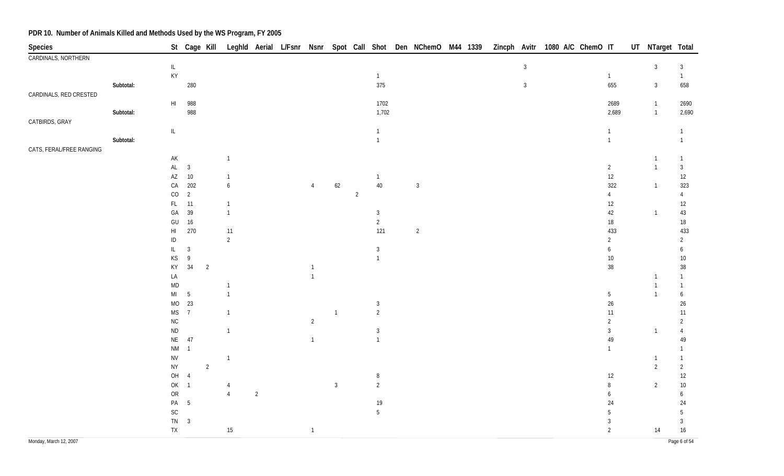| Species                  |           |                                                                                    |                          | St Cage Kill   |                  |                |                |              |                |                |                |  |              | Leghld Aerial L/Fsnr Nsnr Spot Call Shot Den NChemO M44 1339 Zincph Avitr 1080 A/C ChemO IT |                  | UT NTarget Total                 |                        |
|--------------------------|-----------|------------------------------------------------------------------------------------|--------------------------|----------------|------------------|----------------|----------------|--------------|----------------|----------------|----------------|--|--------------|---------------------------------------------------------------------------------------------|------------------|----------------------------------|------------------------|
| CARDINALS, NORTHERN      |           |                                                                                    |                          |                |                  |                |                |              |                |                |                |  |              |                                                                                             |                  |                                  |                        |
|                          |           | $\mathsf{IL}$                                                                      |                          |                |                  |                |                |              |                |                |                |  | $\mathbf{3}$ |                                                                                             |                  | $\mathbf{3}$                     | $\mathbf{3}$           |
|                          |           | KY                                                                                 |                          |                |                  |                |                |              |                | $\overline{1}$ |                |  |              |                                                                                             | $\mathbf{1}$     |                                  | $\mathbf{1}$           |
|                          | Subtotal: |                                                                                    | 280                      |                |                  |                |                |              |                | 375            |                |  | $\mathbf{3}$ |                                                                                             | 655              | $\mathbf{3}$                     | 658                    |
| CARDINALS, RED CRESTED   |           |                                                                                    |                          |                |                  |                |                |              |                |                |                |  |              |                                                                                             |                  |                                  |                        |
|                          |           | $\mathsf{H}\mathsf{I}$                                                             | 988<br>988               |                |                  |                |                |              |                | 1702<br>1,702  |                |  |              |                                                                                             | 2689             | $\overline{1}$<br>$\overline{1}$ | 2690<br>2,690          |
| CATBIRDS, GRAY           | Subtotal: |                                                                                    |                          |                |                  |                |                |              |                |                |                |  |              |                                                                                             | 2,689            |                                  |                        |
|                          |           | $\ensuremath{\mathsf{IL}}\xspace$                                                  |                          |                |                  |                |                |              |                | $\overline{1}$ |                |  |              |                                                                                             | $\mathbf{1}$     |                                  | $\mathbf{1}$           |
|                          | Subtotal: |                                                                                    |                          |                |                  |                |                |              |                | $\overline{1}$ |                |  |              |                                                                                             | $\mathbf{1}$     |                                  | $\mathbf{1}$           |
| CATS, FERAL/FREE RANGING |           |                                                                                    |                          |                |                  |                |                |              |                |                |                |  |              |                                                                                             |                  |                                  |                        |
|                          |           | $\mathsf{AK}$                                                                      |                          |                | $\mathbf{1}$     |                |                |              |                |                |                |  |              |                                                                                             |                  | -1                               | $\mathbf{1}$           |
|                          |           | $\mathsf{AL}$                                                                      | $\overline{3}$           |                |                  |                |                |              |                |                |                |  |              |                                                                                             | $\overline{2}$   | $\overline{1}$                   | $\mathbf{3}$           |
|                          |           | $\mathsf{A}\mathsf{Z}$                                                             | 10                       |                | $\mathbf{1}$     |                |                |              |                | $\overline{1}$ |                |  |              |                                                                                             | $12\,$           |                                  | 12                     |
|                          |           | ${\sf CA}$                                                                         | 202                      |                | $\boldsymbol{6}$ |                | $\overline{4}$ | $62\,$       |                | $40\,$         | $\sqrt{3}$     |  |              |                                                                                             | 322              | $\mathbf{1}$                     | 323                    |
|                          |           | $_{\rm CO}$                                                                        | $\overline{2}$           |                |                  |                |                |              | $\overline{2}$ |                |                |  |              |                                                                                             | 4                |                                  | 4                      |
|                          |           | $\mathsf{FL}$                                                                      | 11                       |                | $\mathbf{1}$     |                |                |              |                |                |                |  |              |                                                                                             | 12               |                                  | 12                     |
|                          |           | GA                                                                                 | 39                       |                | $\mathbf{1}$     |                |                |              |                | 3              |                |  |              |                                                                                             | 42               | $\overline{1}$                   | $43\,$                 |
|                          |           | GU                                                                                 | 16                       |                |                  |                |                |              |                | $\overline{2}$ |                |  |              |                                                                                             | $18\,$           |                                  | $18\,$                 |
|                          |           | $\mathsf{HI}$                                                                      | 270                      |                | $11\,$           |                |                |              |                | 121            | $\overline{c}$ |  |              |                                                                                             | 433              |                                  | 433                    |
|                          |           | $\sf ID$                                                                           |                          |                | $\sqrt{2}$       |                |                |              |                |                |                |  |              |                                                                                             | $\overline{2}$   |                                  | $\overline{2}$         |
|                          |           | $\mathsf{IL}$                                                                      | $\overline{3}$           |                |                  |                |                |              |                | $\mathbf{3}$   |                |  |              |                                                                                             | 6                |                                  | 6                      |
|                          |           | $\mathsf{KS}% _{\mathsf{K}}^{\mathsf{K}}\left( \mathsf{K}\right)$<br>$\mathsf{KY}$ | $\overline{9}$<br>$34\,$ |                |                  |                | 1              |              |                | $\overline{1}$ |                |  |              |                                                                                             | $10\,$<br>$38\,$ |                                  | $10\,$                 |
|                          |           | LA                                                                                 |                          | $\overline{2}$ |                  |                | $\mathbf{1}$   |              |                |                |                |  |              |                                                                                             |                  | $\mathbf{1}$                     | $38\,$<br>$\mathbf{1}$ |
|                          |           | $\mathsf{MD}$                                                                      |                          |                | $\mathbf{1}$     |                |                |              |                |                |                |  |              |                                                                                             |                  | $\mathbf{1}$                     | 1                      |
|                          |           | $\mathsf{MI}$                                                                      | $\overline{5}$           |                | $\mathbf{1}$     |                |                |              |                |                |                |  |              |                                                                                             | 5                | $\overline{1}$                   | 6                      |
|                          |           | MO                                                                                 | 23                       |                |                  |                |                |              |                | $\mathbf{3}$   |                |  |              |                                                                                             | $26\,$           |                                  | $26\,$                 |
|                          |           | <b>MS</b>                                                                          | $\overline{7}$           |                | $\mathbf{1}$     |                |                | $\mathbf{1}$ |                | $\overline{2}$ |                |  |              |                                                                                             | $11$             |                                  | 11                     |
|                          |           | ${\sf NC}$                                                                         |                          |                |                  |                | $\overline{2}$ |              |                |                |                |  |              |                                                                                             | $\sqrt{2}$       |                                  | $\overline{2}$         |
|                          |           | $\sf ND$                                                                           |                          |                | $\mathbf{1}$     |                |                |              |                | $\mathbf{3}$   |                |  |              |                                                                                             | $\mathfrak{Z}$   | $\overline{1}$                   | $\overline{4}$         |
|                          |           | $\mathsf{NE}\xspace$                                                               | 47                       |                |                  |                | $\mathbf{1}$   |              |                | $\overline{1}$ |                |  |              |                                                                                             | 49               |                                  | 49                     |
|                          |           | $\mathsf{N}\mathsf{M}$                                                             | $\overline{1}$           |                |                  |                |                |              |                |                |                |  |              |                                                                                             | $\mathbf{1}$     |                                  | 1                      |
|                          |           | ${\sf NV}$                                                                         |                          |                | $\overline{1}$   |                |                |              |                |                |                |  |              |                                                                                             |                  | $\mathbf{1}$                     | 1                      |
|                          |           | ${\sf NY}$                                                                         |                          | $\overline{2}$ |                  |                |                |              |                |                |                |  |              |                                                                                             |                  | $\overline{2}$                   | $\overline{2}$         |
|                          |           | OH 4                                                                               |                          |                |                  |                |                |              |                | $\, 8$         |                |  |              |                                                                                             | 12               |                                  | 12                     |
|                          |           | OK 1                                                                               |                          |                | 4                |                |                | $\mathbf{3}$ |                | $\overline{2}$ |                |  |              |                                                                                             | 8                | $\overline{2}$                   | $10\,$                 |
|                          |           | ${\sf OR}$<br>PA                                                                   | $5\phantom{.0}$          |                | $\overline{4}$   | $\overline{2}$ |                |              |                |                |                |  |              |                                                                                             | 6<br>24          |                                  | 6                      |
|                          |           | $\mathsf{SC}$                                                                      |                          |                |                  |                |                |              |                | $19$<br>$5\,$  |                |  |              |                                                                                             | 5                |                                  | 24<br>$\overline{5}$   |
|                          |           | $TN$ 3                                                                             |                          |                |                  |                |                |              |                |                |                |  |              |                                                                                             | $\sqrt{3}$       |                                  | $\mathbf{3}$           |
|                          |           | TX                                                                                 |                          |                | $15\,$           |                | $\mathbf{1}$   |              |                |                |                |  |              |                                                                                             | $\overline{2}$   | 14                               | 16                     |
| Monday, March 12, 2007   |           |                                                                                    |                          |                |                  |                |                |              |                |                |                |  |              |                                                                                             |                  |                                  | Page 6 of 54           |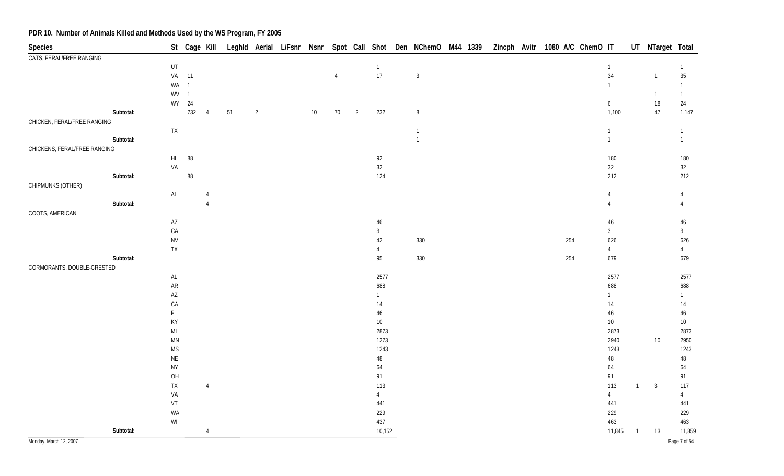| Species                      |           |                        |                |                |    |                |    |                |                          |                | St Cage Kill Leghld Aerial L/Fsnr Nsnr Spot Call Shot Den NChemO M44 1339 |  |  | Zincph Avitr 1080 A/C ChemO IT |                |                |                | UT NTarget Total |
|------------------------------|-----------|------------------------|----------------|----------------|----|----------------|----|----------------|--------------------------|----------------|---------------------------------------------------------------------------|--|--|--------------------------------|----------------|----------------|----------------|------------------|
| CATS, FERAL/FREE RANGING     |           |                        |                |                |    |                |    |                |                          |                |                                                                           |  |  |                                |                |                |                |                  |
|                              |           | UT                     |                |                |    |                |    |                |                          | $\overline{1}$ |                                                                           |  |  |                                | $\mathbf{1}$   |                |                | $\mathbf{1}$     |
|                              |           | VA                     | 11             |                |    |                |    | $\overline{4}$ |                          | $17$           | $\overline{3}$                                                            |  |  |                                | 34             |                | $\overline{1}$ | $35\,$           |
|                              |           | WA                     | $\overline{1}$ |                |    |                |    |                |                          |                |                                                                           |  |  |                                | $\mathbf{1}$   |                |                | $\mathbf{1}$     |
|                              |           | WV                     | $\overline{1}$ |                |    |                |    |                |                          |                |                                                                           |  |  |                                |                |                | $\overline{1}$ | $\mathbf{1}$     |
|                              |           | WY                     | 24             |                |    |                |    |                |                          |                |                                                                           |  |  |                                | 6              |                | $18\,$         | 24               |
|                              | Subtotal: |                        | 732            | $\overline{4}$ | 51 | $\overline{2}$ | 10 | 70             | $\overline{\phantom{a}}$ | 232            | $\, 8$                                                                    |  |  |                                | 1,100          |                | 47             | 1,147            |
| CHICKEN, FERAL/FREE RANGING  |           |                        |                |                |    |                |    |                |                          |                |                                                                           |  |  |                                |                |                |                |                  |
|                              |           | ${\sf TX}$             |                |                |    |                |    |                |                          |                | $\overline{1}$                                                            |  |  |                                | $\mathbf{1}$   |                |                | $\mathbf{1}$     |
|                              | Subtotal: |                        |                |                |    |                |    |                |                          |                | $\overline{1}$                                                            |  |  |                                | $\mathbf{1}$   |                |                | $\mathbf{1}$     |
| CHICKENS, FERAL/FREE RANGING |           |                        |                |                |    |                |    |                |                          |                |                                                                           |  |  |                                |                |                |                |                  |
|                              |           | H1                     | 88             |                |    |                |    |                |                          | 92             |                                                                           |  |  |                                | 180            |                |                | 180              |
|                              |           | VA                     |                |                |    |                |    |                |                          | $32\,$         |                                                                           |  |  |                                | $32\,$         |                |                | 32               |
|                              | Subtotal: |                        | $88\,$         |                |    |                |    |                |                          | 124            |                                                                           |  |  |                                | 212            |                |                | 212              |
| CHIPMUNKS (OTHER)            |           |                        |                |                |    |                |    |                |                          |                |                                                                           |  |  |                                |                |                |                |                  |
|                              |           | $\mathsf{AL}$          |                | $\overline{4}$ |    |                |    |                |                          |                |                                                                           |  |  |                                | $\overline{4}$ |                |                | $\overline{4}$   |
|                              | Subtotal: |                        |                | $\overline{4}$ |    |                |    |                |                          |                |                                                                           |  |  |                                | $\overline{4}$ |                |                | $\overline{4}$   |
| COOTS, AMERICAN              |           |                        |                |                |    |                |    |                |                          |                |                                                                           |  |  |                                |                |                |                |                  |
|                              |           | $\mathsf{A}\mathsf{Z}$ |                |                |    |                |    |                |                          | $46\,$         |                                                                           |  |  |                                | 46             |                |                | $46\,$           |
|                              |           | CA                     |                |                |    |                |    |                |                          | $\mathbf{3}$   |                                                                           |  |  |                                | $\mathbf{3}$   |                |                | $\mathbf{3}$     |
|                              |           | <b>NV</b>              |                |                |    |                |    |                |                          | 42             | 330                                                                       |  |  | 254                            | 626            |                |                | 626              |
|                              |           | ${\sf TX}$             |                |                |    |                |    |                |                          | $\overline{4}$ |                                                                           |  |  |                                | $\overline{4}$ |                |                | $\overline{4}$   |
|                              | Subtotal: |                        |                |                |    |                |    |                |                          | 95             | 330                                                                       |  |  | 254                            | 679            |                |                | 679              |
| CORMORANTS, DOUBLE-CRESTED   |           |                        |                |                |    |                |    |                |                          |                |                                                                           |  |  |                                |                |                |                |                  |
|                              |           | $\mathsf{AL}$          |                |                |    |                |    |                |                          | 2577           |                                                                           |  |  |                                | 2577           |                |                | 2577             |
|                              |           | ${\sf AR}$             |                |                |    |                |    |                |                          | 688            |                                                                           |  |  |                                | 688            |                |                | 688              |
|                              |           | $\mathsf{A}\mathsf{Z}$ |                |                |    |                |    |                |                          | $\mathbf{1}$   |                                                                           |  |  |                                | $\mathbf{1}$   |                |                | $\mathbf{1}$     |
|                              |           | CA                     |                |                |    |                |    |                |                          | $14$           |                                                                           |  |  |                                | 14             |                |                | $14$             |
|                              |           | $\mathsf{FL}$          |                |                |    |                |    |                |                          | $46\,$         |                                                                           |  |  |                                | $46\,$         |                |                | $46\,$           |
|                              |           | KY                     |                |                |    |                |    |                |                          | $10\,$         |                                                                           |  |  |                                | $10$           |                |                | $10\,$           |
|                              |           | $\mathsf{MI}$          |                |                |    |                |    |                |                          | 2873           |                                                                           |  |  |                                | 2873           |                |                | 2873             |
|                              |           | $\mathsf{M}\mathsf{N}$ |                |                |    |                |    |                |                          | 1273           |                                                                           |  |  |                                | 2940           |                | 10             | 2950             |
|                              |           | <b>MS</b>              |                |                |    |                |    |                |                          | 1243           |                                                                           |  |  |                                | 1243           |                |                | 1243             |
|                              |           | $\sf NE$               |                |                |    |                |    |                |                          | $48\,$         |                                                                           |  |  |                                | $48\,$         |                |                | $48\,$           |
|                              |           | <b>NY</b>              |                |                |    |                |    |                |                          | 64             |                                                                           |  |  |                                | 64             |                |                | 64               |
|                              |           | OH                     |                |                |    |                |    |                |                          | 91             |                                                                           |  |  |                                | 91             |                |                | 91               |
|                              |           | ${\sf TX}$             |                | $\overline{4}$ |    |                |    |                |                          | 113            |                                                                           |  |  |                                | 113            | $\overline{1}$ | $\overline{3}$ | 117              |
|                              |           | VA                     |                |                |    |                |    |                |                          | $\overline{4}$ |                                                                           |  |  |                                | $\overline{4}$ |                |                | $\overline{4}$   |
|                              |           | ${\sf VT}$             |                |                |    |                |    |                |                          | 441            |                                                                           |  |  |                                | 441            |                |                | 441              |
|                              |           | WA                     |                |                |    |                |    |                |                          | 229            |                                                                           |  |  |                                | 229            |                |                | 229              |
|                              |           | WI                     |                |                |    |                |    |                |                          | 437            |                                                                           |  |  |                                | 463            |                |                | 463              |
|                              | Subtotal: |                        |                | $\overline{4}$ |    |                |    |                |                          | 10,152         |                                                                           |  |  |                                | 11,845         | $\overline{1}$ | 13             | 11,859           |
| Monday, March 12, 2007       |           |                        |                |                |    |                |    |                |                          |                |                                                                           |  |  |                                |                |                |                | Page 7 of 54     |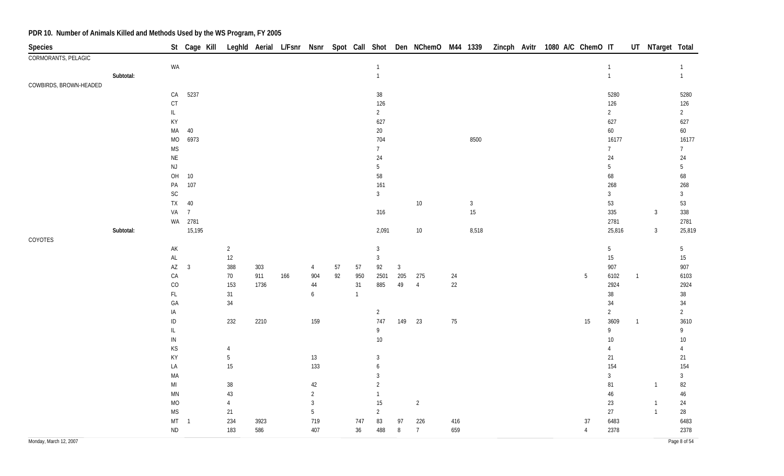| Species                |           |                        | St Cage Kill            |                |      |     |                |    |              |                |              |                |        |              |  | Leghld Aerial L/Fsnr Nsnr Spot Call Shot Den NChemO M44 1339 Zincph Avitr 1080 A/C ChemO IT |    |                 |                | UT NTarget Total |                 |
|------------------------|-----------|------------------------|-------------------------|----------------|------|-----|----------------|----|--------------|----------------|--------------|----------------|--------|--------------|--|---------------------------------------------------------------------------------------------|----|-----------------|----------------|------------------|-----------------|
| CORMORANTS, PELAGIC    |           |                        |                         |                |      |     |                |    |              |                |              |                |        |              |  |                                                                                             |    |                 |                |                  |                 |
|                        |           | WA                     |                         |                |      |     |                |    |              | $\overline{1}$ |              |                |        |              |  |                                                                                             |    | $\mathbf{1}$    |                |                  | 1               |
|                        | Subtotal: |                        |                         |                |      |     |                |    |              | $\overline{1}$ |              |                |        |              |  |                                                                                             |    | $\mathbf{1}$    |                |                  | $\mathbf{1}$    |
| COWBIRDS, BROWN-HEADED |           |                        |                         |                |      |     |                |    |              |                |              |                |        |              |  |                                                                                             |    |                 |                |                  |                 |
|                        |           | ${\sf CA}$             | 5237                    |                |      |     |                |    |              | $38\,$         |              |                |        |              |  |                                                                                             |    | 5280            |                |                  | 5280            |
|                        |           | $\mathsf{C}\mathsf{T}$ |                         |                |      |     |                |    |              | 126            |              |                |        |              |  |                                                                                             |    | 126             |                |                  | 126             |
|                        |           | $\mathsf{IL}$          |                         |                |      |     |                |    |              | $\overline{2}$ |              |                |        |              |  |                                                                                             |    | $\overline{2}$  |                |                  | $2\overline{ }$ |
|                        |           | KY                     |                         |                |      |     |                |    |              | 627            |              |                |        |              |  |                                                                                             |    | 627             |                |                  | 627             |
|                        |           | $\sf MA$               | 40                      |                |      |     |                |    |              | 20             |              |                |        |              |  |                                                                                             |    | 60              |                |                  | 60              |
|                        |           | $MO$                   | 6973                    |                |      |     |                |    |              | 704            |              |                |        | 8500         |  |                                                                                             |    | 16177           |                |                  | 16177           |
|                        |           | <b>MS</b>              |                         |                |      |     |                |    |              | $\overline{7}$ |              |                |        |              |  |                                                                                             |    | 7 <sup>7</sup>  |                |                  | 7               |
|                        |           | $\mathsf{NE}\xspace$   |                         |                |      |     |                |    |              | 24             |              |                |        |              |  |                                                                                             |    | 24              |                |                  | $24\,$          |
|                        |           | $\mathsf{NJ}$          |                         |                |      |     |                |    |              | $5\,$          |              |                |        |              |  |                                                                                             |    | 5               |                |                  | 5               |
|                        |           | $\mathsf{OH}$          | $10\,$                  |                |      |     |                |    |              | $58\,$         |              |                |        |              |  |                                                                                             |    | 68              |                |                  | 68              |
|                        |           | $\mathsf{PA}$          | 107                     |                |      |     |                |    |              | 161            |              |                |        |              |  |                                                                                             |    | 268             |                |                  | 268             |
|                        |           | SC                     |                         |                |      |     |                |    |              | $\mathfrak{Z}$ |              |                |        |              |  |                                                                                             |    | $\mathfrak{Z}$  |                |                  | $\mathbf{3}$    |
|                        |           | TX                     | $40\,$                  |                |      |     |                |    |              |                |              | $10\,$         |        | $\mathbf{3}$ |  |                                                                                             |    | 53              |                |                  | 53              |
|                        |           | VA                     | $\overline{7}$          |                |      |     |                |    |              | 316            |              |                |        | $15\,$       |  |                                                                                             |    | 335             |                | $\mathbf{3}$     | 338             |
|                        |           |                        | WA 2781                 |                |      |     |                |    |              |                |              |                |        |              |  |                                                                                             |    | 2781            |                |                  | 2781            |
|                        | Subtotal: |                        | 15,195                  |                |      |     |                |    |              | 2,091          |              | $10\,$         |        | 8,518        |  |                                                                                             |    | 25,816          |                | $\mathbf{3}$     | 25,819          |
| COYOTES                |           |                        |                         |                |      |     |                |    |              |                |              |                |        |              |  |                                                                                             |    |                 |                |                  |                 |
|                        |           | $\mathsf{AK}$          |                         | $\overline{2}$ |      |     |                |    |              | $\sqrt{3}$     |              |                |        |              |  |                                                                                             |    | $5\phantom{.0}$ |                |                  | 5               |
|                        |           | $\mathsf{AL}$          |                         | 12             |      |     |                |    |              | $\mathbf{3}$   |              |                |        |              |  |                                                                                             |    | 15              |                |                  | 15              |
|                        |           | $\mathsf{A}\mathsf{Z}$ | $\overline{\mathbf{3}}$ | 388            | 303  |     | 4              | 57 | 57           | 92             | $\mathbf{3}$ |                |        |              |  |                                                                                             |    | 907             |                |                  | 907             |
|                        |           | CA                     |                         | 70             | 911  | 166 | 904            | 92 | 950          | 2501           | 205          | 275            | 24     |              |  |                                                                                             | 5  | 6102            | $\mathbf{1}$   |                  | 6103            |
|                        |           | CO                     |                         | 153            | 1736 |     | $44\,$         |    | 31           | 885            | 49           | $\overline{4}$ | $22\,$ |              |  |                                                                                             |    | 2924            |                |                  | 2924            |
|                        |           | $\mathsf{FL}$          |                         | 31             |      |     | 6              |    | $\mathbf{1}$ |                |              |                |        |              |  |                                                                                             |    | 38              |                |                  | $38\,$          |
|                        |           | GA                     |                         | $34\,$         |      |     |                |    |              |                |              |                |        |              |  |                                                                                             |    | 34              |                |                  | $34\,$          |
|                        |           | IA                     |                         |                |      |     |                |    |              | $\overline{2}$ |              |                |        |              |  |                                                                                             |    | $\overline{2}$  |                |                  | $\overline{2}$  |
|                        |           | $\sf ID$               |                         | 232            | 2210 |     | 159            |    |              | 747            | 149          | 23             | $75\,$ |              |  |                                                                                             | 15 | 3609            | $\overline{1}$ |                  | 3610            |
|                        |           | $\mathsf{IL}$          |                         |                |      |     |                |    |              | 9              |              |                |        |              |  |                                                                                             |    | 9               |                |                  | 9               |
|                        |           | ${\sf IN}$             |                         |                |      |     |                |    |              | $10\,$         |              |                |        |              |  |                                                                                             |    | 10              |                |                  | $10\,$          |
|                        |           | KS                     |                         | $\overline{4}$ |      |     |                |    |              |                |              |                |        |              |  |                                                                                             |    | 4               |                |                  | 4               |
|                        |           | KY                     |                         | 5              |      |     | 13             |    |              | 3              |              |                |        |              |  |                                                                                             |    | 21              |                |                  | 21              |
|                        |           | LA                     |                         | $15\,$         |      |     | 133            |    |              | 6              |              |                |        |              |  |                                                                                             |    | 154             |                |                  | 154             |
|                        |           | MA                     |                         |                |      |     |                |    |              | 3              |              |                |        |              |  |                                                                                             |    | $\mathbf{3}$    |                |                  | $\mathbf{3}$    |
|                        |           | $\mathsf{MI}$          |                         | $38\,$         |      |     | 42             |    |              | $\overline{2}$ |              |                |        |              |  |                                                                                             |    | 81              |                | $\mathbf{1}$     | 82              |
|                        |           | $\mathsf{M}\mathsf{N}$ |                         | 43             |      |     | $\overline{2}$ |    |              | $\overline{1}$ |              |                |        |              |  |                                                                                             |    | $46\,$          |                |                  | 46              |
|                        |           | $\rm MO$               |                         | 4              |      |     | 3              |    |              | 15             |              | $\overline{2}$ |        |              |  |                                                                                             |    | 23              |                | $\mathbf{1}$     | 24              |
|                        |           | $\mathsf{MS}\xspace$   |                         | 21             |      |     | $5\,$          |    |              | $\overline{2}$ |              |                |        |              |  |                                                                                             |    | 27              |                | $\mathbf{1}$     | 28              |
|                        |           | $MT - 1$               |                         | 234            | 3923 |     | 719            |    | 747          | 83             | 97           | 226            | 416    |              |  |                                                                                             | 37 | 6483            |                |                  | 6483            |
|                        |           | $\sf ND$               |                         | 183            | 586  |     | 407            |    | 36           | 488            | 8            | $\overline{7}$ | 659    |              |  |                                                                                             | 4  | 2378            |                |                  | 2378            |
| Monday, March 12, 2007 |           |                        |                         |                |      |     |                |    |              |                |              |                |        |              |  |                                                                                             |    |                 |                |                  | Page 8 of 54    |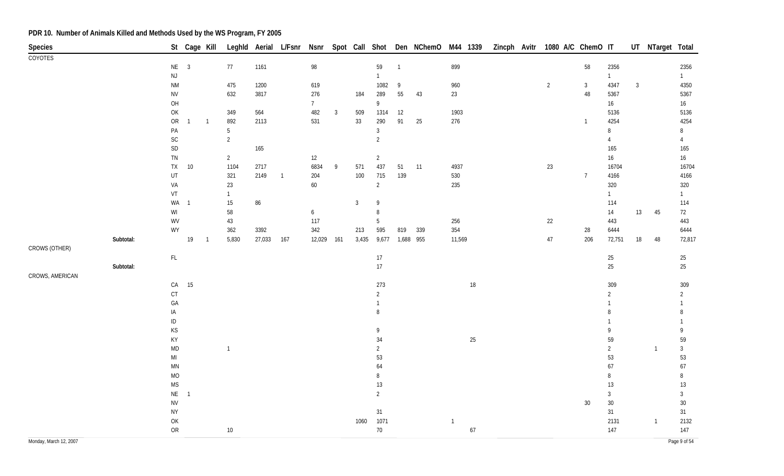| Species                |           |                                                               | St Cage Kill   |                |                |        |                |                |   |              |                |                | Leghld Aerial L/Fsnr Nsnr Spot Call Shot Den NChemO M44 1339 |                |        |  | Zincph Avitr 1080 A/C ChemO IT |                |                |              | UT NTarget Total |                |
|------------------------|-----------|---------------------------------------------------------------|----------------|----------------|----------------|--------|----------------|----------------|---|--------------|----------------|----------------|--------------------------------------------------------------|----------------|--------|--|--------------------------------|----------------|----------------|--------------|------------------|----------------|
| COYOTES                |           |                                                               |                |                |                |        |                |                |   |              |                |                |                                                              |                |        |  |                                |                |                |              |                  |                |
|                        |           | $NE$ 3                                                        |                |                | 77             | 1161   |                | 98             |   |              | 59             | $\overline{1}$ |                                                              | 899            |        |  |                                | 58             | 2356           |              |                  | 2356           |
|                        |           | $\mathsf{NJ}$                                                 |                |                |                |        |                |                |   |              | $\mathbf{1}$   |                |                                                              |                |        |  |                                |                | $\mathbf{1}$   |              |                  | $\mathbf{1}$   |
|                        |           | $\mathsf{N}\mathsf{M}$                                        |                |                | 475            | 1200   |                | 619            |   |              | 1082           | 9              |                                                              | 960            |        |  | $\overline{2}$                 | 3 <sup>1</sup> | 4347           | $\mathbf{3}$ |                  | 4350           |
|                        |           | <b>NV</b>                                                     |                |                | 632            | 3817   |                | 276            |   | 184          | 289            | 55             | 43                                                           | 23             |        |  |                                | $48\,$         | 5367           |              |                  | 5367           |
|                        |           | OH                                                            |                |                |                |        |                | 7 <sup>7</sup> |   |              | 9              |                |                                                              |                |        |  |                                |                | 16             |              |                  | 16             |
|                        |           | OK                                                            |                |                | 349            | 564    |                | 482            | 3 | 509          | 1314           | $12\,$         |                                                              | 1903           |        |  |                                |                | 5136           |              |                  | 5136           |
|                        |           | ${\sf OR}$                                                    | $\overline{1}$ | $\overline{1}$ | 892            | 2113   |                | 531            |   | 33           | 290            | 91             | 25                                                           | 276            |        |  |                                | $\mathbf{1}$   | 4254           |              |                  | 4254           |
|                        |           | $\mathsf{PA}$                                                 |                |                | 5              |        |                |                |   |              | $\mathfrak{Z}$ |                |                                                              |                |        |  |                                |                | $\, 8$         |              |                  | 8              |
|                        |           | $\mathsf{SC}$                                                 |                |                | $\overline{2}$ |        |                |                |   |              | $\overline{2}$ |                |                                                              |                |        |  |                                |                | $\overline{4}$ |              |                  | $\overline{4}$ |
|                        |           | $\mathsf{SD}$                                                 |                |                |                | 165    |                |                |   |              |                |                |                                                              |                |        |  |                                |                | 165            |              |                  | 165            |
|                        |           | ${\sf TN}$                                                    |                |                | $\overline{2}$ |        |                | 12             |   |              | $\overline{2}$ |                |                                                              |                |        |  |                                |                | 16             |              |                  | 16             |
|                        |           | ${\sf TX}$                                                    | $10\,$         |                | 1104           | 2717   |                | 6834           | 9 | 571          | 437            | 51             | 11                                                           | 4937           |        |  | $23\,$                         |                | 16704          |              |                  | 16704          |
|                        |           | UT                                                            |                |                | 321            | 2149   | $\overline{1}$ | 204            |   | 100          | 715            | 139            |                                                              | 530            |        |  |                                | $\overline{7}$ | 4166           |              |                  | 4166           |
|                        |           | VA                                                            |                |                | 23             |        |                | 60             |   |              | $\overline{2}$ |                |                                                              | 235            |        |  |                                |                | 320            |              |                  | 320            |
|                        |           | VT                                                            |                |                | $\mathbf{1}$   |        |                |                |   |              | 9              |                |                                                              |                |        |  |                                |                | $\mathbf{1}$   |              |                  | $\mathbf{1}$   |
|                        |           | WA<br>$\ensuremath{\mathsf{W}}\xspace\ensuremath{\mathsf{I}}$ | $\overline{1}$ |                | 15<br>58       | 86     |                |                |   | $\mathbf{3}$ | 8              |                |                                                              |                |        |  |                                |                | 114<br>14      | 13           | 45               | 114<br>72      |
|                        |           | WV                                                            |                |                | 43             |        |                | 6<br>117       |   |              | 5              |                |                                                              | 256            |        |  | 22                             |                | 443            |              |                  | 443            |
|                        |           | WY                                                            |                |                | 362            | 3392   |                | 342            |   | 213          | 595            | 819            | 339                                                          | 354            |        |  |                                | 28             | 6444           |              |                  | 6444           |
|                        | Subtotal: |                                                               | 19             | $\overline{1}$ | 5,830          | 27,033 | 167            | 12,029 161     |   | 3,435        | 9,677          |                | 1,688 955                                                    | 11,569         |        |  | $47\,$                         | 206            | 72,751         | 18           | 48               | 72,817         |
| CROWS (OTHER)          |           |                                                               |                |                |                |        |                |                |   |              |                |                |                                                              |                |        |  |                                |                |                |              |                  |                |
|                        |           | $\mathsf{FL}$                                                 |                |                |                |        |                |                |   |              | 17             |                |                                                              |                |        |  |                                |                | $25\,$         |              |                  | 25             |
|                        | Subtotal: |                                                               |                |                |                |        |                |                |   |              | 17             |                |                                                              |                |        |  |                                |                | 25             |              |                  | $25\,$         |
| CROWS, AMERICAN        |           |                                                               |                |                |                |        |                |                |   |              |                |                |                                                              |                |        |  |                                |                |                |              |                  |                |
|                        |           |                                                               | CA 15          |                |                |        |                |                |   |              | 273            |                |                                                              |                | $18\,$ |  |                                |                | 309            |              |                  | 309            |
|                        |           | $C$ T                                                         |                |                |                |        |                |                |   |              | $\overline{2}$ |                |                                                              |                |        |  |                                |                | $\overline{2}$ |              |                  | $\overline{2}$ |
|                        |           | GA                                                            |                |                |                |        |                |                |   |              | $\mathbf{1}$   |                |                                                              |                |        |  |                                |                |                |              |                  |                |
|                        |           | IA                                                            |                |                |                |        |                |                |   |              | 8              |                |                                                              |                |        |  |                                |                | 8              |              |                  | 8              |
|                        |           | $\sf ID$                                                      |                |                |                |        |                |                |   |              |                |                |                                                              |                |        |  |                                |                |                |              |                  |                |
|                        |           | KS                                                            |                |                |                |        |                |                |   |              | 9              |                |                                                              |                |        |  |                                |                | 9              |              |                  | 9              |
|                        |           | KY                                                            |                |                |                |        |                |                |   |              | 34             |                |                                                              |                | $25\,$ |  |                                |                | 59             |              |                  | 59             |
|                        |           | $\mathsf{MD}$                                                 |                |                | $\overline{1}$ |        |                |                |   |              | $\overline{2}$ |                |                                                              |                |        |  |                                |                | $\overline{2}$ |              | $\overline{1}$   | $\mathfrak{Z}$ |
|                        |           | $\mathsf{MI}$                                                 |                |                |                |        |                |                |   |              | 53             |                |                                                              |                |        |  |                                |                | 53             |              |                  | 53             |
|                        |           | $\mathsf{M}\mathsf{N}$                                        |                |                |                |        |                |                |   |              | 64             |                |                                                              |                |        |  |                                |                | 67             |              |                  | 67             |
|                        |           | MO                                                            |                |                |                |        |                |                |   |              | 8              |                |                                                              |                |        |  |                                |                | 8              |              |                  | 8              |
|                        |           | $\mathsf{MS}\xspace$                                          |                |                |                |        |                |                |   |              | 13             |                |                                                              |                |        |  |                                |                | $13\,$         |              |                  | 13             |
|                        |           | <b>NE</b>                                                     | $\overline{1}$ |                |                |        |                |                |   |              | $\overline{2}$ |                |                                                              |                |        |  |                                |                | $\mathfrak{Z}$ |              |                  | $\mathfrak{Z}$ |
|                        |           | <b>NV</b>                                                     |                |                |                |        |                |                |   |              |                |                |                                                              |                |        |  |                                | $30\,$         | $30\,$         |              |                  | $30\,$         |
|                        |           | <b>NY</b>                                                     |                |                |                |        |                |                |   |              | 31             |                |                                                              |                |        |  |                                |                | 31             |              |                  | 31             |
|                        |           | $\mathsf{OK}$                                                 |                |                |                |        |                |                |   | 1060         | 1071           |                |                                                              | $\overline{1}$ |        |  |                                |                | 2131           |              | $\overline{1}$   | 2132           |
|                        |           | ${\sf OR}$                                                    |                |                | 10             |        |                |                |   |              | 70             |                |                                                              |                | $67\,$ |  |                                |                | 147            |              |                  | 147            |
| Monday, March 12, 2007 |           |                                                               |                |                |                |        |                |                |   |              |                |                |                                                              |                |        |  |                                |                |                |              |                  | Page 9 of 54   |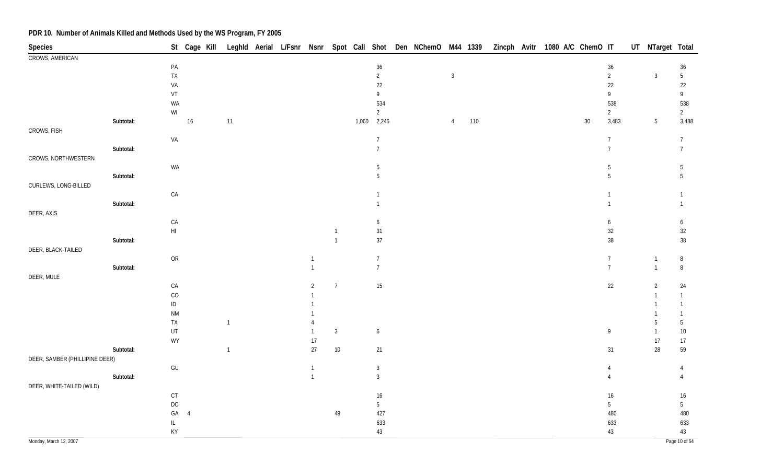| Species                        |           |                                                                                         |                |                |  |                |                |       |                                  | St Cage Kill Leghld Aerial L/Fsnr Nsnr Spot Call Shot Den NChemO M44 1339 |                |     |  |  | Zincph Avitr 1080 A/C ChemO IT |                                    | UT NTarget Total |                                    |
|--------------------------------|-----------|-----------------------------------------------------------------------------------------|----------------|----------------|--|----------------|----------------|-------|----------------------------------|---------------------------------------------------------------------------|----------------|-----|--|--|--------------------------------|------------------------------------|------------------|------------------------------------|
| CROWS, AMERICAN                |           |                                                                                         |                |                |  |                |                |       |                                  |                                                                           |                |     |  |  |                                |                                    |                  |                                    |
|                                |           | $\mathsf{PA}$                                                                           |                |                |  |                |                |       | $36\,$                           |                                                                           |                |     |  |  |                                | $36\,$                             |                  | 36                                 |
|                                |           | ${\sf TX}$                                                                              |                |                |  |                |                |       | $\overline{c}$                   |                                                                           | $\mathbf{3}$   |     |  |  |                                | $\overline{2}$                     | $\sqrt{3}$       | $5\,$                              |
|                                |           | VA                                                                                      |                |                |  |                |                |       | $22\,$                           |                                                                           |                |     |  |  |                                | $22\,$                             |                  | $22\,$                             |
|                                |           | ${\sf VT}$                                                                              |                |                |  |                |                |       | 9                                |                                                                           |                |     |  |  |                                | 9                                  |                  | $\mathsf{g}% _{T}=\mathsf{g}_{T}$  |
|                                |           | WA                                                                                      |                |                |  |                |                |       | 534                              |                                                                           |                |     |  |  |                                | 538                                |                  | 538                                |
|                                |           | $\mathsf{W}\mathsf{I}$                                                                  |                |                |  |                |                |       | $\overline{2}$                   |                                                                           |                |     |  |  |                                | $\overline{2}$                     |                  | $\overline{2}$                     |
|                                | Subtotal: |                                                                                         | $16\,$         | 11             |  |                |                | 1,060 | 2,246                            |                                                                           | $\overline{4}$ | 110 |  |  | $30\,$                         | 3,483                              | $5\phantom{.0}$  | 3,488                              |
| CROWS, FISH                    |           |                                                                                         |                |                |  |                |                |       |                                  |                                                                           |                |     |  |  |                                |                                    |                  |                                    |
|                                |           | VA                                                                                      |                |                |  |                |                |       | $\overline{7}$<br>$\overline{7}$ |                                                                           |                |     |  |  |                                | $\boldsymbol{7}$<br>$\overline{7}$ |                  | $\overline{7}$<br>$\boldsymbol{7}$ |
| CROWS, NORTHWESTERN            | Subtotal: |                                                                                         |                |                |  |                |                |       |                                  |                                                                           |                |     |  |  |                                |                                    |                  |                                    |
|                                |           | WA                                                                                      |                |                |  |                |                |       | 5                                |                                                                           |                |     |  |  |                                | $5\,$                              |                  | $\overline{5}$                     |
|                                | Subtotal: |                                                                                         |                |                |  |                |                |       | 5                                |                                                                           |                |     |  |  |                                | $5\overline{)}$                    |                  | 5                                  |
| CURLEWS, LONG-BILLED           |           |                                                                                         |                |                |  |                |                |       |                                  |                                                                           |                |     |  |  |                                |                                    |                  |                                    |
|                                |           | ${\sf CA}$                                                                              |                |                |  |                |                |       |                                  |                                                                           |                |     |  |  |                                | $\overline{1}$                     |                  | $\mathbf{1}$                       |
|                                | Subtotal: |                                                                                         |                |                |  |                |                |       |                                  |                                                                           |                |     |  |  |                                | $\mathbf{1}$                       |                  | $\mathbf{1}$                       |
| DEER, AXIS                     |           |                                                                                         |                |                |  |                |                |       |                                  |                                                                           |                |     |  |  |                                |                                    |                  |                                    |
|                                |           | ${\sf CA}$                                                                              |                |                |  |                |                |       | 6                                |                                                                           |                |     |  |  |                                | 6                                  |                  | 6                                  |
|                                |           | $\mathsf{HI}$                                                                           |                |                |  |                |                |       | $31\,$                           |                                                                           |                |     |  |  |                                | $32\,$                             |                  | $32\,$                             |
|                                | Subtotal: |                                                                                         |                |                |  |                | $\overline{1}$ |       | $37\,$                           |                                                                           |                |     |  |  |                                | $38\,$                             |                  | $38\,$                             |
| DEER, BLACK-TAILED             |           |                                                                                         |                |                |  |                |                |       |                                  |                                                                           |                |     |  |  |                                |                                    |                  |                                    |
|                                |           | ${\sf OR}$                                                                              |                |                |  | $\overline{1}$ |                |       | $7\overline{ }$                  |                                                                           |                |     |  |  |                                | $\overline{7}$                     | $\overline{1}$   | $\, 8$                             |
|                                | Subtotal: |                                                                                         |                |                |  | $\overline{1}$ |                |       | $7\overline{ }$                  |                                                                           |                |     |  |  |                                | $\overline{7}$                     | $\overline{1}$   | $\, 8$                             |
| DEER, MULE                     |           |                                                                                         |                |                |  |                |                |       |                                  |                                                                           |                |     |  |  |                                |                                    |                  |                                    |
|                                |           | ${\sf CA}$                                                                              |                |                |  | $\overline{2}$ | $\overline{7}$ |       | 15                               |                                                                           |                |     |  |  |                                | $22\,$                             | $\overline{2}$   | 24                                 |
|                                |           | CO                                                                                      |                |                |  |                |                |       |                                  |                                                                           |                |     |  |  |                                |                                    |                  | $\mathbf{1}$                       |
|                                |           | $\sf ID$                                                                                |                |                |  |                |                |       |                                  |                                                                           |                |     |  |  |                                |                                    |                  | $\mathbf{1}$                       |
|                                |           | $\mathsf{N}\mathsf{M}$                                                                  |                |                |  |                |                |       |                                  |                                                                           |                |     |  |  |                                |                                    |                  | $\mathbf{1}$                       |
|                                |           | ${\sf TX}$                                                                              |                | $\mathbf{1}$   |  | $\overline{4}$ |                |       |                                  |                                                                           |                |     |  |  |                                |                                    | 5                | $\overline{5}$                     |
|                                |           | UT                                                                                      |                |                |  | $\overline{1}$ | $\overline{3}$ |       | 6                                |                                                                           |                |     |  |  |                                | 9                                  | $\overline{1}$   | $10\,$                             |
|                                |           | WY                                                                                      |                |                |  | $17$           |                |       |                                  |                                                                           |                |     |  |  |                                |                                    | $17\,$           | $17\,$                             |
|                                | Subtotal: |                                                                                         |                | $\overline{1}$ |  | 27             | $10\,$         |       | 21                               |                                                                           |                |     |  |  |                                | 31                                 | 28               | 59                                 |
| DEER, SAMBER (PHILLIPINE DEER) |           |                                                                                         |                |                |  |                |                |       |                                  |                                                                           |                |     |  |  |                                |                                    |                  |                                    |
|                                |           | $\mathsf{GU}% \left( \mathcal{N}\right) \equiv\mathsf{GL}_{2}\left( \mathcal{N}\right)$ |                |                |  | $\overline{1}$ |                |       | $\mathbf{3}$                     |                                                                           |                |     |  |  |                                | $\overline{4}$                     |                  | $\overline{4}$                     |
|                                | Subtotal: |                                                                                         |                |                |  | $\overline{1}$ |                |       | $\mathfrak{Z}$                   |                                                                           |                |     |  |  |                                | 4                                  |                  | Δ                                  |
| DEER, WHITE-TAILED (WILD)      |           |                                                                                         |                |                |  |                |                |       |                                  |                                                                           |                |     |  |  |                                |                                    |                  |                                    |
|                                |           | $\mathsf{C}\mathsf{T}$                                                                  |                |                |  |                |                |       | $16\phantom{.}$                  |                                                                           |                |     |  |  |                                | $16\,$                             |                  | $16\,$                             |
|                                |           | $\mathsf{DC}$                                                                           |                |                |  |                |                |       | $5\phantom{.0}$                  |                                                                           |                |     |  |  |                                | $5\phantom{.0}$                    |                  | $5\phantom{.0}$                    |
|                                |           | GA                                                                                      | $\overline{4}$ |                |  |                | 49             |       | 427                              |                                                                           |                |     |  |  |                                | 480                                |                  | 480                                |
|                                |           | IL                                                                                      |                |                |  |                |                |       | 633                              |                                                                           |                |     |  |  |                                | 633                                |                  | 633                                |
|                                |           | KY                                                                                      |                |                |  |                |                |       | 43                               |                                                                           |                |     |  |  |                                | 43                                 |                  | 43                                 |
| Monday, March 12, 2007         |           |                                                                                         |                |                |  |                |                |       |                                  |                                                                           |                |     |  |  |                                |                                    |                  | Page 10 of 54                      |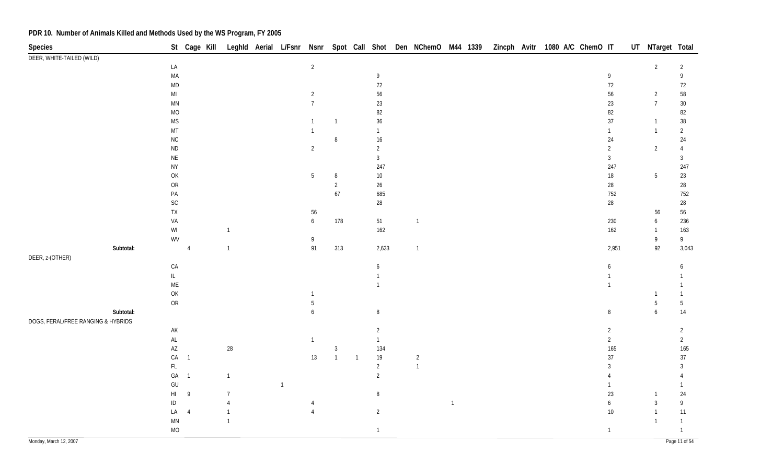| Species                            |           |                                                         |                |                |              |                |                |                |                 | St Cage Kill Leghld Aerial L/Fsnr Nsnr Spot Call Shot Den NChemO M44 1339 |                |  | Zincph Avitr 1080 A/C ChemO IT |  |                | UT NTarget Total |                |
|------------------------------------|-----------|---------------------------------------------------------|----------------|----------------|--------------|----------------|----------------|----------------|-----------------|---------------------------------------------------------------------------|----------------|--|--------------------------------|--|----------------|------------------|----------------|
| DEER, WHITE-TAILED (WILD)          |           |                                                         |                |                |              |                |                |                |                 |                                                                           |                |  |                                |  |                |                  |                |
|                                    |           | LA                                                      |                |                |              | $\overline{2}$ |                |                |                 |                                                                           |                |  |                                |  |                | 2                | 2              |
|                                    |           | MA                                                      |                |                |              |                |                |                | $\overline{9}$  |                                                                           |                |  |                                |  | $\overline{9}$ |                  | 9              |
|                                    |           | $\mathsf{MD}$                                           |                |                |              |                |                |                | 72              |                                                                           |                |  |                                |  | 72             |                  | 72             |
|                                    |           | $\mathsf{MI}$                                           |                |                |              | $\overline{2}$ |                |                | 56              |                                                                           |                |  |                                |  | 56             | $\overline{2}$   | $58\,$         |
|                                    |           | $\mathsf{M}\mathsf{N}$                                  |                |                |              | $\overline{7}$ |                |                | 23              |                                                                           |                |  |                                |  | 23             | $\overline{7}$   | $30\,$         |
|                                    |           | $MO$                                                    |                |                |              |                |                |                | 82              |                                                                           |                |  |                                |  | 82             |                  | 82             |
|                                    |           | $\mathsf{MS}\xspace$                                    |                |                |              | $\overline{1}$ | $\overline{1}$ |                | $36\,$          |                                                                           |                |  |                                |  | 37             | $\overline{1}$   | $38\,$         |
|                                    |           | $\mathsf{MT}$                                           |                |                |              | $\overline{1}$ |                |                | $\mathbf{1}$    |                                                                           |                |  |                                |  | $\mathbf{1}$   | $\overline{1}$   | $\overline{2}$ |
|                                    |           | ${\sf NC}$                                              |                |                |              |                | 8              |                | $16\,$          |                                                                           |                |  |                                |  | 24             |                  | 24             |
|                                    |           | $\sf ND$                                                |                |                |              | $\overline{2}$ |                |                | $\overline{2}$  |                                                                           |                |  |                                |  | $\overline{2}$ | $\overline{2}$   | $\overline{4}$ |
|                                    |           | $\mathsf{NE}\xspace$                                    |                |                |              |                |                |                | $\mathfrak{Z}$  |                                                                           |                |  |                                |  | $\mathbf{3}$   |                  | $\mathfrak{Z}$ |
|                                    |           | <b>NY</b>                                               |                |                |              |                |                |                | 247             |                                                                           |                |  |                                |  | 247            |                  | 247            |
|                                    |           | $\mathsf{OK}$                                           |                |                |              | $\overline{5}$ | 8              |                | $10\,$          |                                                                           |                |  |                                |  | $18\,$         | $5\,$            | 23             |
|                                    |           | OR                                                      |                |                |              |                | $\overline{2}$ |                | $26\phantom{.}$ |                                                                           |                |  |                                |  | $28\,$         |                  | 28             |
|                                    |           | $\mathsf{PA}$                                           |                |                |              |                | $67\,$         |                | 685             |                                                                           |                |  |                                |  | 752            |                  | 752            |
|                                    |           | $\mathsf{SC}$                                           |                |                |              |                |                |                | 28              |                                                                           |                |  |                                |  | $28\,$         |                  | $28\,$         |
|                                    |           | TX                                                      |                |                |              | 56             |                |                |                 |                                                                           |                |  |                                |  |                | 56               | 56             |
|                                    |           | VA                                                      |                |                |              | 6              | 178            |                | 51              | $\overline{1}$                                                            |                |  |                                |  | 230            | 6                | 236            |
|                                    |           | $\ensuremath{\mathsf{W}}\xspace\ensuremath{\mathsf{I}}$ |                | $\overline{1}$ |              |                |                |                | 162             |                                                                           |                |  |                                |  | 162            | $\overline{1}$   | 163            |
|                                    |           | WV                                                      |                |                |              | 9              |                |                |                 |                                                                           |                |  |                                |  |                | 9                | 9              |
|                                    | Subtotal: |                                                         | $\overline{4}$ | $\overline{1}$ |              | 91             | 313            |                | 2,633           | $\overline{1}$                                                            |                |  |                                |  | 2,951          | 92               | 3,043          |
| DEER, z-(OTHER)                    |           |                                                         |                |                |              |                |                |                |                 |                                                                           |                |  |                                |  |                |                  |                |
|                                    |           | ${\mathsf C}{\mathsf A}$                                |                |                |              |                |                |                | 6               |                                                                           |                |  |                                |  | 6              |                  | 6              |
|                                    |           | $\mathsf{IL}$                                           |                |                |              |                |                |                |                 |                                                                           |                |  |                                |  |                |                  |                |
|                                    |           | $\mathsf{ME}$                                           |                |                |              |                |                |                |                 |                                                                           |                |  |                                |  | 1              |                  |                |
|                                    |           | $\mathsf{OK}$                                           |                |                |              | -1             |                |                |                 |                                                                           |                |  |                                |  |                |                  |                |
|                                    |           | ${\sf OR}$                                              |                |                |              | 5              |                |                |                 |                                                                           |                |  |                                |  |                | $\overline{5}$   | $5\,$          |
|                                    | Subtotal: |                                                         |                |                |              | 6              |                |                | $\, 8$          |                                                                           |                |  |                                |  | $\, 8$         | $\boldsymbol{6}$ | 14             |
| DOGS, FERAL/FREE RANGING & HYBRIDS |           |                                                         |                |                |              |                |                |                |                 |                                                                           |                |  |                                |  |                |                  |                |
|                                    |           | $\mathsf{AK}$                                           |                |                |              |                |                |                | $\overline{2}$  |                                                                           |                |  |                                |  | $\overline{2}$ |                  | $\overline{2}$ |
|                                    |           | $\mathsf{AL}$                                           |                |                |              | $\overline{1}$ |                |                | $\mathbf{1}$    |                                                                           |                |  |                                |  | $\overline{2}$ |                  | $\overline{2}$ |
|                                    |           | $\mathsf{AZ}$                                           |                | 28             |              |                | $\mathbf{3}$   |                | 134             |                                                                           |                |  |                                |  | 165            |                  | 165            |
|                                    |           | ${\sf CA}$                                              | $\overline{1}$ |                |              | 13             | $\overline{1}$ | $\overline{1}$ | $19$            | $\overline{2}$                                                            |                |  |                                |  | 37             |                  | 37             |
|                                    |           | $\mathsf{FL}$                                           |                |                |              |                |                |                | $\overline{2}$  | $\mathbf{1}$                                                              |                |  |                                |  | 3              |                  | 3              |
|                                    |           | $\mathsf{GA}$                                           | $\overline{1}$ | $\mathbf{1}$   |              |                |                |                | $\overline{2}$  |                                                                           |                |  |                                |  |                |                  |                |
|                                    |           | $\mathsf{GU}% _{\mathsf{C}}^{\mathsf{C}}(\mathsf{C})$   |                |                | $\mathbf{1}$ |                |                |                |                 |                                                                           |                |  |                                |  |                |                  |                |
|                                    |           | HI                                                      | 9              | $\overline{7}$ |              |                |                |                | 8               |                                                                           |                |  |                                |  | 23             |                  | 24             |
|                                    |           | $\sf ID$                                                |                | $\overline{4}$ |              |                |                |                |                 |                                                                           | $\overline{1}$ |  |                                |  | 6              | $\mathbf{3}$     | 9              |
|                                    |           | LA                                                      | $\overline{4}$ | $\mathbf{1}$   |              | $\overline{4}$ |                |                | $\overline{2}$  |                                                                           |                |  |                                |  | $10\,$         |                  | $11$           |
|                                    |           | $\ensuremath{\mathsf{MN}}$                              |                |                |              |                |                |                |                 |                                                                           |                |  |                                |  |                | $\overline{1}$   | $\mathbf{1}$   |
|                                    |           | $MO$                                                    |                |                |              |                |                |                | $\mathbf{1}$    |                                                                           |                |  |                                |  | $\mathbf{1}$   |                  | $\mathbf{1}$   |
|                                    |           |                                                         |                |                |              |                |                |                |                 |                                                                           |                |  |                                |  |                |                  |                |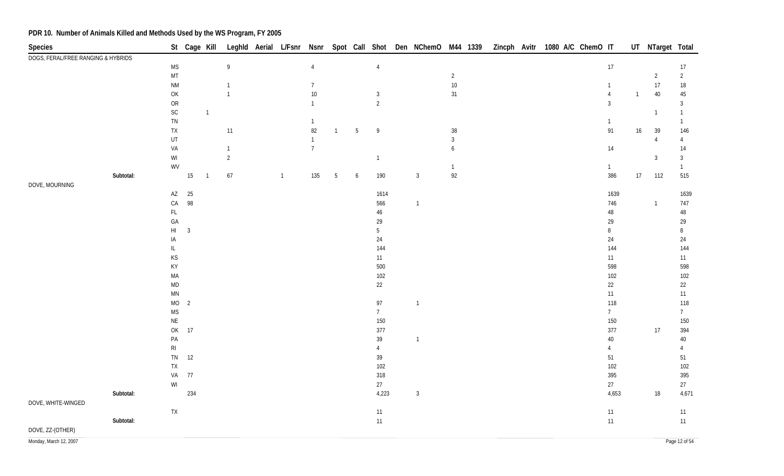| Species                            |           |                        | St Cage Kill   |                |                  |                |                |                |                 |                 | Leghld Aerial L/Fsnr Nsnr Spot Call Shot Den NChemO M44 1339 |                  |  | Zincph Avitr 1080 A/C ChemO IT |                |                | UT NTarget Total |                |
|------------------------------------|-----------|------------------------|----------------|----------------|------------------|----------------|----------------|----------------|-----------------|-----------------|--------------------------------------------------------------|------------------|--|--------------------------------|----------------|----------------|------------------|----------------|
| DOGS, FERAL/FREE RANGING & HYBRIDS |           |                        |                |                |                  |                |                |                |                 |                 |                                                              |                  |  |                                |                |                |                  |                |
|                                    |           | $\mathsf{MS}\xspace$   |                |                | $\boldsymbol{9}$ |                | $\overline{4}$ |                |                 | $\overline{4}$  |                                                              |                  |  |                                | 17             |                |                  | 17             |
|                                    |           | MT                     |                |                |                  |                |                |                |                 |                 |                                                              | $\overline{2}$   |  |                                |                |                | $\overline{2}$   | $\overline{2}$ |
|                                    |           | <b>NM</b>              |                |                | $\mathbf{1}$     |                | $\overline{7}$ |                |                 |                 |                                                              | $10\,$           |  |                                | 1              |                | 17               | $18\,$         |
|                                    |           | OK                     |                |                | $\mathbf{1}$     |                | 10             |                |                 | $\mathbf{3}$    |                                                              | 31               |  |                                | $\overline{4}$ | $\overline{1}$ | $40\,$           | 45             |
|                                    |           | ${\sf OR}$             |                |                |                  |                | $\mathbf{1}$   |                |                 | $\overline{2}$  |                                                              |                  |  |                                | $\overline{3}$ |                |                  | 3              |
|                                    |           | $\mathsf{SC}$          |                | $\overline{1}$ |                  |                |                |                |                 |                 |                                                              |                  |  |                                |                |                | $\overline{1}$   | $\mathbf{1}$   |
|                                    |           | TN                     |                |                |                  |                | $\mathbf{1}$   |                |                 |                 |                                                              |                  |  |                                | $\mathbf{1}$   |                |                  | 1              |
|                                    |           | ${\sf TX}$             |                |                | $11$             |                | 82             | $\overline{1}$ | $5\phantom{.0}$ | $\overline{9}$  |                                                              | $38\,$           |  |                                | 91             | 16             | 39               | 146            |
|                                    |           | UT                     |                |                |                  |                | $\mathbf{1}$   |                |                 |                 |                                                              | $\overline{3}$   |  |                                |                |                | $\overline{4}$   | $\overline{4}$ |
|                                    |           | VA                     |                |                | $\mathbf{1}$     |                | $\overline{7}$ |                |                 |                 |                                                              | $\boldsymbol{6}$ |  |                                | $14$           |                |                  | 14             |
|                                    |           | WI                     |                |                | $\overline{2}$   |                |                |                |                 | $\mathbf{1}$    |                                                              |                  |  |                                |                |                | $\mathbf{3}$     | $\mathbf{3}$   |
|                                    |           | WV                     |                |                |                  |                |                |                |                 |                 |                                                              | $\mathbf{1}$     |  |                                | $\mathbf{1}$   |                |                  | $\mathbf{1}$   |
| DOVE, MOURNING                     | Subtotal: |                        | 15             | $\overline{1}$ | 67               | $\overline{1}$ | 135            | $\overline{5}$ | 6               | 190             | $\mathbf{3}$                                                 | 92               |  |                                | 386            | $17\,$         | 112              | 515            |
|                                    |           | $\mathsf{AZ}$          | 25             |                |                  |                |                |                |                 | 1614            |                                                              |                  |  |                                | 1639           |                |                  | 1639           |
|                                    |           | ${\sf CA}$             | 98             |                |                  |                |                |                |                 | 566             | $\overline{1}$                                               |                  |  |                                | 746            |                | $\mathbf{1}$     | 747            |
|                                    |           | $\mathsf{FL}$          |                |                |                  |                |                |                |                 | $46\,$          |                                                              |                  |  |                                | $48\,$         |                |                  | $\sqrt{48}$    |
|                                    |           | GA                     |                |                |                  |                |                |                |                 | 29              |                                                              |                  |  |                                | 29             |                |                  | 29             |
|                                    |           | $\mathsf{H}\mathsf{I}$ | $\mathbf{3}$   |                |                  |                |                |                |                 | 5               |                                                              |                  |  |                                | $\, 8$         |                |                  | 8              |
|                                    |           | IA                     |                |                |                  |                |                |                |                 | 24              |                                                              |                  |  |                                | 24             |                |                  | 24             |
|                                    |           | IL                     |                |                |                  |                |                |                |                 | 144             |                                                              |                  |  |                                | 144            |                |                  | 144            |
|                                    |           | KS                     |                |                |                  |                |                |                |                 | 11              |                                                              |                  |  |                                | 11             |                |                  | 11             |
|                                    |           | KY                     |                |                |                  |                |                |                |                 | 500             |                                                              |                  |  |                                | 598            |                |                  | 598            |
|                                    |           | MA                     |                |                |                  |                |                |                |                 | 102             |                                                              |                  |  |                                | 102            |                |                  | 102            |
|                                    |           | $\mathsf{MD}$          |                |                |                  |                |                |                |                 | 22              |                                                              |                  |  |                                | 22             |                |                  | 22             |
|                                    |           | $\mathsf{MN}$          |                |                |                  |                |                |                |                 |                 |                                                              |                  |  |                                | 11             |                |                  | 11             |
|                                    |           | <b>MO</b>              | $\overline{2}$ |                |                  |                |                |                |                 | 97              | $\mathbf{1}$                                                 |                  |  |                                | 118            |                |                  | 118            |
|                                    |           | $\mathsf{MS}\xspace$   |                |                |                  |                |                |                |                 | $7\overline{ }$ |                                                              |                  |  |                                | 7              |                |                  | 7              |
|                                    |           | $\mathsf{NE}\xspace$   |                |                |                  |                |                |                |                 | 150             |                                                              |                  |  |                                | 150            |                |                  | 150            |
|                                    |           |                        | OK 17          |                |                  |                |                |                |                 | 377             |                                                              |                  |  |                                | 377            |                | $17\,$           | 394            |
|                                    |           | $\mathsf{PA}$          |                |                |                  |                |                |                |                 | 39              | $\overline{1}$                                               |                  |  |                                | $40\,$         |                |                  | $40\,$         |
|                                    |           | $\mathsf{RI}$          |                |                |                  |                |                |                |                 | $\overline{4}$  |                                                              |                  |  |                                | $\overline{4}$ |                |                  | 4              |
|                                    |           | TN                     | 12             |                |                  |                |                |                |                 | $39\,$          |                                                              |                  |  |                                | 51             |                |                  | 51             |
|                                    |           | <b>TX</b>              |                |                |                  |                |                |                |                 | 102             |                                                              |                  |  |                                | 102            |                |                  | 102            |
|                                    |           | VA                     | $77$           |                |                  |                |                |                |                 | 318             |                                                              |                  |  |                                | 395            |                |                  | 395            |
|                                    |           | WI                     |                |                |                  |                |                |                |                 | 27              |                                                              |                  |  |                                | 27             |                |                  | 27             |
|                                    | Subtotal: |                        | 234            |                |                  |                |                |                |                 | 4,223           | $\mathbf{3}$                                                 |                  |  |                                | 4,653          |                | 18               | 4,671          |
| DOVE, WHITE-WINGED                 |           |                        |                |                |                  |                |                |                |                 |                 |                                                              |                  |  |                                |                |                |                  |                |
|                                    |           | ${\sf TX}$             |                |                |                  |                |                |                |                 | 11              |                                                              |                  |  |                                | $11$           |                |                  | $11$           |
|                                    | Subtotal: |                        |                |                |                  |                |                |                |                 | 11              |                                                              |                  |  |                                | $11$           |                |                  | 11             |
| DOVE, ZZ-(OTHER)                   |           |                        |                |                |                  |                |                |                |                 |                 |                                                              |                  |  |                                |                |                |                  |                |

Monday, March 12, 2007 Page 12 of 54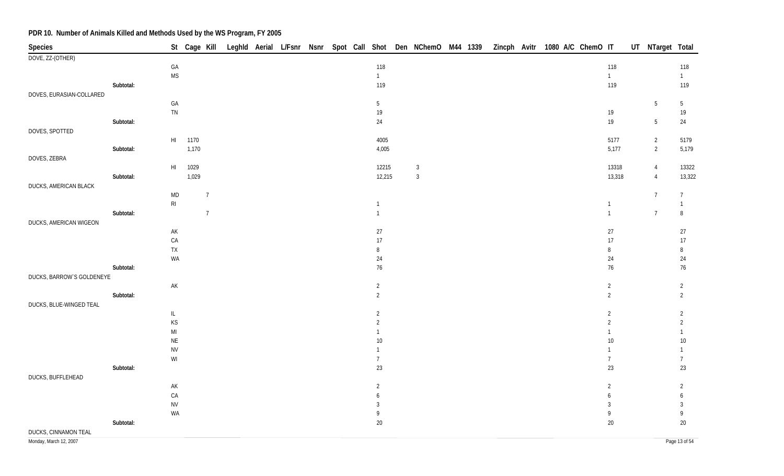| Species                   |           |                        |       |                  |  |  |  |                 |                |  |  | St Cage Kill Leghld Aerial L/Fsnr Nsnr Spot Call Shot Den NChemO M44 1339 Zincph Avitr 1080 A/C ChemO IT |                | UT NTarget Total |                  |
|---------------------------|-----------|------------------------|-------|------------------|--|--|--|-----------------|----------------|--|--|----------------------------------------------------------------------------------------------------------|----------------|------------------|------------------|
| DOVE, ZZ-(OTHER)          |           |                        |       |                  |  |  |  |                 |                |  |  |                                                                                                          |                |                  |                  |
|                           |           | GA                     |       |                  |  |  |  | 118             |                |  |  |                                                                                                          | 118            |                  | 118              |
|                           |           | <b>MS</b>              |       |                  |  |  |  | $\overline{1}$  |                |  |  |                                                                                                          | $\mathbf{1}$   |                  | $\overline{1}$   |
|                           | Subtotal: |                        |       |                  |  |  |  | 119             |                |  |  |                                                                                                          | 119            |                  | 119              |
| DOVES, EURASIAN-COLLARED  |           |                        |       |                  |  |  |  |                 |                |  |  |                                                                                                          |                |                  |                  |
|                           |           | GA                     |       |                  |  |  |  | $5\phantom{.0}$ |                |  |  |                                                                                                          |                | $\overline{5}$   | $5\phantom{.0}$  |
|                           |           | ${\sf TN}$             |       |                  |  |  |  | $19$            |                |  |  |                                                                                                          | $19$           |                  | $19\,$           |
|                           | Subtotal: |                        |       |                  |  |  |  | 24              |                |  |  |                                                                                                          | 19             | $5\,$            | 24               |
| DOVES, SPOTTED            |           |                        |       |                  |  |  |  |                 |                |  |  |                                                                                                          |                |                  |                  |
|                           |           | $\mathsf{HI}$          | 1170  |                  |  |  |  | 4005            |                |  |  |                                                                                                          | 5177           | $\overline{2}$   | 5179             |
|                           | Subtotal: |                        | 1,170 |                  |  |  |  | 4,005           |                |  |  |                                                                                                          | 5,177          | $\overline{2}$   | 5,179            |
| DOVES, ZEBRA              |           |                        |       |                  |  |  |  |                 |                |  |  |                                                                                                          |                |                  |                  |
|                           |           | $\mathsf{HI}$          | 1029  |                  |  |  |  | 12215           | $\overline{3}$ |  |  |                                                                                                          | 13318          | $\overline{4}$   | 13322            |
|                           | Subtotal: |                        | 1,029 |                  |  |  |  | 12,215          | $\overline{3}$ |  |  |                                                                                                          | 13,318         | $\overline{4}$   | 13,322           |
| DUCKS, AMERICAN BLACK     |           |                        |       |                  |  |  |  |                 |                |  |  |                                                                                                          |                |                  |                  |
|                           |           | <b>MD</b>              |       | $\boldsymbol{7}$ |  |  |  |                 |                |  |  |                                                                                                          |                | $\overline{7}$   | $7\overline{ }$  |
|                           |           | R <sub>l</sub>         |       |                  |  |  |  | $\mathbf{1}$    |                |  |  |                                                                                                          | $\mathbf{1}$   |                  | $\mathbf{1}$     |
|                           | Subtotal: |                        |       | $\overline{7}$   |  |  |  | $\overline{1}$  |                |  |  |                                                                                                          | $\mathbf{1}$   | $\overline{7}$   | $\, 8$           |
| DUCKS, AMERICAN WIGEON    |           |                        |       |                  |  |  |  |                 |                |  |  |                                                                                                          |                |                  |                  |
|                           |           | $\mathsf{AK}$          |       |                  |  |  |  | $27\,$          |                |  |  |                                                                                                          | $27\,$         |                  | $27\,$           |
|                           |           | ${\sf CA}$             |       |                  |  |  |  | $17\,$          |                |  |  |                                                                                                          | 17             |                  | $17\,$           |
|                           |           | ${\sf TX}$             |       |                  |  |  |  | $\, 8$          |                |  |  |                                                                                                          | 8              |                  | $\, 8$           |
|                           |           | WA                     |       |                  |  |  |  | 24              |                |  |  |                                                                                                          | $24\,$         |                  | $24\,$           |
|                           | Subtotal: |                        |       |                  |  |  |  | $76\,$          |                |  |  |                                                                                                          | 76             |                  | 76               |
| DUCKS, BARROW'S GOLDENEYE |           |                        |       |                  |  |  |  |                 |                |  |  |                                                                                                          |                |                  |                  |
|                           |           | AK                     |       |                  |  |  |  | $\sqrt{2}$      |                |  |  |                                                                                                          | $\sqrt{2}$     |                  | $\overline{2}$   |
|                           | Subtotal: |                        |       |                  |  |  |  | $\overline{2}$  |                |  |  |                                                                                                          | $\overline{2}$ |                  | $\overline{2}$   |
| DUCKS, BLUE-WINGED TEAL   |           |                        |       |                  |  |  |  |                 |                |  |  |                                                                                                          |                |                  |                  |
|                           |           | IL.                    |       |                  |  |  |  | $\overline{2}$  |                |  |  |                                                                                                          | $\overline{2}$ |                  | $\overline{c}$   |
|                           |           | KS                     |       |                  |  |  |  | $\overline{2}$  |                |  |  |                                                                                                          | $\overline{2}$ |                  | $\overline{2}$   |
|                           |           | $\mathsf{MI}$          |       |                  |  |  |  | $\mathbf{1}$    |                |  |  |                                                                                                          |                |                  | $\mathbf{1}$     |
|                           |           | $\sf NE$               |       |                  |  |  |  | $10\,$          |                |  |  |                                                                                                          | $10\,$         |                  | $10\,$           |
|                           |           | <b>NV</b>              |       |                  |  |  |  | $\mathbf{1}$    |                |  |  |                                                                                                          | 1              |                  | $\mathbf{1}$     |
|                           |           | $\mathsf{W}\mathsf{I}$ |       |                  |  |  |  | $\overline{7}$  |                |  |  |                                                                                                          | $\overline{7}$ |                  | $\overline{7}$   |
|                           | Subtotal: |                        |       |                  |  |  |  | 23              |                |  |  |                                                                                                          | 23             |                  | 23               |
| DUCKS, BUFFLEHEAD         |           |                        |       |                  |  |  |  |                 |                |  |  |                                                                                                          |                |                  |                  |
|                           |           | AK                     |       |                  |  |  |  | $\overline{2}$  |                |  |  |                                                                                                          | $\sqrt{2}$     |                  | $\overline{2}$   |
|                           |           | ${\sf CA}$             |       |                  |  |  |  | 6               |                |  |  |                                                                                                          | 6              |                  | $\boldsymbol{6}$ |
|                           |           | <b>NV</b>              |       |                  |  |  |  | 3               |                |  |  |                                                                                                          | $\overline{3}$ |                  | $\mathfrak{Z}$   |
|                           |           | WA                     |       |                  |  |  |  | 9               |                |  |  |                                                                                                          | 9              |                  | 9                |
|                           | Subtotal: |                        |       |                  |  |  |  | $20\,$          |                |  |  |                                                                                                          | $20\,$         |                  | $20\,$           |
| DUCKS, CINNAMON TEAL      |           |                        |       |                  |  |  |  |                 |                |  |  |                                                                                                          |                |                  |                  |
|                           |           |                        |       |                  |  |  |  |                 |                |  |  |                                                                                                          |                |                  |                  |

Monday, March 12, 2007 Page 13 of 54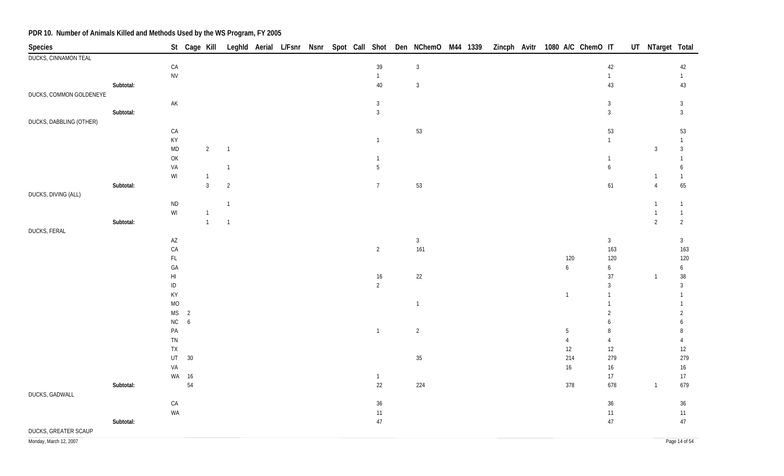| Species                     |           |                                    |                      |                |                |  |  |                          | St Cage Kill Leghld Aerial L/Fsnr Nsnr Spot Call Shot Den NChemO M44 1339 |  |  |                | Zincph Avitr 1080 A/C ChemO IT |                        | UT NTarget Total |                            |
|-----------------------------|-----------|------------------------------------|----------------------|----------------|----------------|--|--|--------------------------|---------------------------------------------------------------------------|--|--|----------------|--------------------------------|------------------------|------------------|----------------------------|
| <b>DUCKS, CINNAMON TEAL</b> |           |                                    |                      |                |                |  |  |                          |                                                                           |  |  |                |                                |                        |                  |                            |
|                             |           | ${\sf CA}$                         |                      |                |                |  |  | $39\,$                   | $\overline{3}$                                                            |  |  |                |                                | 42                     |                  | $42\,$                     |
|                             |           | ${\sf NV}$                         |                      |                |                |  |  | $\mathbf{1}$             |                                                                           |  |  |                |                                | $\mathbf{1}$           |                  | $\mathbf{1}$               |
|                             | Subtotal: |                                    |                      |                |                |  |  | $40\,$                   | $\mathbf{3}$                                                              |  |  |                |                                | 43                     |                  | $43\,$                     |
| DUCKS, COMMON GOLDENEYE     |           |                                    |                      |                |                |  |  |                          |                                                                           |  |  |                |                                |                        |                  |                            |
|                             |           | $\mathsf{AK}$                      |                      |                |                |  |  | $\mathbf{3}$             |                                                                           |  |  |                |                                | $\mathbf{3}$           |                  | $\mathbf{3}$               |
|                             | Subtotal: |                                    |                      |                |                |  |  | $\mathbf{3}$             |                                                                           |  |  |                |                                | $\mathbf{3}$           |                  | $\mathbf{3}$               |
| DUCKS, DABBLING (OTHER)     |           | CA                                 |                      |                |                |  |  |                          | 53                                                                        |  |  |                |                                | 53                     |                  | 53                         |
|                             |           | KY                                 |                      |                |                |  |  | $\mathbf{1}$             |                                                                           |  |  |                |                                | $\mathbf{1}$           |                  | $\mathbf{1}$               |
|                             |           | <b>MD</b>                          |                      | $\overline{2}$ | $\overline{1}$ |  |  |                          |                                                                           |  |  |                |                                |                        | $\overline{3}$   | $\mathbf{3}$               |
|                             |           | OK                                 |                      |                |                |  |  | $\mathbf{1}$             |                                                                           |  |  |                |                                | $\mathbf{1}$           |                  | $\mathbf{1}$               |
|                             |           | VA                                 |                      |                | $\overline{1}$ |  |  | $5\phantom{.0}$          |                                                                           |  |  |                |                                | $\mathfrak{b}$         |                  | 6                          |
|                             |           | WI                                 |                      | $\overline{1}$ |                |  |  |                          |                                                                           |  |  |                |                                |                        | -1               | $\mathbf{1}$               |
|                             | Subtotal: |                                    |                      | $\overline{3}$ | $\overline{2}$ |  |  | $7\overline{ }$          | 53                                                                        |  |  |                |                                | 61                     | $\overline{4}$   | 65                         |
| DUCKS, DIVING (ALL)         |           |                                    |                      |                |                |  |  |                          |                                                                           |  |  |                |                                |                        |                  |                            |
|                             |           | $\sf ND$                           |                      |                | $\overline{1}$ |  |  |                          |                                                                           |  |  |                |                                |                        |                  | $\mathbf{1}$               |
|                             |           | $\mathsf{W}\mathsf{I}$             |                      | $\sqrt{1}$     |                |  |  |                          |                                                                           |  |  |                |                                |                        | -1               | $\mathbf{1}$               |
|                             | Subtotal: |                                    |                      | $\overline{1}$ | $\overline{1}$ |  |  |                          |                                                                           |  |  |                |                                |                        | $\overline{2}$   | $\overline{2}$             |
| DUCKS, FERAL                |           |                                    |                      |                |                |  |  |                          |                                                                           |  |  |                |                                |                        |                  |                            |
|                             |           | $\mathsf{A}\mathsf{Z}$             |                      |                |                |  |  |                          | $\mathbf{3}$                                                              |  |  |                |                                | $\mathbf{3}$           |                  | $\mathbf{3}$               |
|                             |           | CA                                 |                      |                |                |  |  | $\overline{2}$           | 161                                                                       |  |  |                |                                | 163                    |                  | 163                        |
|                             |           | $\mathsf{FL}$                      |                      |                |                |  |  |                          |                                                                           |  |  | 120            |                                | 120                    |                  | 120                        |
|                             |           | ${\sf GA}$                         |                      |                |                |  |  |                          |                                                                           |  |  | 6              |                                | $\boldsymbol{6}$<br>37 | $\overline{1}$   | $\boldsymbol{6}$<br>$38\,$ |
|                             |           | $\mathsf{H}\mathsf{I}$<br>$\sf ID$ |                      |                |                |  |  | $16\,$<br>$\overline{2}$ | 22                                                                        |  |  |                |                                | $\mathbf{3}$           |                  | $\mathbf{3}$               |
|                             |           | KY                                 |                      |                |                |  |  |                          |                                                                           |  |  | $\mathbf{1}$   |                                | $\mathbf{1}$           |                  | $\mathbf{1}$               |
|                             |           | <b>MO</b>                          |                      |                |                |  |  |                          | $\overline{1}$                                                            |  |  |                |                                | $\mathbf{1}$           |                  | $\mathbf{1}$               |
|                             |           | <b>MS</b>                          | $\overline{2}$       |                |                |  |  |                          |                                                                           |  |  |                |                                | $\overline{2}$         |                  | $\overline{2}$             |
|                             |           | $\rm NC$                           | $\ddot{\phantom{0}}$ |                |                |  |  |                          |                                                                           |  |  |                |                                | 6                      |                  | 6                          |
|                             |           | PA                                 |                      |                |                |  |  | $\overline{1}$           | $\overline{2}$                                                            |  |  | $5\,$          |                                | $\, 8$                 |                  | 8                          |
|                             |           | TN                                 |                      |                |                |  |  |                          |                                                                           |  |  | $\overline{4}$ |                                | $\overline{4}$         |                  | $\boldsymbol{\varLambda}$  |
|                             |           | ${\sf TX}$                         |                      |                |                |  |  |                          |                                                                           |  |  | 12             |                                | 12                     |                  | $12\,$                     |
|                             |           | UT                                 | 30                   |                |                |  |  |                          | $35\,$                                                                    |  |  | 214            |                                | 279                    |                  | 279                        |
|                             |           | VA                                 |                      |                |                |  |  |                          |                                                                           |  |  | 16             |                                | 16                     |                  | $16\,$                     |
|                             |           |                                    | WA 16                |                |                |  |  | $\mathbf{1}$             |                                                                           |  |  |                |                                | $17$                   |                  | $17\,$                     |
|                             | Subtotal: |                                    | 54                   |                |                |  |  | 22                       | 224                                                                       |  |  | 378            |                                | 678                    | $\overline{1}$   | 679                        |
| DUCKS, GADWALL              |           |                                    |                      |                |                |  |  |                          |                                                                           |  |  |                |                                |                        |                  |                            |
|                             |           | ${\sf CA}$                         |                      |                |                |  |  | $36\,$                   |                                                                           |  |  |                |                                | 36                     |                  | $36\,$                     |
|                             | Subtotal: | WA                                 |                      |                |                |  |  | $11$                     |                                                                           |  |  |                |                                | $11$                   |                  | $11$                       |
|                             |           |                                    |                      |                |                |  |  | $47\,$                   |                                                                           |  |  |                |                                | $47\,$                 |                  | $47\,$                     |
| DUCKS, GREATER SCAUP        |           |                                    |                      |                |                |  |  |                          |                                                                           |  |  |                |                                |                        |                  |                            |

Monday, March 12, 2007 Page 14 of 54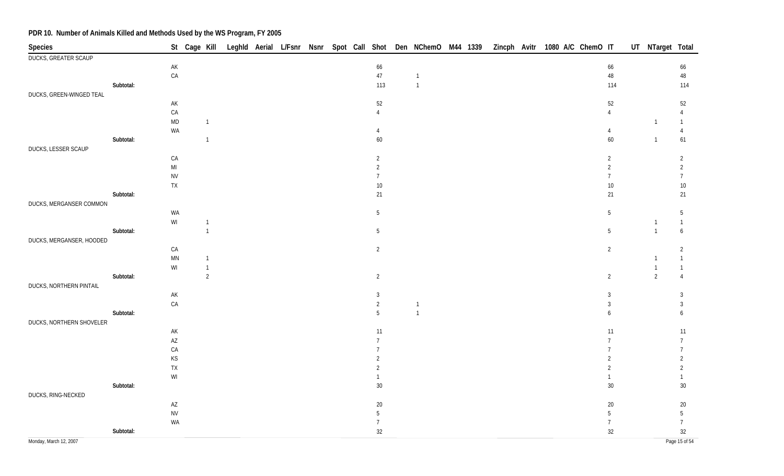| Species                     |           |                        |                |  |  |  |                 | St Cage Kill Leghld Aerial L/Fsnr Nsnr Spot Call Shot Den NChemO M44 1339 |  |  | Zincph Avitr 1080 A/C ChemO IT |  |                 | UT NTarget Total |                       |
|-----------------------------|-----------|------------------------|----------------|--|--|--|-----------------|---------------------------------------------------------------------------|--|--|--------------------------------|--|-----------------|------------------|-----------------------|
| <b>DUCKS, GREATER SCAUP</b> |           |                        |                |  |  |  |                 |                                                                           |  |  |                                |  |                 |                  |                       |
|                             |           | $\mathsf{AK}$          |                |  |  |  | 66              |                                                                           |  |  |                                |  | 66              |                  | 66                    |
|                             |           | ${\sf CA}$             |                |  |  |  | $47\,$          | $\overline{1}$                                                            |  |  |                                |  | $48\,$          |                  | 48                    |
|                             | Subtotal: |                        |                |  |  |  | 113             | $\overline{1}$                                                            |  |  |                                |  | 114             |                  | 114                   |
| DUCKS, GREEN-WINGED TEAL    |           |                        |                |  |  |  |                 |                                                                           |  |  |                                |  |                 |                  |                       |
|                             |           | AK                     |                |  |  |  | $52\,$          |                                                                           |  |  |                                |  | 52              |                  | 52                    |
|                             |           | ${\sf CA}$             |                |  |  |  | $\overline{4}$  |                                                                           |  |  |                                |  | $\overline{4}$  |                  | $\overline{4}$        |
|                             |           | $\mathsf{MD}$          | $\overline{1}$ |  |  |  |                 |                                                                           |  |  |                                |  |                 | $\mathbf{1}$     | $\mathbf{1}$          |
|                             |           | WA                     |                |  |  |  | $\overline{4}$  |                                                                           |  |  |                                |  | $\overline{4}$  |                  | $\overline{4}$        |
|                             | Subtotal: |                        | $\overline{1}$ |  |  |  | $60\,$          |                                                                           |  |  |                                |  | 60              | $\overline{1}$   | 61                    |
| DUCKS, LESSER SCAUP         |           |                        |                |  |  |  |                 |                                                                           |  |  |                                |  |                 |                  |                       |
|                             |           | ${\sf CA}$             |                |  |  |  | $\overline{2}$  |                                                                           |  |  |                                |  | $\overline{2}$  |                  | $\overline{2}$        |
|                             |           | $\mathsf{MI}$          |                |  |  |  | $\overline{2}$  |                                                                           |  |  |                                |  | $\overline{2}$  |                  | $\overline{2}$        |
|                             |           | <b>NV</b>              |                |  |  |  | $7\overline{ }$ |                                                                           |  |  |                                |  | $7\overline{ }$ |                  | $\overline{7}$        |
|                             | Subtotal: | ${\sf TX}$             |                |  |  |  | $10\,$          |                                                                           |  |  |                                |  | $10\,$          |                  | $10\,$                |
| DUCKS, MERGANSER COMMON     |           |                        |                |  |  |  | 21              |                                                                           |  |  |                                |  | 21              |                  | 21                    |
|                             |           | WA                     |                |  |  |  |                 |                                                                           |  |  |                                |  |                 |                  |                       |
|                             |           | $\mathsf{W}\mathsf{I}$ | $\overline{1}$ |  |  |  | $\overline{5}$  |                                                                           |  |  |                                |  | $5\,$           | $\overline{1}$   | $5\,$<br>$\mathbf{1}$ |
|                             | Subtotal: |                        | $\overline{1}$ |  |  |  | $5\phantom{.0}$ |                                                                           |  |  |                                |  | $5\phantom{.0}$ | $\mathbf{1}$     | $\boldsymbol{6}$      |
| DUCKS, MERGANSER, HOODED    |           |                        |                |  |  |  |                 |                                                                           |  |  |                                |  |                 |                  |                       |
|                             |           | CA                     |                |  |  |  | $\overline{2}$  |                                                                           |  |  |                                |  | $\overline{2}$  |                  | $\overline{2}$        |
|                             |           | $\mathsf{M}\mathsf{N}$ | $\mathbf{1}$   |  |  |  |                 |                                                                           |  |  |                                |  |                 |                  | $\mathbf{1}$          |
|                             |           | WI                     | $\overline{1}$ |  |  |  |                 |                                                                           |  |  |                                |  |                 |                  | $\mathbf{1}$          |
|                             | Subtotal: |                        | $\overline{2}$ |  |  |  | $\overline{2}$  |                                                                           |  |  |                                |  | $\overline{2}$  | $\overline{2}$   | $\overline{4}$        |
| DUCKS, NORTHERN PINTAIL     |           |                        |                |  |  |  |                 |                                                                           |  |  |                                |  |                 |                  |                       |
|                             |           | $\mathsf{AK}$          |                |  |  |  | 3               |                                                                           |  |  |                                |  | $\mathbf{3}$    |                  | 3                     |
|                             |           | ${\sf CA}$             |                |  |  |  | $\overline{2}$  | $\overline{1}$                                                            |  |  |                                |  | $\mathbf{3}$    |                  | $\mathbf{3}$          |
|                             | Subtotal: |                        |                |  |  |  | 5               | $\overline{1}$                                                            |  |  |                                |  | 6               |                  | 6                     |
| DUCKS, NORTHERN SHOVELER    |           |                        |                |  |  |  |                 |                                                                           |  |  |                                |  |                 |                  |                       |
|                             |           | $\mathsf{AK}$          |                |  |  |  | 11              |                                                                           |  |  |                                |  | 11              |                  | 11                    |
|                             |           | $\mathsf{AZ}$          |                |  |  |  | $\overline{7}$  |                                                                           |  |  |                                |  | $\overline{7}$  |                  | $\overline{7}$        |
|                             |           | ${\sf CA}$             |                |  |  |  | $\overline{7}$  |                                                                           |  |  |                                |  |                 |                  | $\overline{7}$        |
|                             |           | $KS$                   |                |  |  |  | $\overline{2}$  |                                                                           |  |  |                                |  | $\overline{2}$  |                  | 2                     |
|                             |           | TX                     |                |  |  |  | $\overline{2}$  |                                                                           |  |  |                                |  | $\overline{2}$  |                  | $\overline{2}$        |
|                             |           | WI                     |                |  |  |  | $\mathbf{1}$    |                                                                           |  |  |                                |  | 1               |                  |                       |
|                             | Subtotal: |                        |                |  |  |  | $30\,$          |                                                                           |  |  |                                |  | $30\,$          |                  | $30\,$                |
| DUCKS, RING-NECKED          |           |                        |                |  |  |  |                 |                                                                           |  |  |                                |  |                 |                  |                       |
|                             |           | $\mathsf{AZ}$          |                |  |  |  | $20\,$          |                                                                           |  |  |                                |  | $20\,$          |                  | $20\,$                |
|                             |           | ${\sf NV}$             |                |  |  |  | $5\phantom{.0}$ |                                                                           |  |  |                                |  | $5\phantom{.0}$ |                  | 5                     |
|                             |           | WA                     |                |  |  |  | $\overline{7}$  |                                                                           |  |  |                                |  | $7\overline{ }$ |                  | $\overline{7}$        |
|                             | Subtotal: |                        |                |  |  |  | 32              |                                                                           |  |  |                                |  | $32\,$          |                  | 32                    |
| Monday, March 12, 2007      |           |                        |                |  |  |  |                 |                                                                           |  |  |                                |  |                 |                  | Page 15 of 54         |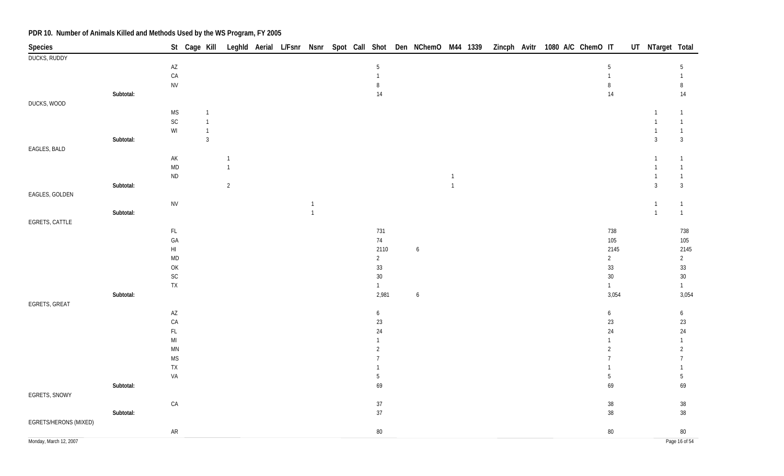| Species                |           |                        |                |                |  |              |  |                  |                  |                |  | St Cage Kill Leghld Aerial L/Fsnr Nsnr Spot Call Shot Den NChemO M44 1339 Zincph Avitr 1080 A/C ChemO IT |                  | UT NTarget Total |                              |
|------------------------|-----------|------------------------|----------------|----------------|--|--------------|--|------------------|------------------|----------------|--|----------------------------------------------------------------------------------------------------------|------------------|------------------|------------------------------|
| <b>DUCKS, RUDDY</b>    |           |                        |                |                |  |              |  |                  |                  |                |  |                                                                                                          |                  |                  |                              |
|                        |           | $\mathsf{AZ}$          |                |                |  |              |  | $\overline{5}$   |                  |                |  |                                                                                                          | 5                |                  | 5                            |
|                        |           | CA                     |                |                |  |              |  | $\mathbf{1}$     |                  |                |  |                                                                                                          | $\mathbf{1}$     |                  | $\mathbf{1}$                 |
|                        |           | <b>NV</b>              |                |                |  |              |  | 8                |                  |                |  |                                                                                                          | 8                |                  | $\, 8$                       |
|                        | Subtotal: |                        |                |                |  |              |  | $14$             |                  |                |  |                                                                                                          | $14$             |                  | 14                           |
| DUCKS, WOOD            |           |                        |                |                |  |              |  |                  |                  |                |  |                                                                                                          |                  |                  |                              |
|                        |           | $\mathsf{MS}\xspace$   | $\overline{1}$ |                |  |              |  |                  |                  |                |  |                                                                                                          |                  |                  | $\mathbf{1}$                 |
|                        |           | $\mathsf{SC}$          | $\overline{1}$ |                |  |              |  |                  |                  |                |  |                                                                                                          |                  | $\mathbf{1}$     | $\mathbf{1}$                 |
|                        |           | $\mathsf{W}\mathsf{I}$ | $\overline{1}$ |                |  |              |  |                  |                  |                |  |                                                                                                          |                  |                  | $\mathbf{1}$                 |
|                        | Subtotal: |                        | $\sqrt{3}$     |                |  |              |  |                  |                  |                |  |                                                                                                          |                  | $\mathbf{3}$     | $\mathbf{3}$                 |
| EAGLES, BALD           |           |                        |                |                |  |              |  |                  |                  |                |  |                                                                                                          |                  |                  |                              |
|                        |           | $\mathsf{AK}$          |                | $\overline{1}$ |  |              |  |                  |                  |                |  |                                                                                                          |                  |                  | 1                            |
|                        |           | $\mathsf{MD}$          |                | $\overline{1}$ |  |              |  |                  |                  |                |  |                                                                                                          |                  |                  | $\mathbf{1}$                 |
|                        |           | <b>ND</b>              |                |                |  |              |  |                  |                  | $\mathbf{1}$   |  |                                                                                                          |                  |                  | $\mathbf{1}$                 |
|                        | Subtotal: |                        |                | 2              |  |              |  |                  |                  | $\overline{1}$ |  |                                                                                                          |                  | $\mathbf{3}$     | $\mathbf{3}$                 |
| EAGLES, GOLDEN         |           | <b>NV</b>              |                |                |  | $\mathbf{1}$ |  |                  |                  |                |  |                                                                                                          |                  | $\mathbf{1}$     |                              |
|                        | Subtotal: |                        |                |                |  | $\mathbf{1}$ |  |                  |                  |                |  |                                                                                                          |                  | $\overline{1}$   | $\mathbf{1}$<br>$\mathbf{1}$ |
| EGRETS, CATTLE         |           |                        |                |                |  |              |  |                  |                  |                |  |                                                                                                          |                  |                  |                              |
|                        |           | $\mathsf{FL}$          |                |                |  |              |  | 731              |                  |                |  |                                                                                                          | 738              |                  | 738                          |
|                        |           | GA                     |                |                |  |              |  | $74\,$           |                  |                |  |                                                                                                          | 105              |                  | 105                          |
|                        |           | $\mathsf{HI}$          |                |                |  |              |  | 2110             | $\boldsymbol{6}$ |                |  |                                                                                                          | 2145             |                  | 2145                         |
|                        |           | $\mathsf{MD}$          |                |                |  |              |  | $\overline{2}$   |                  |                |  |                                                                                                          | $\overline{2}$   |                  | $\mathbf{2}$                 |
|                        |           | OK                     |                |                |  |              |  | $33\,$           |                  |                |  |                                                                                                          | $33\,$           |                  | 33                           |
|                        |           | $\mathsf{SC}$          |                |                |  |              |  | $30\,$           |                  |                |  |                                                                                                          | 30 <sup>°</sup>  |                  | $30\,$                       |
|                        |           | ${\sf TX}$             |                |                |  |              |  | $\mathbf{1}$     |                  |                |  |                                                                                                          | $\mathbf{1}$     |                  | $\mathbf{1}$                 |
|                        | Subtotal: |                        |                |                |  |              |  | 2,981            | 6                |                |  |                                                                                                          | 3,054            |                  | 3,054                        |
| EGRETS, GREAT          |           |                        |                |                |  |              |  |                  |                  |                |  |                                                                                                          |                  |                  |                              |
|                        |           | $\mathsf{A}\mathsf{Z}$ |                |                |  |              |  | $\boldsymbol{6}$ |                  |                |  |                                                                                                          | $\boldsymbol{6}$ |                  | $\boldsymbol{6}$             |
|                        |           | CA                     |                |                |  |              |  | $23\,$           |                  |                |  |                                                                                                          | $23\,$           |                  | 23                           |
|                        |           | $\mathsf{FL}$          |                |                |  |              |  | $24\,$           |                  |                |  |                                                                                                          | 24               |                  | $24\,$                       |
|                        |           | $\mathsf{MI}$          |                |                |  |              |  | $\mathbf{1}$     |                  |                |  |                                                                                                          | $\mathbf{1}$     |                  | $\mathbf{1}$                 |
|                        |           | $\mathsf{M}\mathsf{N}$ |                |                |  |              |  | 2                |                  |                |  |                                                                                                          | $\overline{2}$   |                  | $\overline{2}$               |
|                        |           | $\mathsf{MS}\xspace$   |                |                |  |              |  | $\overline{7}$   |                  |                |  |                                                                                                          | $\overline{7}$   |                  | $\overline{7}$               |
|                        |           | TX                     |                |                |  |              |  |                  |                  |                |  |                                                                                                          |                  |                  | $\mathbf{1}$                 |
|                        |           | VA                     |                |                |  |              |  | $\overline{5}$   |                  |                |  |                                                                                                          | 5                |                  | $5\phantom{.0}$              |
|                        | Subtotal: |                        |                |                |  |              |  | 69               |                  |                |  |                                                                                                          | 69               |                  | 69                           |
| EGRETS, SNOWY          |           |                        |                |                |  |              |  |                  |                  |                |  |                                                                                                          |                  |                  |                              |
|                        |           | ${\sf CA}$             |                |                |  |              |  | $37\,$           |                  |                |  |                                                                                                          | $38\,$           |                  | $38\,$                       |
|                        | Subtotal: |                        |                |                |  |              |  | $37\,$           |                  |                |  |                                                                                                          | 38               |                  | $38\,$                       |
| EGRETS/HERONS (MIXED)  |           |                        |                |                |  |              |  |                  |                  |                |  |                                                                                                          |                  |                  |                              |
|                        |           | ${\sf AR}$             |                |                |  |              |  | $80\,$           |                  |                |  |                                                                                                          | $80\,$           |                  | $80\,$                       |
| Monday, March 12, 2007 |           |                        |                |                |  |              |  |                  |                  |                |  |                                                                                                          |                  |                  | Page 16 of 54                |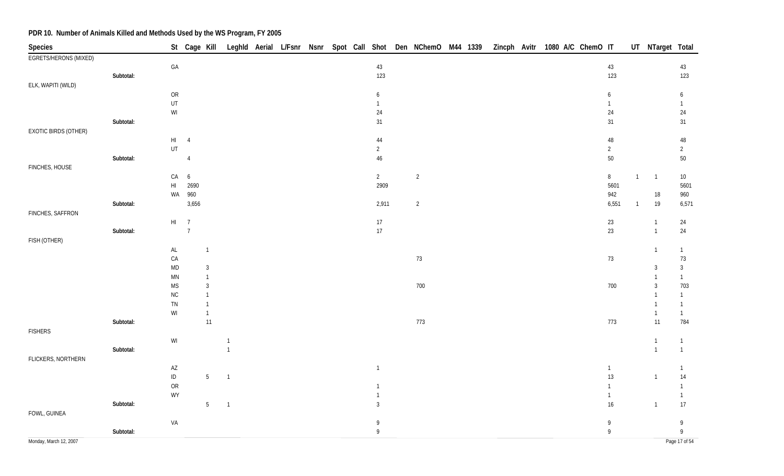| Species                |           |                                                         |                | St Cage Kill                 |                |  |  |                | Leghld Aerial L/Fsnr Nsnr Spot Call Shot Den NChemO M44 1339 |  | Zincph Avitr 1080 A/C ChemO IT |  |  |                |                | UT NTarget Total |                                   |
|------------------------|-----------|---------------------------------------------------------|----------------|------------------------------|----------------|--|--|----------------|--------------------------------------------------------------|--|--------------------------------|--|--|----------------|----------------|------------------|-----------------------------------|
| EGRETS/HERONS (MIXED)  |           |                                                         |                |                              |                |  |  |                |                                                              |  |                                |  |  |                |                |                  |                                   |
|                        |           | $\mathsf{GA}$                                           |                |                              |                |  |  | $43\,$         |                                                              |  |                                |  |  | $43\,$         |                |                  | 43                                |
|                        | Subtotal: |                                                         |                |                              |                |  |  | 123            |                                                              |  |                                |  |  | 123            |                |                  | 123                               |
| ELK, WAPITI (WILD)     |           |                                                         |                |                              |                |  |  |                |                                                              |  |                                |  |  |                |                |                  |                                   |
|                        |           | OR                                                      |                |                              |                |  |  | 6              |                                                              |  |                                |  |  | 6              |                |                  | 6                                 |
|                        |           | UT                                                      |                |                              |                |  |  | $\mathbf{1}$   |                                                              |  |                                |  |  | $\mathbf{1}$   |                |                  | $\mathbf{1}$                      |
|                        |           | $\ensuremath{\mathsf{W}}\xspace\ensuremath{\mathsf{I}}$ |                |                              |                |  |  | 24             |                                                              |  |                                |  |  | $24\,$         |                |                  | 24                                |
|                        | Subtotal: |                                                         |                |                              |                |  |  | 31             |                                                              |  |                                |  |  | 31             |                |                  | 31                                |
| EXOTIC BIRDS (OTHER)   |           |                                                         |                |                              |                |  |  |                |                                                              |  |                                |  |  |                |                |                  |                                   |
|                        |           | $\mathsf{HI}$                                           | $\overline{4}$ |                              |                |  |  | 44             |                                                              |  |                                |  |  | $48\,$         |                |                  | $48\,$                            |
|                        |           | UT                                                      |                |                              |                |  |  | $\overline{2}$ |                                                              |  |                                |  |  | $\overline{2}$ |                |                  | $\overline{2}$                    |
|                        | Subtotal: |                                                         | $\overline{4}$ |                              |                |  |  | 46             |                                                              |  |                                |  |  | $50\,$         |                |                  | 50                                |
| FINCHES, HOUSE         |           |                                                         |                |                              |                |  |  |                |                                                              |  |                                |  |  |                |                |                  |                                   |
|                        |           | CA                                                      | 6              |                              |                |  |  | $\overline{2}$ | $\overline{2}$                                               |  |                                |  |  | $\, 8$         | $\overline{1}$ | $\overline{1}$   | $10\,$                            |
|                        |           | $\mathsf{H}\mathsf{I}$                                  | 2690           |                              |                |  |  | 2909           |                                                              |  |                                |  |  | 5601           |                |                  | 5601                              |
|                        |           | WA                                                      | 960            |                              |                |  |  |                |                                                              |  |                                |  |  | 942            |                | $18\,$           | 960                               |
|                        | Subtotal: |                                                         | 3,656          |                              |                |  |  | 2,911          | $\overline{2}$                                               |  |                                |  |  | 6,551          | $\overline{1}$ | 19               | 6,571                             |
| FINCHES, SAFFRON       |           |                                                         |                |                              |                |  |  |                |                                                              |  |                                |  |  |                |                |                  |                                   |
|                        |           | $HI$ 7                                                  |                |                              |                |  |  | 17             |                                                              |  |                                |  |  | $23\,$         |                | $\overline{1}$   | 24                                |
|                        | Subtotal: |                                                         | $\overline{7}$ |                              |                |  |  | $17\,$         |                                                              |  |                                |  |  | 23             |                | $\overline{1}$   | $24\,$                            |
| FISH (OTHER)           |           |                                                         |                |                              |                |  |  |                |                                                              |  |                                |  |  |                |                |                  |                                   |
|                        |           | $\mathsf{AL}$                                           |                | $\mathbf{1}$                 |                |  |  |                |                                                              |  |                                |  |  |                |                | $\mathbf{1}$     | $\mathbf{1}$                      |
|                        |           | CA<br><b>MD</b>                                         |                |                              |                |  |  |                | $73\,$                                                       |  |                                |  |  | $73\,$         |                |                  | $73\,$<br>$\mathfrak{Z}$          |
|                        |           | <b>MN</b>                                               |                | $\mathbf{3}$<br>$\mathbf{1}$ |                |  |  |                |                                                              |  |                                |  |  |                |                | 3                | $\mathbf{1}$                      |
|                        |           | <b>MS</b>                                               |                | $\mathbf{3}$                 |                |  |  |                | 700                                                          |  |                                |  |  | 700            |                | 3                | 703                               |
|                        |           | $\rm NC$                                                |                | $\mathbf{1}$                 |                |  |  |                |                                                              |  |                                |  |  |                |                |                  | $\mathbf{1}$                      |
|                        |           | TN                                                      |                | $\mathbf{1}$                 |                |  |  |                |                                                              |  |                                |  |  |                |                |                  | $\mathbf{1}$                      |
|                        |           | WI                                                      |                | $\mathbf{1}$                 |                |  |  |                |                                                              |  |                                |  |  |                |                | $\overline{1}$   | $\mathbf{1}$                      |
|                        | Subtotal: |                                                         |                | $11$                         |                |  |  |                | 773                                                          |  |                                |  |  | 773            |                | 11               | 784                               |
| <b>FISHERS</b>         |           |                                                         |                |                              |                |  |  |                |                                                              |  |                                |  |  |                |                |                  |                                   |
|                        |           | WI                                                      |                |                              | $\overline{1}$ |  |  |                |                                                              |  |                                |  |  |                |                | $\overline{1}$   | $\mathbf{1}$                      |
|                        | Subtotal: |                                                         |                |                              | $\overline{1}$ |  |  |                |                                                              |  |                                |  |  |                |                | $\overline{1}$   | $\mathbf{1}$                      |
| FLICKERS, NORTHERN     |           |                                                         |                |                              |                |  |  |                |                                                              |  |                                |  |  |                |                |                  |                                   |
|                        |           | $\mathsf{AZ}$                                           |                |                              |                |  |  | $\overline{1}$ |                                                              |  |                                |  |  | $\mathbf{1}$   |                |                  | $\mathbf{1}$                      |
|                        |           | $\sf ID$                                                |                | $5\phantom{.0}$              | -1             |  |  |                |                                                              |  |                                |  |  | 13             |                | $\overline{1}$   | $14$                              |
|                        |           | ${\sf OR}$                                              |                |                              |                |  |  | $\mathbf{1}$   |                                                              |  |                                |  |  | $\mathbf{1}$   |                |                  | $\mathbf{1}$                      |
|                        |           | WY                                                      |                |                              |                |  |  |                |                                                              |  |                                |  |  | $\mathbf{1}$   |                |                  | $\mathbf{1}$                      |
|                        | Subtotal: |                                                         |                | $5\phantom{.0}$              | $\overline{1}$ |  |  | $\overline{3}$ |                                                              |  |                                |  |  | $16\,$         |                | $\overline{1}$   | 17                                |
| FOWL, GUINEA           |           |                                                         |                |                              |                |  |  |                |                                                              |  |                                |  |  |                |                |                  |                                   |
|                        |           | VA                                                      |                |                              |                |  |  | 9              |                                                              |  |                                |  |  | 9              |                |                  | 9                                 |
|                        | Subtotal: |                                                         |                |                              |                |  |  | $\,9$          |                                                              |  |                                |  |  | 9              |                |                  | $\mathsf{g}% _{T}=\mathsf{g}_{T}$ |
| Monday, March 12, 2007 |           |                                                         |                |                              |                |  |  |                |                                                              |  |                                |  |  |                |                |                  | Page 17 of 54                     |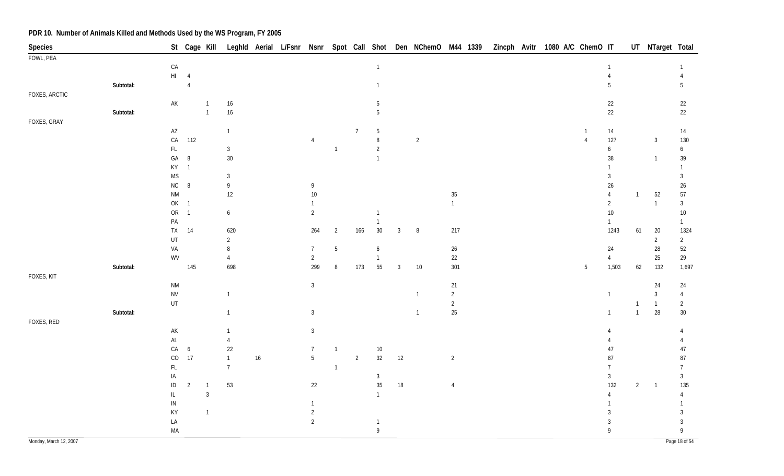| Species       |           |                                |                |                |                      |    |                 |                |                |                                |        | St Cage Kill Leghld Aerial L/Fsnr Nsnr Spot Call Shot Den NChemO M44 1339 Zincph Avitr 1080 A/C ChemO IT |                |  |                 |              |                      |                | UT NTarget Total |                      |
|---------------|-----------|--------------------------------|----------------|----------------|----------------------|----|-----------------|----------------|----------------|--------------------------------|--------|----------------------------------------------------------------------------------------------------------|----------------|--|-----------------|--------------|----------------------|----------------|------------------|----------------------|
| FOWL, PEA     |           |                                |                |                |                      |    |                 |                |                |                                |        |                                                                                                          |                |  |                 |              |                      |                |                  |                      |
|               |           | ${\sf CA}$                     |                |                |                      |    |                 |                |                | $\mathbf{1}$                   |        |                                                                                                          |                |  |                 |              | 1                    |                |                  |                      |
|               |           | $\mathsf{H}\mathsf{I}$         | $\overline{4}$ |                |                      |    |                 |                |                |                                |        |                                                                                                          |                |  |                 |              | $\overline{4}$       |                |                  | $\overline{4}$       |
|               | Subtotal: |                                | $\overline{4}$ |                |                      |    |                 |                |                | $\mathbf{1}$                   |        |                                                                                                          |                |  |                 |              | 5                    |                |                  | 5                    |
| FOXES, ARCTIC |           | $\mathsf{AK}$                  |                | $\overline{1}$ |                      |    |                 |                |                | 5                              |        |                                                                                                          |                |  |                 |              |                      |                |                  |                      |
|               | Subtotal: |                                |                | $\overline{1}$ | $16\,$<br>$16\,$     |    |                 |                |                | $5\,$                          |        |                                                                                                          |                |  |                 |              | $22\,$<br>22         |                |                  | 22<br>22             |
| FOXES, GRAY   |           |                                |                |                |                      |    |                 |                |                |                                |        |                                                                                                          |                |  |                 |              |                      |                |                  |                      |
|               |           | $\mathsf{A}\mathsf{Z}$         |                |                | $\overline{1}$       |    |                 |                | $\overline{7}$ | $5\phantom{.0}$                |        |                                                                                                          |                |  |                 |              | 14                   |                |                  | 14                   |
|               |           | ${\sf CA}$                     | 112            |                |                      |    | 4               |                |                | $\,8\,$                        |        | $\overline{2}$                                                                                           |                |  | $\overline{4}$  |              | 127                  |                | $\mathbf{3}$     | 130                  |
|               |           | $\mathsf{FL}$                  |                |                | $\mathbf{3}$         |    |                 | $\mathbf{1}$   |                | $\overline{2}$                 |        |                                                                                                          |                |  |                 |              | $\boldsymbol{6}$     |                |                  | 6                    |
|               |           | $\mathsf{GA}$                  | $\, 8$         |                | 30                   |    |                 |                |                | $\mathbf{1}$                   |        |                                                                                                          |                |  |                 |              | $38\,$               |                | $\mathbf{1}$     | 39                   |
|               |           | $\mathsf{K}\mathsf{Y}$         | $\overline{1}$ |                |                      |    |                 |                |                |                                |        |                                                                                                          |                |  |                 |              | 1                    |                |                  | $\mathbf{1}$         |
|               |           | <b>MS</b>                      |                |                | $\mathbf{3}$         |    |                 |                |                |                                |        |                                                                                                          |                |  |                 |              | 3                    |                |                  | $\mathfrak{Z}$       |
|               |           | ${\sf NC}$                     | $\, 8$         |                | $\,9$                |    | 9               |                |                |                                |        |                                                                                                          |                |  |                 |              | $26\,$               |                |                  | 26                   |
|               |           | <b>NM</b>                      |                |                | $12$                 |    | $10\,$          |                |                |                                |        |                                                                                                          | $35\,$         |  |                 |              | $\overline{4}$       | $\mathbf{1}$   | 52               | 57                   |
|               |           | OK 1                           |                |                |                      |    | 1               |                |                |                                |        |                                                                                                          | $\mathbf{1}$   |  |                 |              | $\overline{2}$       |                | $\overline{1}$   | $\mathfrak{Z}$       |
|               |           | ${\sf OR}$<br>$\mathsf{PA}$    | $\overline{1}$ |                | $\boldsymbol{6}$     |    | $\overline{2}$  |                |                | $\overline{1}$<br>$\mathbf{1}$ |        |                                                                                                          |                |  |                 |              | $10\,$               |                |                  | $10\,$               |
|               |           | <b>TX</b>                      | 14             |                | 620                  |    | 264             | $\overline{2}$ | 166            | $30\,$                         | 3      | 8                                                                                                        | 217            |  |                 |              | $\mathbf{1}$<br>1243 | 61             | 20               | $\mathbf{1}$<br>1324 |
|               |           | UT                             |                |                | $\overline{2}$       |    |                 |                |                |                                |        |                                                                                                          |                |  |                 |              |                      |                | $\overline{2}$   | $\overline{2}$       |
|               |           | VA                             |                |                | 8                    |    | $7\overline{ }$ | $\overline{5}$ |                | $\boldsymbol{6}$               |        |                                                                                                          | $26\,$         |  |                 |              | 24                   |                | 28               | 52                   |
|               |           | WV                             |                |                | $\overline{4}$       |    | $\overline{2}$  |                |                | $\overline{1}$                 |        |                                                                                                          | $22\,$         |  |                 |              | $\overline{4}$       |                | 25               | 29                   |
|               | Subtotal: |                                | 145            |                | 698                  |    | 299             | 8              | 173            | 55                             | 3      | 10                                                                                                       | 301            |  | $5\phantom{.0}$ |              | 1,503                | 62             | 132              | 1,697                |
| FOXES, KIT    |           |                                |                |                |                      |    |                 |                |                |                                |        |                                                                                                          |                |  |                 |              |                      |                |                  |                      |
|               |           | <b>NM</b>                      |                |                |                      |    | $\mathfrak{Z}$  |                |                |                                |        |                                                                                                          | $21$           |  |                 |              |                      |                | 24               | 24                   |
|               |           | ${\sf NV}$                     |                |                | $\overline{1}$       |    |                 |                |                |                                |        | $\overline{1}$                                                                                           | $\overline{2}$ |  |                 |              | $\mathbf{1}$         |                | $\sqrt{3}$       | $\overline{4}$       |
|               |           | UT                             |                |                |                      |    |                 |                |                |                                |        |                                                                                                          | $\overline{2}$ |  |                 |              |                      | $\mathbf{1}$   | $\overline{1}$   | $\overline{2}$       |
|               | Subtotal: |                                |                |                | $\overline{1}$       |    | $\mathbf{3}$    |                |                |                                |        | $\overline{1}$                                                                                           | $25\,$         |  |                 |              | $\mathbf{1}$         | $\mathbf{1}$   | 28               | $30\,$               |
| FOXES, RED    |           |                                |                |                |                      |    |                 |                |                |                                |        |                                                                                                          |                |  |                 |              |                      |                |                  |                      |
|               |           | $\mathsf{AK}$<br>$\mathsf{AL}$ |                |                | $\overline{1}$       |    | $\mathbf{3}$    |                |                |                                |        |                                                                                                          |                |  |                 |              | 4                    |                |                  | $\overline{4}$<br>4  |
|               |           | ${\sf CA}$                     | 6              |                | $\overline{4}$<br>22 |    | $\overline{7}$  | $\mathbf{1}$   |                | $10\,$                         |        |                                                                                                          |                |  |                 |              | 47                   |                |                  | 47                   |
|               |           | $_{\rm CO}$                    | 17             |                | $\overline{1}$       | 16 | $5\phantom{.0}$ |                | $\overline{2}$ | 32                             | 12     |                                                                                                          | $\overline{2}$ |  |                 |              | 87                   |                |                  | 87                   |
|               |           | $\mathsf{FL}$                  |                |                | $\overline{7}$       |    |                 | $\mathbf{1}$   |                |                                |        |                                                                                                          |                |  |                 |              |                      |                |                  | $\overline{7}$       |
|               |           | IA                             |                |                |                      |    |                 |                |                | $\mathbf{3}$                   |        |                                                                                                          |                |  |                 |              | 3                    |                |                  | $\mathfrak{Z}$       |
|               |           | $\sf ID$                       | $\overline{2}$ | $\overline{1}$ | 53                   |    | 22              |                |                | $35\,$                         | $18\,$ |                                                                                                          | $\overline{4}$ |  |                 |              | 132                  | $\overline{2}$ | $\overline{1}$   | 135                  |
|               |           | $\mathsf{IL}$                  |                | $\mathfrak{Z}$ |                      |    |                 |                |                | $\mathbf{1}$                   |        |                                                                                                          |                |  |                 |              |                      |                |                  | $\overline{4}$       |
|               |           | IN                             |                |                |                      |    | 1               |                |                |                                |        |                                                                                                          |                |  |                 |              |                      |                |                  | 1                    |
|               |           | KY                             |                | $\overline{1}$ |                      |    | $\overline{2}$  |                |                |                                |        |                                                                                                          |                |  |                 |              | 3                    |                |                  | 3                    |
|               |           | LA                             |                |                |                      |    | $\overline{2}$  |                |                | $\overline{1}$                 |        |                                                                                                          |                |  |                 |              | 3                    |                |                  | $\mathbf{3}$         |
|               |           | MA                             |                |                |                      |    |                 |                |                | $\overline{9}$                 |        |                                                                                                          |                |  |                 | $\mathsf{q}$ |                      |                |                  | 9                    |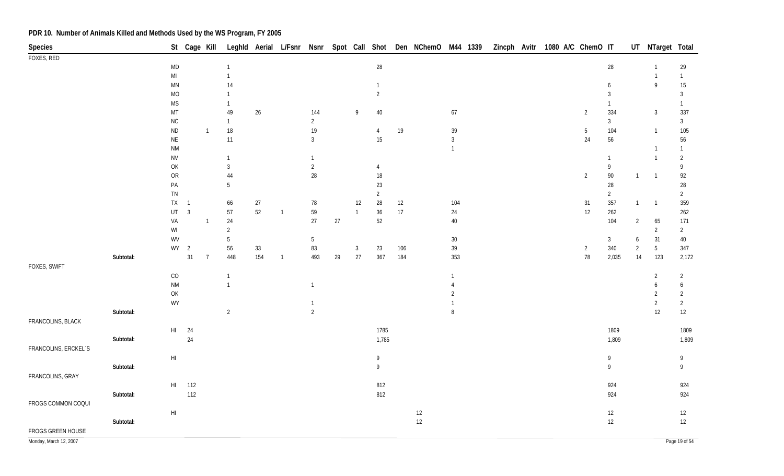| <b>Species</b>         |           |                                                         | St Cage Kill   |                |                      |        |                |                      |    |              |                          |      | Leghld Aerial L/Fsnr Nsnr Spot Call Shot Den NChemO M44 1339 |                |  | Zincph Avitr | 1080 A/C ChemO IT |                |                   |                | UT NTarget Total                 |                   |
|------------------------|-----------|---------------------------------------------------------|----------------|----------------|----------------------|--------|----------------|----------------------|----|--------------|--------------------------|------|--------------------------------------------------------------|----------------|--|--------------|-------------------|----------------|-------------------|----------------|----------------------------------|-------------------|
| FOXES, RED             |           |                                                         |                |                |                      |        |                |                      |    |              |                          |      |                                                              |                |  |              |                   |                |                   |                |                                  |                   |
|                        |           | <b>MD</b>                                               |                |                | $\overline{1}$       |        |                |                      |    |              | $28\,$                   |      |                                                              |                |  |              |                   |                | 28                |                | $\overline{1}$                   | 29                |
|                        |           | $\mathsf{M}\mathsf{I}$                                  |                |                | $\overline{1}$       |        |                |                      |    |              |                          |      |                                                              |                |  |              |                   |                |                   |                | $\overline{1}$                   | $\mathbf{1}$      |
|                        |           | MN                                                      |                |                | 14                   |        |                |                      |    |              | $\mathbf{1}$             |      |                                                              |                |  |              |                   |                | 6                 |                | $\,9$                            | $15\,$            |
|                        |           | $\rm MO$                                                |                |                |                      |        |                |                      |    |              | $\overline{2}$           |      |                                                              |                |  |              |                   |                | 3                 |                |                                  | $\mathbf{3}$      |
|                        |           | $\mathsf{MS}\xspace$                                    |                |                | $\overline{1}$       |        |                |                      |    |              |                          |      |                                                              |                |  |              |                   |                | 1                 |                |                                  | $\mathbf{1}$      |
|                        |           | $\mathsf{MT}% _{0}^{\alpha\beta}$                       |                |                | 49                   | $26\,$ |                | 144                  |    | 9            | $40\,$                   |      |                                                              | 67             |  |              |                   | $\overline{2}$ | 334               |                | $\mathbf{3}$                     | 337               |
|                        |           | $\sf NC$                                                |                |                | $\overline{1}$       |        |                | $\overline{2}$       |    |              |                          |      |                                                              |                |  |              |                   |                | $\overline{3}$    |                |                                  | 3 <sup>1</sup>    |
|                        |           | <b>ND</b>                                               |                | $\overline{1}$ | $18\,$               |        |                | $19$                 |    |              | $\overline{4}$           | 19   |                                                              | 39             |  |              |                   | $\overline{5}$ | 104               |                | $\overline{1}$                   | 105               |
|                        |           | $\sf NE$                                                |                |                | 11                   |        |                | $\mathfrak{Z}$       |    |              | $15\,$                   |      |                                                              | $\mathfrak{Z}$ |  |              |                   | 24             | 56                |                |                                  | 56                |
|                        |           | $\mathsf{N}\mathsf{M}$                                  |                |                | $\overline{1}$       |        |                |                      |    |              |                          |      |                                                              | $\overline{1}$ |  |              |                   |                |                   |                | $\overline{1}$<br>$\overline{1}$ | $\mathbf{1}$      |
|                        |           | ${\sf NV}$                                              |                |                |                      |        |                | $\mathbf{1}$         |    |              |                          |      |                                                              |                |  |              |                   |                | $\mathbf{1}$<br>9 |                |                                  | $\overline{2}$    |
|                        |           | OK<br>${\sf OR}$                                        |                |                | $\overline{3}$<br>44 |        |                | $\sqrt{2}$<br>$28\,$ |    |              | $\overline{4}$<br>$18\,$ |      |                                                              |                |  |              |                   | $\overline{2}$ | $90\,$            | $\overline{1}$ | $\overline{1}$                   | 9<br>92           |
|                        |           | PA                                                      |                |                | 5                    |        |                |                      |    |              | $23\,$                   |      |                                                              |                |  |              |                   |                | 28                |                |                                  | $28\,$            |
|                        |           | ${\sf TN}$                                              |                |                |                      |        |                |                      |    |              | $\overline{2}$           |      |                                                              |                |  |              |                   |                | $\overline{2}$    |                |                                  | $\overline{2}$    |
|                        |           | <b>TX</b>                                               | $\sqrt{1}$     |                | 66                   | 27     |                | 78                   |    | 12           | $28\,$                   | 12   |                                                              | 104            |  |              |                   | 31             | 357               | $\mathbf{1}$   | $\overline{1}$                   | 359               |
|                        |           | UT                                                      | $\overline{3}$ |                | $57\,$               | $52\,$ | $\overline{1}$ | 59                   |    | $\mathbf{1}$ | $36\,$                   | $17$ |                                                              | 24             |  |              |                   | 12             | 262               |                |                                  | 262               |
|                        |           | VA                                                      |                | -1             | 24                   |        |                | 27                   | 27 |              | 52                       |      |                                                              | $40\,$         |  |              |                   |                | 104               | $\overline{2}$ | 65                               | 171               |
|                        |           | $\ensuremath{\mathsf{W}}\xspace\ensuremath{\mathsf{I}}$ |                |                | $\overline{2}$       |        |                |                      |    |              |                          |      |                                                              |                |  |              |                   |                |                   |                | $\overline{2}$                   | $\overline{2}$    |
|                        |           | WV                                                      |                |                | 5                    |        |                | $5\phantom{.0}$      |    |              |                          |      |                                                              | $30\,$         |  |              |                   |                | $\mathbf{3}$      | 6              | 31                               | 40                |
|                        |           |                                                         | $WY$ 2         |                | 56                   | $33\,$ |                | 83                   |    | 3            | 23                       | 106  |                                                              | 39             |  |              |                   | $\overline{2}$ | 340               | $\overline{2}$ | $5\phantom{.0}$                  | 347               |
|                        | Subtotal: |                                                         | 31             | $\overline{7}$ | 448                  | 154    | $\overline{1}$ | 493                  | 29 | $27$         | 367                      | 184  |                                                              | 353            |  |              |                   | $78\,$         | 2,035             | $14$           | 123                              | 2,172             |
| FOXES, SWIFT           |           |                                                         |                |                |                      |        |                |                      |    |              |                          |      |                                                              |                |  |              |                   |                |                   |                |                                  |                   |
|                        |           | CO                                                      |                |                | $\overline{1}$       |        |                |                      |    |              |                          |      |                                                              | $\mathbf{1}$   |  |              |                   |                |                   |                | 2                                | $\overline{2}$    |
|                        |           | $\mathsf{N}\mathsf{M}$                                  |                |                | $\overline{1}$       |        |                | $\mathbf{1}$         |    |              |                          |      |                                                              | $\overline{4}$ |  |              |                   |                |                   |                | 6                                | 6                 |
|                        |           | OK                                                      |                |                |                      |        |                |                      |    |              |                          |      |                                                              | $\overline{2}$ |  |              |                   |                |                   |                | $\overline{2}$                   | $\overline{2}$    |
|                        |           | WY                                                      |                |                |                      |        |                | $\mathbf{1}$         |    |              |                          |      |                                                              | $\mathbf{1}$   |  |              |                   |                |                   |                | $\overline{2}$                   | $\overline{2}$    |
|                        | Subtotal: |                                                         |                |                | $\overline{2}$       |        |                | $\overline{2}$       |    |              |                          |      |                                                              | $\, 8$         |  |              |                   |                |                   |                | 12                               | $12 \overline{ }$ |
| FRANCOLINS, BLACK      |           |                                                         |                |                |                      |        |                |                      |    |              |                          |      |                                                              |                |  |              |                   |                |                   |                |                                  |                   |
|                        |           | $\mathsf{HI}$                                           | 24             |                |                      |        |                |                      |    |              | 1785                     |      |                                                              |                |  |              |                   |                | 1809              |                |                                  | 1809              |
|                        | Subtotal: |                                                         | $24$           |                |                      |        |                |                      |    |              | 1,785                    |      |                                                              |                |  |              |                   |                | 1,809             |                |                                  | 1,809             |
| FRANCOLINS, ERCKEL'S   |           |                                                         |                |                |                      |        |                |                      |    |              |                          |      |                                                              |                |  |              |                   |                |                   |                |                                  |                   |
|                        |           | H <sub>l</sub>                                          |                |                |                      |        |                |                      |    |              | 9                        |      |                                                              |                |  |              |                   |                | 9                 |                |                                  | 9                 |
|                        | Subtotal: |                                                         |                |                |                      |        |                |                      |    |              | 9                        |      |                                                              |                |  |              |                   |                | 9                 |                |                                  | 9                 |
| FRANCOLINS, GRAY       |           |                                                         |                |                |                      |        |                |                      |    |              |                          |      |                                                              |                |  |              |                   |                |                   |                |                                  |                   |
|                        |           | $\mathsf{HI}$                                           | 112            |                |                      |        |                |                      |    |              | 812                      |      |                                                              |                |  |              |                   |                | 924               |                |                                  | 924               |
|                        | Subtotal: |                                                         | 112            |                |                      |        |                |                      |    |              | 812                      |      |                                                              |                |  |              |                   |                | 924               |                |                                  | 924               |
| FROGS COMMON COQUI     |           |                                                         |                |                |                      |        |                |                      |    |              |                          |      |                                                              |                |  |              |                   |                |                   |                |                                  |                   |
|                        |           | H <sub>l</sub>                                          |                |                |                      |        |                |                      |    |              |                          |      | 12                                                           |                |  |              |                   |                | 12                |                |                                  | 12                |
|                        | Subtotal: |                                                         |                |                |                      |        |                |                      |    |              |                          |      | 12                                                           |                |  |              |                   |                | 12                |                |                                  | 12                |
| FROGS GREEN HOUSE      |           |                                                         |                |                |                      |        |                |                      |    |              |                          |      |                                                              |                |  |              |                   |                |                   |                |                                  |                   |
| Monday, March 12, 2007 |           |                                                         |                |                |                      |        |                |                      |    |              |                          |      |                                                              |                |  |              |                   |                |                   |                |                                  | Page 19 of 54     |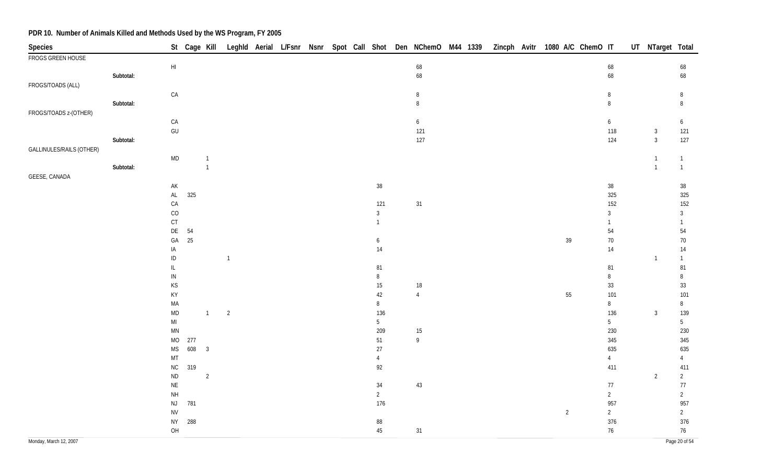| <b>Species</b>           |           |                                                              |       | St Cage Kill   |                |  |  |                  |                         |  |  | Leghld Aerial L/Fsnr Nsnr Spot Call Shot Den NChemO M44 1339 Zincph Avitr 1080 A/C ChemO IT |                 | UT NTarget Total             |                 |
|--------------------------|-----------|--------------------------------------------------------------|-------|----------------|----------------|--|--|------------------|-------------------------|--|--|---------------------------------------------------------------------------------------------|-----------------|------------------------------|-----------------|
| FROGS GREEN HOUSE        |           |                                                              |       |                |                |  |  |                  |                         |  |  |                                                                                             |                 |                              |                 |
|                          |           | $\mathsf{HI}$                                                |       |                |                |  |  |                  | 68                      |  |  |                                                                                             | $\sqrt{68}$     |                              | 68              |
|                          | Subtotal: |                                                              |       |                |                |  |  |                  | 68                      |  |  |                                                                                             | 68              |                              | 68              |
| FROGS/TOADS (ALL)        |           |                                                              |       |                |                |  |  |                  |                         |  |  |                                                                                             |                 |                              |                 |
|                          |           | ${\sf CA}$                                                   |       |                |                |  |  |                  | $\, 8$                  |  |  |                                                                                             | 8               |                              | 8               |
|                          | Subtotal: |                                                              |       |                |                |  |  |                  | $\, 8$                  |  |  |                                                                                             | $\, 8$          |                              | $\, 8$          |
| FROGS/TOADS z-(OTHER)    |           |                                                              |       |                |                |  |  |                  |                         |  |  |                                                                                             |                 |                              |                 |
|                          |           | CA<br>$\mathsf{GU}% _{\mathsf{C}}^{\mathsf{C}}(\mathcal{A})$ |       |                |                |  |  |                  | $\boldsymbol{6}$<br>121 |  |  |                                                                                             | 6<br>118        |                              | 6<br>121        |
|                          | Subtotal: |                                                              |       |                |                |  |  |                  | 127                     |  |  |                                                                                             | 124             | $\mathbf{3}$<br>$\mathbf{3}$ | 127             |
| GALLINULES/RAILS (OTHER) |           |                                                              |       |                |                |  |  |                  |                         |  |  |                                                                                             |                 |                              |                 |
|                          |           | $\mathsf{MD}$                                                |       |                |                |  |  |                  |                         |  |  |                                                                                             |                 | $\mathbf{1}$                 | $\mathbf{1}$    |
|                          | Subtotal: |                                                              |       | $\overline{1}$ |                |  |  |                  |                         |  |  |                                                                                             |                 | $\overline{1}$               | $\mathbf{1}$    |
| GEESE, CANADA            |           |                                                              |       |                |                |  |  |                  |                         |  |  |                                                                                             |                 |                              |                 |
|                          |           | AK                                                           |       |                |                |  |  | 38               |                         |  |  |                                                                                             | $38\,$          |                              | $38\,$          |
|                          |           | $\mathsf{AL}$                                                | 325   |                |                |  |  |                  |                         |  |  |                                                                                             | 325             |                              | 325             |
|                          |           | ${\sf CA}$                                                   |       |                |                |  |  | 121              | 31                      |  |  |                                                                                             | 152             |                              | 152             |
|                          |           | $\rm CO$                                                     |       |                |                |  |  | $\mathbf{3}$     |                         |  |  |                                                                                             | $\mathbf{3}$    |                              | $\mathbf{3}$    |
|                          |           | CT                                                           |       |                |                |  |  | $\overline{1}$   |                         |  |  |                                                                                             | $\mathbf{1}$    |                              | $\mathbf{1}$    |
|                          |           | $\mathsf{D}\mathsf{E}$                                       | 54    |                |                |  |  |                  |                         |  |  |                                                                                             | 54              |                              | 54              |
|                          |           | $\mathsf{GA}$                                                | 25    |                |                |  |  | $\boldsymbol{6}$ |                         |  |  | $39\,$                                                                                      | $70\,$          |                              | 70              |
|                          |           | IA                                                           |       |                |                |  |  | 14               |                         |  |  |                                                                                             | 14              |                              | 14              |
|                          |           | $\sf ID$                                                     |       |                | $\mathbf{1}$   |  |  |                  |                         |  |  |                                                                                             |                 | $\mathbf{1}$                 | $\mathbf{1}$    |
|                          |           | IL                                                           |       |                |                |  |  | 81               |                         |  |  |                                                                                             | $81\,$          |                              | 81              |
|                          |           | ${\sf IN}$                                                   |       |                |                |  |  | $\, 8$           |                         |  |  |                                                                                             | $\, 8$          |                              | $\, 8$          |
|                          |           | $\mathsf{KS}% _{\mathsf{K}}^{(k)}$                           |       |                |                |  |  | $15\,$           | $18\,$                  |  |  |                                                                                             | 33              |                              | $33\,$          |
|                          |           | KY                                                           |       |                |                |  |  | 42               | $\overline{4}$          |  |  | $55\,$                                                                                      | 101             |                              | 101             |
|                          |           | MA                                                           |       | $\overline{1}$ |                |  |  | $\, 8$<br>136    |                         |  |  |                                                                                             | $\,8\,$<br>136  |                              | $\,8\,$<br>139  |
|                          |           | $\mathsf{MD}$<br>$\mathsf{MI}$                               |       |                | $\overline{2}$ |  |  | $5\phantom{.0}$  |                         |  |  |                                                                                             | $5\phantom{.0}$ | 3                            | $5\phantom{.0}$ |
|                          |           | $\mathsf{M}\mathsf{N}$                                       |       |                |                |  |  | 209              | 15                      |  |  |                                                                                             | 230             |                              | 230             |
|                          |           | MO                                                           | 277   |                |                |  |  | $51\,$           | $\,9$                   |  |  |                                                                                             | 345             |                              | 345             |
|                          |           | $\mathsf{MS}\xspace$                                         | 608 3 |                |                |  |  | $27\,$           |                         |  |  |                                                                                             | 635             |                              | 635             |
|                          |           | MT                                                           |       |                |                |  |  | $\overline{4}$   |                         |  |  |                                                                                             | $\overline{4}$  |                              | $\overline{4}$  |
|                          |           | ${\sf NC}$                                                   | 319   |                |                |  |  | 92               |                         |  |  |                                                                                             | 411             |                              | 411             |
|                          |           | <b>ND</b>                                                    |       | $\overline{2}$ |                |  |  |                  |                         |  |  |                                                                                             |                 | $\overline{2}$               | $\overline{2}$  |
|                          |           | $\sf NE$                                                     |       |                |                |  |  | 34               | 43                      |  |  |                                                                                             | $77$            |                              | $77\,$          |
|                          |           | $\mathsf{NH}\,$                                              |       |                |                |  |  | $\overline{2}$   |                         |  |  |                                                                                             | $\overline{2}$  |                              | $\overline{2}$  |
|                          |           | $\mathsf{NJ}$                                                | 781   |                |                |  |  | 176              |                         |  |  |                                                                                             | 957             |                              | 957             |
|                          |           | ${\sf NV}$                                                   |       |                |                |  |  |                  |                         |  |  | $\overline{2}$                                                                              | $\overline{2}$  |                              | $\overline{2}$  |
|                          |           | <b>NY</b>                                                    | 288   |                |                |  |  | $88\,$           |                         |  |  |                                                                                             | 376             |                              | 376             |
|                          |           | OH                                                           |       |                |                |  |  | $45\,$           | 31                      |  |  |                                                                                             | 76              |                              | 76              |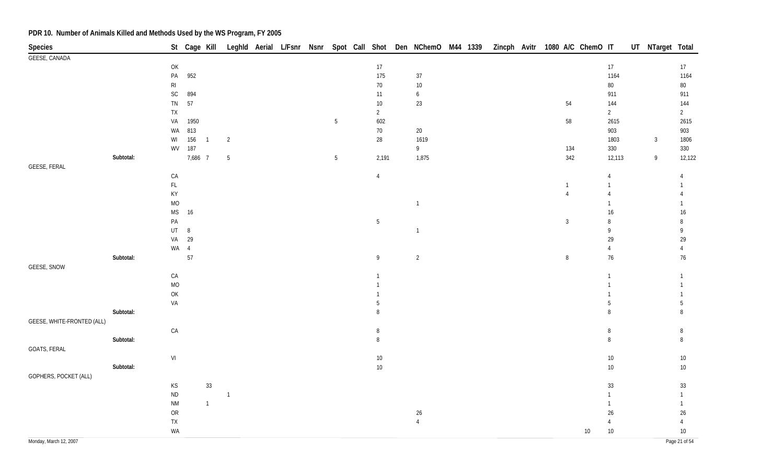| St Cage Kill Leghld Aerial L/Fsnr Nsnr Spot Call Shot Den NChemO M44 1339 Zincph Avitr 1080 A/C ChemO IT<br>Species |                 | UT NTarget Total         |
|---------------------------------------------------------------------------------------------------------------------|-----------------|--------------------------|
| GEESE, CANADA                                                                                                       |                 |                          |
| $17$<br>OK                                                                                                          | 17              | 17                       |
| 175<br>$\mathsf{PA}$<br>952<br>$37\,$<br>R <sub>l</sub><br>$70\,$<br>$10\,$                                         | 1164<br>$80\,$  | 1164<br>$80\,$           |
| SC<br>894<br>11<br>$\boldsymbol{6}$                                                                                 | 911             | 911                      |
| 57<br>${\sf TN}$<br>$10\,$<br>$23\,$<br>54                                                                          | 144             | 144                      |
| ${\sf TX}$<br>$\overline{2}$                                                                                        | $\overline{2}$  | $2\overline{ }$          |
| 1950<br>$\sqrt{5}$<br>602<br>58<br>VA                                                                               | 2615            | 2615                     |
| 813<br>$70\,$<br>$20\,$<br>WA                                                                                       | 903             | 903                      |
| 156<br>$28\,$<br>1619<br>$\overline{c}$<br>WI<br>$\overline{1}$                                                     | 1803            | $\overline{3}$<br>1806   |
| 187<br>$9\phantom{.0}$<br>134<br>WV                                                                                 | 330             | 330                      |
| 7,686 7<br>Subtotal:<br>$\sqrt{5}$<br>2,191<br>1,875<br>342<br>$5\phantom{.0}$                                      | 12,113          | 12,122<br>9              |
| GEESE, FERAL                                                                                                        |                 |                          |
| ${\sf CA}$<br>$\overline{4}$                                                                                        | $\overline{4}$  | $\overline{4}$           |
| $\mathsf{FL}$<br>$\overline{1}$                                                                                     | $\mathbf{1}$    | $\mathbf{1}$             |
| KY<br>$\overline{4}$<br>$\overline{1}$                                                                              | $\overline{4}$  | 4<br>1                   |
| <b>MO</b><br>$\mathsf{MS}$<br>16                                                                                    | 1<br>$16$       | $16\,$                   |
| $\mathsf{PA}$<br>$5\,$<br>$\mathbf{3}$                                                                              | 8               | 8                        |
| $UT \t 8$<br>$\overline{1}$                                                                                         | 9               | 9                        |
| 29<br>VA                                                                                                            | 29              | 29                       |
| WA 4                                                                                                                | $\overline{4}$  | $\overline{4}$           |
| 57<br>$\overline{2}$<br>Subtotal:<br>$\boldsymbol{9}$<br>$\, 8$                                                     | 76              | $76\,$                   |
| GEESE, SNOW                                                                                                         |                 |                          |
| CA<br>$\mathbf{1}$                                                                                                  | 1               | $\mathbf{1}$             |
| $MO$<br>$\mathbf{1}$                                                                                                | 1               | $\mathbf{1}$             |
| OK                                                                                                                  |                 | $\mathbf{1}$             |
| VA<br>5                                                                                                             | 5<br>8          | $\overline{5}$           |
| Subtotal:<br>8<br>GEESE, WHITE-FRONTED (ALL)                                                                        |                 | 8                        |
| ${\sf CA}$<br>$\, 8$                                                                                                | $\, 8$          | 8                        |
| Subtotal:<br>$\,8\,$                                                                                                | $\, 8$          | $\, 8$                   |
| GOATS, FERAL                                                                                                        |                 |                          |
| $\ensuremath{\mathsf{VI}}\xspace$<br>$10\,$                                                                         | $10\,$          | $10\,$                   |
| Subtotal:<br>$10\,$                                                                                                 | $10\,$          | $10\,$                   |
| GOPHERS, POCKET (ALL)                                                                                               |                 |                          |
| $33\,$<br>$\mathsf{KS}% _{\mathsf{K}}^{(k)}$                                                                        | $33\,$          | 33                       |
| $\sf ND$<br>$\overline{1}$                                                                                          | $\mathbf{1}$    | $\mathbf{1}$             |
| $\mathsf{N}\mathsf{M}$<br>$\mathbf{1}$                                                                              | $\mathbf{1}$    | $\mathbf{1}$             |
| OR<br>26                                                                                                            | $26\phantom{.}$ | $26\,$                   |
| ${\sf TX}$<br>$\overline{4}$<br>WA                                                                                  | 4<br>$10\,$     | $\overline{4}$<br>$10\,$ |
| Monday, March 12, 2007                                                                                              | $10\,$          | Page 21 of 54            |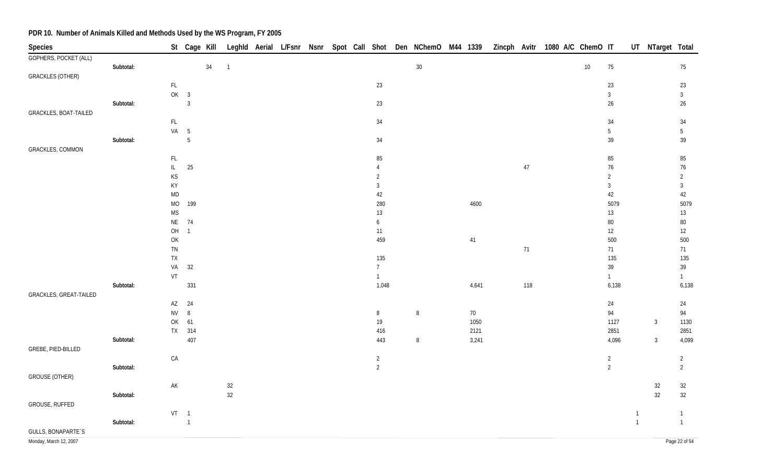| Zincph Avitr 1080 A/C ChemO IT<br>UT NTarget Total<br>Leghld Aerial L/Fsnr Nsnr Spot Call Shot Den NChemO M44 1339<br>Species<br>St Cage Kill<br>GOPHERS, POCKET (ALL)<br>$30\,$<br>Subtotal:<br>34<br>$10\,$<br>75<br>75<br>$\sqrt{1}$<br><b>GRACKLES (OTHER)</b><br>$\mathsf{FL}$<br>23<br>23<br>23<br>OK<br>$\overline{\mathbf{3}}$<br>$\mathbf{3}$<br>$\mathbf{3}$<br>$\mathbf{3}$<br>23<br>$26\,$<br>$26\,$<br>Subtotal:<br>GRACKLES, BOAT-TAILED<br>$\mathsf{FL}{}$<br>34<br>34<br>34<br>VA 5<br>$5\,$<br>$5\phantom{.0}$<br>$5\,$<br>34<br>39<br>39<br>Subtotal:<br>GRACKLES, COMMON<br>$\mathsf{FL}$<br>85<br>$85\,$<br>$85\,$<br>$25\,$<br>$\mathsf{IL}^-$<br>$47\,$<br>$76$<br>$76\,$<br>4<br>KS<br>2<br>$\overline{2}$<br>$\overline{2}$<br>KY<br>$\mathbf{3}$<br>$\overline{3}$<br>$\mathbf{3}$<br>MD<br>42<br>42<br>42<br>$\rm MO$<br>199<br>280<br>4600<br>5079<br>5079<br><b>MS</b><br>$13$<br>$13\,$<br>$13\,$<br>NE<br>74<br>$\boldsymbol{6}$<br>$80\,$<br>$80\,$<br>OH<br>$\overline{1}$<br>11<br>12<br>12<br>OK<br>459<br>500<br>500<br>$41$<br>$71\,$<br>71<br>${\sf TN}$<br>71<br>135<br>135<br>135<br>${\sf TX}$<br>32<br>$39$<br>39<br>VA<br>$7\overline{ }$<br>VT<br>$\mathbf{1}$<br>$\mathbf{1}$<br>$\mathbf{1}$<br>331<br>Subtotal:<br>1,048<br>4,641<br>118<br>6,138<br>6,138<br>GRACKLES, GREAT-TAILED<br>AZ<br>24<br>24<br>24<br><b>NV</b><br>$\,8\,$<br>94<br>70<br>94<br>$8\phantom{.0}$<br>$\, 8$<br>61<br>19<br>1050<br>OK<br>1127<br>1130<br>$\overline{3}$ |
|-----------------------------------------------------------------------------------------------------------------------------------------------------------------------------------------------------------------------------------------------------------------------------------------------------------------------------------------------------------------------------------------------------------------------------------------------------------------------------------------------------------------------------------------------------------------------------------------------------------------------------------------------------------------------------------------------------------------------------------------------------------------------------------------------------------------------------------------------------------------------------------------------------------------------------------------------------------------------------------------------------------------------------------------------------------------------------------------------------------------------------------------------------------------------------------------------------------------------------------------------------------------------------------------------------------------------------------------------------------------------------------------------------------------------------------------------------------------------------------------------|
|                                                                                                                                                                                                                                                                                                                                                                                                                                                                                                                                                                                                                                                                                                                                                                                                                                                                                                                                                                                                                                                                                                                                                                                                                                                                                                                                                                                                                                                                                               |
|                                                                                                                                                                                                                                                                                                                                                                                                                                                                                                                                                                                                                                                                                                                                                                                                                                                                                                                                                                                                                                                                                                                                                                                                                                                                                                                                                                                                                                                                                               |
|                                                                                                                                                                                                                                                                                                                                                                                                                                                                                                                                                                                                                                                                                                                                                                                                                                                                                                                                                                                                                                                                                                                                                                                                                                                                                                                                                                                                                                                                                               |
|                                                                                                                                                                                                                                                                                                                                                                                                                                                                                                                                                                                                                                                                                                                                                                                                                                                                                                                                                                                                                                                                                                                                                                                                                                                                                                                                                                                                                                                                                               |
|                                                                                                                                                                                                                                                                                                                                                                                                                                                                                                                                                                                                                                                                                                                                                                                                                                                                                                                                                                                                                                                                                                                                                                                                                                                                                                                                                                                                                                                                                               |
|                                                                                                                                                                                                                                                                                                                                                                                                                                                                                                                                                                                                                                                                                                                                                                                                                                                                                                                                                                                                                                                                                                                                                                                                                                                                                                                                                                                                                                                                                               |
|                                                                                                                                                                                                                                                                                                                                                                                                                                                                                                                                                                                                                                                                                                                                                                                                                                                                                                                                                                                                                                                                                                                                                                                                                                                                                                                                                                                                                                                                                               |
|                                                                                                                                                                                                                                                                                                                                                                                                                                                                                                                                                                                                                                                                                                                                                                                                                                                                                                                                                                                                                                                                                                                                                                                                                                                                                                                                                                                                                                                                                               |
|                                                                                                                                                                                                                                                                                                                                                                                                                                                                                                                                                                                                                                                                                                                                                                                                                                                                                                                                                                                                                                                                                                                                                                                                                                                                                                                                                                                                                                                                                               |
|                                                                                                                                                                                                                                                                                                                                                                                                                                                                                                                                                                                                                                                                                                                                                                                                                                                                                                                                                                                                                                                                                                                                                                                                                                                                                                                                                                                                                                                                                               |
|                                                                                                                                                                                                                                                                                                                                                                                                                                                                                                                                                                                                                                                                                                                                                                                                                                                                                                                                                                                                                                                                                                                                                                                                                                                                                                                                                                                                                                                                                               |
|                                                                                                                                                                                                                                                                                                                                                                                                                                                                                                                                                                                                                                                                                                                                                                                                                                                                                                                                                                                                                                                                                                                                                                                                                                                                                                                                                                                                                                                                                               |
|                                                                                                                                                                                                                                                                                                                                                                                                                                                                                                                                                                                                                                                                                                                                                                                                                                                                                                                                                                                                                                                                                                                                                                                                                                                                                                                                                                                                                                                                                               |
|                                                                                                                                                                                                                                                                                                                                                                                                                                                                                                                                                                                                                                                                                                                                                                                                                                                                                                                                                                                                                                                                                                                                                                                                                                                                                                                                                                                                                                                                                               |
|                                                                                                                                                                                                                                                                                                                                                                                                                                                                                                                                                                                                                                                                                                                                                                                                                                                                                                                                                                                                                                                                                                                                                                                                                                                                                                                                                                                                                                                                                               |
|                                                                                                                                                                                                                                                                                                                                                                                                                                                                                                                                                                                                                                                                                                                                                                                                                                                                                                                                                                                                                                                                                                                                                                                                                                                                                                                                                                                                                                                                                               |
|                                                                                                                                                                                                                                                                                                                                                                                                                                                                                                                                                                                                                                                                                                                                                                                                                                                                                                                                                                                                                                                                                                                                                                                                                                                                                                                                                                                                                                                                                               |
|                                                                                                                                                                                                                                                                                                                                                                                                                                                                                                                                                                                                                                                                                                                                                                                                                                                                                                                                                                                                                                                                                                                                                                                                                                                                                                                                                                                                                                                                                               |
|                                                                                                                                                                                                                                                                                                                                                                                                                                                                                                                                                                                                                                                                                                                                                                                                                                                                                                                                                                                                                                                                                                                                                                                                                                                                                                                                                                                                                                                                                               |
|                                                                                                                                                                                                                                                                                                                                                                                                                                                                                                                                                                                                                                                                                                                                                                                                                                                                                                                                                                                                                                                                                                                                                                                                                                                                                                                                                                                                                                                                                               |
|                                                                                                                                                                                                                                                                                                                                                                                                                                                                                                                                                                                                                                                                                                                                                                                                                                                                                                                                                                                                                                                                                                                                                                                                                                                                                                                                                                                                                                                                                               |
|                                                                                                                                                                                                                                                                                                                                                                                                                                                                                                                                                                                                                                                                                                                                                                                                                                                                                                                                                                                                                                                                                                                                                                                                                                                                                                                                                                                                                                                                                               |
|                                                                                                                                                                                                                                                                                                                                                                                                                                                                                                                                                                                                                                                                                                                                                                                                                                                                                                                                                                                                                                                                                                                                                                                                                                                                                                                                                                                                                                                                                               |
|                                                                                                                                                                                                                                                                                                                                                                                                                                                                                                                                                                                                                                                                                                                                                                                                                                                                                                                                                                                                                                                                                                                                                                                                                                                                                                                                                                                                                                                                                               |
|                                                                                                                                                                                                                                                                                                                                                                                                                                                                                                                                                                                                                                                                                                                                                                                                                                                                                                                                                                                                                                                                                                                                                                                                                                                                                                                                                                                                                                                                                               |
|                                                                                                                                                                                                                                                                                                                                                                                                                                                                                                                                                                                                                                                                                                                                                                                                                                                                                                                                                                                                                                                                                                                                                                                                                                                                                                                                                                                                                                                                                               |
|                                                                                                                                                                                                                                                                                                                                                                                                                                                                                                                                                                                                                                                                                                                                                                                                                                                                                                                                                                                                                                                                                                                                                                                                                                                                                                                                                                                                                                                                                               |
|                                                                                                                                                                                                                                                                                                                                                                                                                                                                                                                                                                                                                                                                                                                                                                                                                                                                                                                                                                                                                                                                                                                                                                                                                                                                                                                                                                                                                                                                                               |
|                                                                                                                                                                                                                                                                                                                                                                                                                                                                                                                                                                                                                                                                                                                                                                                                                                                                                                                                                                                                                                                                                                                                                                                                                                                                                                                                                                                                                                                                                               |
|                                                                                                                                                                                                                                                                                                                                                                                                                                                                                                                                                                                                                                                                                                                                                                                                                                                                                                                                                                                                                                                                                                                                                                                                                                                                                                                                                                                                                                                                                               |
| TX 314<br>416<br>2121<br>2851<br>2851                                                                                                                                                                                                                                                                                                                                                                                                                                                                                                                                                                                                                                                                                                                                                                                                                                                                                                                                                                                                                                                                                                                                                                                                                                                                                                                                                                                                                                                         |
| 407<br>443<br>3,241<br>4,096<br>4,099<br>Subtotal:<br>$\, 8$<br>$\mathbf{3}$                                                                                                                                                                                                                                                                                                                                                                                                                                                                                                                                                                                                                                                                                                                                                                                                                                                                                                                                                                                                                                                                                                                                                                                                                                                                                                                                                                                                                  |
| GREBE, PIED-BILLED                                                                                                                                                                                                                                                                                                                                                                                                                                                                                                                                                                                                                                                                                                                                                                                                                                                                                                                                                                                                                                                                                                                                                                                                                                                                                                                                                                                                                                                                            |
| ${\sf CA}$<br>$\overline{c}$<br>$\overline{2}$<br>$\overline{2}$                                                                                                                                                                                                                                                                                                                                                                                                                                                                                                                                                                                                                                                                                                                                                                                                                                                                                                                                                                                                                                                                                                                                                                                                                                                                                                                                                                                                                              |
| $\overline{2}$<br>$\overline{2}$<br>Subtotal:<br>$\overline{2}$                                                                                                                                                                                                                                                                                                                                                                                                                                                                                                                                                                                                                                                                                                                                                                                                                                                                                                                                                                                                                                                                                                                                                                                                                                                                                                                                                                                                                               |
| <b>GROUSE (OTHER)</b>                                                                                                                                                                                                                                                                                                                                                                                                                                                                                                                                                                                                                                                                                                                                                                                                                                                                                                                                                                                                                                                                                                                                                                                                                                                                                                                                                                                                                                                                         |
| $\mathsf{AK}$<br>32<br>$32\,$<br>32                                                                                                                                                                                                                                                                                                                                                                                                                                                                                                                                                                                                                                                                                                                                                                                                                                                                                                                                                                                                                                                                                                                                                                                                                                                                                                                                                                                                                                                           |
| 32<br>$32\,$<br>32<br>Subtotal:                                                                                                                                                                                                                                                                                                                                                                                                                                                                                                                                                                                                                                                                                                                                                                                                                                                                                                                                                                                                                                                                                                                                                                                                                                                                                                                                                                                                                                                               |
| GROUSE, RUFFED                                                                                                                                                                                                                                                                                                                                                                                                                                                                                                                                                                                                                                                                                                                                                                                                                                                                                                                                                                                                                                                                                                                                                                                                                                                                                                                                                                                                                                                                                |
| $VT \t1$<br>$\overline{1}$<br>$\overline{1}$                                                                                                                                                                                                                                                                                                                                                                                                                                                                                                                                                                                                                                                                                                                                                                                                                                                                                                                                                                                                                                                                                                                                                                                                                                                                                                                                                                                                                                                  |
| $\overline{1}$<br>$\mathbf{1}$<br>$\overline{1}$<br>Subtotal:                                                                                                                                                                                                                                                                                                                                                                                                                                                                                                                                                                                                                                                                                                                                                                                                                                                                                                                                                                                                                                                                                                                                                                                                                                                                                                                                                                                                                                 |
| GULLS, BONAPARTE'S                                                                                                                                                                                                                                                                                                                                                                                                                                                                                                                                                                                                                                                                                                                                                                                                                                                                                                                                                                                                                                                                                                                                                                                                                                                                                                                                                                                                                                                                            |
| Page 22 of 54<br>Monday, March 12, 2007                                                                                                                                                                                                                                                                                                                                                                                                                                                                                                                                                                                                                                                                                                                                                                                                                                                                                                                                                                                                                                                                                                                                                                                                                                                                                                                                                                                                                                                       |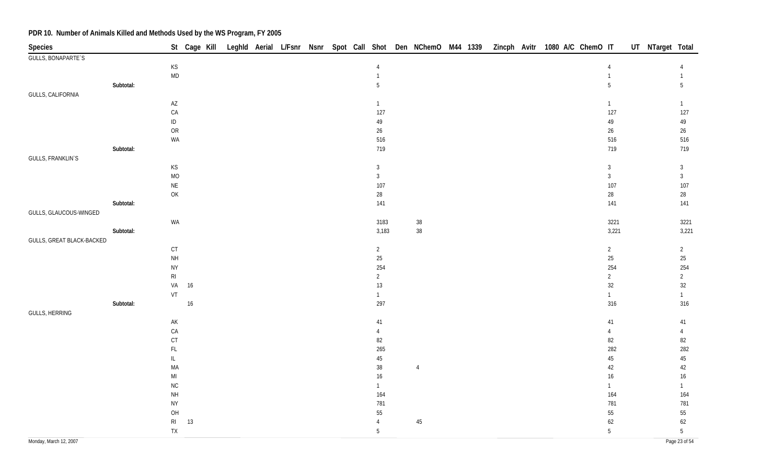| Species                   |           |                                                                   |    |  |  |  |                |                |  |  | St Cage Kill Leghld Aerial L/Fsnr Nsnr Spot Call Shot Den NChemO M44 1339 Zincph Avitr 1080 A/C ChemO IT |                | UT NTarget Total |                 |
|---------------------------|-----------|-------------------------------------------------------------------|----|--|--|--|----------------|----------------|--|--|----------------------------------------------------------------------------------------------------------|----------------|------------------|-----------------|
| GULLS, BONAPARTE'S        |           |                                                                   |    |  |  |  |                |                |  |  |                                                                                                          |                |                  |                 |
|                           |           | $\mathsf{KS}% _{\mathsf{K}}^{\mathsf{K}}\left( \mathsf{K}\right)$ |    |  |  |  | $\overline{4}$ |                |  |  | 4                                                                                                        |                |                  | 4               |
|                           |           | <b>MD</b>                                                         |    |  |  |  | $\mathbf{1}$   |                |  |  | $\overline{1}$                                                                                           |                |                  | $\mathbf{1}$    |
|                           | Subtotal: |                                                                   |    |  |  |  | 5              |                |  |  | 5                                                                                                        |                |                  | 5               |
| GULLS, CALIFORNIA         |           |                                                                   |    |  |  |  |                |                |  |  |                                                                                                          |                |                  |                 |
|                           |           | $\mathsf{A}\mathsf{Z}$                                            |    |  |  |  | $\mathbf{1}$   |                |  |  |                                                                                                          | $\mathbf{1}$   |                  | $\mathbf{1}$    |
|                           |           | ${\sf CA}$                                                        |    |  |  |  | 127            |                |  |  |                                                                                                          | 127            |                  | 127             |
|                           |           | $\sf ID$                                                          |    |  |  |  | 49             |                |  |  |                                                                                                          | 49             |                  | 49              |
|                           |           | OR<br>WA                                                          |    |  |  |  | $26\,$<br>516  |                |  |  |                                                                                                          | $26\,$<br>516  |                  | 26<br>516       |
|                           | Subtotal: |                                                                   |    |  |  |  | 719            |                |  |  |                                                                                                          | 719            |                  | 719             |
| GULLS, FRANKLIN'S         |           |                                                                   |    |  |  |  |                |                |  |  |                                                                                                          |                |                  |                 |
|                           |           | KS                                                                |    |  |  |  | $\mathbf{3}$   |                |  |  |                                                                                                          | $\mathbf{3}$   |                  | $\mathbf{3}$    |
|                           |           | <b>MO</b>                                                         |    |  |  |  | $\mathbf{3}$   |                |  |  |                                                                                                          | $\mathbf{3}$   |                  | $\mathbf{3}$    |
|                           |           | $\mathsf{NE}\xspace$                                              |    |  |  |  | 107            |                |  |  |                                                                                                          | 107            |                  | 107             |
|                           |           | OK                                                                |    |  |  |  | 28             |                |  |  |                                                                                                          | 28             |                  | 28              |
|                           | Subtotal: |                                                                   |    |  |  |  | 141            |                |  |  |                                                                                                          | 141            |                  | 141             |
| GULLS, GLAUCOUS-WINGED    |           |                                                                   |    |  |  |  |                |                |  |  |                                                                                                          |                |                  |                 |
|                           |           | WA                                                                |    |  |  |  | 3183           | $38\,$         |  |  |                                                                                                          | 3221           |                  | 3221            |
|                           | Subtotal: |                                                                   |    |  |  |  | 3,183          | $38\,$         |  |  |                                                                                                          | 3,221          |                  | 3,221           |
| GULLS, GREAT BLACK-BACKED |           |                                                                   |    |  |  |  |                |                |  |  |                                                                                                          |                |                  |                 |
|                           |           | CT                                                                |    |  |  |  | $\overline{2}$ |                |  |  |                                                                                                          | $\overline{2}$ |                  | $\overline{2}$  |
|                           |           | $\mathsf{NH}\,$                                                   |    |  |  |  | $25\,$         |                |  |  |                                                                                                          | $25\,$         |                  | $25\,$          |
|                           |           | <b>NY</b>                                                         |    |  |  |  | 254            |                |  |  |                                                                                                          | 254            |                  | 254             |
|                           |           | $\mathsf{RI}$                                                     |    |  |  |  | $\overline{2}$ |                |  |  |                                                                                                          | $\overline{2}$ |                  | $\overline{2}$  |
|                           |           | VA                                                                | 16 |  |  |  | 13             |                |  |  |                                                                                                          | 32             |                  | 32              |
|                           |           | VT                                                                |    |  |  |  | $\mathbf{1}$   |                |  |  |                                                                                                          | $\overline{1}$ |                  | $\mathbf{1}$    |
|                           | Subtotal: |                                                                   | 16 |  |  |  | 297            |                |  |  |                                                                                                          | 316            |                  | 316             |
| GULLS, HERRING            |           | AK                                                                |    |  |  |  | $41\,$         |                |  |  |                                                                                                          | $41\,$         |                  | 41              |
|                           |           | ${\sf CA}$                                                        |    |  |  |  | $\overline{4}$ |                |  |  |                                                                                                          | 4              |                  | $\overline{4}$  |
|                           |           | $C$ T                                                             |    |  |  |  | 82             |                |  |  |                                                                                                          | 82             |                  | 82              |
|                           |           | $\mathsf{FL}$                                                     |    |  |  |  | 265            |                |  |  |                                                                                                          | 282            |                  | 282             |
|                           |           | $\mathsf{IL}$                                                     |    |  |  |  | 45             |                |  |  |                                                                                                          | $45\,$         |                  | 45              |
|                           |           | MA                                                                |    |  |  |  | 38             | $\overline{4}$ |  |  |                                                                                                          | 42             |                  | 42              |
|                           |           | $\mathsf{MI}$                                                     |    |  |  |  | 16             |                |  |  |                                                                                                          | $16\,$         |                  | $16\phantom{.}$ |
|                           |           | ${\sf NC}$                                                        |    |  |  |  | $\mathbf{1}$   |                |  |  |                                                                                                          | $\mathbf{1}$   |                  | $\mathbf{1}$    |
|                           |           | $\mathsf{NH}\,$                                                   |    |  |  |  | 164            |                |  |  |                                                                                                          | 164            |                  | 164             |
|                           |           | <b>NY</b>                                                         |    |  |  |  | 781            |                |  |  |                                                                                                          | 781            |                  | 781             |
|                           |           | O <sub>H</sub>                                                    |    |  |  |  | 55             |                |  |  |                                                                                                          | $55\,$         |                  | 55              |
|                           |           | $\mathsf{RI}$                                                     | 13 |  |  |  | $\overline{4}$ | $45\,$         |  |  |                                                                                                          | 62             |                  | 62              |
|                           |           | TX                                                                |    |  |  |  | 5              |                |  |  |                                                                                                          | 5              |                  | 5               |
| Monday, March 12, 2007    |           |                                                                   |    |  |  |  |                |                |  |  |                                                                                                          |                |                  | Page 23 of 54   |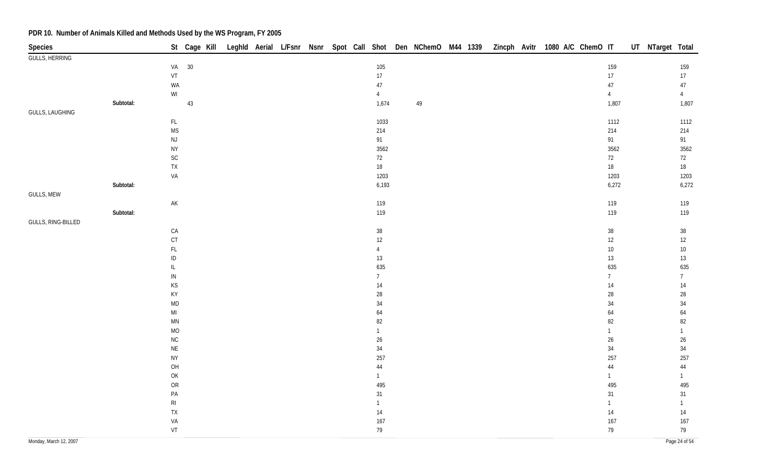| Species                |           |                                                                         |       |  |  |  |                      |    |  |  | St Cage Kill Leghld Aerial L/Fsnr Nsnr Spot Call Shot Den NChemO M44 1339 Zincph Avitr 1080 A/C ChemO IT |                        | UT NTarget Total |                      |
|------------------------|-----------|-------------------------------------------------------------------------|-------|--|--|--|----------------------|----|--|--|----------------------------------------------------------------------------------------------------------|------------------------|------------------|----------------------|
| <b>GULLS, HERRING</b>  |           |                                                                         |       |  |  |  |                      |    |  |  |                                                                                                          |                        |                  |                      |
|                        |           |                                                                         | VA 30 |  |  |  | 105                  |    |  |  |                                                                                                          | 159                    |                  | 159                  |
|                        |           | ${\sf VT}$                                                              |       |  |  |  | $17\,$               |    |  |  |                                                                                                          | $17\,$                 |                  | $17\phantom{.0}$     |
|                        |           | WA                                                                      |       |  |  |  | 47                   |    |  |  |                                                                                                          | $47\,$                 |                  | $47\,$               |
|                        |           | $\mathsf{W}\mathsf{I}$                                                  |       |  |  |  | $\overline{4}$       |    |  |  |                                                                                                          | $\overline{4}$         |                  | $4\overline{ }$      |
|                        | Subtotal: |                                                                         | 43    |  |  |  | 1,674                | 49 |  |  |                                                                                                          | 1,807                  |                  | 1,807                |
| <b>GULLS, LAUGHING</b> |           |                                                                         |       |  |  |  |                      |    |  |  |                                                                                                          |                        |                  |                      |
|                        |           | $\mathsf{FL}$                                                           |       |  |  |  | 1033                 |    |  |  |                                                                                                          | 1112                   |                  | 1112                 |
|                        |           | <b>MS</b>                                                               |       |  |  |  | 214                  |    |  |  |                                                                                                          | 214                    |                  | 214                  |
|                        |           | $\mathsf{NJ}$                                                           |       |  |  |  | 91                   |    |  |  |                                                                                                          | 91                     |                  | 91                   |
|                        |           | <b>NY</b>                                                               |       |  |  |  | 3562                 |    |  |  |                                                                                                          | 3562                   |                  | 3562                 |
|                        |           | $\mathsf{SC}$                                                           |       |  |  |  | 72                   |    |  |  |                                                                                                          | 72                     |                  | 72                   |
|                        |           | ${\sf TX}$                                                              |       |  |  |  | $18\,$               |    |  |  |                                                                                                          | $18\,$                 |                  | 18                   |
|                        |           | VA                                                                      |       |  |  |  | 1203                 |    |  |  |                                                                                                          | 1203                   |                  | 1203                 |
|                        | Subtotal: |                                                                         |       |  |  |  | 6,193                |    |  |  |                                                                                                          | 6,272                  |                  | 6,272                |
| GULLS, MEW             |           |                                                                         |       |  |  |  |                      |    |  |  |                                                                                                          |                        |                  |                      |
|                        |           | $\mathsf{AK}$                                                           |       |  |  |  | 119                  |    |  |  |                                                                                                          | 119                    |                  | 119                  |
|                        | Subtotal: |                                                                         |       |  |  |  | 119                  |    |  |  |                                                                                                          | 119                    |                  | 119                  |
| GULLS, RING-BILLED     |           |                                                                         |       |  |  |  |                      |    |  |  |                                                                                                          |                        |                  |                      |
|                        |           | ${\sf CA}$                                                              |       |  |  |  | $38\,$               |    |  |  |                                                                                                          | $38\,$                 |                  | $38\,$               |
|                        |           | CT                                                                      |       |  |  |  | $12 \overline{ }$    |    |  |  |                                                                                                          | 12                     |                  | $12\,$               |
|                        |           | $\mathsf{FL}$                                                           |       |  |  |  | $\overline{4}$       |    |  |  |                                                                                                          | $10\,$                 |                  | $10\,$               |
|                        |           | $\sf ID$                                                                |       |  |  |  | 13                   |    |  |  |                                                                                                          | $13\,$                 |                  | $13\,$               |
|                        |           | $\mathsf{L}% _{0}\left( t\right) \equiv\mathsf{L}_{0}\left( t\right) ,$ |       |  |  |  | 635                  |    |  |  |                                                                                                          | 635                    |                  | 635                  |
|                        |           | ${\sf IN}$                                                              |       |  |  |  | $7\overline{ }$      |    |  |  |                                                                                                          | $\overline{7}$         |                  | 7 <sup>7</sup>       |
|                        |           | $\mathsf{KS}% _{\mathsf{K}}^{\mathsf{K}}\left( \mathsf{K}\right)$       |       |  |  |  | $14\,$               |    |  |  |                                                                                                          | 14                     |                  | $14$                 |
|                        |           | KY                                                                      |       |  |  |  | $28\,$               |    |  |  |                                                                                                          | 28                     |                  | 28                   |
|                        |           | <b>MD</b>                                                               |       |  |  |  | $34\,$               |    |  |  |                                                                                                          | 34                     |                  | 34                   |
|                        |           | $\mathsf{M}\mathsf{I}$                                                  |       |  |  |  | 64                   |    |  |  |                                                                                                          | 64                     |                  | 64                   |
|                        |           | $\textsf{MN}$                                                           |       |  |  |  | 82                   |    |  |  |                                                                                                          | 82                     |                  | $82\,$               |
|                        |           | MO                                                                      |       |  |  |  | $\mathbf{1}$         |    |  |  |                                                                                                          | $\mathbf{1}$           |                  | $\mathbf{1}$         |
|                        |           | $\rm NC$                                                                |       |  |  |  | $26\,$               |    |  |  |                                                                                                          | $26\,$                 |                  | $26\,$               |
|                        |           | $\mathsf{NE}\xspace$                                                    |       |  |  |  | $34\,$               |    |  |  |                                                                                                          | 34                     |                  | 34                   |
|                        |           | <b>NY</b>                                                               |       |  |  |  | 257                  |    |  |  |                                                                                                          | 257                    |                  | 257                  |
|                        |           | OH                                                                      |       |  |  |  | $44\,$               |    |  |  |                                                                                                          | $44$                   |                  | $\bf 44$             |
|                        |           | OK                                                                      |       |  |  |  | $\mathbf{1}$         |    |  |  |                                                                                                          | $\mathbf{1}$           |                  | $\mathbf{1}$         |
|                        |           | OR<br>$\mathsf{PA}$                                                     |       |  |  |  | 495                  |    |  |  |                                                                                                          | 495                    |                  | 495                  |
|                        |           |                                                                         |       |  |  |  | 31<br>$\overline{1}$ |    |  |  |                                                                                                          | $31\,$<br>$\mathbf{1}$ |                  | $31$<br>$\mathbf{1}$ |
|                        |           | $\mathsf{RI}$                                                           |       |  |  |  |                      |    |  |  |                                                                                                          |                        |                  |                      |
|                        |           | ${\sf TX}$                                                              |       |  |  |  | 14                   |    |  |  |                                                                                                          | $14$                   |                  | $14\,$               |
|                        |           | VA<br>VT                                                                |       |  |  |  | 167                  |    |  |  |                                                                                                          | 167                    |                  | 167<br>79            |
|                        |           |                                                                         |       |  |  |  | 79                   |    |  |  |                                                                                                          | 79                     |                  |                      |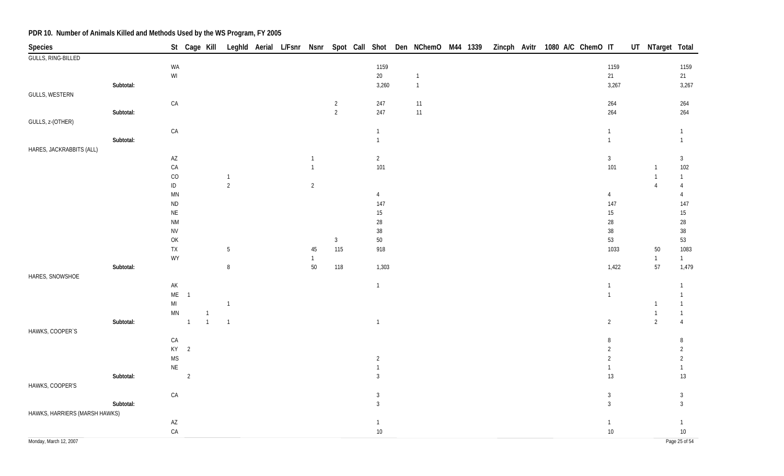| Species                       |           |                                                                                                             |                |                |                                |  |                |                |                       |                |  |  | St Cage Kill Leghld Aerial L/Fsnr Nsnr Spot Call Shot Den NChemO M44 1339 Zincph Avitr 1080 A/C ChemO IT |                       | UT NTarget Total |                       |
|-------------------------------|-----------|-------------------------------------------------------------------------------------------------------------|----------------|----------------|--------------------------------|--|----------------|----------------|-----------------------|----------------|--|--|----------------------------------------------------------------------------------------------------------|-----------------------|------------------|-----------------------|
| <b>GULLS, RING-BILLED</b>     |           |                                                                                                             |                |                |                                |  |                |                |                       |                |  |  |                                                                                                          |                       |                  |                       |
|                               |           | WA                                                                                                          |                |                |                                |  |                |                | 1159                  |                |  |  |                                                                                                          | 1159                  |                  | 1159                  |
|                               |           | $\mathsf{W}\mathsf{I}$                                                                                      |                |                |                                |  |                |                | $20\,$                | $\overline{1}$ |  |  |                                                                                                          | 21                    |                  | 21                    |
|                               | Subtotal: |                                                                                                             |                |                |                                |  |                |                | 3,260                 | $\mathbf 1$    |  |  |                                                                                                          | 3,267                 |                  | 3,267                 |
| <b>GULLS, WESTERN</b>         |           |                                                                                                             |                |                |                                |  |                |                |                       |                |  |  |                                                                                                          |                       |                  |                       |
|                               |           | ${\sf CA}$                                                                                                  |                |                |                                |  |                | $\overline{2}$ | 247                   | 11             |  |  |                                                                                                          | 264                   |                  | 264                   |
|                               | Subtotal: |                                                                                                             |                |                |                                |  |                | $\overline{2}$ | 247                   | 11             |  |  |                                                                                                          | 264                   |                  | 264                   |
| GULLS, z-(OTHER)              |           |                                                                                                             |                |                |                                |  |                |                |                       |                |  |  |                                                                                                          |                       |                  |                       |
|                               |           | ${\sf CA}$                                                                                                  |                |                |                                |  |                |                | $\mathbf{1}$          |                |  |  |                                                                                                          | $\mathbf{1}$          |                  | $\mathbf{1}$          |
|                               | Subtotal: |                                                                                                             |                |                |                                |  |                |                | $\overline{1}$        |                |  |  |                                                                                                          | $\mathbf{1}$          |                  | $\mathbf{1}$          |
| HARES, JACKRABBITS (ALL)      |           |                                                                                                             |                |                |                                |  |                |                |                       |                |  |  |                                                                                                          |                       |                  |                       |
|                               |           | $\mathsf{A}\mathsf{Z}$                                                                                      |                |                |                                |  | $\mathbf{1}$   |                | $\overline{2}$        |                |  |  |                                                                                                          | $\mathbf{3}$          |                  | $\mathbf{3}$          |
|                               |           | CA                                                                                                          |                |                |                                |  | $\mathbf{1}$   |                | 101                   |                |  |  |                                                                                                          | 101                   | $\overline{1}$   | 102                   |
|                               |           | $\rm CO$                                                                                                    |                |                | $\mathbf{1}$<br>$\overline{2}$ |  |                |                |                       |                |  |  |                                                                                                          |                       | $\mathbf{1}$     | $\mathbf{1}$          |
|                               |           | $\sf ID$                                                                                                    |                |                |                                |  | $\overline{2}$ |                |                       |                |  |  |                                                                                                          |                       | $\overline{4}$   | $\overline{4}$        |
|                               |           | $\mathsf{M}\mathsf{N}$<br>$\sf ND$                                                                          |                |                |                                |  |                |                | $\overline{4}$<br>147 |                |  |  |                                                                                                          | $\overline{4}$<br>147 |                  | $\overline{4}$<br>147 |
|                               |           | $\mathsf{NE}\xspace$                                                                                        |                |                |                                |  |                |                | $15\,$                |                |  |  |                                                                                                          | $15\,$                |                  | $15\,$                |
|                               |           | <b>NM</b>                                                                                                   |                |                |                                |  |                |                | 28                    |                |  |  |                                                                                                          | $28\,$                |                  | $28\,$                |
|                               |           | <b>NV</b>                                                                                                   |                |                |                                |  |                |                | $38\,$                |                |  |  |                                                                                                          | $38\,$                |                  | $38\,$                |
|                               |           | $\mathsf{OK}$                                                                                               |                |                |                                |  |                | $\mathbf{3}$   | $50\,$                |                |  |  |                                                                                                          | 53                    |                  | 53                    |
|                               |           | ${\sf TX}$                                                                                                  |                |                | $5\phantom{.0}$                |  | 45             | 115            | 918                   |                |  |  |                                                                                                          | 1033                  | $50\,$           | 1083                  |
|                               |           | WY                                                                                                          |                |                |                                |  | $\mathbf{1}$   |                |                       |                |  |  |                                                                                                          |                       | $\overline{1}$   | 1                     |
|                               | Subtotal: |                                                                                                             |                |                | $\, 8$                         |  | $50\,$         | 118            | 1,303                 |                |  |  |                                                                                                          | 1,422                 | 57               | 1,479                 |
| HARES, SNOWSHOE               |           |                                                                                                             |                |                |                                |  |                |                |                       |                |  |  |                                                                                                          |                       |                  |                       |
|                               |           | $\mathsf{AK}$                                                                                               |                |                |                                |  |                |                | $\mathbf{1}$          |                |  |  |                                                                                                          | $\mathbf{1}$          |                  | $\mathbf{1}$          |
|                               |           | ME                                                                                                          | $\overline{1}$ |                |                                |  |                |                |                       |                |  |  |                                                                                                          | $\mathbf{1}$          |                  | $\mathbf{1}$          |
|                               |           | $\mathsf{MI}% _{T}=\mathsf{M}_{T}\!\left( a,b\right) ,\ \mathsf{M}_{T}=\mathsf{M}_{T}\!\left( a,b\right) ,$ |                |                | $\mathbf{1}$                   |  |                |                |                       |                |  |  |                                                                                                          |                       | $\overline{1}$   | 1                     |
|                               |           | $\mathsf{M}\mathsf{N}$                                                                                      |                | $\overline{1}$ |                                |  |                |                |                       |                |  |  |                                                                                                          |                       | $\mathbf{1}$     | 1                     |
|                               | Subtotal: |                                                                                                             | $\overline{1}$ | $\overline{1}$ | $\overline{1}$                 |  |                |                | $\overline{1}$        |                |  |  |                                                                                                          | $\overline{2}$        | $\overline{2}$   | $\overline{4}$        |
| HAWKS, COOPER'S               |           |                                                                                                             |                |                |                                |  |                |                |                       |                |  |  |                                                                                                          |                       |                  |                       |
|                               |           | CA                                                                                                          |                |                |                                |  |                |                |                       |                |  |  |                                                                                                          | 8                     |                  | 8                     |
|                               |           |                                                                                                             | $KY$ 2         |                |                                |  |                |                |                       |                |  |  |                                                                                                          | $\overline{2}$        |                  | $\overline{2}$        |
|                               |           | <b>MS</b>                                                                                                   |                |                |                                |  |                |                | $\overline{2}$        |                |  |  |                                                                                                          | $\overline{2}$        |                  | $\overline{2}$        |
|                               |           | $\mathsf{NE}\xspace$                                                                                        |                |                |                                |  |                |                | $\mathbf{1}$          |                |  |  |                                                                                                          | $\mathbf{1}$          |                  | $\mathbf{1}$          |
|                               | Subtotal: |                                                                                                             | $\overline{2}$ |                |                                |  |                |                | $\mathbf{3}$          |                |  |  |                                                                                                          | 13                    |                  | 13                    |
| HAWKS, COOPER'S               |           |                                                                                                             |                |                |                                |  |                |                |                       |                |  |  |                                                                                                          |                       |                  |                       |
|                               |           | ${\sf CA}$                                                                                                  |                |                |                                |  |                |                | 3                     |                |  |  |                                                                                                          | $\sqrt{3}$            |                  | $\mathbf{3}$          |
|                               | Subtotal: |                                                                                                             |                |                |                                |  |                |                | $\mathbf{3}$          |                |  |  |                                                                                                          | $\overline{3}$        |                  | $\mathfrak{Z}$        |
| HAWKS, HARRIERS (MARSH HAWKS) |           |                                                                                                             |                |                |                                |  |                |                |                       |                |  |  |                                                                                                          |                       |                  |                       |
|                               |           | $\mathsf{AZ}$                                                                                               |                |                |                                |  |                |                | $\overline{1}$        |                |  |  |                                                                                                          | $\mathbf{1}$          |                  | $\mathbf{1}$          |
|                               |           | ${\sf CA}$                                                                                                  |                |                |                                |  |                |                | $10\,$                |                |  |  |                                                                                                          | $10\,$                |                  | $10\,$                |
| Monday, March 12, 2007        |           |                                                                                                             |                |                |                                |  |                |                |                       |                |  |  |                                                                                                          |                       |                  | Page 25 of 54         |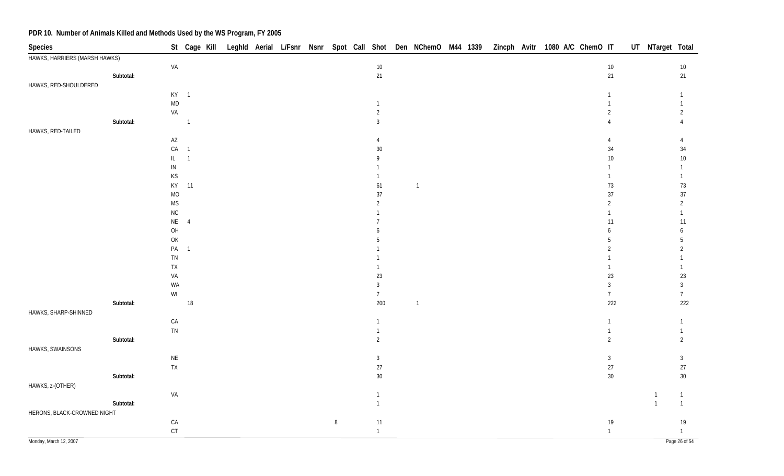| HAWKS, HARRIERS (MARSH HAWKS)<br>$10\,$<br>VA<br>$10\,$<br>$10\,$<br>Subtotal:<br>21<br>21<br>21<br>HAWKS, RED-SHOULDERED<br>$KY-1$<br>$\mathbf{1}$<br>$\mathsf{MD}$<br>$\mathbf{1}$<br>VA<br>$\overline{2}$<br>$\overline{2}$<br>2<br>Subtotal:<br>$\overline{1}$<br>$\overline{3}$<br>$\overline{4}$<br>HAWKS, RED-TAILED<br>$\mathsf{A}\mathsf{Z}$<br>4<br>4<br>$\overline{4}$<br>CA<br>30<br>34<br>$34\,$<br>$\overline{1}$<br>10<br>$10\,$<br>IL.<br>$\overline{1}$<br>$\mathsf{Q}$<br>${\sf IN}$<br>1<br>$\mathsf{KS}% _{\mathsf{K}}^{(k)}$<br>1<br>$\mathbf{1}$<br>KY<br>11<br>$73\,$<br>73<br>61<br>$\overline{1}$<br>$\rm MO$<br>37<br>37<br>$37\,$<br>$\mathsf{MS}$<br>$\overline{2}$<br>$\overline{2}$<br>$\overline{2}$<br>${\sf NC}$<br>1<br>NE<br>$\overline{4}$<br>11<br>$11$<br>OH<br>6<br>6 | <b>Species</b> |  |  |  |  |  |  |  |  | St Cage Kill Leghld Aerial L/Fsnr Nsnr Spot Call Shot Den NChemO M44 1339 Zincph Avitr 1080 A/C ChemO IT |  | UT NTarget Total |  |
|--------------------------------------------------------------------------------------------------------------------------------------------------------------------------------------------------------------------------------------------------------------------------------------------------------------------------------------------------------------------------------------------------------------------------------------------------------------------------------------------------------------------------------------------------------------------------------------------------------------------------------------------------------------------------------------------------------------------------------------------------------------------------------------------------------------|----------------|--|--|--|--|--|--|--|--|----------------------------------------------------------------------------------------------------------|--|------------------|--|
|                                                                                                                                                                                                                                                                                                                                                                                                                                                                                                                                                                                                                                                                                                                                                                                                              |                |  |  |  |  |  |  |  |  |                                                                                                          |  |                  |  |
|                                                                                                                                                                                                                                                                                                                                                                                                                                                                                                                                                                                                                                                                                                                                                                                                              |                |  |  |  |  |  |  |  |  |                                                                                                          |  |                  |  |
|                                                                                                                                                                                                                                                                                                                                                                                                                                                                                                                                                                                                                                                                                                                                                                                                              |                |  |  |  |  |  |  |  |  |                                                                                                          |  |                  |  |
|                                                                                                                                                                                                                                                                                                                                                                                                                                                                                                                                                                                                                                                                                                                                                                                                              |                |  |  |  |  |  |  |  |  |                                                                                                          |  |                  |  |
|                                                                                                                                                                                                                                                                                                                                                                                                                                                                                                                                                                                                                                                                                                                                                                                                              |                |  |  |  |  |  |  |  |  |                                                                                                          |  |                  |  |
|                                                                                                                                                                                                                                                                                                                                                                                                                                                                                                                                                                                                                                                                                                                                                                                                              |                |  |  |  |  |  |  |  |  |                                                                                                          |  |                  |  |
|                                                                                                                                                                                                                                                                                                                                                                                                                                                                                                                                                                                                                                                                                                                                                                                                              |                |  |  |  |  |  |  |  |  |                                                                                                          |  |                  |  |
|                                                                                                                                                                                                                                                                                                                                                                                                                                                                                                                                                                                                                                                                                                                                                                                                              |                |  |  |  |  |  |  |  |  |                                                                                                          |  |                  |  |
|                                                                                                                                                                                                                                                                                                                                                                                                                                                                                                                                                                                                                                                                                                                                                                                                              |                |  |  |  |  |  |  |  |  |                                                                                                          |  |                  |  |
|                                                                                                                                                                                                                                                                                                                                                                                                                                                                                                                                                                                                                                                                                                                                                                                                              |                |  |  |  |  |  |  |  |  |                                                                                                          |  |                  |  |
|                                                                                                                                                                                                                                                                                                                                                                                                                                                                                                                                                                                                                                                                                                                                                                                                              |                |  |  |  |  |  |  |  |  |                                                                                                          |  |                  |  |
|                                                                                                                                                                                                                                                                                                                                                                                                                                                                                                                                                                                                                                                                                                                                                                                                              |                |  |  |  |  |  |  |  |  |                                                                                                          |  |                  |  |
|                                                                                                                                                                                                                                                                                                                                                                                                                                                                                                                                                                                                                                                                                                                                                                                                              |                |  |  |  |  |  |  |  |  |                                                                                                          |  |                  |  |
|                                                                                                                                                                                                                                                                                                                                                                                                                                                                                                                                                                                                                                                                                                                                                                                                              |                |  |  |  |  |  |  |  |  |                                                                                                          |  |                  |  |
|                                                                                                                                                                                                                                                                                                                                                                                                                                                                                                                                                                                                                                                                                                                                                                                                              |                |  |  |  |  |  |  |  |  |                                                                                                          |  |                  |  |
|                                                                                                                                                                                                                                                                                                                                                                                                                                                                                                                                                                                                                                                                                                                                                                                                              |                |  |  |  |  |  |  |  |  |                                                                                                          |  |                  |  |
|                                                                                                                                                                                                                                                                                                                                                                                                                                                                                                                                                                                                                                                                                                                                                                                                              |                |  |  |  |  |  |  |  |  |                                                                                                          |  |                  |  |
|                                                                                                                                                                                                                                                                                                                                                                                                                                                                                                                                                                                                                                                                                                                                                                                                              |                |  |  |  |  |  |  |  |  |                                                                                                          |  |                  |  |
|                                                                                                                                                                                                                                                                                                                                                                                                                                                                                                                                                                                                                                                                                                                                                                                                              |                |  |  |  |  |  |  |  |  |                                                                                                          |  |                  |  |
| OK<br>5<br>5                                                                                                                                                                                                                                                                                                                                                                                                                                                                                                                                                                                                                                                                                                                                                                                                 |                |  |  |  |  |  |  |  |  |                                                                                                          |  |                  |  |
| PA <sub>1</sub><br>$\overline{2}$<br>$\overline{2}$                                                                                                                                                                                                                                                                                                                                                                                                                                                                                                                                                                                                                                                                                                                                                          |                |  |  |  |  |  |  |  |  |                                                                                                          |  |                  |  |
| TN                                                                                                                                                                                                                                                                                                                                                                                                                                                                                                                                                                                                                                                                                                                                                                                                           |                |  |  |  |  |  |  |  |  |                                                                                                          |  |                  |  |
| TX<br>$\mathbf{1}$                                                                                                                                                                                                                                                                                                                                                                                                                                                                                                                                                                                                                                                                                                                                                                                           |                |  |  |  |  |  |  |  |  |                                                                                                          |  |                  |  |
| $23\,$<br>VA<br>23<br>23                                                                                                                                                                                                                                                                                                                                                                                                                                                                                                                                                                                                                                                                                                                                                                                     |                |  |  |  |  |  |  |  |  |                                                                                                          |  |                  |  |
| $\mathfrak{Z}$<br>$\mathbf{3}$<br>WA<br>3                                                                                                                                                                                                                                                                                                                                                                                                                                                                                                                                                                                                                                                                                                                                                                    |                |  |  |  |  |  |  |  |  |                                                                                                          |  |                  |  |
| $\ensuremath{\mathsf{W}}\xspace\ensuremath{\mathsf{I}}$<br>$7\overline{ }$<br>$\overline{7}$<br>7 <sup>7</sup>                                                                                                                                                                                                                                                                                                                                                                                                                                                                                                                                                                                                                                                                                               |                |  |  |  |  |  |  |  |  |                                                                                                          |  |                  |  |
| 222<br>222<br>Subtotal:<br>$18\,$<br>200<br>$\overline{1}$                                                                                                                                                                                                                                                                                                                                                                                                                                                                                                                                                                                                                                                                                                                                                   |                |  |  |  |  |  |  |  |  |                                                                                                          |  |                  |  |
| HAWKS, SHARP-SHINNED                                                                                                                                                                                                                                                                                                                                                                                                                                                                                                                                                                                                                                                                                                                                                                                         |                |  |  |  |  |  |  |  |  |                                                                                                          |  |                  |  |
| CA<br>$\mathbf{1}$<br>$\mathbf{1}$<br>$\mathbf{1}$                                                                                                                                                                                                                                                                                                                                                                                                                                                                                                                                                                                                                                                                                                                                                           |                |  |  |  |  |  |  |  |  |                                                                                                          |  |                  |  |
| TN<br>1<br>1                                                                                                                                                                                                                                                                                                                                                                                                                                                                                                                                                                                                                                                                                                                                                                                                 |                |  |  |  |  |  |  |  |  |                                                                                                          |  |                  |  |
| Subtotal:<br>$\overline{2}$<br>$\overline{2}$<br>$\overline{2}$                                                                                                                                                                                                                                                                                                                                                                                                                                                                                                                                                                                                                                                                                                                                              |                |  |  |  |  |  |  |  |  |                                                                                                          |  |                  |  |
| HAWKS, SWAINSONS                                                                                                                                                                                                                                                                                                                                                                                                                                                                                                                                                                                                                                                                                                                                                                                             |                |  |  |  |  |  |  |  |  |                                                                                                          |  |                  |  |
| $\sf NE$<br>$\sqrt{3}$<br>$\mathbf{3}$<br>$\mathbf{3}$                                                                                                                                                                                                                                                                                                                                                                                                                                                                                                                                                                                                                                                                                                                                                       |                |  |  |  |  |  |  |  |  |                                                                                                          |  |                  |  |
| 27<br>${\sf TX}$<br>27<br>$27\,$                                                                                                                                                                                                                                                                                                                                                                                                                                                                                                                                                                                                                                                                                                                                                                             |                |  |  |  |  |  |  |  |  |                                                                                                          |  |                  |  |
| 30 <sup>°</sup><br>Subtotal:<br>$30\,$<br>$30\,$                                                                                                                                                                                                                                                                                                                                                                                                                                                                                                                                                                                                                                                                                                                                                             |                |  |  |  |  |  |  |  |  |                                                                                                          |  |                  |  |
| HAWKS, z-(OTHER)                                                                                                                                                                                                                                                                                                                                                                                                                                                                                                                                                                                                                                                                                                                                                                                             |                |  |  |  |  |  |  |  |  |                                                                                                          |  |                  |  |
| VA<br>$\mathbf{1}$<br>$\mathbf{1}$<br>$\mathbf{1}$                                                                                                                                                                                                                                                                                                                                                                                                                                                                                                                                                                                                                                                                                                                                                           |                |  |  |  |  |  |  |  |  |                                                                                                          |  |                  |  |
| Subtotal:<br>$\mathbf{1}$<br>$\mathbf{1}$                                                                                                                                                                                                                                                                                                                                                                                                                                                                                                                                                                                                                                                                                                                                                                    |                |  |  |  |  |  |  |  |  |                                                                                                          |  |                  |  |
| HERONS, BLACK-CROWNED NIGHT                                                                                                                                                                                                                                                                                                                                                                                                                                                                                                                                                                                                                                                                                                                                                                                  |                |  |  |  |  |  |  |  |  |                                                                                                          |  |                  |  |
| $\, 8$<br>$11$<br>CA<br>$19$<br>19                                                                                                                                                                                                                                                                                                                                                                                                                                                                                                                                                                                                                                                                                                                                                                           |                |  |  |  |  |  |  |  |  |                                                                                                          |  |                  |  |
| $\mathsf{C}\mathsf{T}$<br>$\overline{1}$<br>$\mathbf{1}$<br>$\mathbf{1}$                                                                                                                                                                                                                                                                                                                                                                                                                                                                                                                                                                                                                                                                                                                                     |                |  |  |  |  |  |  |  |  |                                                                                                          |  |                  |  |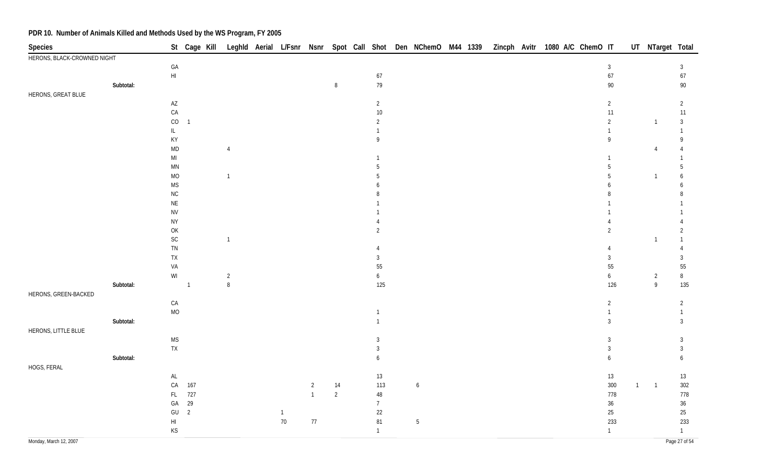| Species                     |           |                                                                   |                |                |              |                |                |                  | St Cage Kill Leghld Aerial L/Fsnr Nsnr Spot Call Shot Den NChemO M44 1339 |  | Zincph Avitr 1080 A/C ChemO IT |  |  |                  |              |                | UT NTarget Total |
|-----------------------------|-----------|-------------------------------------------------------------------|----------------|----------------|--------------|----------------|----------------|------------------|---------------------------------------------------------------------------|--|--------------------------------|--|--|------------------|--------------|----------------|------------------|
| HERONS, BLACK-CROWNED NIGHT |           |                                                                   |                |                |              |                |                |                  |                                                                           |  |                                |  |  |                  |              |                |                  |
|                             |           | $\mathsf{GA}$                                                     |                |                |              |                |                |                  |                                                                           |  |                                |  |  | $\mathbf{3}$     |              |                | $\mathbf{3}$     |
|                             |           | $\mathsf{HI}$                                                     |                |                |              |                |                | $67\,$           |                                                                           |  |                                |  |  | 67               |              |                | $67\,$           |
|                             | Subtotal: |                                                                   |                |                |              |                | $\, 8$         | 79               |                                                                           |  |                                |  |  | $90\,$           |              |                | $90\,$           |
| HERONS, GREAT BLUE          |           |                                                                   |                |                |              |                |                |                  |                                                                           |  |                                |  |  |                  |              |                |                  |
|                             |           | $\mathsf{A}\mathsf{Z}$                                            |                |                |              |                |                | $\overline{2}$   |                                                                           |  |                                |  |  | $\overline{2}$   |              |                | $\overline{2}$   |
|                             |           | ${\sf CA}$                                                        |                |                |              |                |                | $10\,$           |                                                                           |  |                                |  |  | 11               |              |                | $11$             |
|                             |           | $_{\rm CO}$                                                       | $\overline{1}$ |                |              |                |                | $\overline{2}$   |                                                                           |  |                                |  |  | $\overline{2}$   |              | $\overline{1}$ | 3                |
|                             |           | $\mathsf{IL}$                                                     |                |                |              |                |                |                  |                                                                           |  |                                |  |  |                  |              |                | $\mathbf{1}$     |
|                             |           | KY                                                                |                |                |              |                |                | 9                |                                                                           |  |                                |  |  | 9                |              |                | 9                |
|                             |           | $\mathsf{MD}$                                                     |                | $\overline{4}$ |              |                |                |                  |                                                                           |  |                                |  |  |                  |              | 4              |                  |
|                             |           | $\mathsf{MI}$                                                     |                |                |              |                |                |                  |                                                                           |  |                                |  |  | $\mathbf{1}$     |              |                |                  |
|                             |           | $\mathsf{M}\mathsf{N}$                                            |                |                |              |                |                | 5                |                                                                           |  |                                |  |  | 5                |              |                | 5                |
|                             |           | $\rm MO$                                                          |                | $\overline{1}$ |              |                |                | 5                |                                                                           |  |                                |  |  | 5                |              | -1             | 6                |
|                             |           | <b>MS</b>                                                         |                |                |              |                |                | 6                |                                                                           |  |                                |  |  | 6                |              |                | 6                |
|                             |           | ${\sf NC}$                                                        |                |                |              |                |                |                  |                                                                           |  |                                |  |  |                  |              |                |                  |
|                             |           | $\mathsf{NE}\,$                                                   |                |                |              |                |                |                  |                                                                           |  |                                |  |  |                  |              |                |                  |
|                             |           | <b>NV</b>                                                         |                |                |              |                |                |                  |                                                                           |  |                                |  |  |                  |              |                |                  |
|                             |           | <b>NY</b>                                                         |                |                |              |                |                |                  |                                                                           |  |                                |  |  |                  |              |                | $\overline{2}$   |
|                             |           | $\mathsf{OK}$<br>$\mathsf{SC}$                                    |                | $\overline{1}$ |              |                |                | $\overline{2}$   |                                                                           |  |                                |  |  | $\overline{2}$   |              | 1              | $\mathbf{1}$     |
|                             |           | ${\sf TN}$                                                        |                |                |              |                |                | 4                |                                                                           |  |                                |  |  | 4                |              |                |                  |
|                             |           | ${\sf TX}$                                                        |                |                |              |                |                | 3                |                                                                           |  |                                |  |  | 3                |              |                | $\mathbf{3}$     |
|                             |           | VA                                                                |                |                |              |                |                | 55               |                                                                           |  |                                |  |  | 55               |              |                | 55               |
|                             |           | $\ensuremath{\mathsf{W}}\xspace\ensuremath{\mathsf{I}}$           |                | $\overline{2}$ |              |                |                | $\boldsymbol{6}$ |                                                                           |  |                                |  |  | 6                |              | $\overline{2}$ | $\, 8$           |
|                             | Subtotal: |                                                                   | $\overline{1}$ | $\, 8$         |              |                |                | 125              |                                                                           |  |                                |  |  | 126              |              | $\overline{9}$ | 135              |
| HERONS, GREEN-BACKED        |           |                                                                   |                |                |              |                |                |                  |                                                                           |  |                                |  |  |                  |              |                |                  |
|                             |           | ${\sf CA}$                                                        |                |                |              |                |                |                  |                                                                           |  |                                |  |  | $\overline{2}$   |              |                | $\overline{2}$   |
|                             |           | $\rm MO$                                                          |                |                |              |                |                | $\mathbf{1}$     |                                                                           |  |                                |  |  | $\mathbf{1}$     |              |                | $\mathbf{1}$     |
|                             | Subtotal: |                                                                   |                |                |              |                |                | $\mathbf{1}$     |                                                                           |  |                                |  |  | $\mathfrak{Z}$   |              |                | $\mathbf{3}$     |
| HERONS, LITTLE BLUE         |           |                                                                   |                |                |              |                |                |                  |                                                                           |  |                                |  |  |                  |              |                |                  |
|                             |           | $\mathsf{MS}\xspace$                                              |                |                |              |                |                | 3                |                                                                           |  |                                |  |  | $\mathbf{3}$     |              |                | $\mathbf{3}$     |
|                             |           | ${\sf TX}$                                                        |                |                |              |                |                | $\mathfrak{Z}$   |                                                                           |  |                                |  |  | $\sqrt{3}$       |              |                | $\mathbf{3}$     |
|                             | Subtotal: |                                                                   |                |                |              |                |                | 6                |                                                                           |  |                                |  |  | $\boldsymbol{6}$ |              |                | $\boldsymbol{6}$ |
| HOGS, FERAL                 |           |                                                                   |                |                |              |                |                |                  |                                                                           |  |                                |  |  |                  |              |                |                  |
|                             |           | $\mathsf{AL}$                                                     |                |                |              |                |                | 13               |                                                                           |  |                                |  |  | 13               |              |                | $13$             |
|                             |           | CA                                                                | 167            |                |              | $\overline{2}$ | $14$           | 113              | $\boldsymbol{6}$                                                          |  |                                |  |  | 300              | $\mathbf{1}$ | $\overline{1}$ | 302              |
|                             |           | FL                                                                | 727            |                |              | $\overline{1}$ | $\overline{2}$ | 48               |                                                                           |  |                                |  |  | 778              |              |                | 778              |
|                             |           | $\mathsf{GA}$                                                     | 29             |                |              |                |                | $\overline{7}$   |                                                                           |  |                                |  |  | $36\,$           |              |                | $36\,$           |
|                             |           | $\mathsf{GU}%$                                                    | $\overline{2}$ |                | $\mathbf{1}$ |                |                | 22               |                                                                           |  |                                |  |  | $25\,$           |              |                | $25\,$           |
|                             |           | $\mathsf{HI}$                                                     |                |                | $70\,$       | $77\,$         |                | 81               | $\sqrt{5}$                                                                |  |                                |  |  | 233              |              |                | 233              |
|                             |           | $\mathsf{KS}% _{\mathsf{K}}^{\mathsf{K}}\left( \mathsf{K}\right)$ |                |                |              |                |                | $\mathbf{1}$     |                                                                           |  |                                |  |  | $\mathbf{1}$     |              |                | $\mathbf{1}$     |
|                             |           |                                                                   |                |                |              |                |                |                  |                                                                           |  |                                |  |  |                  |              |                |                  |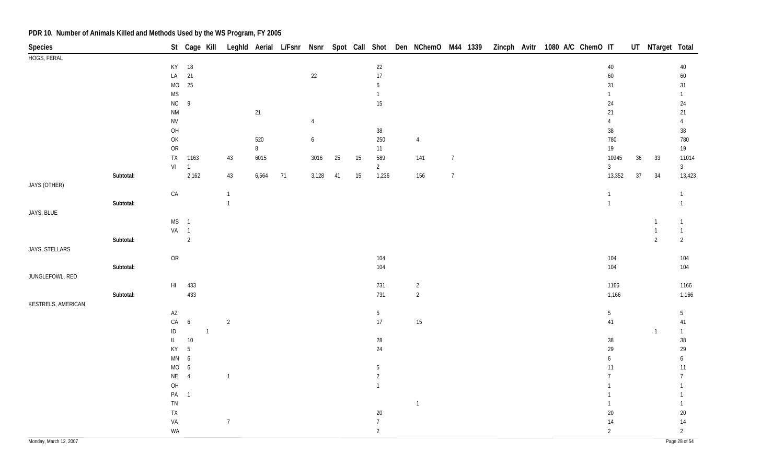| Species                |           |                        |                  |                |                |       |    |                  |    |    |                  | St Cage Kill Leghld Aerial L/Fsnr Nsnr Spot Call Shot Den NChemO M44 1339 Zincph Avitr 1080 A/C ChemO IT |                |  |  |                 |        | UT NTarget Total               |                                |
|------------------------|-----------|------------------------|------------------|----------------|----------------|-------|----|------------------|----|----|------------------|----------------------------------------------------------------------------------------------------------|----------------|--|--|-----------------|--------|--------------------------------|--------------------------------|
| HOGS, FERAL            |           |                        |                  |                |                |       |    |                  |    |    |                  |                                                                                                          |                |  |  |                 |        |                                |                                |
|                        |           |                        | KY 18            |                |                |       |    |                  |    |    | 22               |                                                                                                          |                |  |  | $40\,$          |        |                                | $40\,$                         |
|                        |           | ${\sf LA}$             | 21               |                |                |       |    | $22\,$           |    |    | $17\,$           |                                                                                                          |                |  |  | 60              |        |                                | 60                             |
|                        |           | $MO$                   | 25               |                |                |       |    |                  |    |    | $\boldsymbol{6}$ |                                                                                                          |                |  |  | 31              |        |                                | 31                             |
|                        |           | <b>MS</b>              |                  |                |                |       |    |                  |    |    | $\mathbf{1}$     |                                                                                                          |                |  |  | $\mathbf{1}$    |        |                                | $\mathbf{1}$                   |
|                        |           | NC                     | 9                |                |                |       |    |                  |    |    | $15\,$           |                                                                                                          |                |  |  | 24              |        |                                | 24                             |
|                        |           | <b>NM</b>              |                  |                |                | 21    |    |                  |    |    |                  |                                                                                                          |                |  |  | 21              |        |                                | 21                             |
|                        |           | <b>NV</b>              |                  |                |                |       |    | 4                |    |    |                  |                                                                                                          |                |  |  | $\overline{4}$  |        |                                | $\overline{4}$                 |
|                        |           | O <sub>H</sub>         |                  |                |                |       |    |                  |    |    | $38\,$           |                                                                                                          |                |  |  | $38\,$          |        |                                | $38\,$                         |
|                        |           | $\mathsf{OK}$          |                  |                |                | 520   |    | $\boldsymbol{6}$ |    |    | 250              | $\overline{4}$                                                                                           |                |  |  | 780             |        |                                | 780                            |
|                        |           | ${\sf OR}$             |                  |                |                | 8     |    |                  |    |    | 11               |                                                                                                          |                |  |  | 19              |        |                                | 19                             |
|                        |           | TX                     | 1163             |                | 43             | 6015  |    | 3016             | 25 | 15 | 589              | 141                                                                                                      | $\overline{7}$ |  |  | 10945           | $36\,$ | 33                             | 11014                          |
|                        |           | VI                     | $\overline{1}$   |                |                |       |    |                  |    |    | $\overline{2}$   |                                                                                                          |                |  |  | $\overline{3}$  |        |                                | 3 <sup>1</sup>                 |
|                        | Subtotal: |                        | 2,162            |                | 43             | 6,564 | 71 | 3,128            | 41 | 15 | 1,236            | 156                                                                                                      | $\overline{7}$ |  |  | 13,352          | $37\,$ | 34                             | 13,423                         |
| JAYS (OTHER)           |           |                        |                  |                |                |       |    |                  |    |    |                  |                                                                                                          |                |  |  |                 |        |                                |                                |
|                        |           | ${\sf CA}$             |                  |                | $\overline{1}$ |       |    |                  |    |    |                  |                                                                                                          |                |  |  | $\mathbf{1}$    |        |                                | $\mathbf{1}$                   |
|                        | Subtotal: |                        |                  |                | $\mathbf{1}$   |       |    |                  |    |    |                  |                                                                                                          |                |  |  | $\mathbf{1}$    |        |                                | $\mathbf{1}$                   |
| JAYS, BLUE             |           |                        |                  |                |                |       |    |                  |    |    |                  |                                                                                                          |                |  |  |                 |        |                                |                                |
|                        |           | $MS$ 1                 |                  |                |                |       |    |                  |    |    |                  |                                                                                                          |                |  |  |                 |        | $\overline{1}$                 | $\mathbf{1}$                   |
|                        | Subtotal: | VA 1                   | $\overline{2}$   |                |                |       |    |                  |    |    |                  |                                                                                                          |                |  |  |                 |        | $\mathbf{1}$<br>$\overline{2}$ | $\mathbf{1}$<br>$\overline{2}$ |
| JAYS, STELLARS         |           |                        |                  |                |                |       |    |                  |    |    |                  |                                                                                                          |                |  |  |                 |        |                                |                                |
|                        |           | OR                     |                  |                |                |       |    |                  |    |    | 104              |                                                                                                          |                |  |  | 104             |        |                                | 104                            |
|                        | Subtotal: |                        |                  |                |                |       |    |                  |    |    | 104              |                                                                                                          |                |  |  | 104             |        |                                | 104                            |
| JUNGLEFOWL, RED        |           |                        |                  |                |                |       |    |                  |    |    |                  |                                                                                                          |                |  |  |                 |        |                                |                                |
|                        |           |                        | HI 433           |                |                |       |    |                  |    |    | 731              | $\overline{2}$                                                                                           |                |  |  | 1166            |        |                                | 1166                           |
|                        | Subtotal: |                        | 433              |                |                |       |    |                  |    |    | 731              | $\overline{2}$                                                                                           |                |  |  | 1,166           |        |                                | 1,166                          |
| KESTRELS, AMERICAN     |           |                        |                  |                |                |       |    |                  |    |    |                  |                                                                                                          |                |  |  |                 |        |                                |                                |
|                        |           | $\mathsf{A}\mathsf{Z}$ |                  |                |                |       |    |                  |    |    | $5\phantom{.0}$  |                                                                                                          |                |  |  | $5\phantom{.0}$ |        |                                | 5                              |
|                        |           | ${\sf CA}$             | $\sqrt{6}$       |                | $\overline{2}$ |       |    |                  |    |    | $17$             | 15                                                                                                       |                |  |  | 41              |        |                                | 41                             |
|                        |           | $\sf ID$               |                  | $\overline{1}$ |                |       |    |                  |    |    |                  |                                                                                                          |                |  |  |                 |        | $\mathbf{1}$                   | $\mathbf{1}$                   |
|                        |           | IL                     | $10\,$           |                |                |       |    |                  |    |    | $28\,$           |                                                                                                          |                |  |  | $38\,$          |        |                                | $38\,$                         |
|                        |           | KY                     | $5\phantom{.0}$  |                |                |       |    |                  |    |    | 24               |                                                                                                          |                |  |  | 29              |        |                                | 29                             |
|                        |           | MN                     | $\boldsymbol{6}$ |                |                |       |    |                  |    |    |                  |                                                                                                          |                |  |  | 6               |        |                                | 6                              |
|                        |           | $MO$                   | $\boldsymbol{6}$ |                |                |       |    |                  |    |    | $\overline{5}$   |                                                                                                          |                |  |  | 11              |        |                                | 11                             |
|                        |           | $\mathsf{NE}\,$        | $\overline{4}$   |                | $\overline{1}$ |       |    |                  |    |    | $\overline{2}$   |                                                                                                          |                |  |  | 7               |        |                                | $7\overline{ }$                |
|                        |           | $O H$                  |                  |                |                |       |    |                  |    |    | $\overline{1}$   |                                                                                                          |                |  |  |                 |        |                                | 1                              |
|                        |           | PA                     | $\overline{1}$   |                |                |       |    |                  |    |    |                  |                                                                                                          |                |  |  |                 |        |                                | $\mathbf{1}$                   |
|                        |           | ${\sf TN}$             |                  |                |                |       |    |                  |    |    |                  | $\overline{1}$                                                                                           |                |  |  | 1               |        |                                | $\mathbf{1}$                   |
|                        |           | ${\sf TX}$             |                  |                |                |       |    |                  |    |    | 20               |                                                                                                          |                |  |  | $20\,$          |        |                                | $20\,$                         |
|                        |           | VA                     |                  |                | $\overline{7}$ |       |    |                  |    |    | $\overline{7}$   |                                                                                                          |                |  |  | $14$            |        |                                | $14\,$                         |
|                        |           | WA                     |                  |                |                |       |    |                  |    |    | $\overline{2}$   |                                                                                                          |                |  |  | $\overline{2}$  |        |                                | $\overline{2}$                 |
| Monday, March 12, 2007 |           |                        |                  |                |                |       |    |                  |    |    |                  |                                                                                                          |                |  |  |                 |        |                                | Page 28 of 54                  |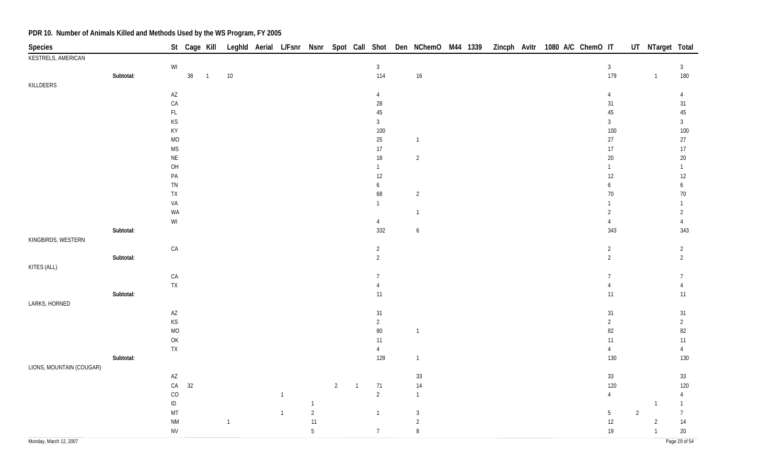| Species                  |           |                                                         | St Cage Kill |                |                |                |                |                |                |                  | Leghld Aerial L/Fsnr Nsnr Spot Call Shot Den NChemO M44 1339 |  |  | Zincph Avitr 1080 A/C ChemO IT |  |                        |                | UT NTarget Total |                   |
|--------------------------|-----------|---------------------------------------------------------|--------------|----------------|----------------|----------------|----------------|----------------|----------------|------------------|--------------------------------------------------------------|--|--|--------------------------------|--|------------------------|----------------|------------------|-------------------|
| KESTRELS, AMERICAN       |           |                                                         |              |                |                |                |                |                |                |                  |                                                              |  |  |                                |  |                        |                |                  |                   |
|                          |           | WI                                                      |              |                |                |                |                |                |                | $\mathfrak{Z}$   |                                                              |  |  |                                |  | $\mathbf{3}$           |                |                  | $\mathbf{3}$      |
|                          | Subtotal: |                                                         | $38\,$       | $\overline{1}$ | $10\,$         |                |                |                |                | 114              | $16\,$                                                       |  |  |                                |  | 179                    |                | $\overline{1}$   | 180               |
| KILLDEERS                |           |                                                         |              |                |                |                |                |                |                |                  |                                                              |  |  |                                |  |                        |                |                  |                   |
|                          |           | $\mathsf{A}\mathsf{Z}$                                  |              |                |                |                |                |                |                | 4                |                                                              |  |  |                                |  | $\overline{4}$         |                |                  | $\overline{4}$    |
|                          |           | CA                                                      |              |                |                |                |                |                |                | $28\,$           |                                                              |  |  |                                |  | 31                     |                |                  | 31                |
|                          |           | $\mathsf{FL}$                                           |              |                |                |                |                |                |                | $45\,$           |                                                              |  |  |                                |  | $45\,$                 |                |                  | $45\,$            |
|                          |           | KS                                                      |              |                |                |                |                |                |                | 3                |                                                              |  |  |                                |  | $\mathfrak{Z}$         |                |                  | $\mathfrak{Z}$    |
|                          |           | KY                                                      |              |                |                |                |                |                |                | 100              |                                                              |  |  |                                |  | 100                    |                |                  | $100\,$           |
|                          |           | $\rm MO$<br><b>MS</b>                                   |              |                |                |                |                |                |                | $25\,$           | $\sqrt{1}$                                                   |  |  |                                |  | $27\,$                 |                |                  | 27                |
|                          |           |                                                         |              |                |                |                |                |                |                | $17\,$<br>$18\,$ | $\overline{2}$                                               |  |  |                                |  | $17\,$                 |                |                  | $17\,$            |
|                          |           | $\sf NE$<br>OH                                          |              |                |                |                |                |                |                | $\mathbf{1}$     |                                                              |  |  |                                |  | $20\,$<br>$\mathbf{1}$ |                |                  | $20\,$            |
|                          |           |                                                         |              |                |                |                |                |                |                |                  |                                                              |  |  |                                |  |                        |                |                  | $\mathbf{1}$      |
|                          |           | PA<br>TN                                                |              |                |                |                |                |                |                | 12<br>6          |                                                              |  |  |                                |  | 12                     |                |                  | $12 \overline{ }$ |
|                          |           | ${\sf TX}$                                              |              |                |                |                |                |                |                | 68               | $\overline{2}$                                               |  |  |                                |  | 6<br>$70\,$            |                |                  | 6<br>$70\,$       |
|                          |           | VA                                                      |              |                |                |                |                |                |                | $\mathbf{1}$     |                                                              |  |  |                                |  | $\mathbf{1}$           |                |                  | $\mathbf{1}$      |
|                          |           | WA                                                      |              |                |                |                |                |                |                |                  | $\overline{1}$                                               |  |  |                                |  | $\overline{2}$         |                |                  | $\overline{2}$    |
|                          |           | $\ensuremath{\mathsf{W}}\xspace\ensuremath{\mathsf{I}}$ |              |                |                |                |                |                |                | $\overline{4}$   |                                                              |  |  |                                |  | $\overline{4}$         |                |                  | $\overline{4}$    |
|                          | Subtotal: |                                                         |              |                |                |                |                |                |                | 332              | $\boldsymbol{6}$                                             |  |  |                                |  | 343                    |                |                  | 343               |
| KINGBIRDS, WESTERN       |           |                                                         |              |                |                |                |                |                |                |                  |                                                              |  |  |                                |  |                        |                |                  |                   |
|                          |           | ${\sf CA}$                                              |              |                |                |                |                |                |                | $\overline{2}$   |                                                              |  |  |                                |  | $\overline{2}$         |                |                  | $\overline{2}$    |
|                          | Subtotal: |                                                         |              |                |                |                |                |                |                | $\overline{2}$   |                                                              |  |  |                                |  | $\overline{2}$         |                |                  | $\overline{2}$    |
| KITES (ALL)              |           |                                                         |              |                |                |                |                |                |                |                  |                                                              |  |  |                                |  |                        |                |                  |                   |
|                          |           | CA                                                      |              |                |                |                |                |                |                | $\overline{7}$   |                                                              |  |  |                                |  | $\overline{7}$         |                |                  | $\overline{7}$    |
|                          |           | TX                                                      |              |                |                |                |                |                |                |                  |                                                              |  |  |                                |  | $\overline{4}$         |                |                  | $\overline{4}$    |
|                          | Subtotal: |                                                         |              |                |                |                |                |                |                | 11               |                                                              |  |  |                                |  | 11                     |                |                  | 11                |
| LARKS, HORNED            |           |                                                         |              |                |                |                |                |                |                |                  |                                                              |  |  |                                |  |                        |                |                  |                   |
|                          |           | $\mathsf{A}\mathsf{Z}$                                  |              |                |                |                |                |                |                | 31               |                                                              |  |  |                                |  | 31                     |                |                  | 31                |
|                          |           | KS                                                      |              |                |                |                |                |                |                | $\overline{2}$   |                                                              |  |  |                                |  | $\overline{2}$         |                |                  | $\overline{2}$    |
|                          |           | $\rm MO$                                                |              |                |                |                |                |                |                | $80\,$           | $\overline{1}$                                               |  |  |                                |  | 82                     |                |                  | 82                |
|                          |           | $\mathsf{OK}$                                           |              |                |                |                |                |                |                | 11               |                                                              |  |  |                                |  | $11$                   |                |                  | 11                |
|                          |           | ${\sf TX}$                                              |              |                |                |                |                |                |                | 4                |                                                              |  |  |                                |  | $\overline{4}$         |                |                  | $\overline{4}$    |
|                          | Subtotal: |                                                         |              |                |                |                |                |                |                | 128              | $\mathbf{1}$                                                 |  |  |                                |  | 130                    |                |                  | $130\,$           |
| LIONS, MOUNTAIN (COUGAR) |           |                                                         |              |                |                |                |                |                |                |                  |                                                              |  |  |                                |  |                        |                |                  |                   |
|                          |           | $\mathsf{A}\mathsf{Z}$                                  |              |                |                |                |                |                |                |                  | $33\,$                                                       |  |  |                                |  | $33\,$                 |                |                  | 33                |
|                          |           | ${\sf CA}$                                              | 32           |                |                |                |                | $\overline{2}$ | $\overline{1}$ | 71               | $14$                                                         |  |  |                                |  | 120                    |                |                  | 120               |
|                          |           | CO                                                      |              |                |                | $\overline{1}$ |                |                |                | $\overline{2}$   | $\overline{1}$                                               |  |  |                                |  | $\overline{4}$         |                |                  | $\overline{4}$    |
|                          |           | $\sf ID$                                                |              |                |                |                | $\overline{1}$ |                |                |                  |                                                              |  |  |                                |  |                        |                | -1               | $\mathbf{1}$      |
|                          |           | $\mathsf{MT}$                                           |              |                |                | $\overline{1}$ | $\overline{c}$ |                |                | $\overline{1}$   | $\mathbf{3}$                                                 |  |  |                                |  | $5\phantom{.0}$        | $\overline{2}$ |                  | $\overline{7}$    |
|                          |           | $\mathsf{N}\mathsf{M}$                                  |              |                | $\overline{1}$ |                | 11             |                |                |                  | $\overline{c}$                                               |  |  |                                |  | $12\,$                 |                | $\overline{2}$   | $14$              |
|                          |           | <b>NV</b>                                               |              |                |                |                | 5              |                |                | $7^{\circ}$      | $\, 8$                                                       |  |  |                                |  | $19$                   |                | $\mathbf{1}$     | $20\,$            |
| Monday, March 12, 2007   |           |                                                         |              |                |                |                |                |                |                |                  |                                                              |  |  |                                |  |                        |                |                  | Page 29 of 54     |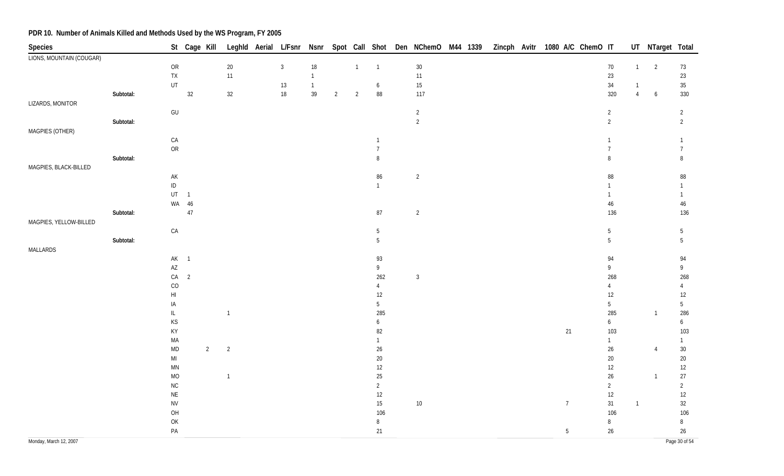| LIONS, MOUNTAIN (COUGAR)<br>$30\,$<br>${\sf OR}$<br>$20\,$<br>$\mathbf{3}$<br>$18\,$<br>$\overline{1}$<br>$\overline{1}$<br>$70\,$<br>$\overline{2}$<br>$\overline{1}$<br>73<br>$23\,$<br>${\sf TX}$<br>11<br>$11$<br>$23\,$<br>$\overline{1}$<br>UT<br>$15\,$<br>$34\,$<br>$35\,$<br>$13$<br>$\overline{1}$<br>$\boldsymbol{6}$<br>$\overline{1}$<br>18<br>$32\,$<br>39<br>$\bf 88$<br>117<br>320<br>Subtotal:<br>32<br>$\overline{2}$<br>$\overline{2}$<br>$\overline{4}$<br>$6\phantom{.}6$<br>330<br>$\mathsf{GU}% _{\mathsf{C}}^{\mathsf{C}}(\mathcal{M}_{0})$<br>$\overline{2}$<br>$\overline{2}$<br>$\overline{2}$<br>$\overline{2}$<br>$\overline{2}$<br>$\overline{2}$<br>Subtotal:<br>MAGPIES (OTHER)<br>CA<br>$\mathbf{1}$<br>$\mathbf{1}$<br>1<br>${\sf OR}$<br>$\overline{7}$<br>$\overline{7}$<br>$\overline{7}$<br>Subtotal:<br>$\, 8$<br>$\, 8$<br>8<br>MAGPIES, BLACK-BILLED<br>$\mathsf{AK}$<br>86<br>$\overline{2}$<br>$88\,$<br>$\bf 88$<br>$\sf ID$<br>$\mathbf{1}$<br>$\mathbf{1}$<br>UT<br>$\overline{1}$<br>$\mathbf{1}$<br>$\mathbf{1}$<br>WA 46<br>$46\,$<br>$46\,$<br>$47\,$<br>Subtotal:<br>$87\,$<br>$\overline{2}$<br>136<br>136<br>MAGPIES, YELLOW-BILLED<br>${\sf CA}$<br>$5\,$<br>$\overline{5}$<br>$\overline{5}$<br>$5\phantom{.0}$<br>$\overline{5}$<br>Subtotal:<br>5<br>MALLARDS<br>AK 1<br>93<br>94<br>94 | <b>Species</b>   |  | St Cage Kill |  |  |  |  | Leghld Aerial L/Fsnr Nsnr Spot Call Shot Den NChemO M44 1339 |  |  | Zincph Avitr 1080 A/C ChemO IT |  | UT NTarget Total |  |
|--------------------------------------------------------------------------------------------------------------------------------------------------------------------------------------------------------------------------------------------------------------------------------------------------------------------------------------------------------------------------------------------------------------------------------------------------------------------------------------------------------------------------------------------------------------------------------------------------------------------------------------------------------------------------------------------------------------------------------------------------------------------------------------------------------------------------------------------------------------------------------------------------------------------------------------------------------------------------------------------------------------------------------------------------------------------------------------------------------------------------------------------------------------------------------------------------------------------------------------------------------------------------------------------------------------------------------------------------|------------------|--|--------------|--|--|--|--|--------------------------------------------------------------|--|--|--------------------------------|--|------------------|--|
|                                                                                                                                                                                                                                                                                                                                                                                                                                                                                                                                                                                                                                                                                                                                                                                                                                                                                                                                                                                                                                                                                                                                                                                                                                                                                                                                                  |                  |  |              |  |  |  |  |                                                              |  |  |                                |  |                  |  |
|                                                                                                                                                                                                                                                                                                                                                                                                                                                                                                                                                                                                                                                                                                                                                                                                                                                                                                                                                                                                                                                                                                                                                                                                                                                                                                                                                  |                  |  |              |  |  |  |  |                                                              |  |  |                                |  |                  |  |
|                                                                                                                                                                                                                                                                                                                                                                                                                                                                                                                                                                                                                                                                                                                                                                                                                                                                                                                                                                                                                                                                                                                                                                                                                                                                                                                                                  |                  |  |              |  |  |  |  |                                                              |  |  |                                |  |                  |  |
|                                                                                                                                                                                                                                                                                                                                                                                                                                                                                                                                                                                                                                                                                                                                                                                                                                                                                                                                                                                                                                                                                                                                                                                                                                                                                                                                                  |                  |  |              |  |  |  |  |                                                              |  |  |                                |  |                  |  |
|                                                                                                                                                                                                                                                                                                                                                                                                                                                                                                                                                                                                                                                                                                                                                                                                                                                                                                                                                                                                                                                                                                                                                                                                                                                                                                                                                  |                  |  |              |  |  |  |  |                                                              |  |  |                                |  |                  |  |
|                                                                                                                                                                                                                                                                                                                                                                                                                                                                                                                                                                                                                                                                                                                                                                                                                                                                                                                                                                                                                                                                                                                                                                                                                                                                                                                                                  | LIZARDS, MONITOR |  |              |  |  |  |  |                                                              |  |  |                                |  |                  |  |
|                                                                                                                                                                                                                                                                                                                                                                                                                                                                                                                                                                                                                                                                                                                                                                                                                                                                                                                                                                                                                                                                                                                                                                                                                                                                                                                                                  |                  |  |              |  |  |  |  |                                                              |  |  |                                |  |                  |  |
|                                                                                                                                                                                                                                                                                                                                                                                                                                                                                                                                                                                                                                                                                                                                                                                                                                                                                                                                                                                                                                                                                                                                                                                                                                                                                                                                                  |                  |  |              |  |  |  |  |                                                              |  |  |                                |  |                  |  |
|                                                                                                                                                                                                                                                                                                                                                                                                                                                                                                                                                                                                                                                                                                                                                                                                                                                                                                                                                                                                                                                                                                                                                                                                                                                                                                                                                  |                  |  |              |  |  |  |  |                                                              |  |  |                                |  |                  |  |
|                                                                                                                                                                                                                                                                                                                                                                                                                                                                                                                                                                                                                                                                                                                                                                                                                                                                                                                                                                                                                                                                                                                                                                                                                                                                                                                                                  |                  |  |              |  |  |  |  |                                                              |  |  |                                |  |                  |  |
|                                                                                                                                                                                                                                                                                                                                                                                                                                                                                                                                                                                                                                                                                                                                                                                                                                                                                                                                                                                                                                                                                                                                                                                                                                                                                                                                                  |                  |  |              |  |  |  |  |                                                              |  |  |                                |  |                  |  |
|                                                                                                                                                                                                                                                                                                                                                                                                                                                                                                                                                                                                                                                                                                                                                                                                                                                                                                                                                                                                                                                                                                                                                                                                                                                                                                                                                  |                  |  |              |  |  |  |  |                                                              |  |  |                                |  |                  |  |
|                                                                                                                                                                                                                                                                                                                                                                                                                                                                                                                                                                                                                                                                                                                                                                                                                                                                                                                                                                                                                                                                                                                                                                                                                                                                                                                                                  |                  |  |              |  |  |  |  |                                                              |  |  |                                |  |                  |  |
|                                                                                                                                                                                                                                                                                                                                                                                                                                                                                                                                                                                                                                                                                                                                                                                                                                                                                                                                                                                                                                                                                                                                                                                                                                                                                                                                                  |                  |  |              |  |  |  |  |                                                              |  |  |                                |  |                  |  |
|                                                                                                                                                                                                                                                                                                                                                                                                                                                                                                                                                                                                                                                                                                                                                                                                                                                                                                                                                                                                                                                                                                                                                                                                                                                                                                                                                  |                  |  |              |  |  |  |  |                                                              |  |  |                                |  |                  |  |
|                                                                                                                                                                                                                                                                                                                                                                                                                                                                                                                                                                                                                                                                                                                                                                                                                                                                                                                                                                                                                                                                                                                                                                                                                                                                                                                                                  |                  |  |              |  |  |  |  |                                                              |  |  |                                |  |                  |  |
|                                                                                                                                                                                                                                                                                                                                                                                                                                                                                                                                                                                                                                                                                                                                                                                                                                                                                                                                                                                                                                                                                                                                                                                                                                                                                                                                                  |                  |  |              |  |  |  |  |                                                              |  |  |                                |  |                  |  |
|                                                                                                                                                                                                                                                                                                                                                                                                                                                                                                                                                                                                                                                                                                                                                                                                                                                                                                                                                                                                                                                                                                                                                                                                                                                                                                                                                  |                  |  |              |  |  |  |  |                                                              |  |  |                                |  |                  |  |
|                                                                                                                                                                                                                                                                                                                                                                                                                                                                                                                                                                                                                                                                                                                                                                                                                                                                                                                                                                                                                                                                                                                                                                                                                                                                                                                                                  |                  |  |              |  |  |  |  |                                                              |  |  |                                |  |                  |  |
|                                                                                                                                                                                                                                                                                                                                                                                                                                                                                                                                                                                                                                                                                                                                                                                                                                                                                                                                                                                                                                                                                                                                                                                                                                                                                                                                                  |                  |  |              |  |  |  |  |                                                              |  |  |                                |  |                  |  |
|                                                                                                                                                                                                                                                                                                                                                                                                                                                                                                                                                                                                                                                                                                                                                                                                                                                                                                                                                                                                                                                                                                                                                                                                                                                                                                                                                  |                  |  |              |  |  |  |  |                                                              |  |  |                                |  |                  |  |
|                                                                                                                                                                                                                                                                                                                                                                                                                                                                                                                                                                                                                                                                                                                                                                                                                                                                                                                                                                                                                                                                                                                                                                                                                                                                                                                                                  |                  |  |              |  |  |  |  |                                                              |  |  |                                |  |                  |  |
|                                                                                                                                                                                                                                                                                                                                                                                                                                                                                                                                                                                                                                                                                                                                                                                                                                                                                                                                                                                                                                                                                                                                                                                                                                                                                                                                                  |                  |  |              |  |  |  |  |                                                              |  |  |                                |  |                  |  |
| $\mathsf{A}\mathsf{Z}$<br>9<br>9<br>9<br>262                                                                                                                                                                                                                                                                                                                                                                                                                                                                                                                                                                                                                                                                                                                                                                                                                                                                                                                                                                                                                                                                                                                                                                                                                                                                                                     |                  |  |              |  |  |  |  |                                                              |  |  |                                |  |                  |  |
| ${\sf CA}$<br>$\overline{2}$<br>268<br>268<br>$\overline{3}$<br>CO<br>$\overline{4}$<br>$\overline{4}$<br>$\overline{4}$                                                                                                                                                                                                                                                                                                                                                                                                                                                                                                                                                                                                                                                                                                                                                                                                                                                                                                                                                                                                                                                                                                                                                                                                                         |                  |  |              |  |  |  |  |                                                              |  |  |                                |  |                  |  |
| $\mathsf{HI}$<br>$12 \overline{ }$<br>12<br>$12\,$                                                                                                                                                                                                                                                                                                                                                                                                                                                                                                                                                                                                                                                                                                                                                                                                                                                                                                                                                                                                                                                                                                                                                                                                                                                                                               |                  |  |              |  |  |  |  |                                                              |  |  |                                |  |                  |  |
| IA<br>$5\phantom{.0}$<br>$5\phantom{.0}$<br>$5\,$                                                                                                                                                                                                                                                                                                                                                                                                                                                                                                                                                                                                                                                                                                                                                                                                                                                                                                                                                                                                                                                                                                                                                                                                                                                                                                |                  |  |              |  |  |  |  |                                                              |  |  |                                |  |                  |  |
| 285<br>286<br>$\mathsf{IL}$<br>285<br>$\overline{1}$<br>$\overline{1}$                                                                                                                                                                                                                                                                                                                                                                                                                                                                                                                                                                                                                                                                                                                                                                                                                                                                                                                                                                                                                                                                                                                                                                                                                                                                           |                  |  |              |  |  |  |  |                                                              |  |  |                                |  |                  |  |
| KS<br>$\boldsymbol{6}$<br>$6\phantom{a}$<br>6                                                                                                                                                                                                                                                                                                                                                                                                                                                                                                                                                                                                                                                                                                                                                                                                                                                                                                                                                                                                                                                                                                                                                                                                                                                                                                    |                  |  |              |  |  |  |  |                                                              |  |  |                                |  |                  |  |
| KY<br>82<br>21<br>103<br>103                                                                                                                                                                                                                                                                                                                                                                                                                                                                                                                                                                                                                                                                                                                                                                                                                                                                                                                                                                                                                                                                                                                                                                                                                                                                                                                     |                  |  |              |  |  |  |  |                                                              |  |  |                                |  |                  |  |
| MA<br>$\mathbf{1}$<br>$\mathbf{1}$<br>$\mathbf{1}$                                                                                                                                                                                                                                                                                                                                                                                                                                                                                                                                                                                                                                                                                                                                                                                                                                                                                                                                                                                                                                                                                                                                                                                                                                                                                               |                  |  |              |  |  |  |  |                                                              |  |  |                                |  |                  |  |
| $\overline{2}$<br>$\overline{2}$<br>$26\,$<br>$26\,$<br>$30\,$<br>$\mathsf{MD}$<br>$\overline{4}$                                                                                                                                                                                                                                                                                                                                                                                                                                                                                                                                                                                                                                                                                                                                                                                                                                                                                                                                                                                                                                                                                                                                                                                                                                                |                  |  |              |  |  |  |  |                                                              |  |  |                                |  |                  |  |
| 20<br>$20\,$<br>$20\,$<br>$\mathsf{MI}$                                                                                                                                                                                                                                                                                                                                                                                                                                                                                                                                                                                                                                                                                                                                                                                                                                                                                                                                                                                                                                                                                                                                                                                                                                                                                                          |                  |  |              |  |  |  |  |                                                              |  |  |                                |  |                  |  |
| $12 \overline{ }$<br>12<br>$12\,$<br>$\mathsf{M}\mathsf{N}$                                                                                                                                                                                                                                                                                                                                                                                                                                                                                                                                                                                                                                                                                                                                                                                                                                                                                                                                                                                                                                                                                                                                                                                                                                                                                      |                  |  |              |  |  |  |  |                                                              |  |  |                                |  |                  |  |
| $\rm MO$<br>25<br>$26\,$<br>$27\,$<br>$\overline{1}$<br>$\overline{1}$                                                                                                                                                                                                                                                                                                                                                                                                                                                                                                                                                                                                                                                                                                                                                                                                                                                                                                                                                                                                                                                                                                                                                                                                                                                                           |                  |  |              |  |  |  |  |                                                              |  |  |                                |  |                  |  |
| ${\sf NC}$<br>$\overline{2}$<br>$\overline{2}$<br>$\overline{2}$                                                                                                                                                                                                                                                                                                                                                                                                                                                                                                                                                                                                                                                                                                                                                                                                                                                                                                                                                                                                                                                                                                                                                                                                                                                                                 |                  |  |              |  |  |  |  |                                                              |  |  |                                |  |                  |  |
| 12<br>$12\,$<br>$12\,$<br>$\mathsf{NE}\xspace$                                                                                                                                                                                                                                                                                                                                                                                                                                                                                                                                                                                                                                                                                                                                                                                                                                                                                                                                                                                                                                                                                                                                                                                                                                                                                                   |                  |  |              |  |  |  |  |                                                              |  |  |                                |  |                  |  |
| <b>NV</b><br>15<br>10<br>31<br>$32\,$<br>$\overline{7}$<br>$\overline{1}$                                                                                                                                                                                                                                                                                                                                                                                                                                                                                                                                                                                                                                                                                                                                                                                                                                                                                                                                                                                                                                                                                                                                                                                                                                                                        |                  |  |              |  |  |  |  |                                                              |  |  |                                |  |                  |  |
| 106<br>OH<br>106<br>106                                                                                                                                                                                                                                                                                                                                                                                                                                                                                                                                                                                                                                                                                                                                                                                                                                                                                                                                                                                                                                                                                                                                                                                                                                                                                                                          |                  |  |              |  |  |  |  |                                                              |  |  |                                |  |                  |  |
| $\mathsf{OK}% _{T}=\mathsf{OK}_{T}\!\left( a,b\right) ,\ \mathsf{OK}_{T}=\mathsf{OK}_{T}\!\left( a,b\right) ,$<br>$\, 8$<br>8<br>$\, 8$                                                                                                                                                                                                                                                                                                                                                                                                                                                                                                                                                                                                                                                                                                                                                                                                                                                                                                                                                                                                                                                                                                                                                                                                          |                  |  |              |  |  |  |  |                                                              |  |  |                                |  |                  |  |
| $26\,$<br>$26\,$<br>$\mathsf{PA}$<br>21<br>5                                                                                                                                                                                                                                                                                                                                                                                                                                                                                                                                                                                                                                                                                                                                                                                                                                                                                                                                                                                                                                                                                                                                                                                                                                                                                                     |                  |  |              |  |  |  |  |                                                              |  |  |                                |  |                  |  |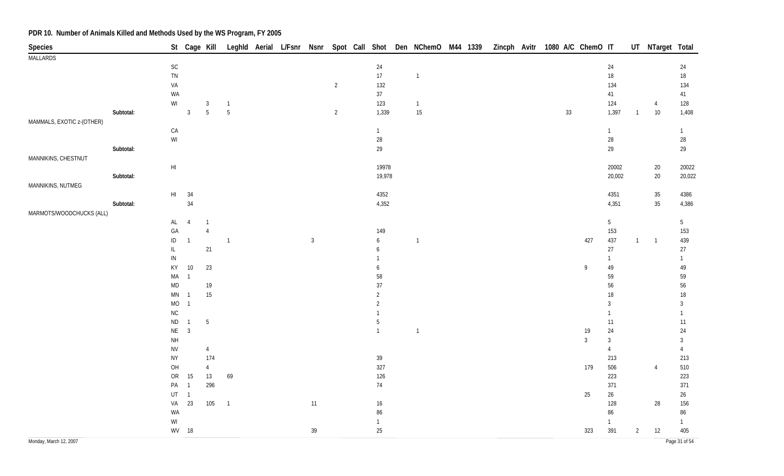| Species                   |           |                        |                |                 |                |  |              |                |                 | St Cage Kill Leghld Aerial L/Fsnr Nsnr Spot Call Shot Den NChemO M44 1339 Zincph Avitr 1080 A/C ChemO IT |  |  |        |              |                 |                | UT NTarget Total |                 |
|---------------------------|-----------|------------------------|----------------|-----------------|----------------|--|--------------|----------------|-----------------|----------------------------------------------------------------------------------------------------------|--|--|--------|--------------|-----------------|----------------|------------------|-----------------|
| <b>MALLARDS</b>           |           |                        |                |                 |                |  |              |                |                 |                                                                                                          |  |  |        |              |                 |                |                  |                 |
|                           |           | $\mathsf{SC}$          |                |                 |                |  |              |                | $24\,$          |                                                                                                          |  |  |        |              | 24              |                |                  | 24              |
|                           |           | ${\sf TN}$             |                |                 |                |  |              |                | 17              | $\overline{1}$                                                                                           |  |  |        |              | $18\,$          |                |                  | $18\,$          |
|                           |           | VA                     |                |                 |                |  |              | $\overline{2}$ | 132             |                                                                                                          |  |  |        |              | 134             |                |                  | 134             |
|                           |           | WA                     |                |                 |                |  |              |                | 37              |                                                                                                          |  |  |        |              | 41              |                |                  | 41              |
|                           |           | $\mathsf{W}\mathsf{I}$ |                | $\sqrt{3}$      | $\overline{1}$ |  |              |                | 123             | $\overline{1}$                                                                                           |  |  |        |              | 124             |                | $\overline{4}$   | 128             |
|                           | Subtotal: |                        | $\overline{3}$ | 5               | 5              |  |              | $\overline{2}$ | 1,339           | 15                                                                                                       |  |  | $33\,$ |              | 1,397           | $\overline{1}$ | $10\,$           | 1,408           |
| MAMMALS, EXOTIC z-(OTHER) |           |                        |                |                 |                |  |              |                |                 |                                                                                                          |  |  |        |              |                 |                |                  |                 |
|                           |           | ${\sf CA}$             |                |                 |                |  |              |                | $\overline{1}$  |                                                                                                          |  |  |        |              | $\mathbf{1}$    |                |                  | $\mathbf{1}$    |
|                           |           | $\mathsf{W}\mathsf{I}$ |                |                 |                |  |              |                | 28              |                                                                                                          |  |  |        |              | $28\,$          |                |                  | $28\,$          |
|                           | Subtotal: |                        |                |                 |                |  |              |                | 29              |                                                                                                          |  |  |        |              | 29              |                |                  | 29              |
| MANNIKINS, CHESTNUT       |           |                        |                |                 |                |  |              |                | 19978           |                                                                                                          |  |  |        |              | 20002           |                |                  |                 |
|                           | Subtotal: | $\mathsf{H}\mathsf{I}$ |                |                 |                |  |              |                | 19,978          |                                                                                                          |  |  |        |              | 20,002          |                | $20\,$<br>20     | 20022<br>20,022 |
| MANNIKINS, NUTMEG         |           |                        |                |                 |                |  |              |                |                 |                                                                                                          |  |  |        |              |                 |                |                  |                 |
|                           |           | $\mathsf{HI}$          | 34             |                 |                |  |              |                | 4352            |                                                                                                          |  |  |        |              | 4351            |                | $35\,$           | 4386            |
|                           | Subtotal: |                        | 34             |                 |                |  |              |                | 4,352           |                                                                                                          |  |  |        |              | 4,351           |                | $35\,$           | 4,386           |
| MARMOTS/WOODCHUCKS (ALL)  |           |                        |                |                 |                |  |              |                |                 |                                                                                                          |  |  |        |              |                 |                |                  |                 |
|                           |           | $\mathsf{AL}$          | $\overline{4}$ | $\overline{1}$  |                |  |              |                |                 |                                                                                                          |  |  |        |              | 5 <sub>5</sub>  |                |                  | 5 <sup>5</sup>  |
|                           |           | $\mathsf{GA}$          |                | $\overline{4}$  |                |  |              |                | 149             |                                                                                                          |  |  |        |              | 153             |                |                  | 153             |
|                           |           | $\sf ID$               | $\overline{1}$ |                 | $\overline{1}$ |  | $\mathbf{3}$ |                | 6               | $\overline{1}$                                                                                           |  |  |        | 427          | 437             | 1              | $\overline{1}$   | 439             |
|                           |           | $\mathsf{IL}$          |                | 21              |                |  |              |                | 6               |                                                                                                          |  |  |        |              | $27\,$          |                |                  | $27\,$          |
|                           |           | ${\sf IN}$             |                |                 |                |  |              |                |                 |                                                                                                          |  |  |        |              | $\mathbf{1}$    |                |                  | $\mathbf{1}$    |
|                           |           | KY                     | $10\,$         | 23              |                |  |              |                | 6               |                                                                                                          |  |  |        | 9            | 49              |                |                  | 49              |
|                           |           | MA                     | $\overline{1}$ |                 |                |  |              |                | 58              |                                                                                                          |  |  |        |              | 59              |                |                  | 59              |
|                           |           | $\mathsf{MD}$          |                | 19              |                |  |              |                | 37              |                                                                                                          |  |  |        |              | 56              |                |                  | 56              |
|                           |           | MN                     | $\overline{1}$ | 15              |                |  |              |                | $\overline{2}$  |                                                                                                          |  |  |        |              | 18              |                |                  | $18\,$          |
|                           |           | $\rm MO$               | $\overline{1}$ |                 |                |  |              |                | $\overline{2}$  |                                                                                                          |  |  |        |              | $\mathbf{3}$    |                |                  | $\mathfrak{Z}$  |
|                           |           | ${\sf NC}$             |                |                 |                |  |              |                |                 |                                                                                                          |  |  |        |              | $\mathbf{1}$    |                |                  | $\mathbf{1}$    |
|                           |           | $\sf ND$               | $\overline{1}$ | $5\phantom{.0}$ |                |  |              |                | 5               |                                                                                                          |  |  |        |              | $11$            |                |                  | 11              |
|                           |           | $\mathsf{NE}\,$        | $\mathbf{3}$   |                 |                |  |              |                | $\overline{1}$  | $\overline{1}$                                                                                           |  |  |        | 19           | 24              |                |                  | 24              |
|                           |           | $\mathsf{NH}\,$        |                |                 |                |  |              |                |                 |                                                                                                          |  |  |        | $\mathbf{3}$ | $\mathbf{3}$    |                |                  | $\mathbf{3}$    |
|                           |           | <b>NV</b>              |                | $\overline{4}$  |                |  |              |                |                 |                                                                                                          |  |  |        |              | $\overline{4}$  |                |                  | $\overline{4}$  |
|                           |           | <b>NY</b>              |                | 174             |                |  |              |                | $39\,$          |                                                                                                          |  |  |        |              | 213             |                |                  | 213             |
|                           |           | OH                     |                | $\overline{4}$  |                |  |              |                | 327             |                                                                                                          |  |  |        | 179          | 506             |                | $\overline{4}$   | 510             |
|                           |           | ${\sf OR}$             | 15             | 13              | 69             |  |              |                | 126             |                                                                                                          |  |  |        |              | 223             |                |                  | 223             |
|                           |           | PA                     | $\overline{1}$ | 296             |                |  |              |                | 74              |                                                                                                          |  |  |        |              | 371             |                |                  | 371             |
|                           |           | $\sf{UT}$              | $\overline{1}$ |                 |                |  |              |                |                 |                                                                                                          |  |  |        | 25           | $26\phantom{.}$ |                |                  | $26\,$          |
|                           |           | VA                     | 23             | 105             | $\overline{1}$ |  | 11           |                | $16\phantom{.}$ |                                                                                                          |  |  |        |              | 128             |                | 28               | 156             |
|                           |           | WA                     |                |                 |                |  |              |                | 86              |                                                                                                          |  |  |        |              | 86              |                |                  | 86              |
|                           |           | WI                     |                |                 |                |  |              |                | $\overline{1}$  |                                                                                                          |  |  |        |              | $\mathbf{1}$    |                |                  | $\mathbf{1}$    |
|                           |           |                        | WV 18          |                 |                |  | 39           |                | 25              |                                                                                                          |  |  |        | 323          | 391             | $\overline{2}$ | 12               | 405             |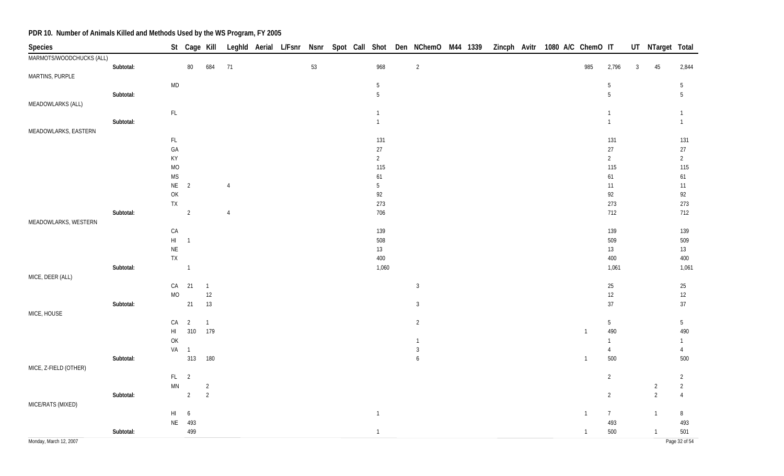| Species                  |           |                                                                                       | St Cage Kill   |                |                |  |    |  |                | Leghld Aerial L/Fsnr Nsnr Spot Call Shot Den NChemO M44 1339 |  | Zincph Avitr 1080 A/C ChemO IT |  |                |                 |                | UT NTarget Total |                 |
|--------------------------|-----------|---------------------------------------------------------------------------------------|----------------|----------------|----------------|--|----|--|----------------|--------------------------------------------------------------|--|--------------------------------|--|----------------|-----------------|----------------|------------------|-----------------|
| MARMOTS/WOODCHUCKS (ALL) |           |                                                                                       |                |                |                |  |    |  |                |                                                              |  |                                |  |                |                 |                |                  |                 |
|                          | Subtotal: |                                                                                       | $80\,$         | 684            | 71             |  | 53 |  | 968            | $\overline{2}$                                               |  |                                |  | 985            | 2,796           | $\overline{3}$ | 45               | 2,844           |
| MARTINS, PURPLE          |           |                                                                                       |                |                |                |  |    |  |                |                                                              |  |                                |  |                |                 |                |                  |                 |
|                          |           | <b>MD</b>                                                                             |                |                |                |  |    |  | $\sqrt{5}$     |                                                              |  |                                |  |                | 5               |                |                  | $\overline{5}$  |
|                          | Subtotal: |                                                                                       |                |                |                |  |    |  | 5              |                                                              |  |                                |  |                | 5               |                |                  | $5\phantom{.0}$ |
| MEADOWLARKS (ALL)        |           |                                                                                       |                |                |                |  |    |  |                |                                                              |  |                                |  |                |                 |                |                  |                 |
|                          |           | $\mathsf{FL}$                                                                         |                |                |                |  |    |  | $\mathbf{1}$   |                                                              |  |                                |  |                | $\mathbf{1}$    |                |                  | $\mathbf{1}$    |
|                          | Subtotal: |                                                                                       |                |                |                |  |    |  | $\mathbf{1}$   |                                                              |  |                                |  |                | $\mathbf{1}$    |                |                  | $\mathbf{1}$    |
| MEADOWLARKS, EASTERN     |           |                                                                                       |                |                |                |  |    |  |                |                                                              |  |                                |  |                |                 |                |                  |                 |
|                          |           | $\mathsf{FL}$                                                                         |                |                |                |  |    |  | 131            |                                                              |  |                                |  |                | 131             |                |                  | 131             |
|                          |           | GA                                                                                    |                |                |                |  |    |  | $27\,$         |                                                              |  |                                |  |                | 27              |                |                  | 27              |
|                          |           | KY                                                                                    |                |                |                |  |    |  | $\overline{2}$ |                                                              |  |                                |  |                | $\overline{2}$  |                |                  | $\overline{2}$  |
|                          |           | <b>MO</b>                                                                             |                |                |                |  |    |  | 115            |                                                              |  |                                |  |                | 115             |                |                  | 115             |
|                          |           | <b>MS</b>                                                                             |                |                |                |  |    |  | 61             |                                                              |  |                                |  |                | 61              |                |                  | 61              |
|                          |           | $NE$ 2                                                                                |                |                | 4              |  |    |  | 5              |                                                              |  |                                |  |                | 11              |                |                  | 11              |
|                          |           | $\mathsf{OK}$                                                                         |                |                |                |  |    |  | 92             |                                                              |  |                                |  |                | 92              |                |                  | 92              |
|                          |           | TX                                                                                    |                |                |                |  |    |  | 273            |                                                              |  |                                |  |                | 273             |                |                  | 273             |
|                          | Subtotal: |                                                                                       | 2              |                | $\overline{4}$ |  |    |  | 706            |                                                              |  |                                |  |                | 712             |                |                  | 712             |
| MEADOWLARKS, WESTERN     |           |                                                                                       |                |                |                |  |    |  |                |                                                              |  |                                |  |                |                 |                |                  |                 |
|                          |           | CA                                                                                    |                |                |                |  |    |  | 139            |                                                              |  |                                |  |                | 139             |                |                  | 139             |
|                          |           | $\mathsf{H}\mathsf{I}$                                                                | $\overline{1}$ |                |                |  |    |  | 508            |                                                              |  |                                |  |                | 509             |                |                  | 509             |
|                          |           | $\mathsf{NE}\xspace$                                                                  |                |                |                |  |    |  | 13<br>400      |                                                              |  |                                |  |                | $13$            |                |                  | 13              |
|                          |           | <b>TX</b>                                                                             | $\overline{1}$ |                |                |  |    |  | 1,060          |                                                              |  |                                |  |                | 400             |                |                  | 400             |
| MICE, DEER (ALL)         | Subtotal: |                                                                                       |                |                |                |  |    |  |                |                                                              |  |                                |  |                | 1,061           |                |                  | 1,061           |
|                          |           | CA                                                                                    | 21             | $\overline{1}$ |                |  |    |  |                | $\mathbf{3}$                                                 |  |                                |  |                | $25\,$          |                |                  | 25              |
|                          |           | MO                                                                                    |                | $12\,$         |                |  |    |  |                |                                                              |  |                                |  |                | $12\,$          |                |                  | $12\,$          |
|                          | Subtotal: |                                                                                       | 21             | 13             |                |  |    |  |                | $\mathbf{3}$                                                 |  |                                |  |                | 37              |                |                  | $37\,$          |
| MICE, HOUSE              |           |                                                                                       |                |                |                |  |    |  |                |                                                              |  |                                |  |                |                 |                |                  |                 |
|                          |           | CA                                                                                    | $\overline{2}$ | $\overline{1}$ |                |  |    |  |                | $\overline{2}$                                               |  |                                |  |                | $5\phantom{.0}$ |                |                  | $5\phantom{.0}$ |
|                          |           | $\mathsf{H}\mathsf{I}$                                                                |                | 310 179        |                |  |    |  |                |                                                              |  |                                |  | $\overline{1}$ | 490             |                |                  | 490             |
|                          |           | $\mathsf{OK}% \left( \mathcal{M}\right) \equiv\mathsf{OK}(\mathcal{M}_{\mathrm{CL}})$ |                |                |                |  |    |  |                | $\mathbf{1}$                                                 |  |                                |  |                | $\mathbf{1}$    |                |                  | $\overline{1}$  |
|                          |           | VA 1                                                                                  |                |                |                |  |    |  |                | $\mathbf{3}$                                                 |  |                                |  |                | $\overline{4}$  |                |                  | $\overline{4}$  |
|                          | Subtotal: |                                                                                       | 313            | 180            |                |  |    |  |                | 6                                                            |  |                                |  | $\overline{1}$ | 500             |                |                  | 500             |
| MICE, Z-FIELD (OTHER)    |           |                                                                                       |                |                |                |  |    |  |                |                                                              |  |                                |  |                |                 |                |                  |                 |
|                          |           | FL <sub>2</sub>                                                                       |                |                |                |  |    |  |                |                                                              |  |                                |  |                | $\overline{2}$  |                |                  | $\overline{2}$  |
|                          |           | MN                                                                                    |                | $\overline{2}$ |                |  |    |  |                |                                                              |  |                                |  |                |                 |                | $\overline{2}$   | $\overline{2}$  |
|                          | Subtotal: |                                                                                       | $\overline{2}$ | $\overline{2}$ |                |  |    |  |                |                                                              |  |                                |  |                | $\overline{2}$  |                | $\overline{2}$   | $\overline{4}$  |
| MICE/RATS (MIXED)        |           |                                                                                       |                |                |                |  |    |  |                |                                                              |  |                                |  |                |                 |                |                  |                 |
|                          |           | $\mathsf{H}\mathsf{I}$                                                                | 6              |                |                |  |    |  | $\overline{1}$ |                                                              |  |                                |  | $\overline{1}$ | $\overline{7}$  |                | $\mathbf{1}$     | $\, 8$          |
|                          |           |                                                                                       | NE 493         |                |                |  |    |  |                |                                                              |  |                                |  |                | 493             |                |                  | 493             |
|                          | Subtotal: |                                                                                       | 499            |                |                |  |    |  | $\mathbf{1}$   |                                                              |  |                                |  | $\overline{1}$ | 500             |                | $\overline{1}$   | 501             |
| Monday, March 12, 2007   |           |                                                                                       |                |                |                |  |    |  |                |                                                              |  |                                |  |                |                 |                |                  | Page 32 of 54   |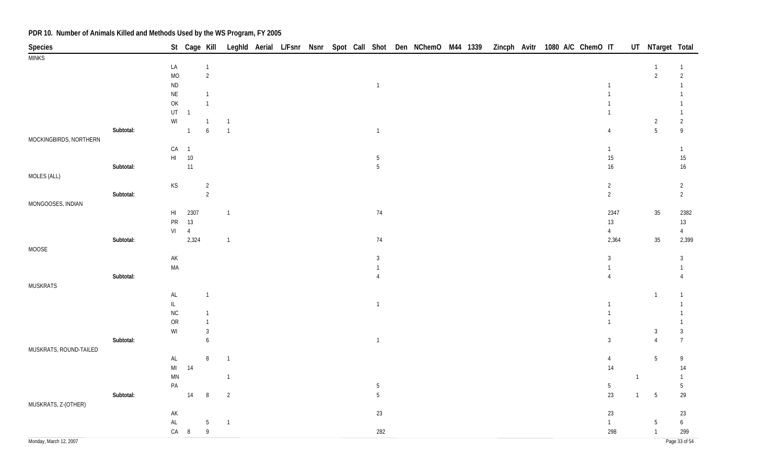| Species                |           |                                                                   |                | St Cage Kill     |                |  |  |                 | Leghld Aerial L/Fsnr Nsnr Spot Call Shot Den NChemO M44 1339 Zincph Avitr 1080 A/C ChemO IT |  |  |  |                |                | UT NTarget Total |                                                                                                                            |
|------------------------|-----------|-------------------------------------------------------------------|----------------|------------------|----------------|--|--|-----------------|---------------------------------------------------------------------------------------------|--|--|--|----------------|----------------|------------------|----------------------------------------------------------------------------------------------------------------------------|
| <b>MINKS</b>           |           |                                                                   |                |                  |                |  |  |                 |                                                                                             |  |  |  |                |                |                  |                                                                                                                            |
|                        |           | LA                                                                |                | $\overline{1}$   |                |  |  |                 |                                                                                             |  |  |  |                |                | -1               | 1                                                                                                                          |
|                        |           | $\rm MO$                                                          |                | $\overline{2}$   |                |  |  |                 |                                                                                             |  |  |  |                |                | $\overline{2}$   | $\overline{2}$                                                                                                             |
|                        |           | $\sf ND$                                                          |                |                  |                |  |  | $\overline{1}$  |                                                                                             |  |  |  | $\mathbf{1}$   |                |                  | $\mathbf{1}$                                                                                                               |
|                        |           | $\sf NE$                                                          |                | $\mathbf{1}$     |                |  |  |                 |                                                                                             |  |  |  | $\mathbf{1}$   |                |                  |                                                                                                                            |
|                        |           | $\mathsf{OK}$                                                     |                | $\overline{1}$   |                |  |  |                 |                                                                                             |  |  |  | $\mathbf{1}$   |                |                  |                                                                                                                            |
|                        |           | $\sf{UT}$                                                         | $\overline{1}$ |                  |                |  |  |                 |                                                                                             |  |  |  | $\mathbf{1}$   |                |                  | $\mathbf{1}$                                                                                                               |
|                        |           | $\ensuremath{\mathsf{W}}\xspace\ensuremath{\mathsf{I}}$           |                | $\overline{1}$   | $\overline{1}$ |  |  |                 |                                                                                             |  |  |  |                |                | $\overline{2}$   | $\overline{2}$                                                                                                             |
|                        | Subtotal: |                                                                   | $\overline{1}$ | $\boldsymbol{6}$ | $\overline{1}$ |  |  | $\overline{1}$  |                                                                                             |  |  |  | $\overline{4}$ |                | $5\phantom{.0}$  | $\mathsf{g}% _{T}=\mathsf{g}_{T}\left( \mathsf{g}_{T}\right) ,\mathsf{g}_{T}=\mathsf{g}_{T}\left( \mathsf{g}_{T}\right) ,$ |
| MOCKINGBIRDS, NORTHERN |           |                                                                   |                |                  |                |  |  |                 |                                                                                             |  |  |  |                |                |                  |                                                                                                                            |
|                        |           | CA                                                                | $\overline{1}$ |                  |                |  |  |                 |                                                                                             |  |  |  | $\mathbf{1}$   |                |                  | $\mathbf{1}$                                                                                                               |
|                        |           | $\mathsf{HI}^-$                                                   | 10             |                  |                |  |  | $\overline{5}$  |                                                                                             |  |  |  | $15\,$         |                |                  | $15\,$                                                                                                                     |
|                        | Subtotal: |                                                                   | 11             |                  |                |  |  | $5\phantom{.0}$ |                                                                                             |  |  |  | $16\,$         |                |                  | $16\,$                                                                                                                     |
| MOLES (ALL)            |           |                                                                   |                |                  |                |  |  |                 |                                                                                             |  |  |  |                |                |                  |                                                                                                                            |
|                        |           | $\mathsf{KS}% _{\mathsf{K}}^{\mathsf{K}}\left( \mathsf{K}\right)$ |                | $\overline{c}$   |                |  |  |                 |                                                                                             |  |  |  | $\overline{2}$ |                |                  | $\overline{2}$                                                                                                             |
|                        | Subtotal: |                                                                   |                | $\overline{2}$   |                |  |  |                 |                                                                                             |  |  |  | $\overline{2}$ |                |                  | $\overline{2}$                                                                                                             |
| MONGOOSES, INDIAN      |           |                                                                   |                |                  |                |  |  |                 |                                                                                             |  |  |  |                |                |                  |                                                                                                                            |
|                        |           | $\mathsf{HI}$                                                     | 2307           |                  | $\overline{1}$ |  |  | 74              |                                                                                             |  |  |  | 2347           |                | 35               | 2382                                                                                                                       |
|                        |           | ${\sf PR}$                                                        | 13             |                  |                |  |  |                 |                                                                                             |  |  |  | $13$           |                |                  | $13\,$                                                                                                                     |
|                        |           | VI                                                                | $\overline{4}$ |                  |                |  |  |                 |                                                                                             |  |  |  | $\overline{4}$ |                |                  | $\overline{4}$                                                                                                             |
|                        | Subtotal: |                                                                   | 2,324          |                  | $\overline{1}$ |  |  | 74              |                                                                                             |  |  |  | 2,364          |                | $35\,$           | 2,399                                                                                                                      |
| MOOSE                  |           |                                                                   |                |                  |                |  |  |                 |                                                                                             |  |  |  |                |                |                  |                                                                                                                            |
|                        |           | $\mathsf{AK}$                                                     |                |                  |                |  |  | $\mathbf{3}$    |                                                                                             |  |  |  | $\mathbf{3}$   |                |                  | $\mathbf{3}$                                                                                                               |
|                        |           | $\sf MA$                                                          |                |                  |                |  |  | $\mathbf{1}$    |                                                                                             |  |  |  | $\mathbf{1}$   |                |                  | 1                                                                                                                          |
|                        | Subtotal: |                                                                   |                |                  |                |  |  | $\overline{4}$  |                                                                                             |  |  |  | $\overline{4}$ |                |                  | $\overline{4}$                                                                                                             |
| <b>MUSKRATS</b>        |           |                                                                   |                |                  |                |  |  |                 |                                                                                             |  |  |  |                |                |                  |                                                                                                                            |
|                        |           | $\mathsf{AL}$                                                     |                | $\overline{1}$   |                |  |  |                 |                                                                                             |  |  |  |                |                | $\overline{1}$   | $\mathbf{1}$                                                                                                               |
|                        |           | $\mathsf{IL}$                                                     |                |                  |                |  |  | $\mathbf{1}$    |                                                                                             |  |  |  | $\mathbf{1}$   |                |                  | $\mathbf{1}$                                                                                                               |
|                        |           | $\rm NC$                                                          |                | $\overline{1}$   |                |  |  |                 |                                                                                             |  |  |  | $\mathbf{1}$   |                |                  | $\mathbf{1}$                                                                                                               |
|                        |           | ${\sf OR}$                                                        |                | $\mathbf{1}$     |                |  |  |                 |                                                                                             |  |  |  | $\mathbf{1}$   |                |                  | $\mathbf{1}$                                                                                                               |
|                        |           | $\ensuremath{\mathsf{W}}\xspace\ensuremath{\mathsf{I}}$           |                | $\mathbf{3}$     |                |  |  |                 |                                                                                             |  |  |  |                |                | $\overline{3}$   | $\mathbf{3}$                                                                                                               |
|                        | Subtotal: |                                                                   |                | 6                |                |  |  | $\mathbf{1}$    |                                                                                             |  |  |  | $\mathfrak{Z}$ |                | $\overline{4}$   | $\boldsymbol{7}$                                                                                                           |
| MUSKRATS, ROUND-TAILED |           |                                                                   |                |                  |                |  |  |                 |                                                                                             |  |  |  |                |                |                  |                                                                                                                            |
|                        |           | $\mathsf{AL}$                                                     |                | $\, 8$           | $\overline{1}$ |  |  |                 |                                                                                             |  |  |  | $\overline{4}$ |                | 5                | 9                                                                                                                          |
|                        |           | $\mathsf{MI}$                                                     | 14             |                  |                |  |  |                 |                                                                                             |  |  |  | 14             |                |                  | $14$                                                                                                                       |
|                        |           | $\mathsf{M}\mathsf{N}$                                            |                |                  | $\mathbf{1}$   |  |  |                 |                                                                                             |  |  |  |                | $\overline{1}$ |                  | $\mathbf{1}$                                                                                                               |
|                        |           | $\mathsf{PA}$                                                     |                |                  |                |  |  | $5\phantom{.0}$ |                                                                                             |  |  |  | $5\,$          |                |                  | $5\,$                                                                                                                      |
|                        | Subtotal: |                                                                   | 14             | $\, 8$           | $\overline{2}$ |  |  | $5\phantom{.0}$ |                                                                                             |  |  |  | 23             | $\overline{1}$ | 5                | 29                                                                                                                         |
| MUSKRATS, Z-(OTHER)    |           |                                                                   |                |                  |                |  |  |                 |                                                                                             |  |  |  |                |                |                  |                                                                                                                            |
|                        |           | $\mathsf{AK}$                                                     |                |                  |                |  |  | 23              |                                                                                             |  |  |  | $23\,$         |                |                  | 23                                                                                                                         |
|                        |           | $\mathsf{AL}$                                                     |                | $\overline{5}$   | $\overline{1}$ |  |  |                 |                                                                                             |  |  |  | $\mathbf{1}$   |                | 5                | $\boldsymbol{6}$                                                                                                           |
|                        |           | CA                                                                | $8\phantom{1}$ | $\overline{9}$   |                |  |  | 282             |                                                                                             |  |  |  | 298            |                | $\overline{1}$   | 299                                                                                                                        |
| Monday, March 12, 2007 |           |                                                                   |                |                  |                |  |  |                 |                                                                                             |  |  |  |                |                |                  | Page 33 of 54                                                                                                              |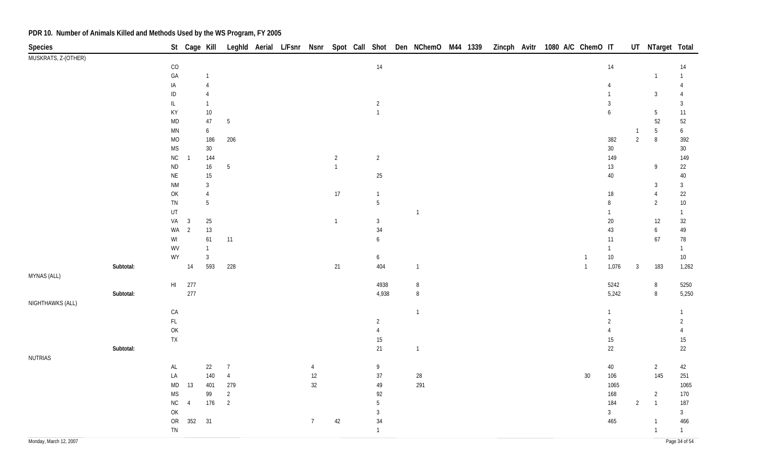| Species                |           |                                                                                       | St Cage Kill   |                              |                 |  |                 |              |                                | Leghld Aerial L/Fsnr Nsnr Spot Call Shot Den NChemO M44 1339 |  | Zincph Avitr |  | 1080 A/C ChemO IT |                        |                | UT NTarget Total |                        |
|------------------------|-----------|---------------------------------------------------------------------------------------|----------------|------------------------------|-----------------|--|-----------------|--------------|--------------------------------|--------------------------------------------------------------|--|--------------|--|-------------------|------------------------|----------------|------------------|------------------------|
| MUSKRATS, Z-(OTHER)    |           |                                                                                       |                |                              |                 |  |                 |              |                                |                                                              |  |              |  |                   |                        |                |                  |                        |
|                        |           | $\rm CO$                                                                              |                |                              |                 |  |                 |              | $14$                           |                                                              |  |              |  |                   | 14                     |                |                  | 14                     |
|                        |           | ${\sf GA}$                                                                            |                |                              |                 |  |                 |              |                                |                                                              |  |              |  |                   |                        |                | $\overline{1}$   |                        |
|                        |           | IA                                                                                    |                |                              |                 |  |                 |              |                                |                                                              |  |              |  |                   | $\overline{4}$         |                |                  |                        |
|                        |           | $\sf ID$                                                                              |                | $\overline{4}$               |                 |  |                 |              |                                |                                                              |  |              |  |                   | $\mathbf{1}$           |                | $\mathbf{3}$     | $\overline{4}$         |
|                        |           | $\mathsf{IL}$                                                                         |                | $\mathbf{1}$                 |                 |  |                 |              | $\overline{a}$                 |                                                              |  |              |  |                   | $\mathbf{3}$           |                |                  | $\overline{3}$         |
|                        |           | KY                                                                                    |                | $10\,$                       |                 |  |                 |              | $\mathbf{1}$                   |                                                              |  |              |  |                   | $\boldsymbol{6}$       |                | $\sqrt{5}$       | $11$                   |
|                        |           | $\sf MD$                                                                              |                | $47\,$                       | $5\phantom{.0}$ |  |                 |              |                                |                                                              |  |              |  |                   |                        |                | 52               | $52\,$                 |
|                        |           | $\mathsf{M}\mathsf{N}$                                                                |                | $\boldsymbol{6}$             |                 |  |                 |              |                                |                                                              |  |              |  |                   |                        | -1             | $\sqrt{5}$       | $\boldsymbol{6}$       |
|                        |           | $\rm MO$                                                                              |                | 186                          | 206             |  |                 |              |                                |                                                              |  |              |  |                   | 382                    | $\overline{2}$ | $\, 8$           | 392                    |
|                        |           | <b>MS</b>                                                                             |                | $30\,$                       |                 |  |                 |              |                                |                                                              |  |              |  |                   | $30\,$                 |                |                  | $30\,$                 |
|                        |           | ${\sf NC}$                                                                            | $\overline{1}$ | 144                          |                 |  |                 | $\sqrt{2}$   | $\overline{2}$                 |                                                              |  |              |  |                   | 149                    |                |                  | 149                    |
|                        |           | $\sf ND$                                                                              |                | 16                           | $\overline{5}$  |  |                 | $\mathbf{1}$ |                                |                                                              |  |              |  |                   | $13\,$                 |                | 9                | 22                     |
|                        |           | $\mathsf{NE}\xspace$                                                                  |                | $15\,$                       |                 |  |                 |              | 25                             |                                                              |  |              |  |                   | $40\,$                 |                |                  | $40\,$                 |
|                        |           | $\mathsf{N}\mathsf{M}$                                                                |                | $\sqrt{3}$<br>$\overline{4}$ |                 |  |                 |              |                                |                                                              |  |              |  |                   |                        |                | $\mathbf{3}$     | $\mathbf{3}$           |
|                        |           | OK                                                                                    |                | $\sqrt{5}$                   |                 |  |                 | 17           | $\mathbf{1}$<br>$\overline{5}$ |                                                              |  |              |  |                   | $18\,$                 |                | $\overline{4}$   | $22\,$                 |
|                        |           | ${\sf TN}$<br>UT                                                                      |                |                              |                 |  |                 |              |                                | $\overline{1}$                                               |  |              |  |                   | $\, 8$<br>$\mathbf{1}$ |                | $\overline{2}$   | $10\,$                 |
|                        |           | VA                                                                                    | $\mathbf{3}$   | $25\,$                       |                 |  |                 | $\mathbf{1}$ | $\mathfrak{Z}$                 |                                                              |  |              |  |                   | $20\,$                 |                | 12               | $\mathbf{1}$<br>$32\,$ |
|                        |           | WA                                                                                    | $\overline{2}$ | $13$                         |                 |  |                 |              | 34                             |                                                              |  |              |  |                   | $43\,$                 |                | $\boldsymbol{6}$ | $49\,$                 |
|                        |           | $\mathsf{W}\mathsf{I}$                                                                |                | 61                           | $11$            |  |                 |              | 6                              |                                                              |  |              |  |                   | 11                     |                | 67               | $78\,$                 |
|                        |           | WV                                                                                    |                | $\mathbf{1}$                 |                 |  |                 |              |                                |                                                              |  |              |  |                   | $\mathbf{1}$           |                |                  | $\mathbf{1}$           |
|                        |           | WY                                                                                    |                | $\overline{3}$               |                 |  |                 |              | 6                              |                                                              |  |              |  | $\mathbf{1}$      | $10\,$                 |                |                  | $10\,$                 |
|                        | Subtotal: |                                                                                       | 14             | 593                          | 228             |  |                 | 21           | 404                            | $\overline{1}$                                               |  |              |  | $\mathbf{1}$      | 1,076                  | $\mathbf{3}$   | 183              | 1,262                  |
| MYNAS (ALL)            |           |                                                                                       |                |                              |                 |  |                 |              |                                |                                                              |  |              |  |                   |                        |                |                  |                        |
|                        |           | $\mathsf{HI}$                                                                         | 277            |                              |                 |  |                 |              | 4938                           | $\, 8$                                                       |  |              |  |                   | 5242                   |                | $\, 8$           | 5250                   |
|                        | Subtotal: |                                                                                       | 277            |                              |                 |  |                 |              | 4,938                          | $\, 8$                                                       |  |              |  |                   | 5,242                  |                | $\, 8$           | 5,250                  |
| NIGHTHAWKS (ALL)       |           |                                                                                       |                |                              |                 |  |                 |              |                                |                                                              |  |              |  |                   |                        |                |                  |                        |
|                        |           | ${\sf CA}$                                                                            |                |                              |                 |  |                 |              |                                | $\mathbf{1}$                                                 |  |              |  |                   | 1                      |                |                  | $\mathbf{1}$           |
|                        |           | $\mathsf{FL}$                                                                         |                |                              |                 |  |                 |              | $\overline{c}$                 |                                                              |  |              |  |                   | $\overline{2}$         |                |                  | $\overline{2}$         |
|                        |           | $\mathsf{OK}$                                                                         |                |                              |                 |  |                 |              | $\overline{4}$                 |                                                              |  |              |  |                   | $\overline{4}$         |                |                  | $\overline{4}$         |
|                        |           | ${\sf TX}$                                                                            |                |                              |                 |  |                 |              | $15\,$                         |                                                              |  |              |  |                   | $15\,$                 |                |                  | $15\,$                 |
|                        | Subtotal: |                                                                                       |                |                              |                 |  |                 |              | 21                             | $\mathbf{1}$                                                 |  |              |  |                   | $22\,$                 |                |                  | $22\,$                 |
| NUTRIAS                |           |                                                                                       |                |                              |                 |  |                 |              |                                |                                                              |  |              |  |                   |                        |                |                  |                        |
|                        |           | $\mathsf{AL}$                                                                         |                | 22                           | $\overline{7}$  |  | $\overline{4}$  |              | 9                              |                                                              |  |              |  |                   | $40\,$                 |                | $\overline{2}$   | 42                     |
|                        |           | LA                                                                                    |                | $140\,$                      | $\overline{4}$  |  | $12\,$          |              | $37\,$                         | $28\,$                                                       |  |              |  | 30                | 106                    |                | 145              | 251                    |
|                        |           | $\mathsf{MD}$                                                                         | 13             | 401                          | 279             |  | $32\,$          |              | 49                             | 291                                                          |  |              |  |                   | 1065                   |                |                  | 1065                   |
|                        |           | $\mathsf{MS}\xspace$                                                                  |                | 99                           | $\overline{2}$  |  |                 |              | 92                             |                                                              |  |              |  |                   | 168                    |                | $\overline{2}$   | 170                    |
|                        |           | ${\sf NC}$                                                                            | $\overline{4}$ | 176                          | $\overline{2}$  |  |                 |              | $5\phantom{.0}$                |                                                              |  |              |  |                   | 184                    | $\overline{2}$ | $\overline{1}$   | 187                    |
|                        |           | $\mathsf{OK}% \left( \mathcal{M}\right) \equiv\mathsf{OK}(\mathcal{M}_{\mathrm{CL}})$ |                |                              |                 |  |                 |              | $\mathbf{3}$                   |                                                              |  |              |  |                   | $\mathfrak{Z}$         |                |                  | $\mathfrak{Z}$         |
|                        |           | ${\sf OR}$                                                                            | 352            | 31                           |                 |  | $7\overline{ }$ | 42           | 34                             |                                                              |  |              |  |                   | 465                    |                | $\overline{1}$   | 466                    |
|                        |           | TN                                                                                    |                |                              |                 |  |                 |              | $\mathbf{1}$                   |                                                              |  |              |  |                   |                        |                | $\overline{1}$   | $\mathbf{1}$           |
| Monday, March 12, 2007 |           |                                                                                       |                |                              |                 |  |                 |              |                                |                                                              |  |              |  |                   |                        |                |                  | Page 34 of 54          |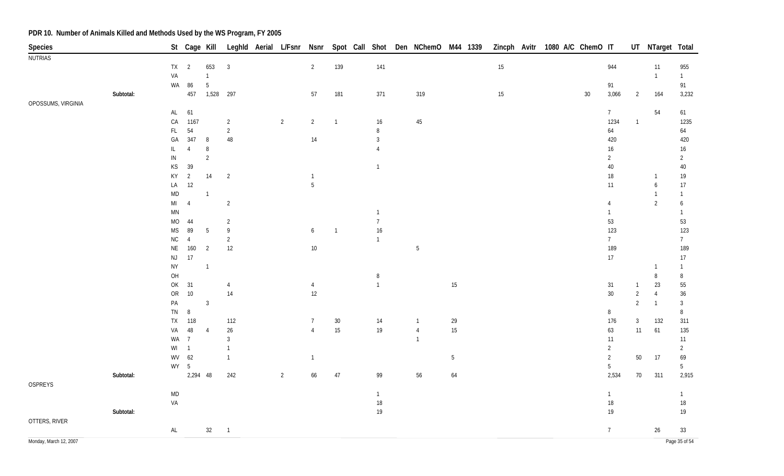| Species                |           |                                                                   |                      | St Cage Kill    |                |                |                 |                |                | Leghld Aerial L/Fsnr Nsnr Spot Call Shot Den NChemO M44 1339 |        | Zincph Avitr 1080 A/C ChemO IT |  |    |                 |                | UT NTarget Total    |                    |
|------------------------|-----------|-------------------------------------------------------------------|----------------------|-----------------|----------------|----------------|-----------------|----------------|----------------|--------------------------------------------------------------|--------|--------------------------------|--|----|-----------------|----------------|---------------------|--------------------|
| NUTRIAS                |           |                                                                   |                      |                 |                |                |                 |                |                |                                                              |        |                                |  |    |                 |                |                     |                    |
|                        |           | $TX$ 2                                                            |                      | 653             | $\mathbf{3}$   |                | 2               | 139            | 141            |                                                              |        | $15\,$                         |  |    | 944             |                | 11                  | 955                |
|                        |           | VA                                                                |                      | $\mathbf{1}$    |                |                |                 |                |                |                                                              |        |                                |  |    |                 |                | $\overline{1}$      | $\mathbf{1}$       |
|                        |           | WA                                                                | 86                   | $\overline{5}$  |                |                |                 |                |                |                                                              |        |                                |  |    | 91              |                |                     | 91                 |
|                        | Subtotal: |                                                                   |                      | 457  1,528  297 |                |                | 57              | 181            | 371            | 319                                                          |        | $15\,$                         |  | 30 | 3,066           | $\overline{2}$ | 164                 | 3,232              |
| OPOSSUMS, VIRGINIA     |           |                                                                   |                      |                 |                |                |                 |                |                |                                                              |        |                                |  |    |                 |                |                     |                    |
|                        |           | AL 61                                                             |                      |                 |                |                |                 |                |                |                                                              |        |                                |  |    | $\overline{7}$  |                | 54                  | 61                 |
|                        |           | CA                                                                | 1167                 |                 | 2              | $\overline{2}$ | $\overline{2}$  | $\overline{1}$ | 16             | $45\,$                                                       |        |                                |  |    | 1234            | $\overline{1}$ |                     | 1235               |
|                        |           | FL                                                                | 54                   |                 | $\overline{2}$ |                |                 |                | 8              |                                                              |        |                                |  |    | 64              |                |                     | 64                 |
|                        |           | GA                                                                | 347                  | 8               | 48             |                | 14              |                | $\mathfrak{Z}$ |                                                              |        |                                |  |    | 420             |                |                     | 420                |
|                        |           | IL.                                                               | $\overline{4}$       | 8               |                |                |                 |                | 4              |                                                              |        |                                |  |    | 16              |                |                     | 16                 |
|                        |           | ${\sf IN}$                                                        |                      | $\overline{2}$  |                |                |                 |                |                |                                                              |        |                                |  |    | $\overline{2}$  |                |                     | $\overline{2}$     |
|                        |           | $\mathsf{KS}% _{\mathsf{K}}^{\mathsf{K}}\left( \mathsf{K}\right)$ | 39                   |                 |                |                |                 |                | $\overline{1}$ |                                                              |        |                                |  |    | $40\,$          |                |                     | $40\,$             |
|                        |           | KY                                                                | $\overline{2}$<br>12 | 14              | $\overline{2}$ |                | $\overline{1}$  |                |                |                                                              |        |                                |  |    | 18              |                | $\overline{1}$      | 19                 |
|                        |           | LA                                                                |                      | $\mathbf{1}$    |                |                | $5\phantom{.0}$ |                |                |                                                              |        |                                |  |    | 11              |                | 6<br>$\overline{1}$ | 17<br>$\mathbf{1}$ |
|                        |           | <b>MD</b><br>$\mathsf{MI}$                                        | $\overline{4}$       |                 | $\overline{2}$ |                |                 |                |                |                                                              |        |                                |  |    | 4               |                | $\overline{2}$      | 6                  |
|                        |           | MN                                                                |                      |                 |                |                |                 |                | $\overline{1}$ |                                                              |        |                                |  |    | $\mathbf{1}$    |                |                     | $\mathbf{1}$       |
|                        |           | $MO$                                                              | 44                   |                 | 2              |                |                 |                | $\overline{7}$ |                                                              |        |                                |  |    | 53              |                |                     | 53                 |
|                        |           | $\mathsf{MS}\xspace$                                              | 89                   | $\overline{5}$  | 9              |                | 6               | $\overline{1}$ | $16$           |                                                              |        |                                |  |    | 123             |                |                     | 123                |
|                        |           | ${\sf NC}$                                                        | $\overline{4}$       |                 | $\overline{2}$ |                |                 |                | $\overline{1}$ |                                                              |        |                                |  |    | $\overline{7}$  |                |                     | $7\overline{ }$    |
|                        |           | $\mathsf{NE}\xspace$                                              | 160                  | $\overline{2}$  | 12             |                | 10              |                |                | 5                                                            |        |                                |  |    | 189             |                |                     | 189                |
|                        |           | NJ                                                                | 17                   |                 |                |                |                 |                |                |                                                              |        |                                |  |    | 17              |                |                     | 17                 |
|                        |           | <b>NY</b>                                                         |                      | $\mathbf{1}$    |                |                |                 |                |                |                                                              |        |                                |  |    |                 |                | -1                  | $\mathbf{1}$       |
|                        |           | OH                                                                |                      |                 |                |                |                 |                | $\, 8$         |                                                              |        |                                |  |    |                 |                | 8                   | $\, 8$             |
|                        |           | OK                                                                | 31                   |                 | $\overline{4}$ |                | $\overline{4}$  |                | $\overline{1}$ |                                                              | $15\,$ |                                |  |    | 31              | $\overline{1}$ | 23                  | 55                 |
|                        |           | OR                                                                | $10$                 |                 | 14             |                | 12              |                |                |                                                              |        |                                |  |    | $30\,$          | $\overline{2}$ | $\overline{4}$      | $36\,$             |
|                        |           | $\mathsf{PA}$                                                     |                      | $\mathbf{3}$    |                |                |                 |                |                |                                                              |        |                                |  |    |                 | $\overline{2}$ | $\overline{1}$      | $\mathbf{3}$       |
|                        |           | TN                                                                | 8                    |                 |                |                |                 |                |                |                                                              |        |                                |  |    | 8               |                |                     | 8                  |
|                        |           | <b>TX</b>                                                         | 118                  |                 | 112            |                | $\overline{7}$  | $30\,$         | 14             | $\mathbf{1}$                                                 | 29     |                                |  |    | 176             | $\mathbf{3}$   | 132                 | 311                |
|                        |           | VA                                                                | 48                   | $\overline{4}$  | $26\,$         |                | $\overline{4}$  | 15             | $19$           | $\overline{4}$                                               | $15\,$ |                                |  |    | 63              | 11             | 61                  | 135                |
|                        |           | WA 7                                                              |                      |                 | $\overline{3}$ |                |                 |                |                | $\mathbf{1}$                                                 |        |                                |  |    | 11              |                |                     | 11                 |
|                        |           | $WI$ 1                                                            |                      |                 | $\mathbf{1}$   |                |                 |                |                |                                                              |        |                                |  |    | $\overline{2}$  |                |                     | $\overline{2}$     |
|                        |           | WV 62                                                             |                      |                 | $\mathbf{1}$   |                | $\overline{1}$  |                |                |                                                              | 5      |                                |  |    | $\overline{2}$  | 50             | 17                  | 69                 |
|                        |           | $WY - 5$                                                          |                      |                 |                |                |                 |                |                |                                                              |        |                                |  |    | $5\phantom{.0}$ |                |                     | $5\phantom{.0}$    |
|                        | Subtotal: |                                                                   | 2,294 48             |                 | 242            | $\overline{2}$ | 66              | $47\,$         | 99             | 56                                                           | 64     |                                |  |    | 2,534           | 70             | 311                 | 2,915              |
| OSPREYS                |           |                                                                   |                      |                 |                |                |                 |                |                |                                                              |        |                                |  |    |                 |                |                     |                    |
|                        |           | MD                                                                |                      |                 |                |                |                 |                | $\mathbf{1}$   |                                                              |        |                                |  |    | $\mathbf{1}$    |                |                     | $\mathbf{1}$       |
|                        |           | VA                                                                |                      |                 |                |                |                 |                | $18\,$         |                                                              |        |                                |  |    | $18\,$          |                |                     | $18\,$             |
|                        | Subtotal: |                                                                   |                      |                 |                |                |                 |                | 19             |                                                              |        |                                |  |    | 19              |                |                     | 19                 |
| OTTERS, RIVER          |           |                                                                   |                      |                 |                |                |                 |                |                |                                                              |        |                                |  |    |                 |                |                     |                    |
|                        |           | AL                                                                |                      | 32              | $\overline{1}$ |                |                 |                |                |                                                              |        |                                |  |    | $\overline{7}$  |                | 26                  | 33                 |
| Monday, March 12, 2007 |           |                                                                   |                      |                 |                |                |                 |                |                |                                                              |        |                                |  |    |                 |                |                     | Page 35 of 54      |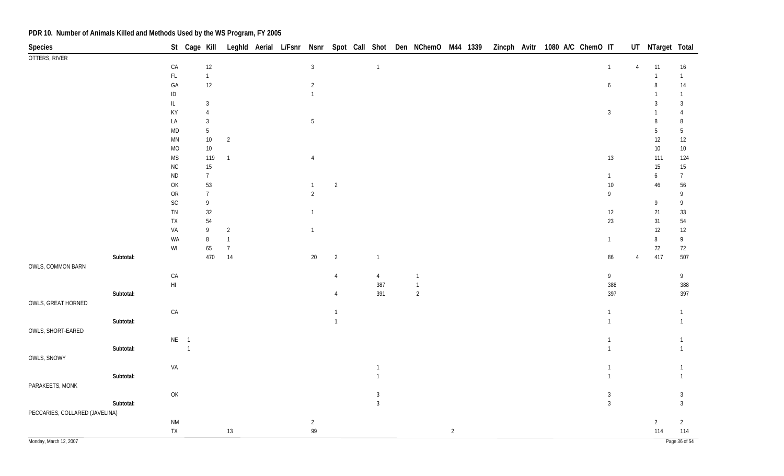| Species                        |           |                                                                                       | St Cage Kill |                                   |                |  |                 |                |                                | Leghld Aerial L/Fsnr Nsnr Spot Call Shot Den NChemO M44 1339 |                |  | Zincph Avitr 1080 A/C ChemO IT |                                |        |                | UT NTarget Total |                                |
|--------------------------------|-----------|---------------------------------------------------------------------------------------|--------------|-----------------------------------|----------------|--|-----------------|----------------|--------------------------------|--------------------------------------------------------------|----------------|--|--------------------------------|--------------------------------|--------|----------------|------------------|--------------------------------|
| OTTERS, RIVER                  |           |                                                                                       |              |                                   |                |  |                 |                |                                |                                                              |                |  |                                |                                |        |                |                  |                                |
|                                |           | ${\sf CA}$                                                                            |              | $12$                              |                |  | $\mathbf{3}$    |                | $\overline{1}$                 |                                                              |                |  |                                | $\mathbf{1}$                   |        | $\overline{4}$ | 11               | $16\,$                         |
|                                |           | $\mathsf{FL}$                                                                         |              | $\overline{1}$                    |                |  |                 |                |                                |                                                              |                |  |                                |                                |        |                | $\overline{1}$   | $\mathbf{1}$                   |
|                                |           | ${\sf GA}$                                                                            |              | $12\,$                            |                |  | $\overline{2}$  |                |                                |                                                              |                |  |                                | $\boldsymbol{6}$               |        |                | 8                | 14                             |
|                                |           | $\sf ID$                                                                              |              |                                   |                |  | $\overline{1}$  |                |                                |                                                              |                |  |                                |                                |        |                | 3                | $\mathbf{1}$                   |
|                                |           | $\ensuremath{\mathsf{IL}}\xspace$<br>KY                                               |              | $\mathbf{3}$<br>$\overline{4}$    |                |  |                 |                |                                |                                                              |                |  |                                | $\mathfrak{Z}$                 |        |                |                  | $\mathbf{3}$<br>$\overline{4}$ |
|                                |           | LA                                                                                    |              | $\mathbf{3}$                      |                |  | $5\phantom{.0}$ |                |                                |                                                              |                |  |                                |                                |        |                | 8                | $\, 8$                         |
|                                |           | $\mathsf{MD}$                                                                         |              | $5\,$                             |                |  |                 |                |                                |                                                              |                |  |                                |                                |        |                | 5                | $\overline{5}$                 |
|                                |           | $\mathsf{M}\mathsf{N}$                                                                |              | $10\,$                            | $\overline{2}$ |  |                 |                |                                |                                                              |                |  |                                |                                |        |                | 12               | 12                             |
|                                |           | MO                                                                                    |              | $10\,$                            |                |  |                 |                |                                |                                                              |                |  |                                |                                |        |                | $10\,$           | $10\,$                         |
|                                |           | $\mathsf{MS}\xspace$                                                                  |              | 119                               | $\overline{1}$ |  | $\overline{4}$  |                |                                |                                                              |                |  |                                |                                | 13     |                | 111              | 124                            |
|                                |           | ${\sf NC}$                                                                            |              | $15\,$                            |                |  |                 |                |                                |                                                              |                |  |                                |                                |        |                | $15\,$           | 15                             |
|                                |           | $\sf ND$                                                                              |              | $\overline{7}$                    |                |  |                 |                |                                |                                                              |                |  |                                | $\mathbf{1}$                   |        |                | 6                | $\overline{7}$                 |
|                                |           | $\mathsf{OK}$                                                                         |              | 53                                |                |  | $\overline{1}$  | $\overline{2}$ |                                |                                                              |                |  |                                |                                | $10\,$ |                | 46               | 56                             |
|                                |           | ${\sf OR}$                                                                            |              | $\overline{7}$                    |                |  | $\overline{2}$  |                |                                |                                                              |                |  |                                | 9                              |        |                |                  | 9                              |
|                                |           | $\mathsf{SC}$                                                                         |              | $\mathsf{g}% _{T}=\mathsf{g}_{T}$ |                |  |                 |                |                                |                                                              |                |  |                                |                                |        |                | 9                | 9                              |
|                                |           | ${\sf TN}$                                                                            |              | 32                                |                |  | $\overline{1}$  |                |                                |                                                              |                |  |                                |                                | 12     |                | 21               | $33\,$                         |
|                                |           | ${\sf TX}$                                                                            |              | 54                                |                |  |                 |                |                                |                                                              |                |  |                                |                                | 23     |                | 31               | 54                             |
|                                |           | VA                                                                                    |              | $\,9$                             | $\overline{2}$ |  | $\overline{1}$  |                |                                |                                                              |                |  |                                |                                |        |                | 12               | $12\,$                         |
|                                |           | WA                                                                                    |              | $\, 8$                            | $\overline{1}$ |  |                 |                |                                |                                                              |                |  |                                | $\mathbf{1}$                   |        |                | 8                | 9                              |
|                                |           | $\ensuremath{\mathsf{W}}\xspace\ensuremath{\mathsf{I}}$                               |              | 65                                | $\overline{7}$ |  |                 |                |                                |                                                              |                |  |                                |                                |        |                | 72<br>417        | 72                             |
| OWLS, COMMON BARN              | Subtotal: |                                                                                       |              | 470                               | 14             |  | $20\,$          | $\overline{2}$ | $\mathbf{1}$                   |                                                              |                |  |                                |                                | 86     | $\overline{4}$ |                  | 507                            |
|                                |           | ${\sf CA}$                                                                            |              |                                   |                |  |                 | $\overline{4}$ | $\overline{4}$                 | $\overline{1}$                                               |                |  |                                | 9                              |        |                |                  | 9                              |
|                                |           | $\mathsf{HI}$                                                                         |              |                                   |                |  |                 |                | 387                            | $\overline{1}$                                               |                |  |                                |                                | 388    |                |                  | 388                            |
|                                | Subtotal: |                                                                                       |              |                                   |                |  |                 |                | 391                            | $\sqrt{2}$                                                   |                |  |                                |                                | 397    |                |                  | 397                            |
| OWLS, GREAT HORNED             |           |                                                                                       |              |                                   |                |  |                 |                |                                |                                                              |                |  |                                |                                |        |                |                  |                                |
|                                |           | ${\sf CA}$                                                                            |              |                                   |                |  |                 |                |                                |                                                              |                |  |                                | $\mathbf{1}$                   |        |                |                  | 1                              |
|                                | Subtotal: |                                                                                       |              |                                   |                |  |                 |                |                                |                                                              |                |  |                                | $\mathbf{1}$                   |        |                |                  | $\mathbf{1}$                   |
| OWLS, SHORT-EARED              |           |                                                                                       |              |                                   |                |  |                 |                |                                |                                                              |                |  |                                |                                |        |                |                  |                                |
|                                |           | $NE$ 1                                                                                |              |                                   |                |  |                 |                |                                |                                                              |                |  |                                | $\mathbf{1}$                   |        |                |                  | $\mathbf{1}$                   |
|                                | Subtotal: |                                                                                       | $\sim$ 1     |                                   |                |  |                 |                |                                |                                                              |                |  |                                | $\mathbf{1}$                   |        |                |                  | $\mathbf{1}$                   |
| OWLS, SNOWY                    |           |                                                                                       |              |                                   |                |  |                 |                |                                |                                                              |                |  |                                |                                |        |                |                  |                                |
|                                |           | VA                                                                                    |              |                                   |                |  |                 |                | $\mathbf{1}$                   |                                                              |                |  |                                | $\mathbf{1}$                   |        |                |                  | $\mathbf{1}$                   |
|                                | Subtotal: |                                                                                       |              |                                   |                |  |                 |                |                                |                                                              |                |  |                                | $\mathbf{1}$                   |        |                |                  | $\mathbf{1}$                   |
| PARAKEETS, MONK                |           |                                                                                       |              |                                   |                |  |                 |                |                                |                                                              |                |  |                                |                                |        |                |                  |                                |
|                                |           | $\mathsf{OK}% \left( \mathcal{M}\right) \equiv\mathsf{OK}(\mathcal{M}_{\mathrm{CL}})$ |              |                                   |                |  |                 |                | $\mathbf{3}$<br>$\mathfrak{Z}$ |                                                              |                |  |                                | $\mathbf{3}$<br>$\overline{3}$ |        |                |                  | $\mathbf{3}$<br>$\overline{3}$ |
| PECCARIES, COLLARED (JAVELINA) | Subtotal: |                                                                                       |              |                                   |                |  |                 |                |                                |                                                              |                |  |                                |                                |        |                |                  |                                |
|                                |           | <b>NM</b>                                                                             |              |                                   |                |  | $\overline{2}$  |                |                                |                                                              |                |  |                                |                                |        |                | $\overline{2}$   | $\overline{2}$                 |
|                                |           | ${\sf TX}$                                                                            |              |                                   | 13             |  | 99              |                |                                |                                                              | $\overline{2}$ |  |                                |                                |        |                | 114              | 114                            |
| Monday, March 12, 2007         |           |                                                                                       |              |                                   |                |  |                 |                |                                |                                                              |                |  |                                |                                |        |                |                  | Page 36 of 54                  |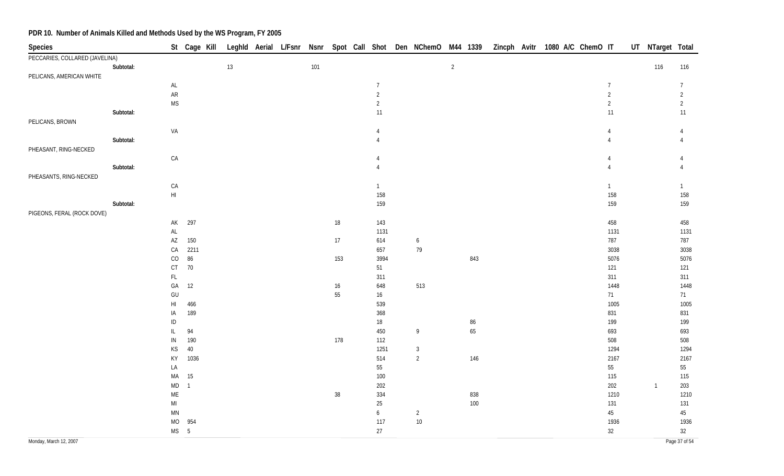| Species                        |           |                                                            | St Cage Kill   |      |  |     |        |                 | Leghld Aerial L/Fsnr Nsnr Spot Call Shot Den NChemO M44 1339 |                |          |  | Zincph Avitr 1080 A/C ChemO IT | UT NTarget Total |                 |
|--------------------------------|-----------|------------------------------------------------------------|----------------|------|--|-----|--------|-----------------|--------------------------------------------------------------|----------------|----------|--|--------------------------------|------------------|-----------------|
| PECCARIES, COLLARED (JAVELINA) |           |                                                            |                |      |  |     |        |                 |                                                              |                |          |  |                                |                  |                 |
|                                | Subtotal: |                                                            |                | $13$ |  | 101 |        |                 |                                                              | $\overline{2}$ |          |  |                                | 116              | 116             |
| PELICANS, AMERICAN WHITE       |           |                                                            |                |      |  |     |        |                 |                                                              |                |          |  |                                |                  |                 |
|                                |           | $\mathsf{AL}$                                              |                |      |  |     |        | $\overline{7}$  |                                                              |                |          |  | $\overline{7}$                 |                  | $7\phantom{.0}$ |
|                                |           | ${\sf AR}$                                                 |                |      |  |     |        | $\overline{2}$  |                                                              |                |          |  | $\sqrt{2}$                     |                  | $\overline{2}$  |
|                                |           | <b>MS</b>                                                  |                |      |  |     |        | $\overline{2}$  |                                                              |                |          |  | $\overline{2}$                 |                  | $\overline{2}$  |
|                                | Subtotal: |                                                            |                |      |  |     |        | 11              |                                                              |                |          |  | 11                             |                  | 11              |
| PELICANS, BROWN                |           |                                                            |                |      |  |     |        |                 |                                                              |                |          |  |                                |                  |                 |
|                                |           | VA                                                         |                |      |  |     |        | $\overline{4}$  |                                                              |                |          |  | 4                              |                  | 4               |
|                                | Subtotal: |                                                            |                |      |  |     |        |                 |                                                              |                |          |  |                                |                  |                 |
| PHEASANT, RING-NECKED          |           |                                                            |                |      |  |     |        |                 |                                                              |                |          |  |                                |                  |                 |
|                                |           | CA                                                         |                |      |  |     |        | Δ               |                                                              |                |          |  |                                |                  |                 |
|                                | Subtotal: |                                                            |                |      |  |     |        |                 |                                                              |                |          |  |                                |                  |                 |
| PHEASANTS, RING-NECKED         |           |                                                            |                |      |  |     |        |                 |                                                              |                |          |  |                                |                  |                 |
|                                |           | CA                                                         |                |      |  |     |        | $\mathbf{1}$    |                                                              |                |          |  | $\mathbf{1}$                   |                  | $\mathbf{1}$    |
|                                |           | $\mathsf{HI}$                                              |                |      |  |     |        | 158             |                                                              |                |          |  | 158                            |                  | 158             |
|                                | Subtotal: |                                                            |                |      |  |     |        | 159             |                                                              |                |          |  | 159                            |                  | 159             |
| PIGEONS, FERAL (ROCK DOVE)     |           |                                                            |                |      |  |     |        |                 |                                                              |                |          |  |                                |                  |                 |
|                                |           | AK                                                         | 297            |      |  |     | $18\,$ | 143             |                                                              |                |          |  | 458                            |                  | 458             |
|                                |           | AL                                                         |                |      |  |     |        | 1131            |                                                              |                |          |  | 1131                           |                  | 1131            |
|                                |           | $\mathsf{AZ}$                                              | 150            |      |  |     | $17\,$ | 614             | $\boldsymbol{6}$                                             |                |          |  | 787                            |                  | 787             |
|                                |           | CA                                                         | 2211           |      |  |     |        | 657             | 79                                                           |                |          |  | 3038                           |                  | 3038            |
|                                |           | $\rm CO$                                                   | 86             |      |  |     | 153    | 3994            |                                                              |                | 843      |  | 5076                           |                  | 5076            |
|                                |           | $\mathsf{C}\mathsf{T}$                                     | 70             |      |  |     |        | 51              |                                                              |                |          |  | 121                            |                  | 121             |
|                                |           | $\mathsf{FL}$                                              |                |      |  |     |        | 311             |                                                              |                |          |  | 311                            |                  | 311             |
|                                |           | GA                                                         | 12             |      |  |     | $16\,$ | 648             | 513                                                          |                |          |  | 1448                           |                  | 1448            |
|                                |           | $\mathsf{GU}% _{\mathsf{C}}^{\mathsf{C}}(\mathcal{N}_{0})$ |                |      |  |     | 55     | $16\phantom{.}$ |                                                              |                |          |  | 71                             |                  | 71              |
|                                |           | $\mathsf{HI}$                                              | 466            |      |  |     |        | 539             |                                                              |                |          |  | 1005                           |                  | 1005            |
|                                |           | IA                                                         | 189            |      |  |     |        | 368             |                                                              |                |          |  | 831                            |                  | 831             |
|                                |           | $\sf ID$<br>$\ensuremath{\mathsf{IL}}\xspace$              | 94             |      |  |     |        | 18<br>450       | $\overline{9}$                                               |                | 86<br>65 |  | 199<br>693                     |                  | 199<br>693      |
|                                |           | ${\sf IN}$                                                 | 190            |      |  |     | 178    | 112             |                                                              |                |          |  | 508                            |                  | 508             |
|                                |           | $KS$                                                       | 40             |      |  |     |        | 1251            | $\mathbf{3}$                                                 |                |          |  | 1294                           |                  | 1294            |
|                                |           | KY                                                         | 1036           |      |  |     |        | 514             | $\overline{2}$                                               |                | 146      |  | 2167                           |                  | 2167            |
|                                |           | LA                                                         |                |      |  |     |        | 55              |                                                              |                |          |  | 55                             |                  | 55              |
|                                |           | MA                                                         | 15             |      |  |     |        | 100             |                                                              |                |          |  | 115                            |                  | 115             |
|                                |           | $\mathsf{MD}$                                              | $\overline{1}$ |      |  |     |        | 202             |                                                              |                |          |  | 202                            | $\overline{1}$   | 203             |
|                                |           | ME                                                         |                |      |  |     | $38\,$ | 334             |                                                              |                | 838      |  | 1210                           |                  | 1210            |
|                                |           | $\mathsf{MI}$                                              |                |      |  |     |        | $25\,$          |                                                              |                | $100\,$  |  | 131                            |                  | 131             |
|                                |           | MN                                                         |                |      |  |     |        | $\mathfrak{b}$  | $\overline{2}$                                               |                |          |  | 45                             |                  | 45              |
|                                |           | MO                                                         | 954            |      |  |     |        | 117             | $10\,$                                                       |                |          |  | 1936                           |                  | 1936            |
|                                |           | $MS$ 5                                                     |                |      |  |     |        | 27              |                                                              |                |          |  | 32                             |                  | 32              |
| Monday, March 12, 2007         |           |                                                            |                |      |  |     |        |                 |                                                              |                |          |  |                                |                  | Page 37 of 54   |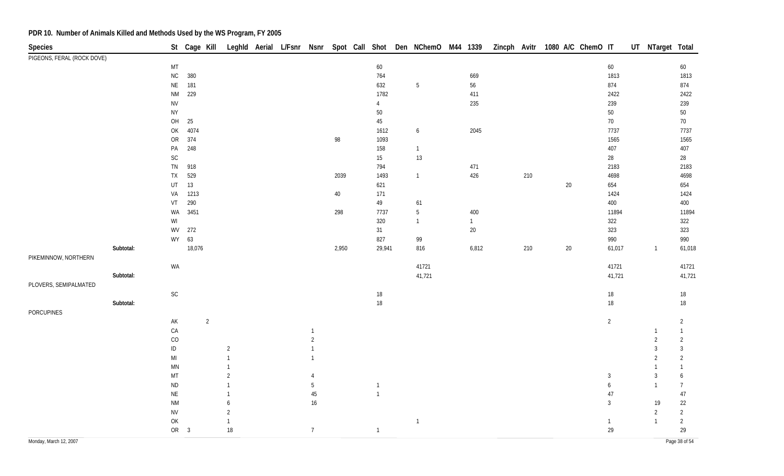| Species                    |           |                                          | St Cage Kill |                |                |  |                |        |                  | Leghld Aerial L/Fsnr Nsnr Spot Call Shot Den NChemO M44 1339 |              |     | Zincph Avitr 1080 A/C ChemO IT |              | UT NTarget Total |                |
|----------------------------|-----------|------------------------------------------|--------------|----------------|----------------|--|----------------|--------|------------------|--------------------------------------------------------------|--------------|-----|--------------------------------|--------------|------------------|----------------|
| PIGEONS, FERAL (ROCK DOVE) |           |                                          |              |                |                |  |                |        |                  |                                                              |              |     |                                |              |                  |                |
|                            |           | MT                                       |              |                |                |  |                |        | 60               |                                                              |              |     |                                | 60           |                  | 60             |
|                            |           | ${\sf NC}$                               | 380          |                |                |  |                |        | 764              |                                                              | 669          |     |                                | 1813         |                  | 1813           |
|                            |           | $\sf NE$                                 | 181          |                |                |  |                |        | 632              | 5                                                            | 56           |     |                                | 874          |                  | 874            |
|                            |           | $\mathsf{N}\mathsf{M}$                   | 229          |                |                |  |                |        | 1782             |                                                              | 411          |     |                                | 2422         |                  | 2422           |
|                            |           | ${\sf NV}$                               |              |                |                |  |                |        | $\overline{4}$   |                                                              | 235          |     |                                | 239          |                  | 239            |
|                            |           | <b>NY</b>                                |              |                |                |  |                |        | $50\,$           |                                                              |              |     |                                | $50\,$       |                  | $50\,$         |
|                            |           | OH                                       | 25           |                |                |  |                |        | 45               |                                                              |              |     |                                | $70$         |                  | 70             |
|                            |           | OK                                       | 4074         |                |                |  |                |        | 1612             | 6                                                            | 2045         |     |                                | 7737         |                  | 7737           |
|                            |           | ${\sf OR}$                               | 374          |                |                |  |                | 98     | 1093             |                                                              |              |     |                                | 1565         |                  | 1565           |
|                            |           | PA                                       | 248          |                |                |  |                |        | 158              | $\overline{1}$                                               |              |     |                                | 407          |                  | 407            |
|                            |           | $\mathsf{SC}$                            |              |                |                |  |                |        | 15 <sub>15</sub> | 13                                                           |              |     |                                | 28           |                  | 28             |
|                            |           | ${\sf TN}$                               | 918          |                |                |  |                |        | 794              |                                                              | 471          |     |                                | 2183         |                  | 2183           |
|                            |           | ${\sf TX}$                               | 529          |                |                |  |                | 2039   | 1493             | $\mathbf{1}$                                                 | 426          | 210 |                                | 4698         |                  | 4698           |
|                            |           | $\sf{UT}$                                | 13           |                |                |  |                |        | 621              |                                                              |              |     | $20\,$                         | 654          |                  | 654            |
|                            |           | VA                                       | 1213         |                |                |  |                | $40\,$ | 171              |                                                              |              |     |                                | 1424         |                  | 1424           |
|                            |           | VT                                       | 290          |                |                |  |                |        | 49               | 61                                                           |              |     |                                | 400          |                  | 400            |
|                            |           | WA                                       | 3451         |                |                |  |                | 298    | 7737             | $5\,$                                                        | 400          |     |                                | 11894        |                  | 11894          |
|                            |           | WI                                       |              |                |                |  |                |        | 320              | $\overline{1}$                                               | $\mathbf{1}$ |     |                                | 322          |                  | 322            |
|                            |           | WV                                       | 272          |                |                |  |                |        | 31               |                                                              | $20\,$       |     |                                | 323          |                  | 323            |
|                            |           | WY                                       | 63           |                |                |  |                |        | 827              | 99                                                           |              |     |                                | 990          |                  | 990            |
|                            | Subtotal: |                                          | 18,076       |                |                |  |                | 2,950  | 29,941           | 816                                                          | 6,812        | 210 | 20                             | 61,017       | $\mathbf{1}$     | 61,018         |
| PIKEMINNOW, NORTHERN       |           |                                          |              |                |                |  |                |        |                  |                                                              |              |     |                                |              |                  |                |
|                            |           | WA                                       |              |                |                |  |                |        |                  | 41721                                                        |              |     |                                | 41721        |                  | 41721          |
|                            | Subtotal: |                                          |              |                |                |  |                |        |                  | 41,721                                                       |              |     |                                | 41,721       |                  | 41,721         |
| PLOVERS, SEMIPALMATED      |           |                                          |              |                |                |  |                |        |                  |                                                              |              |     |                                |              |                  |                |
|                            |           | $\mathsf{SC}$                            |              |                |                |  |                |        | $18\,$           |                                                              |              |     |                                | $18\,$       |                  | 18             |
|                            | Subtotal: |                                          |              |                |                |  |                |        | $18\,$           |                                                              |              |     |                                | $18\,$       |                  | 18             |
| PORCUPINES                 |           |                                          |              |                |                |  |                |        |                  |                                                              |              |     |                                |              |                  |                |
|                            |           | AK                                       |              | $\overline{2}$ |                |  |                |        |                  |                                                              |              |     |                                | 2            |                  | $\overline{2}$ |
|                            |           | ${\sf CA}$                               |              |                |                |  |                |        |                  |                                                              |              |     |                                |              | $\mathbf{1}$     | $\overline{1}$ |
|                            |           | CO                                       |              |                |                |  | $\overline{2}$ |        |                  |                                                              |              |     |                                |              | $\overline{2}$   | $\overline{2}$ |
|                            |           | $\sf ID$                                 |              |                | $\overline{2}$ |  | $\overline{1}$ |        |                  |                                                              |              |     |                                |              | $\mathfrak{Z}$   | $\mathbf{3}$   |
|                            |           | $\mathsf{MI}$                            |              |                | $\mathbf{1}$   |  |                |        |                  |                                                              |              |     |                                |              | $\overline{2}$   | $\overline{2}$ |
|                            |           | MN                                       |              |                | $\mathbf{1}$   |  |                |        |                  |                                                              |              |     |                                |              | $\mathbf{1}$     | -1             |
|                            |           | MT                                       |              |                | $\overline{2}$ |  | 4              |        |                  |                                                              |              |     |                                | 3            | $\mathbf{3}$     | 6              |
|                            |           | $\sf ND$                                 |              |                | $\mathbf{1}$   |  | 5              |        | $\overline{1}$   |                                                              |              |     |                                | 6            | $\mathbf{1}$     | $\overline{7}$ |
|                            |           | $\mathsf{NE}\xspace$                     |              |                | $\mathbf{1}$   |  | 45             |        | $\overline{1}$   |                                                              |              |     |                                | 47           |                  | 47             |
|                            |           | <b>NM</b>                                |              |                | 6              |  | $16\,$         |        |                  |                                                              |              |     |                                | 3            | 19               | 22             |
|                            |           | <b>NV</b>                                |              |                | $\overline{2}$ |  |                |        |                  |                                                              |              |     |                                |              | $\overline{2}$   | $\overline{2}$ |
|                            |           | $\mathsf{OK}% \left( \mathcal{M}\right)$ |              |                | $\mathbf{1}$   |  |                |        |                  | $\overline{1}$                                               |              |     |                                | $\mathbf{1}$ | $\mathbf{1}$     | $\overline{2}$ |
|                            |           | OR <sub>3</sub>                          |              |                | $18\,$         |  | 7 <sup>7</sup> |        | $\overline{1}$   |                                                              |              |     |                                | 29           |                  | 29             |
| Monday, March 12, 2007     |           |                                          |              |                |                |  |                |        |                  |                                                              |              |     |                                |              |                  | Page 38 of 54  |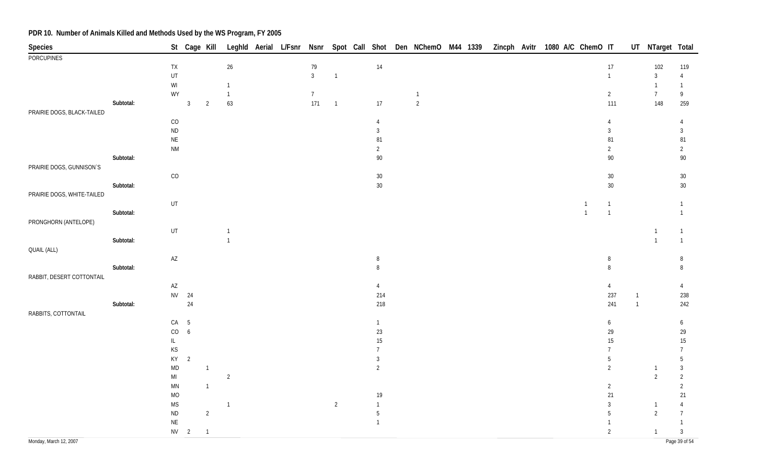| Species                    |           |                                                                   | St Cage Kill    |                          |                |  |                |                |                          |                |  |  | Leghld Aerial L/Fsnr Nsnr Spot Call Shot Den NChemO M44 1339 Zincph Avitr 1080 A/C ChemO IT |                          |              | UT NTarget Total |                          |
|----------------------------|-----------|-------------------------------------------------------------------|-----------------|--------------------------|----------------|--|----------------|----------------|--------------------------|----------------|--|--|---------------------------------------------------------------------------------------------|--------------------------|--------------|------------------|--------------------------|
| <b>PORCUPINES</b>          |           |                                                                   |                 |                          |                |  |                |                |                          |                |  |  |                                                                                             |                          |              |                  |                          |
|                            |           | ${\sf TX}$                                                        |                 |                          | $26\,$         |  | $79\,$         |                | 14                       |                |  |  |                                                                                             | $17$                     |              | 102              | 119                      |
|                            |           | UT                                                                |                 |                          |                |  | $\mathbf{3}$   | $\mathbf{1}$   |                          |                |  |  |                                                                                             | $\mathbf{1}$             |              | $\sqrt{3}$       | $\overline{4}$           |
|                            |           | $\ensuremath{\mathsf{W}}\xspace\ensuremath{\mathsf{I}}$           |                 |                          | $\overline{1}$ |  |                |                |                          |                |  |  |                                                                                             |                          |              | $\mathbf{1}$     | $\mathbf{1}$             |
|                            |           | WY                                                                |                 |                          | $\overline{1}$ |  | $7\phantom{.}$ |                |                          | $\overline{1}$ |  |  |                                                                                             | $\overline{2}$           |              | $\overline{7}$   | 9                        |
|                            | Subtotal: |                                                                   | $\overline{3}$  | $\overline{2}$           | 63             |  | 171            | $\overline{1}$ | 17                       | $\overline{c}$ |  |  |                                                                                             | 111                      |              | 148              | 259                      |
| PRAIRIE DOGS, BLACK-TAILED |           |                                                                   |                 |                          |                |  |                |                |                          |                |  |  |                                                                                             |                          |              |                  |                          |
|                            |           | CO                                                                |                 |                          |                |  |                |                | $\overline{4}$           |                |  |  |                                                                                             | 4                        |              |                  | $\overline{4}$           |
|                            |           | $\sf ND$                                                          |                 |                          |                |  |                |                | $\sqrt{3}$               |                |  |  |                                                                                             | $\mathbf{3}$             |              |                  | $\mathfrak{Z}$           |
|                            |           | $\mathsf{NE}\xspace$                                              |                 |                          |                |  |                |                | 81                       |                |  |  |                                                                                             | 81                       |              |                  | ${\bf 81}$               |
|                            | Subtotal: | <b>NM</b>                                                         |                 |                          |                |  |                |                | $\overline{2}$<br>$90\,$ |                |  |  |                                                                                             | $\overline{2}$<br>$90\,$ |              |                  | $\overline{2}$<br>$90\,$ |
| PRAIRIE DOGS, GUNNISON'S   |           |                                                                   |                 |                          |                |  |                |                |                          |                |  |  |                                                                                             |                          |              |                  |                          |
|                            |           | CO                                                                |                 |                          |                |  |                |                | $30\,$                   |                |  |  |                                                                                             | $30\,$                   |              |                  | $30\,$                   |
|                            | Subtotal: |                                                                   |                 |                          |                |  |                |                | $30\,$                   |                |  |  |                                                                                             | $30\,$                   |              |                  | $30\,$                   |
| PRAIRIE DOGS, WHITE-TAILED |           |                                                                   |                 |                          |                |  |                |                |                          |                |  |  |                                                                                             |                          |              |                  |                          |
|                            |           | UT                                                                |                 |                          |                |  |                |                |                          |                |  |  |                                                                                             | 1                        |              |                  | $\mathbf{1}$             |
|                            | Subtotal: |                                                                   |                 |                          |                |  |                |                |                          |                |  |  | $\mathbf{1}$                                                                                | $\overline{1}$           |              |                  | $\mathbf{1}$             |
| PRONGHORN (ANTELOPE)       |           |                                                                   |                 |                          |                |  |                |                |                          |                |  |  |                                                                                             |                          |              |                  |                          |
|                            |           | UT                                                                |                 |                          | $\overline{1}$ |  |                |                |                          |                |  |  |                                                                                             |                          |              | $\mathbf{1}$     | 1                        |
|                            | Subtotal: |                                                                   |                 |                          | $\overline{1}$ |  |                |                |                          |                |  |  |                                                                                             |                          |              | $\overline{1}$   | $\mathbf{1}$             |
| QUAIL (ALL)                |           |                                                                   |                 |                          |                |  |                |                |                          |                |  |  |                                                                                             |                          |              |                  |                          |
|                            |           | $\mathsf{AZ}$                                                     |                 |                          |                |  |                |                | 8                        |                |  |  |                                                                                             | 8                        |              |                  | 8                        |
|                            | Subtotal: |                                                                   |                 |                          |                |  |                |                | 8                        |                |  |  |                                                                                             | 8                        |              |                  | 8                        |
| RABBIT, DESERT COTTONTAIL  |           |                                                                   |                 |                          |                |  |                |                |                          |                |  |  |                                                                                             |                          |              |                  |                          |
|                            |           | $\mathsf{AZ}$                                                     |                 |                          |                |  |                |                | $\overline{4}$           |                |  |  |                                                                                             | $\overline{4}$           |              |                  | $\overline{4}$           |
|                            |           |                                                                   | NV 24           |                          |                |  |                |                | 214                      |                |  |  |                                                                                             | 237                      | $\mathbf{1}$ |                  | 238                      |
|                            | Subtotal: |                                                                   | 24              |                          |                |  |                |                | 218                      |                |  |  |                                                                                             | 241                      | $\mathbf{1}$ |                  | 242                      |
| RABBITS, COTTONTAIL        |           |                                                                   |                 |                          |                |  |                |                |                          |                |  |  |                                                                                             |                          |              |                  |                          |
|                            |           | CA                                                                | $5\phantom{.0}$ |                          |                |  |                |                | $\mathbf{1}$             |                |  |  |                                                                                             | 6                        |              |                  | 6                        |
|                            |           | $\rm CO$                                                          | $6\phantom{.}6$ |                          |                |  |                |                | 23                       |                |  |  |                                                                                             | 29                       |              |                  | 29                       |
|                            |           | IL.                                                               |                 |                          |                |  |                |                | $15\,$                   |                |  |  |                                                                                             | 15                       |              |                  | $15\,$                   |
|                            |           | $\mathsf{KS}% _{\mathsf{K}}^{\mathsf{K}}\left( \mathsf{K}\right)$ |                 |                          |                |  |                |                | $\overline{7}$           |                |  |  |                                                                                             | 7                        |              |                  | $\overline{7}$           |
|                            |           | KY                                                                | $\overline{2}$  |                          |                |  |                |                | $\mathbf{3}$             |                |  |  |                                                                                             | 5                        |              |                  | 5                        |
|                            |           | <b>MD</b>                                                         |                 | $\overline{1}$           |                |  |                |                | $\overline{2}$           |                |  |  |                                                                                             | $\overline{2}$           |              | $\overline{1}$   | $\mathbf{3}$             |
|                            |           | $\mathsf{MI}$                                                     |                 |                          | $\overline{2}$ |  |                |                |                          |                |  |  |                                                                                             |                          |              | $\overline{2}$   | $\overline{2}$           |
|                            |           | MN                                                                |                 | $\overline{1}$           |                |  |                |                |                          |                |  |  |                                                                                             | $\overline{2}$           |              |                  | $\overline{2}$           |
|                            |           | <b>MO</b>                                                         |                 |                          |                |  |                |                | 19                       |                |  |  |                                                                                             | 21                       |              |                  | 21                       |
|                            |           | <b>MS</b>                                                         |                 |                          | $\overline{1}$ |  |                | $\overline{2}$ | $\mathbf{1}$             |                |  |  |                                                                                             | $\sqrt{3}$               |              | $\overline{1}$   | $\overline{4}$           |
|                            |           | $\sf ND$                                                          |                 | $\overline{2}$           |                |  |                |                | $\sqrt{5}$               |                |  |  |                                                                                             | 5                        |              | $\overline{2}$   | $\overline{7}$           |
|                            |           | $\mathsf{NE}\xspace$                                              |                 |                          |                |  |                |                | $\overline{1}$           |                |  |  |                                                                                             | 1                        |              |                  | $\mathbf{1}$             |
|                            |           |                                                                   | $NV$ 2          | $\overline{\phantom{a}}$ |                |  |                |                |                          |                |  |  |                                                                                             | $\overline{2}$           |              | $\overline{1}$   | $\mathbf{3}$             |
| Monday, March 12, 2007     |           |                                                                   |                 |                          |                |  |                |                |                          |                |  |  |                                                                                             |                          |              |                  | Page 39 of 54            |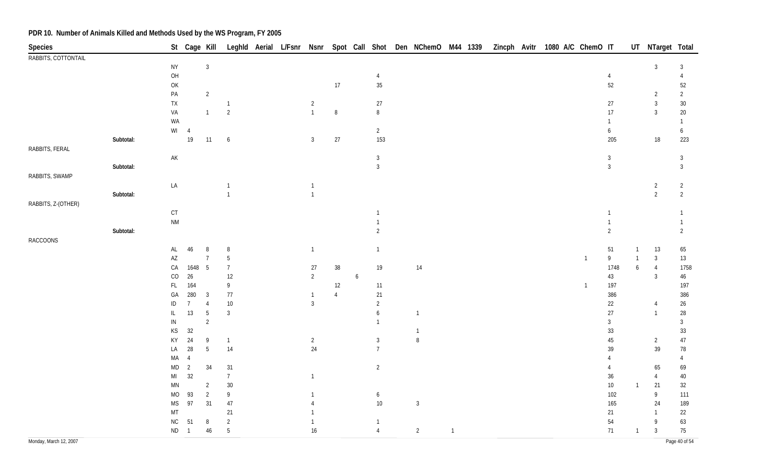| <b>Species</b>         |           |                              | St Cage Kill   |                 |                 |  |                |                |                  |                                  | Leghld Aerial L/Fsnr Nsnr Spot Call Shot Den NChemO M44 1339 |                | Zincph Avitr |  | 1080 A/C ChemO IT |                              |                  | UT NTarget Total |                                |
|------------------------|-----------|------------------------------|----------------|-----------------|-----------------|--|----------------|----------------|------------------|----------------------------------|--------------------------------------------------------------|----------------|--------------|--|-------------------|------------------------------|------------------|------------------|--------------------------------|
| RABBITS, COTTONTAIL    |           |                              |                |                 |                 |  |                |                |                  |                                  |                                                              |                |              |  |                   |                              |                  |                  |                                |
|                        |           | <b>NY</b>                    |                | $\mathbf{3}$    |                 |  |                |                |                  |                                  |                                                              |                |              |  |                   |                              |                  | $\overline{3}$   | $\mathbf{3}$                   |
|                        |           | O <sub>H</sub>               |                |                 |                 |  |                |                |                  | $\overline{4}$                   |                                                              |                |              |  |                   | $\overline{4}$               |                  |                  | $\overline{4}$                 |
|                        |           | OK                           |                |                 |                 |  |                | $17$           |                  | $35\,$                           |                                                              |                |              |  |                   | $52\,$                       |                  |                  | 52                             |
|                        |           | $\mathsf{PA}$                |                | $\overline{2}$  |                 |  |                |                |                  |                                  |                                                              |                |              |  |                   |                              |                  | $\overline{2}$   | $\overline{2}$                 |
|                        |           | TX                           |                |                 | $\overline{1}$  |  | $\overline{2}$ |                |                  | $27\,$                           |                                                              |                |              |  |                   | 27                           |                  | $\mathbf{3}$     | $30\,$                         |
|                        |           | VA                           |                | $\mathbf{1}$    | $\overline{2}$  |  | $\overline{1}$ | $\, 8$         |                  | 8                                |                                                              |                |              |  |                   | 17                           |                  | $\mathbf{3}$     | $20\,$                         |
|                        |           | WA                           |                |                 |                 |  |                |                |                  |                                  |                                                              |                |              |  |                   | $\mathbf{1}$                 |                  |                  | $\mathbf{1}$                   |
|                        |           |                              | $WI$ 4         |                 |                 |  |                |                |                  | $\overline{2}$                   |                                                              |                |              |  |                   | 6                            |                  |                  | 6                              |
|                        | Subtotal: |                              | $19$           | 11              | 6               |  | $\mathbf{3}$   | $27$           |                  | 153                              |                                                              |                |              |  |                   | 205                          |                  | 18               | 223                            |
| RABBITS, FERAL         |           |                              |                |                 |                 |  |                |                |                  |                                  |                                                              |                |              |  |                   |                              |                  |                  |                                |
|                        |           | $\mathsf{AK}$                |                |                 |                 |  |                |                |                  | $\sqrt{3}$                       |                                                              |                |              |  |                   | $\mathbf{3}$                 |                  |                  | $\mathbf{3}$                   |
|                        | Subtotal: |                              |                |                 |                 |  |                |                |                  | $\mathfrak{Z}$                   |                                                              |                |              |  |                   | $\mathbf{3}$                 |                  |                  | $\mathfrak{Z}$                 |
| RABBITS, SWAMP         |           |                              |                |                 |                 |  |                |                |                  |                                  |                                                              |                |              |  |                   |                              |                  |                  |                                |
|                        |           | LA                           |                |                 | $\mathbf{1}$    |  | $\mathbf{1}$   |                |                  |                                  |                                                              |                |              |  |                   |                              |                  | $\overline{2}$   | $\overline{2}$                 |
|                        | Subtotal: |                              |                |                 | $\overline{1}$  |  | $\overline{1}$ |                |                  |                                  |                                                              |                |              |  |                   |                              |                  | $\overline{2}$   | $\overline{2}$                 |
| RABBITS, Z-(OTHER)     |           |                              |                |                 |                 |  |                |                |                  |                                  |                                                              |                |              |  |                   |                              |                  |                  |                                |
|                        |           | $\mathsf{C}\mathsf{T}$       |                |                 |                 |  |                |                |                  |                                  |                                                              |                |              |  |                   | $\mathbf{1}$<br>$\mathbf{1}$ |                  |                  | $\mathbf{1}$                   |
|                        |           | $\mathsf{N}\mathsf{M}$       |                |                 |                 |  |                |                |                  | $\overline{1}$<br>$\overline{2}$ |                                                              |                |              |  |                   | $\overline{2}$               |                  |                  | $\mathbf{1}$<br>$\overline{2}$ |
|                        | Subtotal: |                              |                |                 |                 |  |                |                |                  |                                  |                                                              |                |              |  |                   |                              |                  |                  |                                |
| <b>RACCOONS</b>        |           |                              |                | 8               |                 |  |                |                |                  |                                  |                                                              |                |              |  |                   |                              | $\overline{1}$   |                  |                                |
|                        |           | AL<br>$\mathsf{A}\mathsf{Z}$ | 46             | $\overline{7}$  | 8<br>5          |  | $\overline{1}$ |                |                  | $\overline{1}$                   |                                                              |                |              |  | $\overline{1}$    | $51\,$<br>$\mathsf{g}$       |                  | 13<br>$\sqrt{3}$ | 65                             |
|                        |           | CA                           | 1648           | $5\phantom{.0}$ | $\overline{7}$  |  | 27             | $38\,$         |                  | 19                               | 14                                                           |                |              |  |                   | 1748                         | $\boldsymbol{6}$ | $\overline{4}$   | 13<br>1758                     |
|                        |           | $\rm CO$                     | $26\,$         |                 | 12              |  | $\overline{2}$ |                | $\boldsymbol{6}$ |                                  |                                                              |                |              |  |                   | $43\,$                       |                  | $\overline{3}$   | $46\,$                         |
|                        |           | $\mathsf{FL}$                | 164            |                 | 9               |  |                | 12             |                  | 11                               |                                                              |                |              |  | $\overline{1}$    | 197                          |                  |                  | 197                            |
|                        |           | GA                           | 280            | $\mathbf{3}$    | 77              |  | $\overline{1}$ | $\overline{4}$ |                  | 21                               |                                                              |                |              |  |                   | 386                          |                  |                  | 386                            |
|                        |           | $\sf ID$                     | $\overline{7}$ | $\overline{4}$  | $10$            |  | $\overline{3}$ |                |                  | $\sqrt{2}$                       |                                                              |                |              |  |                   | $22\,$                       |                  | 4                | $26\,$                         |
|                        |           | $\mathsf{IL}$                | 13             | $5\,$           | $\mathbf{3}$    |  |                |                |                  | 6                                | $\mathbf{1}$                                                 |                |              |  |                   | $27\,$                       |                  | $\overline{1}$   | 28                             |
|                        |           | IN                           |                | $\overline{2}$  |                 |  |                |                |                  | $\mathbf{1}$                     |                                                              |                |              |  |                   | 3                            |                  |                  | 3                              |
|                        |           | KS                           | $32\,$         |                 |                 |  |                |                |                  |                                  |                                                              |                |              |  |                   | 33                           |                  |                  | $33\,$                         |
|                        |           | KY                           | 24             | 9               | $\overline{1}$  |  | $\overline{2}$ |                |                  | $\mathbf{3}$                     | 8                                                            |                |              |  |                   | 45                           |                  | $\overline{2}$   | 47                             |
|                        |           | LA                           | $28\,$         | $5\phantom{.0}$ | 14              |  | $24\,$         |                |                  | $\overline{7}$                   |                                                              |                |              |  |                   | 39                           |                  | 39               | 78                             |
|                        |           | $\sf MA$                     | $\overline{4}$ |                 |                 |  |                |                |                  |                                  |                                                              |                |              |  |                   | 4                            |                  |                  | $\overline{4}$                 |
|                        |           | $\sf MD$                     | $\overline{2}$ | 34              | 31              |  |                |                |                  | $\overline{2}$                   |                                                              |                |              |  |                   | 4                            |                  | 65               | 69                             |
|                        |           | MI                           | 32             |                 | $\overline{7}$  |  | $\overline{1}$ |                |                  |                                  |                                                              |                |              |  |                   | $36\,$                       |                  | $\overline{4}$   | 40                             |
|                        |           | $\mathsf{M}\mathsf{N}$       |                | $\overline{2}$  | 30              |  |                |                |                  |                                  |                                                              |                |              |  |                   | $10\,$                       | $\overline{1}$   | 21               | 32                             |
|                        |           | <b>MO</b>                    | 93             | $\overline{2}$  | 9               |  | -1             |                |                  | 6                                |                                                              |                |              |  |                   | 102                          |                  | $\overline{9}$   | 111                            |
|                        |           | $\mathsf{MS}\xspace$         | 97             | 31              | 47              |  | $\overline{4}$ |                |                  | $10\,$                           | $\overline{3}$                                               |                |              |  |                   | 165                          |                  | 24               | 189                            |
|                        |           | MT                           |                |                 | 21              |  |                |                |                  |                                  |                                                              |                |              |  |                   | 21                           |                  | -1               | 22                             |
|                        |           | ${\sf NC}$                   | 51             | $\, 8$          | $\sqrt{2}$      |  | $\mathbf{1}$   |                |                  | $\mathbf{1}$                     |                                                              |                |              |  |                   | 54                           |                  | 9                | 63                             |
|                        |           | ND                           | $\overline{1}$ | 46              | $5\phantom{.0}$ |  | 16             |                |                  | $\overline{4}$                   | $\overline{2}$                                               | $\overline{1}$ |              |  |                   | 71                           | $\overline{1}$   | 3                | 75                             |
| Monday, March 12, 2007 |           |                              |                |                 |                 |  |                |                |                  |                                  |                                                              |                |              |  |                   |                              |                  |                  | Page 40 of 54                  |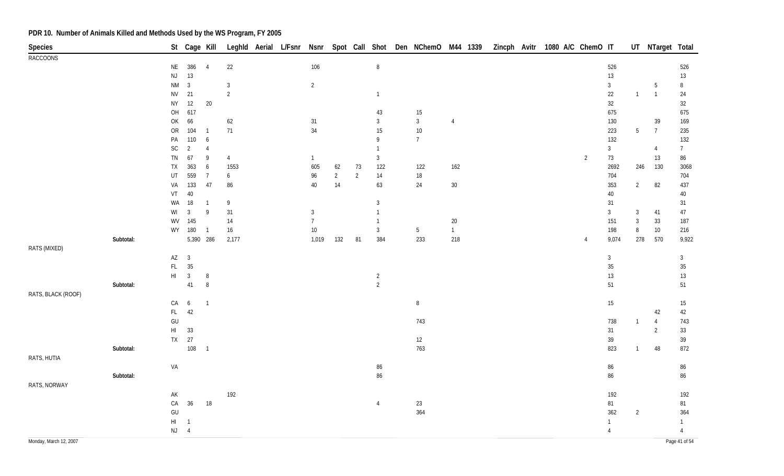| <b>Species</b>         |           |                                                            | St Cage Kill   |                |                |  |                |                |                |                | Leghld Aerial L/Fsnr Nsnr Spot Call Shot Den NChemO M44 1339 |                |  | Zincph Avitr 1080 A/C ChemO IT |                |                |                | UT NTarget Total |                |
|------------------------|-----------|------------------------------------------------------------|----------------|----------------|----------------|--|----------------|----------------|----------------|----------------|--------------------------------------------------------------|----------------|--|--------------------------------|----------------|----------------|----------------|------------------|----------------|
| <b>RACCOONS</b>        |           |                                                            |                |                |                |  |                |                |                |                |                                                              |                |  |                                |                |                |                |                  |                |
|                        |           | <b>NE</b>                                                  | 386            | $\overline{4}$ | 22             |  | 106            |                |                | $\, 8$         |                                                              |                |  |                                |                | 526            |                |                  | 526            |
|                        |           | $\mathsf{NJ}$                                              | 13             |                |                |  |                |                |                |                |                                                              |                |  |                                |                | 13             |                |                  | $13\,$         |
|                        |           | $\mathsf{N}\mathsf{M}$                                     | $\overline{3}$ |                | $\mathbf{3}$   |  | $\overline{2}$ |                |                |                |                                                              |                |  |                                |                | $\mathbf{3}$   |                | 5                | $\, 8$         |
|                        |           | <b>NV</b>                                                  | 21             |                | $\overline{2}$ |  |                |                |                | $\mathbf{1}$   |                                                              |                |  |                                |                | $22\,$         | $\overline{1}$ | $\overline{1}$   | 24             |
|                        |           | ${\sf NY}$                                                 | $12\,$         | $20\,$         |                |  |                |                |                |                |                                                              |                |  |                                |                | $32\,$         |                |                  | 32             |
|                        |           | OH                                                         | 617            |                |                |  |                |                |                | 43             | 15                                                           |                |  |                                |                | 675            |                |                  | 675            |
|                        |           | OK                                                         | 66             |                | 62             |  | 31             |                |                | $\mathbf{3}$   | $\mathbf{3}$                                                 | $\overline{4}$ |  |                                |                | 130            |                | 39               | 169            |
|                        |           | ${\sf OR}$                                                 | 104            | $\overline{1}$ | 71             |  | 34             |                |                | 15             | $10$                                                         |                |  |                                |                | 223            | $5\,$          | $\overline{7}$   | 235            |
|                        |           | PA                                                         | 110            | 6              |                |  |                |                |                | 9              | $7\overline{ }$                                              |                |  |                                |                | 132            |                |                  | 132            |
|                        |           | $\mathsf{SC}$                                              | 2              | $\overline{4}$ |                |  |                |                |                | $\mathbf{1}$   |                                                              |                |  |                                |                | $\mathbf{3}$   |                | $\overline{4}$   | $\overline{7}$ |
|                        |           | ${\sf TN}$                                                 | 67             | 9              | $\overline{4}$ |  | $\mathbf{1}$   |                |                | $\mathbf{3}$   |                                                              |                |  |                                | $\overline{2}$ | 73             |                | 13               | 86             |
|                        |           | TX                                                         | 363            | 6              | 1553           |  | 605            | 62             | 73             | 122            | 122                                                          | 162            |  |                                |                | 2692           | 246            | 130              | 3068           |
|                        |           | UT                                                         | 559            | $\overline{7}$ | 6              |  | 96             | $\overline{2}$ | $\overline{2}$ | 14             | $18$                                                         |                |  |                                |                | 704            |                |                  | 704            |
|                        |           | VA                                                         | 133            | 47             | 86             |  | 40             | 14             |                | 63             | 24                                                           | $30\,$         |  |                                |                | 353            | $\overline{2}$ | 82               | 437            |
|                        |           | VT                                                         | $40\,$         |                |                |  |                |                |                |                |                                                              |                |  |                                |                | $40\,$         |                |                  | 40             |
|                        |           | WA                                                         | 18             | $\overline{1}$ | 9              |  |                |                |                | $\mathbf{3}$   |                                                              |                |  |                                |                | 31             |                |                  | 31             |
|                        |           | WI                                                         | $\overline{3}$ | $\overline{9}$ | 31             |  | $\mathbf{3}$   |                |                | $\mathbf{1}$   |                                                              |                |  |                                |                | $\mathbf{3}$   | $\mathbf{3}$   | 41               | $47\,$         |
|                        |           | WV                                                         | 145            |                | 14             |  | $\overline{7}$ |                |                | 1              |                                                              | $20\,$         |  |                                |                | 151            | $\mathbf{3}$   | 33               | 187            |
|                        |           |                                                            | WY 180         | $\overline{1}$ | 16             |  | $10\,$         |                |                | $\mathfrak{Z}$ | $5\,$                                                        | $\overline{1}$ |  |                                |                | 198            | 8              | 10               | 216            |
|                        | Subtotal: |                                                            | 5,390 286      |                | 2,177          |  | 1,019          | 132            | 81             | 384            | 233                                                          | 218            |  |                                | 4              | 9,074          | 278            | 570              | 9,922          |
| RATS (MIXED)           |           | AZ                                                         | $\overline{3}$ |                |                |  |                |                |                |                |                                                              |                |  |                                |                | $\mathbf{3}$   |                |                  | $\mathbf{3}$   |
|                        |           | FL                                                         | 35             |                |                |  |                |                |                |                |                                                              |                |  |                                |                | $35\,$         |                |                  | $35\,$         |
|                        |           | $\mathsf{HI}$                                              | $\overline{3}$ | $\, 8$         |                |  |                |                |                | $\overline{2}$ |                                                              |                |  |                                |                | $13$           |                |                  | $13$           |
|                        | Subtotal: |                                                            | 41             | $\, 8$         |                |  |                |                |                | $\overline{2}$ |                                                              |                |  |                                |                | 51             |                |                  | 51             |
| RATS, BLACK (ROOF)     |           |                                                            |                |                |                |  |                |                |                |                |                                                              |                |  |                                |                |                |                |                  |                |
|                        |           | CA                                                         | 6              | $\overline{1}$ |                |  |                |                |                |                | $8\phantom{.0}$                                              |                |  |                                |                | 15             |                |                  | 15             |
|                        |           | FL.                                                        | 42             |                |                |  |                |                |                |                |                                                              |                |  |                                |                |                |                | 42               | 42             |
|                        |           | $\mathsf{GU}% _{\mathsf{C}}^{\mathsf{C}}(\mathcal{N}_{0})$ |                |                |                |  |                |                |                |                | 743                                                          |                |  |                                |                | 738            | $\overline{1}$ | $\overline{4}$   | 743            |
|                        |           | $\mathsf{HI}$                                              | 33             |                |                |  |                |                |                |                |                                                              |                |  |                                |                | 31             |                | $\overline{2}$   | $33\,$         |
|                        |           |                                                            | TX 27          |                |                |  |                |                |                |                | 12                                                           |                |  |                                |                | 39             |                |                  | 39             |
|                        | Subtotal: |                                                            | 108            | $\overline{1}$ |                |  |                |                |                |                | 763                                                          |                |  |                                |                | 823            | $\overline{1}$ | 48               | 872            |
| RATS, HUTIA            |           |                                                            |                |                |                |  |                |                |                |                |                                                              |                |  |                                |                |                |                |                  |                |
|                        |           | VA                                                         |                |                |                |  |                |                |                | 86             |                                                              |                |  |                                |                | 86             |                |                  | 86             |
|                        | Subtotal: |                                                            |                |                |                |  |                |                |                | 86             |                                                              |                |  |                                |                | 86             |                |                  | 86             |
| RATS, NORWAY           |           |                                                            |                |                |                |  |                |                |                |                |                                                              |                |  |                                |                |                |                |                  |                |
|                        |           | $\mathsf{AK}$                                              |                |                | 192            |  |                |                |                |                |                                                              |                |  |                                |                | 192            |                |                  | 192            |
|                        |           | ${\sf CA}$                                                 | 36             | 18             |                |  |                |                |                | $\overline{4}$ | 23                                                           |                |  |                                |                | 81             |                |                  | 81             |
|                        |           | $\mathsf{GU}%$                                             |                |                |                |  |                |                |                |                | 364                                                          |                |  |                                |                | 362            | $\overline{2}$ |                  | 364            |
|                        |           | H1                                                         | $\overline{1}$ |                |                |  |                |                |                |                |                                                              |                |  |                                |                | $\mathbf{1}$   |                |                  | $\mathbf{1}$   |
|                        |           | $NJ$ 4                                                     |                |                |                |  |                |                |                |                |                                                              |                |  |                                |                | $\overline{4}$ |                |                  | $\overline{4}$ |
| Monday, March 12, 2007 |           |                                                            |                |                |                |  |                |                |                |                |                                                              |                |  |                                |                |                |                |                  | Page 41 of 54  |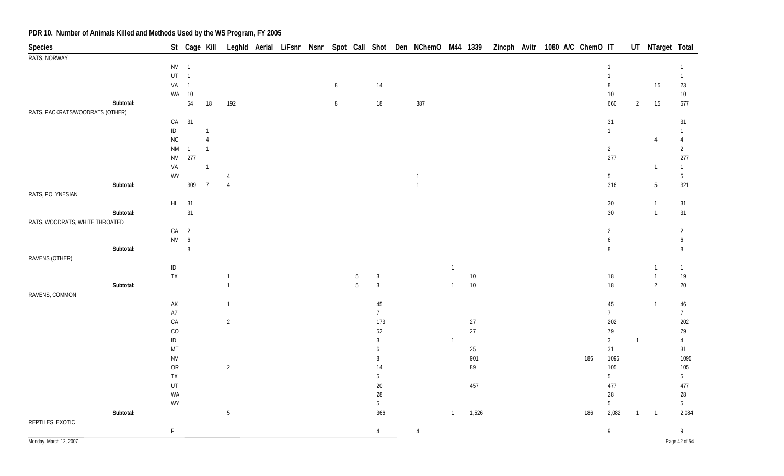| Species                         |           |                        |                | St Cage Kill   |                 |  |        |                 |                 | Leghld Aerial L/Fsnr Nsnr Spot Call Shot Den NChemO M44 1339 |                |        | Zincph Avitr 1080 A/C ChemO IT |  |     |                 |                | UT NTarget Total |                 |
|---------------------------------|-----------|------------------------|----------------|----------------|-----------------|--|--------|-----------------|-----------------|--------------------------------------------------------------|----------------|--------|--------------------------------|--|-----|-----------------|----------------|------------------|-----------------|
| RATS, NORWAY                    |           |                        |                |                |                 |  |        |                 |                 |                                                              |                |        |                                |  |     |                 |                |                  |                 |
|                                 |           | $NV$ 1                 |                |                |                 |  |        |                 |                 |                                                              |                |        |                                |  |     | $\overline{1}$  |                |                  | $\mathbf{1}$    |
|                                 |           | $UT \t1$               |                |                |                 |  |        |                 |                 |                                                              |                |        |                                |  |     | $\mathbf{1}$    |                |                  | $\overline{1}$  |
|                                 |           | VA                     | $\overline{1}$ |                |                 |  | 8      |                 | 14              |                                                              |                |        |                                |  |     | 8               |                | 15               | 23              |
|                                 |           |                        | WA 10          |                |                 |  |        |                 |                 |                                                              |                |        |                                |  |     | $10\,$          |                |                  | $10\,$          |
|                                 | Subtotal: |                        | 54             | 18             | 192             |  | $\, 8$ |                 | $18\,$          | 387                                                          |                |        |                                |  |     | 660             | $\overline{2}$ | 15               | 677             |
| RATS, PACKRATS/WOODRATS (OTHER) |           |                        |                |                |                 |  |        |                 |                 |                                                              |                |        |                                |  |     |                 |                |                  |                 |
|                                 |           | CA                     | 31             |                |                 |  |        |                 |                 |                                                              |                |        |                                |  |     | 31              |                |                  | 31              |
|                                 |           | $\sf ID$               |                |                |                 |  |        |                 |                 |                                                              |                |        |                                |  |     | $\overline{1}$  |                |                  | $\mathbf{1}$    |
|                                 |           | ${\sf NC}$             |                | $\overline{4}$ |                 |  |        |                 |                 |                                                              |                |        |                                |  |     |                 |                | $\overline{4}$   | $\overline{4}$  |
|                                 |           | <b>NM</b>              | $\mathbf{1}$   | $\overline{1}$ |                 |  |        |                 |                 |                                                              |                |        |                                |  |     | $\overline{2}$  |                |                  | $\overline{2}$  |
|                                 |           | <b>NV</b>              | 277            |                |                 |  |        |                 |                 |                                                              |                |        |                                |  |     | 277             |                |                  | 277             |
|                                 |           | VA                     |                | $\overline{1}$ |                 |  |        |                 |                 |                                                              |                |        |                                |  |     |                 |                | $\overline{1}$   | $\overline{1}$  |
|                                 |           | WY                     |                |                | $\overline{4}$  |  |        |                 |                 | $\overline{1}$                                               |                |        |                                |  |     | $5\phantom{.0}$ |                |                  | $5\phantom{.0}$ |
|                                 | Subtotal: |                        | 309            | $\overline{7}$ | $\overline{4}$  |  |        |                 |                 | $\overline{1}$                                               |                |        |                                |  |     | 316             |                | $5\phantom{.0}$  | 321             |
| RATS, POLYNESIAN                |           |                        |                |                |                 |  |        |                 |                 |                                                              |                |        |                                |  |     |                 |                |                  |                 |
|                                 |           | $\mathsf{HI}^-$        | 31             |                |                 |  |        |                 |                 |                                                              |                |        |                                |  |     | $30\,$          |                | $\mathbf{1}$     | 31              |
|                                 | Subtotal: |                        | 31             |                |                 |  |        |                 |                 |                                                              |                |        |                                |  |     | $30\,$          |                | $\overline{1}$   | 31              |
| RATS, WOODRATS, WHITE THROATED  |           |                        |                |                |                 |  |        |                 |                 |                                                              |                |        |                                |  |     |                 |                |                  |                 |
|                                 |           | $CA$ 2                 |                |                |                 |  |        |                 |                 |                                                              |                |        |                                |  |     | $\overline{2}$  |                |                  | $\overline{2}$  |
|                                 |           | $NV$ 6                 |                |                |                 |  |        |                 |                 |                                                              |                |        |                                |  |     | 6               |                |                  | 6               |
|                                 | Subtotal: |                        | $\, 8$         |                |                 |  |        |                 |                 |                                                              |                |        |                                |  |     | 8               |                |                  | 8               |
| RAVENS (OTHER)                  |           |                        |                |                |                 |  |        |                 |                 |                                                              |                |        |                                |  |     |                 |                |                  |                 |
|                                 |           | $\sf ID$               |                |                |                 |  |        |                 |                 |                                                              | $\mathbf{1}$   |        |                                |  |     |                 |                | $\overline{1}$   | $\overline{1}$  |
|                                 |           | ${\sf TX}$             |                |                | $\overline{1}$  |  |        | $5\,$           | $\mathbf{3}$    |                                                              |                | $10\,$ |                                |  |     | $18\,$          |                | $\overline{1}$   | 19              |
|                                 | Subtotal: |                        |                |                | $\overline{1}$  |  |        | $5\overline{)}$ | $\mathbf{3}$    |                                                              | $\mathbf{1}$   | $10\,$ |                                |  |     | $18\,$          |                | $\overline{2}$   | $20\,$          |
| RAVENS, COMMON                  |           |                        |                |                |                 |  |        |                 |                 |                                                              |                |        |                                |  |     |                 |                |                  |                 |
|                                 |           | $\mathsf{AK}$          |                |                | $\overline{1}$  |  |        |                 | 45              |                                                              |                |        |                                |  |     | $45\,$          |                | $\overline{1}$   | 46              |
|                                 |           | $\mathsf{A}\mathsf{Z}$ |                |                |                 |  |        |                 | $7\overline{ }$ |                                                              |                |        |                                |  |     | 7 <sup>7</sup>  |                |                  | $7\overline{ }$ |
|                                 |           | ${\sf CA}$             |                |                | $\overline{2}$  |  |        |                 | 173             |                                                              |                | 27     |                                |  |     | 202             |                |                  | 202             |
|                                 |           | $_{\rm CO}$            |                |                |                 |  |        |                 | 52              |                                                              |                | 27     |                                |  |     | 79              |                |                  | 79              |
|                                 |           | $\mathsf{ID}$          |                |                |                 |  |        |                 | 3               |                                                              | $\overline{1}$ |        |                                |  |     | $\mathfrak{Z}$  | $\overline{1}$ |                  | $\overline{4}$  |
|                                 |           | MT                     |                |                |                 |  |        |                 | 6               |                                                              |                | $25\,$ |                                |  |     | 31              |                |                  | 31              |
|                                 |           | ${\sf NV}$             |                |                |                 |  |        |                 | 8               |                                                              |                | 901    |                                |  | 186 | 1095            |                |                  | 1095            |
|                                 |           | ${\sf OR}$             |                |                | $\overline{2}$  |  |        |                 | 14              |                                                              |                | 89     |                                |  |     | 105             |                |                  | 105             |
|                                 |           | ${\sf TX}$             |                |                |                 |  |        |                 | 5               |                                                              |                |        |                                |  |     | 5               |                |                  | $5\overline{)}$ |
|                                 |           | UT                     |                |                |                 |  |        |                 | $20\,$          |                                                              |                | 457    |                                |  |     | 477             |                |                  | 477             |
|                                 |           | WA                     |                |                |                 |  |        |                 | 28              |                                                              |                |        |                                |  |     | $28\,$          |                |                  | 28              |
|                                 |           | WY                     |                |                |                 |  |        |                 | 5               |                                                              |                |        |                                |  |     | 5               |                |                  | 5               |
|                                 | Subtotal: |                        |                |                | $5\phantom{.0}$ |  |        |                 | 366             |                                                              | $\overline{1}$ | 1,526  |                                |  | 186 | 2,082           | $\overline{1}$ | $\overline{1}$   | 2,084           |
| REPTILES, EXOTIC                |           |                        |                |                |                 |  |        |                 |                 |                                                              |                |        |                                |  |     |                 |                |                  |                 |
|                                 |           | $\mathsf{FL}$          |                |                |                 |  |        |                 | $\overline{4}$  | $\overline{4}$                                               |                |        |                                |  |     | 9               |                |                  | 9               |
| Monday, March 12, 2007          |           |                        |                |                |                 |  |        |                 |                 |                                                              |                |        |                                |  |     |                 |                |                  | Page 42 of 54   |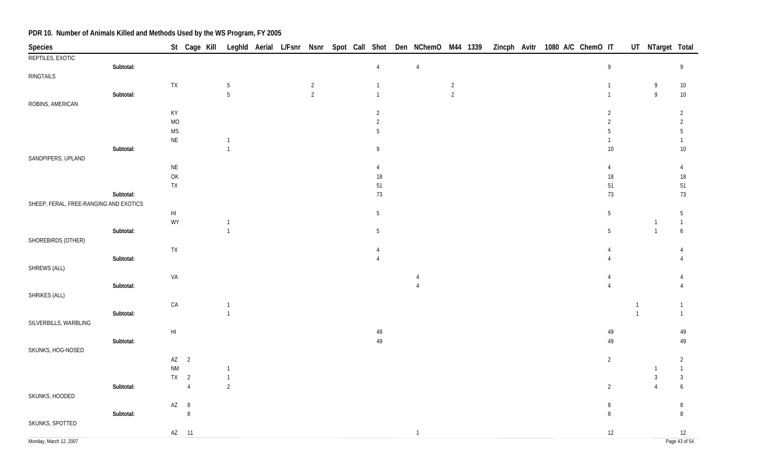| Species                                |           |                                          | St Cage Kill   |                |  |                |  |                | Leghld Aerial L/Fsnr Nsnr Spot Call Shot Den NChemO M44 1339 |                |  |  | Zincph Avitr 1080 A/C ChemO IT |                |                | UT NTarget Total          |                  |
|----------------------------------------|-----------|------------------------------------------|----------------|----------------|--|----------------|--|----------------|--------------------------------------------------------------|----------------|--|--|--------------------------------|----------------|----------------|---------------------------|------------------|
| REPTILES, EXOTIC                       |           |                                          |                |                |  |                |  |                |                                                              |                |  |  |                                |                |                |                           |                  |
|                                        | Subtotal: |                                          |                |                |  |                |  | $\overline{4}$ | $\overline{4}$                                               |                |  |  |                                | $\overline{9}$ |                |                           | 9                |
| RINGTAILS                              |           |                                          |                |                |  |                |  |                |                                                              |                |  |  |                                |                |                |                           |                  |
|                                        |           | <b>TX</b>                                |                | 5              |  | $\overline{c}$ |  | $\mathbf{1}$   |                                                              | $\overline{2}$ |  |  |                                | $\mathbf{1}$   |                | 9                         | $10\,$           |
|                                        | Subtotal: |                                          |                | 5              |  | $\overline{2}$ |  | $\mathbf{1}$   |                                                              | $\overline{2}$ |  |  |                                | $\mathbf{1}$   |                | $\overline{9}$            | $10\,$           |
| ROBINS, AMERICAN                       |           |                                          |                |                |  |                |  |                |                                                              |                |  |  |                                |                |                |                           |                  |
|                                        |           | KY                                       |                |                |  |                |  | $\overline{2}$ |                                                              |                |  |  |                                | $\overline{2}$ |                |                           | $\overline{2}$   |
|                                        |           | <b>MO</b>                                |                |                |  |                |  | $\overline{2}$ |                                                              |                |  |  |                                | $\overline{2}$ |                |                           | $\overline{2}$   |
|                                        |           | $\mathsf{MS}\xspace$                     |                |                |  |                |  | 5              |                                                              |                |  |  |                                | 5              |                |                           | 5                |
|                                        |           | $\sf NE$                                 |                |                |  |                |  |                |                                                              |                |  |  |                                |                |                |                           |                  |
|                                        | Subtotal: |                                          |                | $\mathbf{1}$   |  |                |  | 9              |                                                              |                |  |  |                                | $10$           |                |                           | 10               |
| SANDPIPERS, UPLAND                     |           |                                          |                |                |  |                |  |                |                                                              |                |  |  |                                |                |                |                           |                  |
|                                        |           | $\sf NE$                                 |                |                |  |                |  | 4              |                                                              |                |  |  |                                | 4              |                |                           | $\overline{4}$   |
|                                        |           | $\mathsf{OK}% \left( \mathcal{M}\right)$ |                |                |  |                |  | $18\,$         |                                                              |                |  |  |                                | 18             |                |                           | $18\,$           |
|                                        |           | ${\sf TX}$                               |                |                |  |                |  | $51\,$         |                                                              |                |  |  |                                | 51             |                |                           | 51               |
|                                        | Subtotal: |                                          |                |                |  |                |  | 73             |                                                              |                |  |  |                                | 73             |                |                           | 73               |
| SHEEP, FERAL, FREE-RANGING AND EXOTICS |           |                                          |                |                |  |                |  |                |                                                              |                |  |  |                                |                |                |                           |                  |
|                                        |           | $\mathsf{HI}$                            |                |                |  |                |  | $\mathbf 5$    |                                                              |                |  |  |                                | $\overline{5}$ |                |                           | $\overline{5}$   |
|                                        |           | WY                                       |                | $\mathbf{1}$   |  |                |  |                |                                                              |                |  |  |                                |                |                | $\mathbf 1$               | $\mathbf{1}$     |
|                                        | Subtotal: |                                          |                | $\mathbf{1}$   |  |                |  | 5              |                                                              |                |  |  |                                | 5              |                | $\mathbf{1}$              | 6                |
| SHOREBIRDS (OTHER)                     |           |                                          |                |                |  |                |  |                |                                                              |                |  |  |                                |                |                |                           |                  |
|                                        |           | <b>TX</b>                                |                |                |  |                |  |                |                                                              |                |  |  |                                |                |                |                           |                  |
|                                        | Subtotal: |                                          |                |                |  |                |  |                |                                                              |                |  |  |                                |                |                |                           |                  |
| SHREWS (ALL)                           |           |                                          |                |                |  |                |  |                |                                                              |                |  |  |                                |                |                |                           |                  |
|                                        |           | VA                                       |                |                |  |                |  |                |                                                              |                |  |  |                                |                |                |                           |                  |
|                                        | Subtotal: |                                          |                |                |  |                |  |                |                                                              |                |  |  |                                | $\Delta$       |                |                           |                  |
| SHRIKES (ALL)                          |           |                                          |                |                |  |                |  |                |                                                              |                |  |  |                                |                |                |                           |                  |
|                                        |           | ${\sf CA}$                               |                | -1             |  |                |  |                |                                                              |                |  |  |                                |                | $\overline{1}$ |                           | $\overline{1}$   |
|                                        | Subtotal: |                                          |                | $\mathbf{1}$   |  |                |  |                |                                                              |                |  |  |                                |                | $\overline{1}$ |                           | $\overline{1}$   |
| SILVERBILLS, WARBLING                  |           |                                          |                |                |  |                |  |                |                                                              |                |  |  |                                |                |                |                           |                  |
|                                        |           | $\mathsf{HI}$                            |                |                |  |                |  | 49             |                                                              |                |  |  |                                | 49             |                |                           | 49               |
|                                        | Subtotal: |                                          |                |                |  |                |  | $49\,$         |                                                              |                |  |  |                                | 49             |                |                           | 49               |
| SKUNKS, HOG-NOSED                      |           |                                          |                |                |  |                |  |                |                                                              |                |  |  |                                |                |                |                           |                  |
|                                        |           |                                          | $AZ$ 2         |                |  |                |  |                |                                                              |                |  |  |                                | $\overline{2}$ |                |                           | $\overline{2}$   |
|                                        |           | <b>NM</b>                                |                | $\mathbf{1}$   |  |                |  |                |                                                              |                |  |  |                                |                |                |                           | $\overline{1}$   |
|                                        |           |                                          | $TX$ 2         | $\mathbf{1}$   |  |                |  |                |                                                              |                |  |  |                                |                |                | 3                         | $\mathbf{3}$     |
|                                        | Subtotal: |                                          | $\overline{4}$ | $\overline{2}$ |  |                |  |                |                                                              |                |  |  |                                | $\overline{2}$ |                | $\boldsymbol{\varLambda}$ | $\boldsymbol{6}$ |
| SKUNKS, HOODED                         |           |                                          |                |                |  |                |  |                |                                                              |                |  |  |                                |                |                |                           |                  |
|                                        |           | $AZ$ 8                                   |                |                |  |                |  |                |                                                              |                |  |  |                                | 8              |                |                           | 8                |
|                                        | Subtotal: |                                          | $\, 8$         |                |  |                |  |                |                                                              |                |  |  |                                | 8              |                |                           | $\, 8$           |
| SKUNKS, SPOTTED                        |           |                                          |                |                |  |                |  |                |                                                              |                |  |  |                                |                |                |                           |                  |
|                                        |           |                                          | AZ 11          |                |  |                |  |                | $\overline{1}$                                               |                |  |  |                                | $12\,$         |                |                           | 12               |
| Monday, March 12, 2007                 |           |                                          |                |                |  |                |  |                |                                                              |                |  |  |                                |                |                |                           | Page 43 of 54    |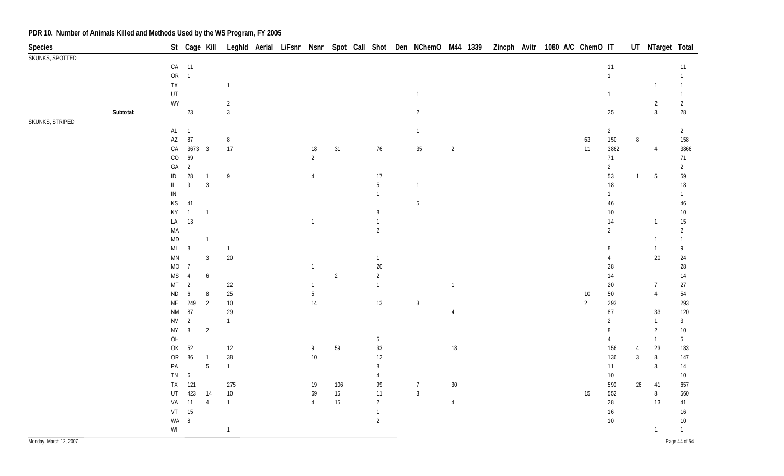| St Cage Kill Leghld Aerial L/Fsnr Nsnr Spot Call Shot Den NChemO M44 1339 Zincph Avitr 1080 A/C ChemO IT<br>Species | UT NTarget Total       |                 |
|---------------------------------------------------------------------------------------------------------------------|------------------------|-----------------|
| SKUNKS, SPOTTED                                                                                                     |                        |                 |
| CA 11<br>11                                                                                                         |                        | 11              |
| OR 1<br>$\mathbf{1}$                                                                                                |                        | $\mathbf{1}$    |
| ${\sf TX}$<br>$\mathbf{1}$                                                                                          | $\overline{1}$         | 1               |
| $\sf{UT}$<br>$\overline{1}$<br>$\overline{1}$                                                                       |                        | $\mathbf{1}$    |
| WY<br>$\overline{2}$                                                                                                | $\overline{2}$         | $\overline{2}$  |
| $\mathbf{3}$<br>Subtotal:<br>23<br>$\overline{2}$<br>$25\,$                                                         | $\mathbf{3}$           | $28\,$          |
| SKUNKS, STRIPED                                                                                                     |                        |                 |
| $AL$ 1<br>$\overline{2}$<br>$\overline{1}$                                                                          |                        | $\overline{2}$  |
| $\mathsf{A}\mathsf{Z}$<br>87<br>$\,8\,$<br>150<br>63                                                                | 8                      | 158             |
| 3673 3<br>$17\,$<br>$\overline{2}$<br>CA<br>$18\,$<br>31<br>76<br>35<br>$11$<br>3862                                | $\overline{4}$         | 3866            |
| 69<br>$_{\rm CO}$<br>$\overline{2}$<br>71                                                                           |                        | 71              |
| GA<br>$\overline{2}$<br>$\overline{2}$                                                                              |                        | $\overline{2}$  |
| $28\,$<br>53<br>$\sf ID$<br>9<br>17<br>4<br>$\overline{1}$                                                          | 5<br>$\mathbf{1}$      | 59              |
| 3<br>$5\phantom{.0}$<br>$\,9$<br>$18\,$<br>IL<br>$\overline{1}$                                                     |                        | 18              |
| ${\sf IN}$<br>$\mathbf{1}$<br>1                                                                                     |                        | 1               |
| $\mathsf{KS}% _{\mathsf{K}}^{\mathsf{K}}\left( \mathsf{K}\right)$<br>41<br>$5\phantom{.0}$<br>$46\,$                |                        | $46\,$          |
| KY<br>$\overline{1}$<br>$10\,$<br>$\overline{1}$<br>8                                                               |                        | $10\,$          |
| LA<br>13<br>14<br>$\overline{1}$<br>$\overline{1}$                                                                  | $\overline{1}$         | $15\,$          |
| MA<br>$\overline{2}$<br>$\overline{2}$                                                                              |                        | $\overline{2}$  |
| $\mathsf{MD}$<br>$\overline{1}$                                                                                     | $\mathbf{1}$           | 1               |
| M <sub>l</sub><br>$\, 8$<br>$\overline{1}$<br>8                                                                     | $\overline{1}$         | 9               |
| $20\,$<br>$\overline{3}$<br>$\mathsf{M}\mathsf{N}$<br>$\mathbf{1}$<br>$\overline{4}$                                | $20\,$                 | $24\,$          |
| MO<br>$20\,$<br>$\overline{7}$<br>28<br>-1                                                                          |                        | $28\,$          |
| $\overline{2}$<br>$\overline{2}$<br>$\mathsf{MS}\xspace$<br>$\boldsymbol{6}$<br>14<br>$\overline{4}$                |                        | $14$            |
| MT<br>$\overline{2}$<br>$22\,$<br>$\overline{1}$<br>$\overline{1}$<br>$20\,$<br>-1                                  | $\overline{7}$         | 27              |
| $25\,$<br>$\sf ND$<br>$\boldsymbol{6}$<br>8<br>$50\,$<br>$5\phantom{.0}$<br>$10\,$                                  | $\overline{4}$         | 54              |
| 249<br>$\overline{2}$<br>$10\,$<br>14<br>13<br>293<br><b>NE</b><br>$\mathbf{3}$<br>$\overline{2}$                   |                        | 293             |
| $\mathsf{N}\mathsf{M}$<br>87<br>$87\,$<br>29<br>$\overline{4}$                                                      | 33                     | 120             |
| $\overline{2}$<br><b>NV</b><br>$\overline{2}$<br>$\mathbf{1}$                                                       | $\mathbf{1}$           | $\mathbf{3}$    |
| $\, 8$<br>$\overline{2}$<br><b>NY</b><br>8                                                                          | $\overline{2}$         | $10\,$          |
| OH<br>$\sqrt{5}$<br>4                                                                                               | $\overline{1}$         | 5 <sup>5</sup>  |
| 52<br>59<br>$33\,$<br>$18\,$<br>OK<br>$12$<br>156<br>9                                                              | 23<br>4                | 183             |
| 86<br>$38\,$<br>$10\,$<br>${\sf OR}$<br>12<br>136<br>$\overline{1}$                                                 | $\mathbf{3}$<br>$\, 8$ | 147             |
| $\overline{5}$<br>PA<br>$\mathbf{1}$<br>8<br>11                                                                     | $\mathbf{3}$           | 14              |
| TN<br>6<br>10 <sup>°</sup><br>4                                                                                     |                        | 10 <sup>°</sup> |
| ${\sf TX}$<br>121<br>275<br>99<br>$30\,$<br>106<br>$\overline{7}$<br>590<br>19                                      | $26\phantom{.}$<br>41  | 657             |
| $\mathbf{3}$<br>423<br>$10\,$<br>$15\,$<br>11<br>552<br>UT<br>14<br>69<br>15                                        | $\, 8$                 | 560             |
| 15<br>$\overline{2}$<br>28<br>VA<br>11<br>$\overline{4}$<br>$\overline{4}$<br>$\overline{4}$<br>$\mathbf{1}$        | 13                     | 41              |
| 15<br>VT<br>$\overline{1}$<br>16                                                                                    |                        | 16              |
| WA<br>$\, 8$<br>$\overline{2}$<br>10 <sup>°</sup>                                                                   |                        | $10\,$          |
| $\ensuremath{\mathsf{W}}\xspace\ensuremath{\mathsf{I}}$<br>$\mathbf{1}$                                             | $\overline{1}$         | $\mathbf{1}$    |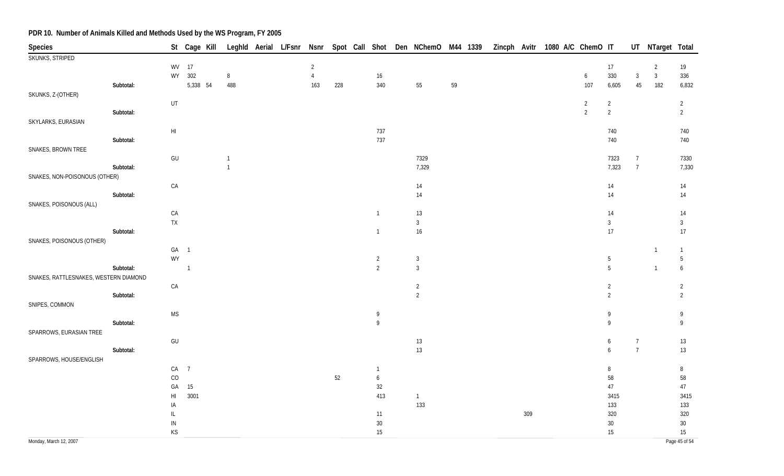| Species                               |           |                          | St Cage Kill Leghld Aerial L/Fsnr Nsnr Spot Call Shot Den NChemO M44 1339 Zincph Avitr 1080 A/C ChemO IT |                |  |                                  |     |                  |                                  |    |  |     |                                  |                                  |                 | UT NTarget Total               |                                  |
|---------------------------------------|-----------|--------------------------|----------------------------------------------------------------------------------------------------------|----------------|--|----------------------------------|-----|------------------|----------------------------------|----|--|-----|----------------------------------|----------------------------------|-----------------|--------------------------------|----------------------------------|
| SKUNKS, STRIPED                       |           |                          |                                                                                                          |                |  |                                  |     |                  |                                  |    |  |     |                                  |                                  |                 |                                |                                  |
|                                       |           |                          | WV 17<br>WY 302                                                                                          | $\, 8$         |  | $\overline{2}$<br>$\overline{4}$ |     | 16               |                                  |    |  |     | $6\phantom{.0}$                  | $17 \,$<br>330                   | $\mathbf{3}$    | $\overline{2}$<br>$\mathbf{3}$ | 19<br>336                        |
|                                       | Subtotal: |                          | 5,338 54                                                                                                 | 488            |  | 163                              | 228 | 340              | 55                               | 59 |  |     | 107                              | 6,605                            | 45              | 182                            | 6,832                            |
| SKUNKS, Z-(OTHER)                     |           |                          |                                                                                                          |                |  |                                  |     |                  |                                  |    |  |     |                                  |                                  |                 |                                |                                  |
|                                       | Subtotal: | UT                       |                                                                                                          |                |  |                                  |     |                  |                                  |    |  |     | $\overline{2}$<br>$\overline{2}$ | $\overline{2}$<br>$\sqrt{2}$     |                 |                                | $\overline{2}$<br>$\overline{2}$ |
| SKYLARKS, EURASIAN                    |           |                          |                                                                                                          |                |  |                                  |     |                  |                                  |    |  |     |                                  |                                  |                 |                                |                                  |
|                                       |           | $\mathsf{HI}$            |                                                                                                          |                |  |                                  |     | 737              |                                  |    |  |     |                                  | 740                              |                 |                                | 740                              |
| SNAKES, BROWN TREE                    | Subtotal: |                          |                                                                                                          |                |  |                                  |     | 737              |                                  |    |  |     |                                  | 740                              |                 |                                | 740                              |
|                                       |           | GU                       |                                                                                                          | $\overline{1}$ |  |                                  |     |                  | 7329                             |    |  |     |                                  | 7323                             | $\overline{7}$  |                                | 7330                             |
|                                       | Subtotal: |                          |                                                                                                          | $\overline{1}$ |  |                                  |     |                  | 7,329                            |    |  |     |                                  | 7,323                            | $7\overline{ }$ |                                | 7,330                            |
| SNAKES, NON-POISONOUS (OTHER)         |           | ${\sf CA}$               |                                                                                                          |                |  |                                  |     |                  | 14                               |    |  |     |                                  | 14                               |                 |                                | 14                               |
|                                       | Subtotal: |                          |                                                                                                          |                |  |                                  |     |                  | $14$                             |    |  |     |                                  | $14$                             |                 |                                | 14                               |
| SNAKES, POISONOUS (ALL)               |           |                          |                                                                                                          |                |  |                                  |     |                  |                                  |    |  |     |                                  |                                  |                 |                                |                                  |
|                                       |           | ${\sf CA}$<br>${\sf TX}$ |                                                                                                          |                |  |                                  |     | $\mathbf{1}$     | 13<br>$\mathbf{3}$               |    |  |     |                                  | 14<br>$\mathbf{3}$               |                 |                                | $14$<br>$\mathbf{3}$             |
|                                       | Subtotal: |                          |                                                                                                          |                |  |                                  |     | $\overline{1}$   | 16                               |    |  |     |                                  | $17\,$                           |                 |                                | 17                               |
| SNAKES, POISONOUS (OTHER)             |           |                          |                                                                                                          |                |  |                                  |     |                  |                                  |    |  |     |                                  |                                  |                 |                                |                                  |
|                                       |           | GA 1<br>WY               |                                                                                                          |                |  |                                  |     | $\overline{2}$   | $\overline{3}$                   |    |  |     |                                  | 5                                |                 | $\mathbf{1}$                   | $\overline{1}$<br>$\overline{5}$ |
|                                       | Subtotal: |                          | $\overline{1}$                                                                                           |                |  |                                  |     | $\overline{2}$   | $\overline{3}$                   |    |  |     |                                  | 5                                |                 | $\overline{1}$                 | $\boldsymbol{6}$                 |
| SNAKES, RATTLESNAKES, WESTERN DIAMOND |           |                          |                                                                                                          |                |  |                                  |     |                  |                                  |    |  |     |                                  |                                  |                 |                                |                                  |
|                                       | Subtotal: | CA                       |                                                                                                          |                |  |                                  |     |                  | $\overline{c}$<br>$\overline{2}$ |    |  |     |                                  | $\overline{2}$<br>$\overline{2}$ |                 |                                | $\overline{c}$<br>$\overline{2}$ |
| SNIPES, COMMON                        |           |                          |                                                                                                          |                |  |                                  |     |                  |                                  |    |  |     |                                  |                                  |                 |                                |                                  |
|                                       |           | <b>MS</b>                |                                                                                                          |                |  |                                  |     | 9                |                                  |    |  |     |                                  | 9                                |                 |                                | 9                                |
| SPARROWS, EURASIAN TREE               | Subtotal: |                          |                                                                                                          |                |  |                                  |     | $\overline{9}$   |                                  |    |  |     |                                  | $\overline{9}$                   |                 |                                | 9                                |
|                                       |           | $\mathsf{GU}%$           |                                                                                                          |                |  |                                  |     |                  | $13$                             |    |  |     |                                  | 6                                | $\overline{7}$  |                                | 13                               |
|                                       | Subtotal: |                          |                                                                                                          |                |  |                                  |     |                  | $13$                             |    |  |     |                                  | 6                                | $\overline{7}$  |                                | 13                               |
| SPARROWS, HOUSE/ENGLISH               |           | CA 7                     |                                                                                                          |                |  |                                  |     | 1                |                                  |    |  |     |                                  | 8                                |                 |                                | 8                                |
|                                       |           | CO                       |                                                                                                          |                |  |                                  | 52  | $\boldsymbol{6}$ |                                  |    |  |     |                                  | $58\,$                           |                 |                                | 58                               |
|                                       |           | GA                       | 15                                                                                                       |                |  |                                  |     | 32               |                                  |    |  |     |                                  | $47\,$                           |                 |                                | $47\,$                           |
|                                       |           | $\mathsf{HI}$<br>IA      | 3001                                                                                                     |                |  |                                  |     | 413              | $\overline{1}$<br>133            |    |  |     |                                  | 3415<br>133                      |                 |                                | 3415<br>133                      |
|                                       |           | $\mathsf{IL}$            |                                                                                                          |                |  |                                  |     | 11               |                                  |    |  | 309 |                                  | 320                              |                 |                                | 320                              |
|                                       |           | ${\sf IN}$               |                                                                                                          |                |  |                                  |     | $30\,$           |                                  |    |  |     |                                  | $30\,$                           |                 |                                | $30\,$                           |
| Monday, March 12, 2007                |           | KS                       |                                                                                                          |                |  |                                  |     | 15               |                                  |    |  |     |                                  | 15                               |                 |                                | 15<br>Page 45 of 54              |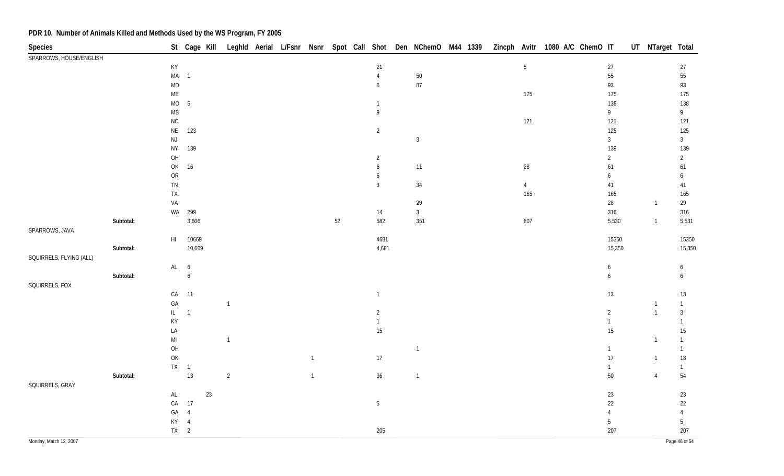| <b>Species</b>          |           |                             |                  |        |                |  |                |        |                |                |  |                | St Cage Kill Leghld Aerial L/Fsnr Nsnr Spot Call Shot Den NChemO M44 1339 Zincph Avitr 1080 A/C ChemO IT |                          | UT NTarget Total |                          |
|-------------------------|-----------|-----------------------------|------------------|--------|----------------|--|----------------|--------|----------------|----------------|--|----------------|----------------------------------------------------------------------------------------------------------|--------------------------|------------------|--------------------------|
| SPARROWS, HOUSE/ENGLISH |           |                             |                  |        |                |  |                |        |                |                |  |                |                                                                                                          |                          |                  |                          |
|                         |           | KY                          |                  |        |                |  |                |        | 21             |                |  | $\sqrt{5}$     |                                                                                                          | $27\,$                   |                  | $27\,$                   |
|                         |           | $MA$ 1                      |                  |        |                |  |                |        | $\overline{4}$ | $50\,$         |  |                |                                                                                                          | 55                       |                  | ${\bf 55}$               |
|                         |           | $\mathsf{MD}$               |                  |        |                |  |                |        | 6              | $87\,$         |  |                |                                                                                                          | 93                       |                  | 93                       |
|                         |           | $\mathsf{ME}$               |                  |        |                |  |                |        |                |                |  | 175            |                                                                                                          | 175                      |                  | 175                      |
|                         |           | MO                          | $\overline{5}$   |        |                |  |                |        | $\mathbf{1}$   |                |  |                |                                                                                                          | 138                      |                  | 138                      |
|                         |           | <b>MS</b>                   |                  |        |                |  |                |        | 9              |                |  |                |                                                                                                          | 9                        |                  | 9                        |
|                         |           | ${\sf NC}$                  |                  |        |                |  |                |        |                |                |  | 121            |                                                                                                          | 121                      |                  | 121                      |
|                         |           | $\mathsf{NE}\xspace$        | 123              |        |                |  |                |        | $\overline{2}$ | $\mathbf{3}$   |  |                |                                                                                                          | 125<br>$\mathbf{3}$      |                  | 125<br>3 <sup>1</sup>    |
|                         |           | $\mathsf{NJ}$<br><b>NY</b>  | 139              |        |                |  |                |        |                |                |  |                |                                                                                                          | 139                      |                  | 139                      |
|                         |           | $O H$                       |                  |        |                |  |                |        | $\overline{2}$ |                |  |                |                                                                                                          | $\overline{2}$           |                  | $\overline{2}$           |
|                         |           | OK                          | 16               |        |                |  |                |        | 6              | 11             |  | $28\,$         |                                                                                                          | 61                       |                  | 61                       |
|                         |           | ${\sf OR}$                  |                  |        |                |  |                |        | 6              |                |  |                |                                                                                                          | 6                        |                  | 6                        |
|                         |           | ${\sf TN}$                  |                  |        |                |  |                |        | $\mathbf{3}$   | $34\,$         |  | $\overline{4}$ |                                                                                                          | 41                       |                  | 41                       |
|                         |           | ${\sf TX}$                  |                  |        |                |  |                |        |                |                |  | 165            |                                                                                                          | 165                      |                  | 165                      |
|                         |           | VA                          |                  |        |                |  |                |        |                | 29             |  |                |                                                                                                          | 28                       | $\overline{1}$   | 29                       |
|                         |           |                             | WA 299           |        |                |  |                |        | 14             | $\sqrt{3}$     |  |                |                                                                                                          | 316                      |                  | 316                      |
|                         | Subtotal: |                             | 3,606            |        |                |  |                | $52\,$ | 582            | 351            |  | 807            |                                                                                                          | 5,530                    | $\overline{1}$   | 5,531                    |
| SPARROWS, JAVA          |           |                             |                  |        |                |  |                |        |                |                |  |                |                                                                                                          |                          |                  |                          |
|                         |           | H1                          | 10669            |        |                |  |                |        | 4681           |                |  |                |                                                                                                          | 15350                    |                  | 15350                    |
|                         | Subtotal: |                             | 10,669           |        |                |  |                |        | 4,681          |                |  |                |                                                                                                          | 15,350                   |                  | 15,350                   |
| SQUIRRELS, FLYING (ALL) |           |                             |                  |        |                |  |                |        |                |                |  |                |                                                                                                          |                          |                  |                          |
|                         |           | AL 6                        |                  |        |                |  |                |        |                |                |  |                |                                                                                                          | $\boldsymbol{6}$         |                  | 6                        |
|                         | Subtotal: |                             | $\boldsymbol{6}$ |        |                |  |                |        |                |                |  |                |                                                                                                          | $\boldsymbol{6}$         |                  | 6                        |
| SQUIRRELS, FOX          |           |                             |                  |        |                |  |                |        |                |                |  |                |                                                                                                          |                          |                  |                          |
|                         |           | ${\sf CA}$                  | $-11$            |        |                |  |                |        | $\overline{1}$ |                |  |                |                                                                                                          | 13                       |                  | 13                       |
|                         |           | GA                          |                  |        | $\overline{1}$ |  |                |        |                |                |  |                |                                                                                                          |                          | $\overline{1}$   | $\mathbf{1}$             |
|                         |           | $\mathsf{IL}^-$             | $\overline{1}$   |        |                |  |                |        | $\overline{2}$ |                |  |                |                                                                                                          | $\overline{2}$           | $\overline{1}$   | $\mathfrak{Z}$           |
|                         |           | KY                          |                  |        |                |  |                |        | $\mathbf{1}$   |                |  |                |                                                                                                          | $\mathbf{1}$             |                  | $\mathbf{1}$             |
|                         |           | LA                          |                  |        |                |  |                |        | 15             |                |  |                |                                                                                                          | $15\,$                   |                  | $15\,$                   |
|                         |           | $\mathsf{MI}$               |                  |        | $\overline{1}$ |  |                |        |                |                |  |                |                                                                                                          |                          | $\mathbf{1}$     | $\mathbf{1}$             |
|                         |           | $\mathsf{OH}$               |                  |        |                |  |                |        |                | $\overline{1}$ |  |                |                                                                                                          | $\mathbf{1}$             |                  | $\mathbf{1}$             |
|                         |           | $\mathsf{OK}$               |                  |        |                |  | $\overline{1}$ |        | 17             |                |  |                |                                                                                                          | $17\,$                   | $\overline{1}$   | $18\,$                   |
|                         |           |                             | $TX = 1$         |        |                |  |                |        |                |                |  |                |                                                                                                          | $\mathbf{1}$             |                  | $\mathbf{1}$             |
|                         | Subtotal: |                             | 13               |        | $\overline{2}$ |  | $\overline{1}$ |        | 36             | $\overline{1}$ |  |                |                                                                                                          | $50\,$                   | $\overline{4}$   | 54                       |
| SQUIRRELS, GRAY         |           |                             |                  |        |                |  |                |        |                |                |  |                |                                                                                                          |                          |                  |                          |
|                         |           | $\mathsf{AL}$<br>${\sf CA}$ | 17               | $23\,$ |                |  |                |        |                |                |  |                |                                                                                                          | $23\,$                   |                  | $23\,$                   |
|                         |           | GA                          |                  |        |                |  |                |        | $5\,$          |                |  |                |                                                                                                          | $22\,$<br>$\overline{4}$ |                  | $22\,$<br>$\overline{4}$ |
|                         |           | KY 4                        | $\overline{4}$   |        |                |  |                |        |                |                |  |                |                                                                                                          | $5\phantom{.0}$          |                  | $5\phantom{.0}$          |
|                         |           | $TX$ 2                      |                  |        |                |  |                |        | 205            |                |  |                |                                                                                                          | 207                      |                  | 207                      |
|                         |           |                             |                  |        |                |  |                |        |                |                |  |                |                                                                                                          |                          |                  | Page 46 of 54            |
| Monday, March 12, 2007  |           |                             |                  |        |                |  |                |        |                |                |  |                |                                                                                                          |                          |                  |                          |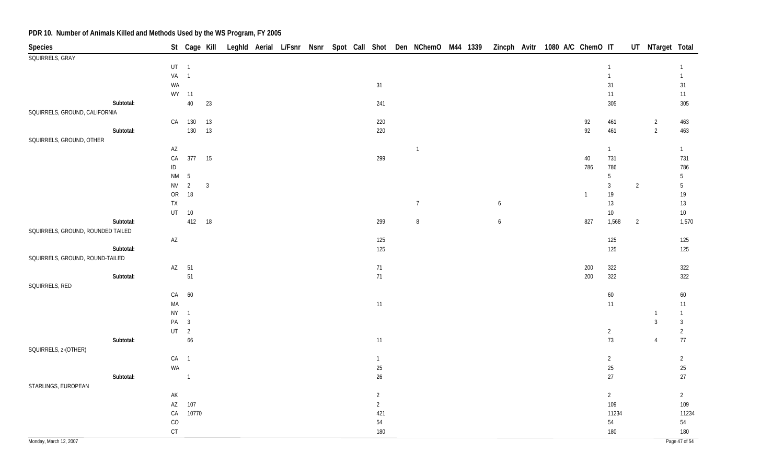| <b>Species</b>                    |                        |                                  |              |  |  |  |                |                |  |                  | St Cage Kill Leghld Aerial L/Fsnr Nsnr Spot Call Shot Den NChemO M44 1339 Zincph Avitr 1080 A/C ChemO IT |                |                 |                | UT NTarget Total |                                |
|-----------------------------------|------------------------|----------------------------------|--------------|--|--|--|----------------|----------------|--|------------------|----------------------------------------------------------------------------------------------------------|----------------|-----------------|----------------|------------------|--------------------------------|
| SQUIRRELS, GRAY                   |                        |                                  |              |  |  |  |                |                |  |                  |                                                                                                          |                |                 |                |                  |                                |
|                                   | $UT \t1$               |                                  |              |  |  |  |                |                |  |                  |                                                                                                          | 1              |                 |                |                  |                                |
|                                   | VA <sub>1</sub>        |                                  |              |  |  |  |                |                |  |                  |                                                                                                          | $\overline{1}$ |                 |                |                  | $\mathbf{1}$                   |
|                                   | WA                     |                                  |              |  |  |  | 31             |                |  |                  |                                                                                                          | 31             |                 |                |                  | 31                             |
|                                   |                        | WY 11                            |              |  |  |  |                |                |  |                  |                                                                                                          |                | 11              |                |                  | 11                             |
| Subtotal:                         |                        | $40\,$                           | 23           |  |  |  | 241            |                |  |                  |                                                                                                          |                | 305             |                |                  | 305                            |
| SQUIRRELS, GROUND, CALIFORNIA     |                        |                                  |              |  |  |  |                |                |  |                  |                                                                                                          |                |                 |                |                  |                                |
|                                   |                        | CA 130                           | 13           |  |  |  | 220            |                |  |                  | 92                                                                                                       |                | 461             |                | $\overline{2}$   | 463                            |
| Subtotal:                         |                        | 130                              | 13           |  |  |  | 220            |                |  |                  | 92                                                                                                       |                | 461             |                | $\overline{2}$   | 463                            |
| SQUIRRELS, GROUND, OTHER          |                        |                                  |              |  |  |  |                |                |  |                  |                                                                                                          |                |                 |                |                  |                                |
|                                   | $\mathsf{A}\mathsf{Z}$ |                                  |              |  |  |  |                | $\overline{1}$ |  |                  |                                                                                                          | $\overline{1}$ |                 |                |                  | $\overline{1}$                 |
|                                   | ${\sf CA}$             | 377                              | 15           |  |  |  | 299            |                |  |                  | $40\,$                                                                                                   |                | 731             |                |                  | 731                            |
|                                   | ID                     |                                  |              |  |  |  |                |                |  |                  | 786                                                                                                      |                | 786             |                |                  | 786                            |
|                                   | $\mathsf{N}\mathsf{M}$ | $5\phantom{.0}$                  |              |  |  |  |                |                |  |                  |                                                                                                          | 5              |                 |                |                  | 5                              |
|                                   | <b>NV</b>              | $\overline{2}$                   | $\mathbf{3}$ |  |  |  |                |                |  |                  |                                                                                                          | $\mathbf{3}$   |                 | $\overline{2}$ |                  | 5                              |
|                                   | ${\sf OR}$             | 18                               |              |  |  |  |                |                |  |                  | $\mathbf{1}$                                                                                             | $19$           |                 |                |                  | $19$                           |
|                                   | <b>TX</b>              |                                  |              |  |  |  |                | $\overline{7}$ |  | 6                |                                                                                                          |                | 13              |                |                  | 13                             |
|                                   | UT                     | 10                               |              |  |  |  |                |                |  |                  |                                                                                                          |                | 10 <sup>°</sup> |                |                  | $10\,$                         |
| Subtotal:                         |                        | 412                              | 18           |  |  |  | 299            | $\, 8$         |  | $\boldsymbol{6}$ | 827                                                                                                      |                | 1,568           | $\overline{2}$ |                  | 1,570                          |
| SQUIRRELS, GROUND, ROUNDED TAILED |                        |                                  |              |  |  |  |                |                |  |                  |                                                                                                          |                |                 |                |                  |                                |
|                                   | AZ                     |                                  |              |  |  |  | 125            |                |  |                  |                                                                                                          |                | 125             |                |                  | 125                            |
| Subtotal:                         |                        |                                  |              |  |  |  | 125            |                |  |                  |                                                                                                          |                | 125             |                |                  | 125                            |
| SQUIRRELS, GROUND, ROUND-TAILED   |                        |                                  |              |  |  |  |                |                |  |                  |                                                                                                          |                |                 |                |                  |                                |
|                                   |                        | AZ 51                            |              |  |  |  | 71             |                |  |                  | 200                                                                                                      |                | 322             |                |                  | 322                            |
| Subtotal:                         |                        | 51                               |              |  |  |  | 71             |                |  |                  | 200                                                                                                      |                | 322             |                |                  | 322                            |
| SQUIRRELS, RED                    |                        |                                  |              |  |  |  |                |                |  |                  |                                                                                                          |                |                 |                |                  |                                |
|                                   | CA                     | 60                               |              |  |  |  |                |                |  |                  |                                                                                                          |                | $60\,$          |                |                  | 60                             |
|                                   | MA                     |                                  |              |  |  |  | 11             |                |  |                  |                                                                                                          | 11             |                 |                |                  | $11$                           |
|                                   | <b>NY</b><br>PA        | $\overline{1}$<br>$\overline{3}$ |              |  |  |  |                |                |  |                  |                                                                                                          |                |                 |                | $\overline{1}$   | $\overline{1}$                 |
|                                   | $UT$ 2                 |                                  |              |  |  |  |                |                |  |                  |                                                                                                          | $\overline{2}$ |                 |                | $\mathbf{3}$     | $\mathbf{3}$<br>$\overline{2}$ |
| Subtotal:                         |                        | 66                               |              |  |  |  | 11             |                |  |                  |                                                                                                          |                | 73              |                | $\overline{4}$   | 77                             |
| SQUIRRELS, z-(OTHER)              |                        |                                  |              |  |  |  |                |                |  |                  |                                                                                                          |                |                 |                |                  |                                |
|                                   | $CA$ 1                 |                                  |              |  |  |  | $\overline{1}$ |                |  |                  |                                                                                                          | $\overline{2}$ |                 |                |                  | $\overline{2}$                 |
|                                   | WA                     |                                  |              |  |  |  | $25\,$         |                |  |                  |                                                                                                          | 25             |                 |                |                  | $25\,$                         |
| Subtotal:                         |                        | $\overline{1}$                   |              |  |  |  | 26             |                |  |                  |                                                                                                          | 27             |                 |                |                  | $27\,$                         |
| STARLINGS, EUROPEAN               |                        |                                  |              |  |  |  |                |                |  |                  |                                                                                                          |                |                 |                |                  |                                |
|                                   | AK                     |                                  |              |  |  |  | $\overline{2}$ |                |  |                  |                                                                                                          | $\overline{2}$ |                 |                |                  | $\overline{2}$                 |
|                                   | AZ                     | 107                              |              |  |  |  | $\overline{2}$ |                |  |                  |                                                                                                          |                | 109             |                |                  | 109                            |
|                                   | CA                     | 10770                            |              |  |  |  | 421            |                |  |                  |                                                                                                          |                | 11234           |                |                  | 11234                          |
|                                   | CO                     |                                  |              |  |  |  | $54\,$         |                |  |                  |                                                                                                          |                | 54              |                |                  | 54                             |
|                                   | CT                     |                                  |              |  |  |  | 180            |                |  |                  |                                                                                                          |                | 180             |                |                  | 180                            |
| Monday, March 12, 2007            |                        |                                  |              |  |  |  |                |                |  |                  |                                                                                                          |                |                 |                |                  | Page 47 of 54                  |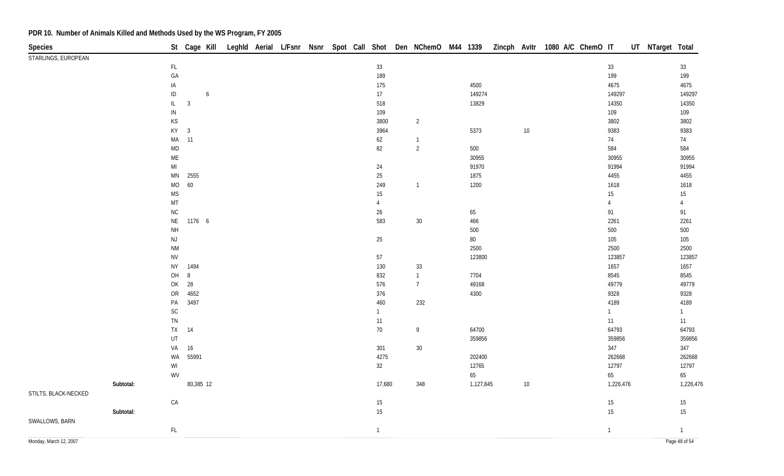| <b>Species</b>         |           |                                                                   |                | St Cage Kill         |  |  |  |                 | Leghld Aerial L/Fsnr Nsnr Spot Call Shot Den NChemO M44 1339 |           | Zincph Avitr 1080 A/C ChemO IT |        |  |                | UT NTarget Total |                |
|------------------------|-----------|-------------------------------------------------------------------|----------------|----------------------|--|--|--|-----------------|--------------------------------------------------------------|-----------|--------------------------------|--------|--|----------------|------------------|----------------|
| STARLINGS, EUROPEAN    |           |                                                                   |                |                      |  |  |  |                 |                                                              |           |                                |        |  |                |                  |                |
|                        |           | $\mathsf{FL}$                                                     |                |                      |  |  |  | 33              |                                                              |           |                                |        |  | 33             |                  | $33\,$         |
|                        |           | GA                                                                |                |                      |  |  |  | 189             |                                                              |           |                                |        |  | 199            |                  | 199            |
|                        |           | IA                                                                |                |                      |  |  |  | 175             |                                                              | 4500      |                                |        |  | 4675           |                  | 4675           |
|                        |           | $\sf ID$                                                          |                | $\ddot{\phantom{0}}$ |  |  |  | 17 <sub>1</sub> |                                                              | 149274    |                                |        |  | 149297         |                  | 149297         |
|                        |           | $\mathsf{IL}$                                                     | $\mathbf{3}$   |                      |  |  |  | 518             |                                                              | 13829     |                                |        |  | 14350          |                  | 14350          |
|                        |           | ${\sf IN}$                                                        |                |                      |  |  |  | 109             |                                                              |           |                                |        |  | 109            |                  | 109            |
|                        |           | $\mathsf{KS}% _{\mathsf{K}}^{\mathsf{K}}\left( \mathsf{K}\right)$ |                |                      |  |  |  | 3800            | $\overline{2}$                                               |           |                                |        |  | 3802           |                  | 3802           |
|                        |           | KY                                                                | $\overline{3}$ |                      |  |  |  | 3964            |                                                              | 5373      |                                | $10\,$ |  | 9383           |                  | 9383           |
|                        |           | MA                                                                | 11             |                      |  |  |  | 62              | $\mathbf{1}$                                                 |           |                                |        |  | 74             |                  | 74             |
|                        |           | $\mathsf{MD}$                                                     |                |                      |  |  |  | 82              | $\sqrt{2}$                                                   | 500       |                                |        |  | 584            |                  | 584            |
|                        |           | $\mathsf{ME}$                                                     |                |                      |  |  |  |                 |                                                              | 30955     |                                |        |  | 30955          |                  | 30955          |
|                        |           | $\mathsf{MI}$                                                     |                |                      |  |  |  | 24              |                                                              | 91970     |                                |        |  | 91994          |                  | 91994          |
|                        |           | $\mathsf{MN}$                                                     | 2555           |                      |  |  |  | 25              |                                                              | 1875      |                                |        |  | 4455           |                  | 4455           |
|                        |           | MO                                                                | 60             |                      |  |  |  | 249             | $\mathbf{1}$                                                 | 1200      |                                |        |  | 1618           |                  | 1618           |
|                        |           | <b>MS</b>                                                         |                |                      |  |  |  | 15              |                                                              |           |                                |        |  | 15             |                  | 15             |
|                        |           | MT                                                                |                |                      |  |  |  | 4               |                                                              |           |                                |        |  | $\overline{4}$ |                  | $\overline{4}$ |
|                        |           | ${\sf NC}$                                                        |                |                      |  |  |  | 26              |                                                              | 65        |                                |        |  | 91             |                  | 91             |
|                        |           | $\mathsf{NE}\,$                                                   | 1176 6         |                      |  |  |  | 583             | $30\,$                                                       | 466       |                                |        |  | 2261           |                  | 2261           |
|                        |           | <b>NH</b>                                                         |                |                      |  |  |  |                 |                                                              | 500       |                                |        |  | 500            |                  | 500            |
|                        |           | $\mathsf{NJ}$                                                     |                |                      |  |  |  | 25              |                                                              | $80\,$    |                                |        |  | 105            |                  | 105            |
|                        |           | $\mathsf{N}\mathsf{M}$                                            |                |                      |  |  |  |                 |                                                              | 2500      |                                |        |  | 2500           |                  | 2500           |
|                        |           | ${\sf NV}$                                                        |                |                      |  |  |  | 57              |                                                              | 123800    |                                |        |  | 123857         |                  | 123857         |
|                        |           | <b>NY</b>                                                         | 1494           |                      |  |  |  | 130             | $33\,$                                                       |           |                                |        |  | 1657           |                  | 1657           |
|                        |           | OH                                                                | $\, 8$         |                      |  |  |  | 832             | $\mathbf{1}$                                                 | 7704      |                                |        |  | 8545           |                  | 8545           |
|                        |           | OK                                                                | 28             |                      |  |  |  | 576             | $7\overline{ }$                                              | 49168     |                                |        |  | 49779          |                  | 49779          |
|                        |           | ${\sf OR}$                                                        | 4652           |                      |  |  |  | 376             |                                                              | 4300      |                                |        |  | 9328           |                  | 9328           |
|                        |           | PA                                                                | 3497           |                      |  |  |  | 460             | 232                                                          |           |                                |        |  | 4189           |                  | 4189           |
|                        |           | $\mathsf{SC}$                                                     |                |                      |  |  |  | $\mathbf{1}$    |                                                              |           |                                |        |  | $\mathbf{1}$   |                  | $\mathbf{1}$   |
|                        |           | ${\sf TN}$                                                        |                |                      |  |  |  | 11              |                                                              |           |                                |        |  | 11             |                  | 11             |
|                        |           | <b>TX</b>                                                         | 14             |                      |  |  |  | $70\,$          | $\boldsymbol{9}$                                             | 64700     |                                |        |  | 64793          |                  | 64793          |
|                        |           | $\sf{UT}$                                                         |                |                      |  |  |  |                 |                                                              | 359856    |                                |        |  | 359856         |                  | 359856         |
|                        |           | VA                                                                | 16             |                      |  |  |  | 301             | $30\,$                                                       |           |                                |        |  | 347            |                  | 347            |
|                        |           | WA                                                                | 55991          |                      |  |  |  | 4275            |                                                              | 202400    |                                |        |  | 262668         |                  | 262668         |
|                        |           | WI                                                                |                |                      |  |  |  | 32              |                                                              | 12765     |                                |        |  | 12797          |                  | 12797          |
|                        |           | WV                                                                |                |                      |  |  |  |                 |                                                              | 65        |                                |        |  | 65             |                  | 65             |
|                        | Subtotal: |                                                                   | 80,385 12      |                      |  |  |  | 17,680          | 348                                                          | 1,127,845 |                                | $10\,$ |  | 1,226,476      |                  | 1,226,476      |
| STILTS, BLACK-NECKED   |           |                                                                   |                |                      |  |  |  |                 |                                                              |           |                                |        |  |                |                  |                |
|                        |           | CA                                                                |                |                      |  |  |  | 15              |                                                              |           |                                |        |  | 15             |                  | 15             |
|                        | Subtotal: |                                                                   |                |                      |  |  |  | 15              |                                                              |           |                                |        |  | 15             |                  | 15             |
| SWALLOWS, BARN         |           |                                                                   |                |                      |  |  |  |                 |                                                              |           |                                |        |  |                |                  |                |
|                        |           | $\mathsf{FL}$                                                     |                |                      |  |  |  | $\mathbf{1}$    |                                                              |           |                                |        |  | $\overline{1}$ |                  | $\overline{1}$ |
| Monday, March 12, 2007 |           |                                                                   |                |                      |  |  |  |                 |                                                              |           |                                |        |  |                |                  | Page 48 of 54  |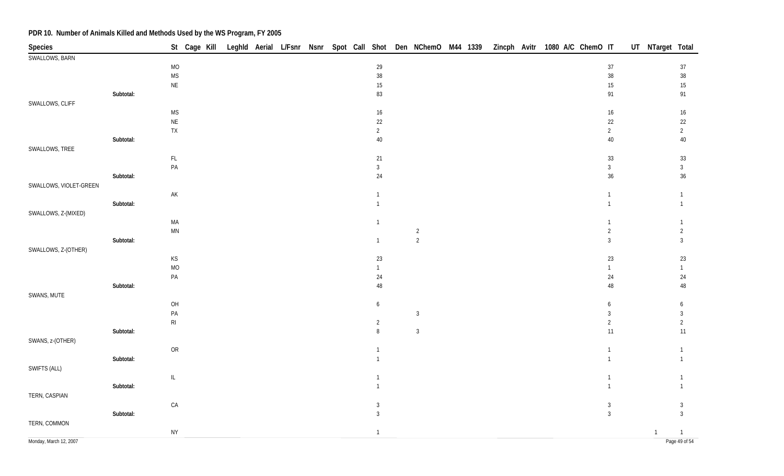| Species                |           | St Cage Kill Leghld Aerial L/Fsnr Nsnr Spot Call Shot Den NChemO M44 1339 |  |  |                 |                |  | Zincph Avitr 1080 A/C ChemO IT | UT NTarget Total |                |
|------------------------|-----------|---------------------------------------------------------------------------|--|--|-----------------|----------------|--|--------------------------------|------------------|----------------|
| SWALLOWS, BARN         |           |                                                                           |  |  |                 |                |  |                                |                  |                |
|                        |           | <b>MO</b>                                                                 |  |  | $29\,$          |                |  | $37\,$                         |                  | 37             |
|                        |           | <b>MS</b>                                                                 |  |  | $38\,$          |                |  | $38\,$                         |                  | $38\,$         |
|                        |           | <b>NE</b>                                                                 |  |  | $15\,$          |                |  | 15                             |                  | $15\,$         |
|                        | Subtotal: |                                                                           |  |  | 83              |                |  | 91                             |                  | 91             |
| SWALLOWS, CLIFF        |           |                                                                           |  |  |                 |                |  |                                |                  |                |
|                        |           | <b>MS</b>                                                                 |  |  | $16\phantom{.}$ |                |  | 16                             |                  | 16             |
|                        |           | $\mathsf{NE}\xspace$                                                      |  |  | 22              |                |  | 22                             |                  | 22             |
|                        |           | ${\sf TX}$                                                                |  |  | $\overline{2}$  |                |  | $\overline{2}$                 |                  | $\overline{a}$ |
|                        | Subtotal: |                                                                           |  |  | $40\,$          |                |  | 40                             |                  | 40             |
|                        |           |                                                                           |  |  |                 |                |  |                                |                  |                |
| SWALLOWS, TREE         |           |                                                                           |  |  |                 |                |  |                                |                  |                |
|                        |           | $\mathsf{FL}$                                                             |  |  | 21              |                |  | 33                             |                  | 33             |
|                        |           | $\mathsf{PA}$                                                             |  |  | $\mathbf{3}$    |                |  | 3                              |                  | $\mathbf{3}$   |
|                        | Subtotal: |                                                                           |  |  | $24\,$          |                |  | 36                             |                  | 36             |
| SWALLOWS, VIOLET-GREEN |           |                                                                           |  |  |                 |                |  |                                |                  |                |
|                        |           | $\mathsf{AK}$                                                             |  |  |                 |                |  |                                |                  |                |
|                        | Subtotal: |                                                                           |  |  |                 |                |  |                                |                  |                |
| SWALLOWS, Z-(MIXED)    |           |                                                                           |  |  |                 |                |  |                                |                  |                |
|                        |           | MA                                                                        |  |  | $\mathbf{1}$    |                |  |                                |                  |                |
|                        |           | MN                                                                        |  |  |                 | $\overline{2}$ |  | $\overline{2}$                 |                  | $\overline{2}$ |
|                        | Subtotal: |                                                                           |  |  | $\mathbf{1}$    | $\overline{2}$ |  | 3                              |                  | 3              |
| SWALLOWS, Z-(OTHER)    |           |                                                                           |  |  |                 |                |  |                                |                  |                |
|                        |           | $\mathsf{KS}% _{\mathsf{K}}^{\mathsf{K}}\left( \mathsf{K}\right)$         |  |  | 23              |                |  | 23                             |                  | 23             |
|                        |           | <b>MO</b>                                                                 |  |  | 1               |                |  | 1                              |                  |                |
|                        |           | $\mathsf{PA}$                                                             |  |  | 24              |                |  | 24                             |                  | 24             |
|                        | Subtotal: |                                                                           |  |  | $48\,$          |                |  | 48                             |                  | 48             |
| SWANS, MUTE            |           |                                                                           |  |  |                 |                |  |                                |                  |                |
|                        |           | OH                                                                        |  |  | 6               |                |  | 6                              |                  | 6              |
|                        |           | $\mathsf{PA}$                                                             |  |  |                 | $\mathbf{3}$   |  | 3                              |                  | 3              |
|                        |           | $\mathsf{RI}$                                                             |  |  | $\overline{2}$  |                |  | $\overline{2}$                 |                  | $\overline{2}$ |
|                        | Subtotal: |                                                                           |  |  | 8               | $\overline{3}$ |  | 11                             |                  | 11             |
|                        |           |                                                                           |  |  |                 |                |  |                                |                  |                |
| SWANS, z-(OTHER)       |           | OR                                                                        |  |  |                 |                |  |                                |                  |                |
|                        |           |                                                                           |  |  |                 |                |  |                                |                  |                |
|                        | Subtotal: |                                                                           |  |  |                 |                |  |                                |                  |                |
| SWIFTS (ALL)           |           |                                                                           |  |  |                 |                |  |                                |                  |                |
|                        |           | $\mathbb{L}$                                                              |  |  | $\overline{1}$  |                |  | $\overline{1}$                 |                  | $\mathbf{1}$   |
|                        | Subtotal: |                                                                           |  |  |                 |                |  |                                |                  |                |
| TERN, CASPIAN          |           |                                                                           |  |  |                 |                |  |                                |                  |                |
|                        |           | CA                                                                        |  |  | 3               |                |  | 3                              |                  | 3              |
|                        | Subtotal: |                                                                           |  |  | $\overline{3}$  |                |  | $\mathbf{3}$                   |                  | 3              |
| TERN, COMMON           |           |                                                                           |  |  |                 |                |  |                                |                  |                |
|                        |           | ${\sf NY}$                                                                |  |  | $\mathbf{1}$    |                |  |                                | $\mathbf{1}$     | $\overline{1}$ |
| Monday, March 12, 2007 |           |                                                                           |  |  |                 |                |  |                                |                  | Page 49 of 54  |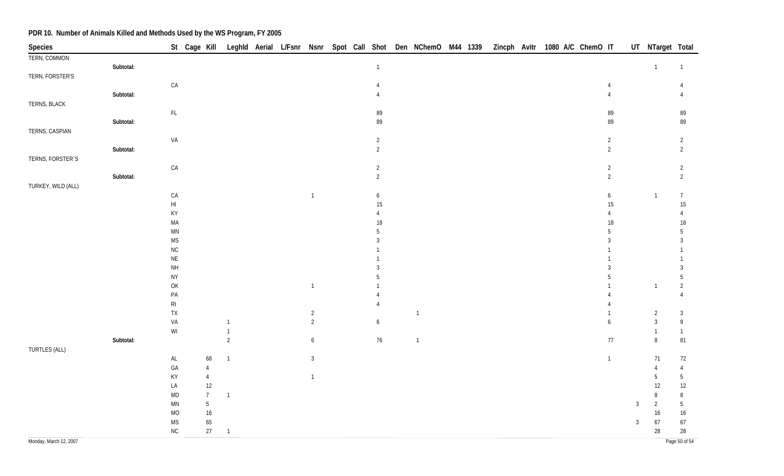| Species                |           |                                                         | St Cage Kill Leghld Aerial L/Fsnr Nsnr Spot Call Shot Den NChemO M44 1339 |                |  |                  |  |                  |                |  | Zincph Avitr 1080 A/C ChemO IT |  |  |                  |                | UT NTarget Total |                |
|------------------------|-----------|---------------------------------------------------------|---------------------------------------------------------------------------|----------------|--|------------------|--|------------------|----------------|--|--------------------------------|--|--|------------------|----------------|------------------|----------------|
| TERN, COMMON           |           |                                                         |                                                                           |                |  |                  |  |                  |                |  |                                |  |  |                  |                |                  |                |
|                        | Subtotal: |                                                         |                                                                           |                |  |                  |  | $\overline{1}$   |                |  |                                |  |  |                  |                | $\mathbf{1}$     | $\overline{1}$ |
| TERN, FORSTER'S        |           |                                                         |                                                                           |                |  |                  |  |                  |                |  |                                |  |  |                  |                |                  |                |
|                        |           | ${\sf CA}$                                              |                                                                           |                |  |                  |  | $\overline{4}$   |                |  |                                |  |  | $\overline{4}$   |                |                  | $\overline{4}$ |
|                        | Subtotal: |                                                         |                                                                           |                |  |                  |  | 4                |                |  |                                |  |  | $\overline{4}$   |                |                  | $\overline{4}$ |
| TERNS, BLACK           |           |                                                         |                                                                           |                |  |                  |  |                  |                |  |                                |  |  |                  |                |                  |                |
|                        |           | $\mathsf{FL}{}$                                         |                                                                           |                |  |                  |  | 89               |                |  |                                |  |  | 89               |                |                  | 89             |
|                        | Subtotal: |                                                         |                                                                           |                |  |                  |  | 89               |                |  |                                |  |  | 89               |                |                  | 89             |
| TERNS, CASPIAN         |           |                                                         |                                                                           |                |  |                  |  |                  |                |  |                                |  |  |                  |                |                  |                |
|                        |           | VA                                                      |                                                                           |                |  |                  |  | $\overline{2}$   |                |  |                                |  |  | $\sqrt{2}$       |                |                  | $\overline{2}$ |
|                        | Subtotal: |                                                         |                                                                           |                |  |                  |  | $\overline{2}$   |                |  |                                |  |  | $\overline{2}$   |                |                  | $\overline{2}$ |
| TERNS, FORSTER'S       |           |                                                         |                                                                           |                |  |                  |  |                  |                |  |                                |  |  |                  |                |                  |                |
|                        |           | ${\sf CA}$                                              |                                                                           |                |  |                  |  | $\overline{2}$   |                |  |                                |  |  | $\overline{2}$   |                |                  | $\overline{2}$ |
|                        | Subtotal: |                                                         |                                                                           |                |  |                  |  | $\overline{2}$   |                |  |                                |  |  | $\overline{2}$   |                |                  | $\overline{2}$ |
| TURKEY, WILD (ALL)     |           |                                                         |                                                                           |                |  |                  |  |                  |                |  |                                |  |  |                  |                |                  |                |
|                        |           | CA                                                      |                                                                           |                |  | $\overline{1}$   |  | $\boldsymbol{6}$ |                |  |                                |  |  | $\boldsymbol{6}$ |                | $\mathbf{1}$     | $\overline{7}$ |
|                        |           | $\mathsf{HI}$                                           |                                                                           |                |  |                  |  | 15               |                |  |                                |  |  | 15               |                |                  | 15             |
|                        |           | KY                                                      |                                                                           |                |  |                  |  | 4                |                |  |                                |  |  | 4                |                |                  | $\overline{4}$ |
|                        |           | $\sf MA$                                                |                                                                           |                |  |                  |  | 18               |                |  |                                |  |  | $18$             |                |                  | $18$           |
|                        |           | $\mathsf{MN}$                                           |                                                                           |                |  |                  |  | 5                |                |  |                                |  |  | 5                |                |                  | 5              |
|                        |           | $\mathsf{MS}$                                           |                                                                           |                |  |                  |  | 3                |                |  |                                |  |  | $\overline{3}$   |                |                  | $\overline{3}$ |
|                        |           | ${\sf NC}$                                              |                                                                           |                |  |                  |  |                  |                |  |                                |  |  |                  |                |                  |                |
|                        |           | $\mathsf{NE}\,$                                         |                                                                           |                |  |                  |  |                  |                |  |                                |  |  |                  |                |                  |                |
|                        |           | $\mathsf{NH}\,$                                         |                                                                           |                |  |                  |  |                  |                |  |                                |  |  | 3                |                |                  | $\overline{3}$ |
|                        |           | ${\sf NY}$                                              |                                                                           |                |  |                  |  | 5                |                |  |                                |  |  | 5                |                |                  | 5              |
|                        |           | OK                                                      |                                                                           |                |  | $\overline{1}$   |  |                  |                |  |                                |  |  |                  |                | $\mathbf{1}$     | $\overline{2}$ |
|                        |           | PA                                                      |                                                                           |                |  |                  |  |                  |                |  |                                |  |  |                  |                |                  | $\overline{4}$ |
|                        |           | $\mathsf{RI}$                                           |                                                                           |                |  |                  |  |                  |                |  |                                |  |  |                  |                |                  |                |
|                        |           | ${\sf TX}$                                              |                                                                           |                |  | $\overline{2}$   |  |                  | $\overline{1}$ |  |                                |  |  |                  |                | $\overline{2}$   | $\mathbf{3}$   |
|                        |           | VA                                                      |                                                                           | $\overline{1}$ |  | $\overline{c}$   |  | 6                |                |  |                                |  |  | $\boldsymbol{6}$ |                | $\mathbf{3}$     | $\,9$          |
|                        |           | $\ensuremath{\mathsf{W}}\xspace\ensuremath{\mathsf{I}}$ |                                                                           | $\overline{1}$ |  |                  |  |                  |                |  |                                |  |  |                  |                | $\mathbf{1}$     | $\overline{1}$ |
|                        | Subtotal: |                                                         |                                                                           | $\sqrt{2}$     |  | $\boldsymbol{6}$ |  | $76\,$           | $\overline{1}$ |  |                                |  |  | $77\,$           |                | 8                | 81             |
| TURTLES (ALL)          |           |                                                         |                                                                           |                |  |                  |  |                  |                |  |                                |  |  |                  |                |                  |                |
|                        |           | $\mathsf{AL}$                                           | 68                                                                        | $\overline{1}$ |  | $\mathbf{3}$     |  |                  |                |  |                                |  |  | $\mathbf{1}$     |                | 71               | 72             |
|                        |           | ${\sf GA}$                                              | $\overline{4}$                                                            |                |  |                  |  |                  |                |  |                                |  |  |                  |                | 4                | $\overline{4}$ |
|                        |           | KY                                                      | $\overline{4}$                                                            |                |  | $\overline{1}$   |  |                  |                |  |                                |  |  |                  |                | 5                | $5\,$          |
|                        |           | LA                                                      | $12\,$                                                                    |                |  |                  |  |                  |                |  |                                |  |  |                  |                | 12               | 12             |
|                        |           | $\mathsf{MD}$                                           | $\overline{7}$                                                            | $\mathbf{1}$   |  |                  |  |                  |                |  |                                |  |  |                  |                | 8                | 8              |
|                        |           | $\mathsf{M}\mathsf{N}$                                  | $5\,$                                                                     |                |  |                  |  |                  |                |  |                                |  |  |                  | $\overline{3}$ | $\overline{2}$   | $5\,$          |
|                        |           | $MO$                                                    | $16\,$                                                                    |                |  |                  |  |                  |                |  |                                |  |  |                  |                | $16\,$           | 16             |
|                        |           | $\mathsf{MS}\xspace$                                    | 65                                                                        |                |  |                  |  |                  |                |  |                                |  |  |                  | $\mathbf{3}$   | $67\,$           | 67             |
|                        |           | ${\sf NC}$                                              | 27                                                                        | $\overline{1}$ |  |                  |  |                  |                |  |                                |  |  |                  |                | $28\,$           | 28             |
| Monday, March 12, 2007 |           |                                                         |                                                                           |                |  |                  |  |                  |                |  |                                |  |  |                  |                |                  | Page 50 of 54  |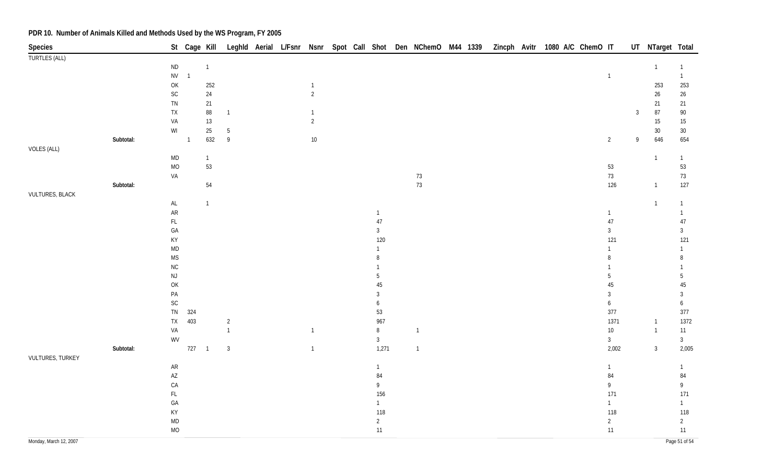| <b>Species</b>         |           |                                                         |                |                |                |  |                |  |                      | St Cage Kill Leghld Aerial L/Fsnr Nsnr Spot Call Shot Den NChemO M44 1339 |  |  |  | Zincph Avitr 1080 A/C ChemO IT |                     |                | UT NTarget Total |                    |
|------------------------|-----------|---------------------------------------------------------|----------------|----------------|----------------|--|----------------|--|----------------------|---------------------------------------------------------------------------|--|--|--|--------------------------------|---------------------|----------------|------------------|--------------------|
| <b>TURTLES (ALL)</b>   |           |                                                         |                |                |                |  |                |  |                      |                                                                           |  |  |  |                                |                     |                |                  |                    |
|                        |           | $\sf ND$                                                |                | $\overline{1}$ |                |  |                |  |                      |                                                                           |  |  |  |                                |                     |                | $\overline{1}$   | $\mathbf{1}$       |
|                        |           | ${\sf NV}$                                              | $\overline{1}$ |                |                |  |                |  |                      |                                                                           |  |  |  |                                | $\mathbf{1}$        |                |                  | $\mathbf{1}$       |
|                        |           | OK                                                      |                | 252            |                |  | $\mathbf{1}$   |  |                      |                                                                           |  |  |  |                                |                     |                | 253              | 253                |
|                        |           | $\mathsf{SC}$                                           |                | $24\,$         |                |  | $\overline{2}$ |  |                      |                                                                           |  |  |  |                                |                     |                | $26\phantom{.}$  | $26\,$             |
|                        |           | ${\sf TN}$                                              |                | 21             |                |  |                |  |                      |                                                                           |  |  |  |                                |                     |                | 21               | 21                 |
|                        |           | ${\sf TX}$                                              |                | $88\,$         | $\overline{1}$ |  | $\mathbf{1}$   |  |                      |                                                                           |  |  |  |                                |                     | $\overline{3}$ | $87\,$           | $90\,$             |
|                        |           | VA                                                      |                | $13\,$         |                |  | $\overline{2}$ |  |                      |                                                                           |  |  |  |                                |                     |                | $15\,$           | $15\,$             |
|                        |           | $\ensuremath{\mathsf{W}}\xspace\ensuremath{\mathsf{I}}$ |                | $25\,$         | $5\,$          |  |                |  |                      |                                                                           |  |  |  |                                |                     |                | $30\,$           | $30\,$             |
|                        | Subtotal: |                                                         | $\overline{1}$ | 632            | $\overline{9}$ |  | $10\,$         |  |                      |                                                                           |  |  |  |                                | $\overline{2}$      | 9              | 646              | 654                |
| VOLES (ALL)            |           |                                                         |                |                |                |  |                |  |                      |                                                                           |  |  |  |                                |                     |                |                  |                    |
|                        |           | <b>MD</b>                                               |                | $\vert$        |                |  |                |  |                      |                                                                           |  |  |  |                                |                     |                | $\overline{1}$   | $\mathbf{1}$       |
|                        |           | MO                                                      |                | 53             |                |  |                |  |                      |                                                                           |  |  |  |                                | 53                  |                |                  | 53                 |
|                        |           | VA                                                      |                |                |                |  |                |  |                      | 73                                                                        |  |  |  |                                | $73\,$              |                |                  | $73\,$             |
|                        | Subtotal: |                                                         |                | $54\,$         |                |  |                |  |                      | $73\,$                                                                    |  |  |  |                                | 126                 |                | $\overline{1}$   | 127                |
| <b>VULTURES, BLACK</b> |           |                                                         |                | $\overline{1}$ |                |  |                |  |                      |                                                                           |  |  |  |                                |                     |                |                  |                    |
|                        |           | AL                                                      |                |                |                |  |                |  |                      |                                                                           |  |  |  |                                |                     |                | $\mathbf{1}$     | $\mathbf{1}$       |
|                        |           | ${\sf AR}$                                              |                |                |                |  |                |  | $\overline{1}$<br>47 |                                                                           |  |  |  |                                | $\mathbf{1}$<br>47  |                |                  | $\mathbf{1}$<br>47 |
|                        |           | $\mathsf{FL}$<br>GA                                     |                |                |                |  |                |  | $\mathbf{3}$         |                                                                           |  |  |  |                                | $\mathfrak{Z}$      |                |                  | $\mathfrak{Z}$     |
|                        |           | KY                                                      |                |                |                |  |                |  | 120                  |                                                                           |  |  |  |                                |                     |                |                  |                    |
|                        |           | <b>MD</b>                                               |                |                |                |  |                |  | $\mathbf{1}$         |                                                                           |  |  |  |                                | 121<br>$\mathbf{1}$ |                |                  | 121                |
|                        |           | <b>MS</b>                                               |                |                |                |  |                |  | 8                    |                                                                           |  |  |  |                                | 8                   |                |                  | $\mathbf{1}$<br>8  |
|                        |           | NC                                                      |                |                |                |  |                |  |                      |                                                                           |  |  |  |                                | $\mathbf{1}$        |                |                  | $\mathbf{1}$       |
|                        |           | $\mathsf{NJ}$                                           |                |                |                |  |                |  | 5                    |                                                                           |  |  |  |                                | 5                   |                |                  | $\overline{5}$     |
|                        |           | OK                                                      |                |                |                |  |                |  | 45                   |                                                                           |  |  |  |                                | 45                  |                |                  | $45\,$             |
|                        |           | $\mathsf{PA}$                                           |                |                |                |  |                |  | $\mathbf{3}$         |                                                                           |  |  |  |                                | $\mathbf{3}$        |                |                  | $\mathbf{3}$       |
|                        |           | SC                                                      |                |                |                |  |                |  | 6                    |                                                                           |  |  |  |                                | 6                   |                |                  | 6                  |
|                        |           | ${\sf TN}$                                              | 324            |                |                |  |                |  | 53                   |                                                                           |  |  |  |                                | 377                 |                |                  | 377                |
|                        |           | ${\sf TX}$                                              | 403            |                | $\overline{2}$ |  |                |  | 967                  |                                                                           |  |  |  |                                | 1371                |                | $\overline{1}$   | 1372               |
|                        |           | VA                                                      |                |                | $\overline{1}$ |  | $\mathbf{1}$   |  | $\, 8$               | $\overline{1}$                                                            |  |  |  |                                | $10\,$              |                | $\overline{1}$   | $11$               |
|                        |           | WV                                                      |                |                |                |  |                |  | $\mathbf{3}$         |                                                                           |  |  |  |                                | $\mathbf{3}$        |                |                  | $\mathbf{3}$       |
|                        | Subtotal: |                                                         | $727 - 1$      |                | $\mathbf{3}$   |  | $\mathbf{1}$   |  | 1,271                | $\overline{1}$                                                            |  |  |  |                                | 2,002               |                | $\overline{3}$   | 2,005              |
| VULTURES, TURKEY       |           |                                                         |                |                |                |  |                |  |                      |                                                                           |  |  |  |                                |                     |                |                  |                    |
|                        |           | ${\sf AR}$                                              |                |                |                |  |                |  | $\mathbf{1}$         |                                                                           |  |  |  |                                | $\mathbf{1}$        |                |                  | $\mathbf{1}$       |
|                        |           | $\mathsf{A}\mathsf{Z}$                                  |                |                |                |  |                |  | 84                   |                                                                           |  |  |  |                                | 84                  |                |                  | 84                 |
|                        |           | ${\sf CA}$                                              |                |                |                |  |                |  | 9                    |                                                                           |  |  |  |                                | 9                   |                |                  | $\mathsf{g}$       |
|                        |           | $\mathsf{FL}$                                           |                |                |                |  |                |  | 156                  |                                                                           |  |  |  |                                | 171                 |                |                  | 171                |
|                        |           | GA                                                      |                |                |                |  |                |  | $\mathbf{1}$         |                                                                           |  |  |  |                                | $\mathbf{1}$        |                |                  | $\mathbf{1}$       |
|                        |           | KY                                                      |                |                |                |  |                |  | 118                  |                                                                           |  |  |  |                                | 118                 |                |                  | 118                |
|                        |           | <b>MD</b>                                               |                |                |                |  |                |  | $\overline{2}$       |                                                                           |  |  |  |                                | $\overline{2}$      |                |                  | $\overline{2}$     |
|                        |           | MO                                                      |                |                |                |  |                |  | $11$                 |                                                                           |  |  |  |                                | 11                  |                |                  | 11                 |
| Monday, March 12, 2007 |           |                                                         |                |                |                |  |                |  |                      |                                                                           |  |  |  |                                |                     |                |                  | Page 51 of 54      |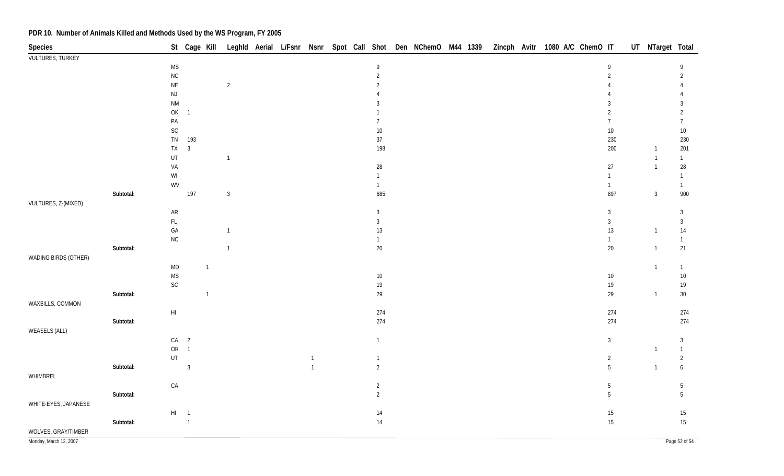| Species                 |           |                                                                                       |                | St Cage Kill   |                |  |                |  |                | Leghld Aerial L/Fsnr Nsnr Spot Call Shot Den NChemO M44 1339 |  |  | Zincph Avitr 1080 A/C ChemO IT |  |                 | UT NTarget Total |                        |
|-------------------------|-----------|---------------------------------------------------------------------------------------|----------------|----------------|----------------|--|----------------|--|----------------|--------------------------------------------------------------|--|--|--------------------------------|--|-----------------|------------------|------------------------|
| <b>VULTURES, TURKEY</b> |           |                                                                                       |                |                |                |  |                |  |                |                                                              |  |  |                                |  |                 |                  |                        |
|                         |           | $\mathsf{MS}\xspace$                                                                  |                |                |                |  |                |  | 9              |                                                              |  |  |                                |  | 9               |                  | 9                      |
|                         |           | ${\sf NC}$                                                                            |                |                |                |  |                |  | $\overline{2}$ |                                                              |  |  |                                |  | $\overline{2}$  |                  | $\overline{2}$         |
|                         |           | $\sf NE$                                                                              |                |                | $\overline{2}$ |  |                |  | $\overline{2}$ |                                                              |  |  |                                |  |                 |                  |                        |
|                         |           | $\mathsf{NJ}$                                                                         |                |                |                |  |                |  |                |                                                              |  |  |                                |  |                 |                  |                        |
|                         |           | $\mathsf{N}\mathsf{M}$                                                                |                |                |                |  |                |  | 3              |                                                              |  |  |                                |  | 3               |                  | 3                      |
|                         |           | $\mathsf{OK}% \left( \mathcal{M}\right) \equiv\mathsf{OK}(\mathcal{M}_{\mathrm{CL}})$ | $\overline{1}$ |                |                |  |                |  |                |                                                              |  |  |                                |  | $\overline{2}$  |                  | $\overline{2}$         |
|                         |           | $\mathsf{PA}$                                                                         |                |                |                |  |                |  | $\overline{7}$ |                                                              |  |  |                                |  | $\overline{7}$  |                  | $\overline{7}$         |
|                         |           | $\mathsf{SC}$                                                                         |                |                |                |  |                |  | $10\,$         |                                                              |  |  |                                |  | $10\,$          |                  | $10\,$                 |
|                         |           | ${\sf TN}$                                                                            | 193            |                |                |  |                |  | $37\,$         |                                                              |  |  |                                |  | 230             |                  | 230                    |
|                         |           | ${\sf TX}$                                                                            | $\mathbf{3}$   |                |                |  |                |  | 198            |                                                              |  |  |                                |  | 200             | -1               | 201                    |
|                         |           | UT                                                                                    |                |                | $\overline{1}$ |  |                |  |                |                                                              |  |  |                                |  |                 | $\mathbf 1$      | $\mathbf{1}$           |
|                         |           | VA                                                                                    |                |                |                |  |                |  | $28\,$         |                                                              |  |  |                                |  | 27              | $\overline{1}$   | 28                     |
|                         |           | WI                                                                                    |                |                |                |  |                |  | $\mathbf{1}$   |                                                              |  |  |                                |  | $\mathbf{1}$    |                  | $\mathbf{1}$           |
|                         |           | $\mathsf{W}\mathsf{V}$                                                                |                |                |                |  |                |  | $\mathbf{1}$   |                                                              |  |  |                                |  | $\mathbf{1}$    |                  | $\mathbf{1}$           |
|                         | Subtotal: |                                                                                       | 197            |                | $\sqrt{3}$     |  |                |  | 685            |                                                              |  |  |                                |  | 897             | $\mathbf{3}$     | 900                    |
| VULTURES, Z-(MIXED)     |           |                                                                                       |                |                |                |  |                |  |                |                                                              |  |  |                                |  |                 |                  |                        |
|                         |           | ${\sf AR}$                                                                            |                |                |                |  |                |  | $\mathbf{3}$   |                                                              |  |  |                                |  | $\sqrt{3}$      |                  | $\mathbf{3}$           |
|                         |           | $\mathsf{FL}{}$                                                                       |                |                |                |  |                |  | $\mathbf{3}$   |                                                              |  |  |                                |  | $\mathbf{3}$    |                  | $\mathbf{3}$           |
|                         |           | GA                                                                                    |                |                | $\overline{1}$ |  |                |  | $13\,$         |                                                              |  |  |                                |  | $13$            | $\overline{1}$   | $14$                   |
|                         |           | ${\sf NC}$                                                                            |                |                |                |  |                |  | $\mathbf{1}$   |                                                              |  |  |                                |  | $\mathbf{1}$    |                  | $\mathbf{1}$           |
|                         | Subtotal: |                                                                                       |                |                | $\overline{1}$ |  |                |  | $20\,$         |                                                              |  |  |                                |  | $20\,$          | $\overline{1}$   | 21                     |
| WADING BIRDS (OTHER)    |           |                                                                                       |                |                |                |  |                |  |                |                                                              |  |  |                                |  |                 |                  |                        |
|                         |           | $\mathsf{MD}$                                                                         |                | $\overline{1}$ |                |  |                |  | $10\,$         |                                                              |  |  |                                |  |                 | $\overline{1}$   | $\mathbf{1}$<br>$10\,$ |
|                         |           | $\mathsf{MS}\xspace$<br>$\mathsf{SC}$                                                 |                |                |                |  |                |  | $19$           |                                                              |  |  |                                |  | $10\,$<br>$19$  |                  | $19$                   |
|                         | Subtotal: |                                                                                       |                | $\overline{1}$ |                |  |                |  | 29             |                                                              |  |  |                                |  | $29\,$          | $\overline{1}$   | $30\,$                 |
| WAXBILLS, COMMON        |           |                                                                                       |                |                |                |  |                |  |                |                                                              |  |  |                                |  |                 |                  |                        |
|                         |           | $\mathsf{HI}$                                                                         |                |                |                |  |                |  | 274            |                                                              |  |  |                                |  | 274             |                  | 274                    |
|                         | Subtotal: |                                                                                       |                |                |                |  |                |  | 274            |                                                              |  |  |                                |  | 274             |                  | 274                    |
| <b>WEASELS (ALL)</b>    |           |                                                                                       |                |                |                |  |                |  |                |                                                              |  |  |                                |  |                 |                  |                        |
|                         |           |                                                                                       | $CA$ 2         |                |                |  |                |  | $\mathbf{1}$   |                                                              |  |  |                                |  | $\mathbf{3}$    |                  | $\mathbf{3}$           |
|                         |           |                                                                                       | OR 1           |                |                |  |                |  |                |                                                              |  |  |                                |  |                 | $\overline{1}$   | $\mathbf{1}$           |
|                         |           | UT                                                                                    |                |                |                |  | $\overline{1}$ |  | $\mathbf{1}$   |                                                              |  |  |                                |  | $\overline{2}$  |                  | $\overline{2}$         |
|                         | Subtotal: |                                                                                       | $\mathbf{3}$   |                |                |  | $\overline{1}$ |  | $\overline{2}$ |                                                              |  |  |                                |  | $5\phantom{.0}$ | $\overline{1}$   | $\boldsymbol{6}$       |
| WHIMBREL                |           |                                                                                       |                |                |                |  |                |  |                |                                                              |  |  |                                |  |                 |                  |                        |
|                         |           | ${\sf CA}$                                                                            |                |                |                |  |                |  | $\overline{2}$ |                                                              |  |  |                                |  | $5\,$           |                  | $5\,$                  |
|                         | Subtotal: |                                                                                       |                |                |                |  |                |  | $\overline{2}$ |                                                              |  |  |                                |  | $5\phantom{.0}$ |                  | $5\phantom{.0}$        |
| WHITE-EYES, JAPANESE    |           |                                                                                       |                |                |                |  |                |  |                |                                                              |  |  |                                |  |                 |                  |                        |
|                         |           |                                                                                       | $HI$ 1         |                |                |  |                |  | 14             |                                                              |  |  |                                |  | $15\,$          |                  | $15\,$                 |
|                         | Subtotal: |                                                                                       | $\overline{1}$ |                |                |  |                |  | 14             |                                                              |  |  |                                |  | 15              |                  | 15                     |
| WOLVES, GRAY/TIMBER     |           |                                                                                       |                |                |                |  |                |  |                |                                                              |  |  |                                |  |                 |                  |                        |
| Monday, March 12, 2007  |           |                                                                                       |                |                |                |  |                |  |                |                                                              |  |  |                                |  |                 |                  | Page 52 of 54          |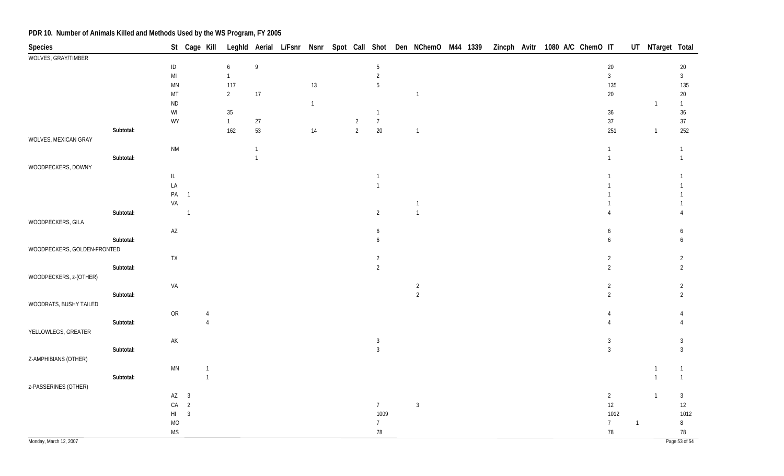| Species                     |           |                        |                 | St Cage Kill   |                  |              |              |                |                 | Leghld Aerial L/Fsnr Nsnr Spot Call Shot Den NChemO M44 1339 |  |  | Zincph Avitr 1080 A/C ChemO IT |                |                | UT NTarget Total |                |
|-----------------------------|-----------|------------------------|-----------------|----------------|------------------|--------------|--------------|----------------|-----------------|--------------------------------------------------------------|--|--|--------------------------------|----------------|----------------|------------------|----------------|
| WOLVES, GRAY/TIMBER         |           |                        |                 |                |                  |              |              |                |                 |                                                              |  |  |                                |                |                |                  |                |
|                             |           | $\sf ID$               |                 |                | $\boldsymbol{6}$ | $\,9$        |              |                | 5               |                                                              |  |  |                                | $20\,$         |                |                  | 20             |
|                             |           | $\mathsf{MI}$          |                 |                | $\overline{1}$   |              |              |                | $\overline{2}$  |                                                              |  |  |                                | $\mathbf{3}$   |                |                  | $\mathbf{3}$   |
|                             |           | <b>MN</b>              |                 |                | 117              |              | 13           |                | 5               |                                                              |  |  |                                | 135            |                |                  | 135            |
|                             |           | MT                     |                 |                | $\overline{2}$   | $17$         |              |                |                 | $\overline{1}$                                               |  |  |                                | $20\,$         |                |                  | $20\,$         |
|                             |           | <b>ND</b>              |                 |                |                  |              | $\mathbf{1}$ |                |                 |                                                              |  |  |                                |                |                | $\mathbf{1}$     | $\mathbf{1}$   |
|                             |           | WI                     |                 |                | $35\,$           |              |              |                | $\mathbf{1}$    |                                                              |  |  |                                | $36\,$         |                |                  | $36\,$         |
|                             |           | WY                     |                 |                | $\overline{1}$   | $27\,$       |              | $\overline{2}$ | $\overline{7}$  |                                                              |  |  |                                | $37\,$         |                |                  | 37             |
|                             | Subtotal: |                        |                 |                | 162              | 53           | 14           | $\overline{2}$ | $20\,$          | $\overline{1}$                                               |  |  |                                | 251            |                | $\overline{1}$   | 252            |
| WOLVES, MEXICAN GRAY        |           |                        |                 |                |                  |              |              |                |                 |                                                              |  |  |                                |                |                |                  |                |
|                             |           | $\mathsf{N}\mathsf{M}$ |                 |                |                  | $\mathbf{1}$ |              |                |                 |                                                              |  |  |                                | $\mathbf{1}$   |                |                  | $\mathbf{1}$   |
|                             | Subtotal: |                        |                 |                |                  | $\mathbf{1}$ |              |                |                 |                                                              |  |  |                                | $\mathbf{1}$   |                |                  | $\mathbf{1}$   |
| WOODPECKERS, DOWNY          |           |                        |                 |                |                  |              |              |                |                 |                                                              |  |  |                                |                |                |                  |                |
|                             |           | $\mathsf{IL}$          |                 |                |                  |              |              |                | $\mathbf{1}$    |                                                              |  |  |                                |                |                |                  |                |
|                             |           | LA                     |                 |                |                  |              |              |                | $\overline{1}$  |                                                              |  |  |                                |                |                |                  |                |
|                             |           |                        | PA <sub>1</sub> |                |                  |              |              |                |                 |                                                              |  |  |                                |                |                |                  |                |
|                             |           | VA                     |                 |                |                  |              |              |                |                 |                                                              |  |  |                                |                |                |                  |                |
|                             | Subtotal: |                        | $\overline{1}$  |                |                  |              |              |                | $\overline{2}$  | $\overline{1}$                                               |  |  |                                | $\overline{4}$ |                |                  |                |
| WOODPECKERS, GILA           |           |                        |                 |                |                  |              |              |                |                 |                                                              |  |  |                                |                |                |                  |                |
|                             |           | $\mathsf{A}\mathsf{Z}$ |                 |                |                  |              |              |                | 6               |                                                              |  |  |                                | 6              |                |                  | 6              |
|                             | Subtotal: |                        |                 |                |                  |              |              |                | 6               |                                                              |  |  |                                | 6              |                |                  | 6              |
| WOODPECKERS, GOLDEN-FRONTED |           |                        |                 |                |                  |              |              |                |                 |                                                              |  |  |                                |                |                |                  |                |
|                             |           | TX                     |                 |                |                  |              |              |                | 2               |                                                              |  |  |                                | $\overline{2}$ |                |                  | $\overline{2}$ |
|                             | Subtotal: |                        |                 |                |                  |              |              |                | $\overline{2}$  |                                                              |  |  |                                | $\overline{2}$ |                |                  | $\overline{2}$ |
| WOODPECKERS, z-(OTHER)      |           |                        |                 |                |                  |              |              |                |                 |                                                              |  |  |                                |                |                |                  |                |
|                             |           | VA                     |                 |                |                  |              |              |                |                 | $\overline{2}$                                               |  |  |                                | $\overline{2}$ |                |                  | $\overline{2}$ |
|                             | Subtotal: |                        |                 |                |                  |              |              |                |                 | $\overline{2}$                                               |  |  |                                | $\overline{2}$ |                |                  | 2              |
| WOODRATS, BUSHY TAILED      |           |                        |                 |                |                  |              |              |                |                 |                                                              |  |  |                                |                |                |                  |                |
|                             |           | OR                     |                 |                |                  |              |              |                |                 |                                                              |  |  |                                | 4              |                |                  |                |
|                             | Subtotal: |                        |                 | $\overline{4}$ |                  |              |              |                |                 |                                                              |  |  |                                |                |                |                  |                |
| YELLOWLEGS, GREATER         |           |                        |                 |                |                  |              |              |                |                 |                                                              |  |  |                                |                |                |                  |                |
|                             |           | $\mathsf{AK}$          |                 |                |                  |              |              |                | $\mathbf{3}$    |                                                              |  |  |                                | $\mathbf{3}$   |                |                  | 3              |
|                             | Subtotal: |                        |                 |                |                  |              |              |                | $\overline{3}$  |                                                              |  |  |                                | $\mathbf{3}$   |                |                  | $\mathbf{3}$   |
| Z-AMPHIBIANS (OTHER)        |           |                        |                 |                |                  |              |              |                |                 |                                                              |  |  |                                |                |                |                  |                |
|                             |           | $\mathsf{M}\mathsf{N}$ |                 | $\overline{1}$ |                  |              |              |                |                 |                                                              |  |  |                                |                |                | $\mathbf 1$      | $\mathbf{1}$   |
|                             | Subtotal: |                        |                 | $\overline{1}$ |                  |              |              |                |                 |                                                              |  |  |                                |                |                | $\overline{1}$   | $\mathbf{1}$   |
| z-PASSERINES (OTHER)        |           |                        |                 |                |                  |              |              |                |                 |                                                              |  |  |                                |                |                |                  |                |
|                             |           |                        | $AZ$ 3          |                |                  |              |              |                |                 |                                                              |  |  |                                | $\overline{2}$ |                | $\overline{1}$   | $\mathbf{3}$   |
|                             |           |                        | $CA$ 2          |                |                  |              |              |                | 7               | $\mathbf{3}$                                                 |  |  |                                | $12\,$         |                |                  | $12\,$         |
|                             |           | HI                     | $\overline{3}$  |                |                  |              |              |                | 1009            |                                                              |  |  |                                | 1012           |                |                  | 1012           |
|                             |           | $\rm MO$               |                 |                |                  |              |              |                | $7\overline{ }$ |                                                              |  |  |                                | $7\phantom{.}$ | $\overline{1}$ |                  | $\, 8$         |
|                             |           | <b>MS</b>              |                 |                |                  |              |              |                | 78              |                                                              |  |  |                                | $78\,$         |                |                  | $78\,$         |
| Monday, March 12, 2007      |           |                        |                 |                |                  |              |              |                |                 |                                                              |  |  |                                |                |                |                  | Page 53 of 54  |